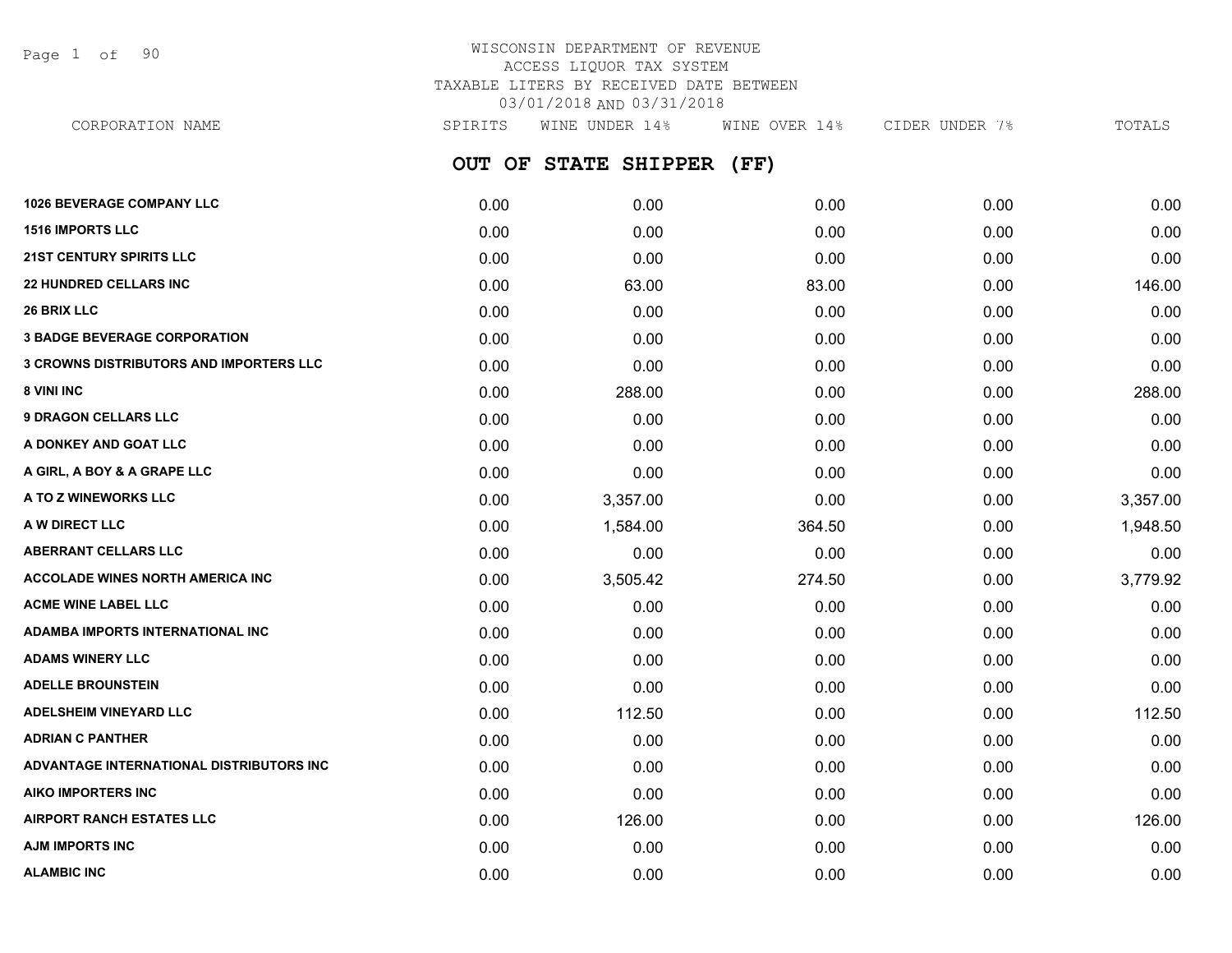Page 1 of 90

### WISCONSIN DEPARTMENT OF REVENUE ACCESS LIQUOR TAX SYSTEM TAXABLE LITERS BY RECEIVED DATE BETWEEN 03/01/2018 AND 03/31/2018

**OUT OF STATE SHIPPER (FF) 1026 BEVERAGE COMPANY LLC** 0.00 0.00 0.00 0.00 0.00 **1516 IMPORTS LLC** 0.00 0.00 0.00 0.00 0.00 **21ST CENTURY SPIRITS LLC** 0.00 0.00 0.00 0.00 0.00 **22 HUNDRED CELLARS INC** 0.00 63.00 83.00 0.00 146.00 **26 BRIX LLC** 0.00 0.00 0.00 0.00 0.00 **3 BADGE BEVERAGE CORPORATION** 0.00 0.00 0.00 0.00 0.00 **3 CROWNS DISTRIBUTORS AND IMPORTERS LLC** 0.00 0.00 0.00 0.00 0.00 **8 VINI INC** 6.00 **288.00 288.00 288.00 0.00 0.00 0.00 0.00 0.00 288.00 9 DRAGON CELLARS LLC** 0.00 0.00 0.00 0.00 0.00 **A DONKEY AND GOAT LLC** 0.00 0.00 0.00 0.00 0.00 **A GIRL, A BOY & A GRAPE LLC** 0.00 0.00 0.00 0.00 0.00 **A TO Z WINEWORKS LLC** 0.00 3,357.00 0.00 0.00 3,357.00 **A W DIRECT LLC** 0.00 1,584.00 364.50 0.00 1,948.50 **ABERRANT CELLARS LLC** 0.00 0.00 0.00 0.00 0.00 **ACCOLADE WINES NORTH AMERICA INC** 0.00 3,505.42 274.50 0.00 3,779.92 **ACME WINE LABEL LLC** 0.00 0.00 0.00 0.00 0.00 **ADAMBA IMPORTS INTERNATIONAL INC** 0.00 0.00 0.00 0.00 0.00 **ADAMS WINERY LLC** 0.00 0.00 0.00 0.00 0.00 **ADELLE BROUNSTEIN** 0.00 0.00 0.00 0.00 0.00 **ADELSHEIM VINEYARD LLC** 0.00 112.50 0.00 0.00 112.50 **ADRIAN C PANTHER** 0.00 0.00 0.00 0.00 0.00 **ADVANTAGE INTERNATIONAL DISTRIBUTORS INC** 0.00 0.00 0.00 0.00 0.00 **AIKO IMPORTERS INC** 0.00 0.00 0.00 0.00 0.00 **AIRPORT RANCH ESTATES LLC** 0.00 126.00 0.00 0.00 126.00 **AJM IMPORTS INC** 0.00 0.00 0.00 0.00 0.00 CORPORATION NAME SPIRITS WINE UNDER 14% WINE OVER 14% CIDER UNDER 7% TOTALS

**ALAMBIC INC** 0.00 0.00 0.00 0.00 0.00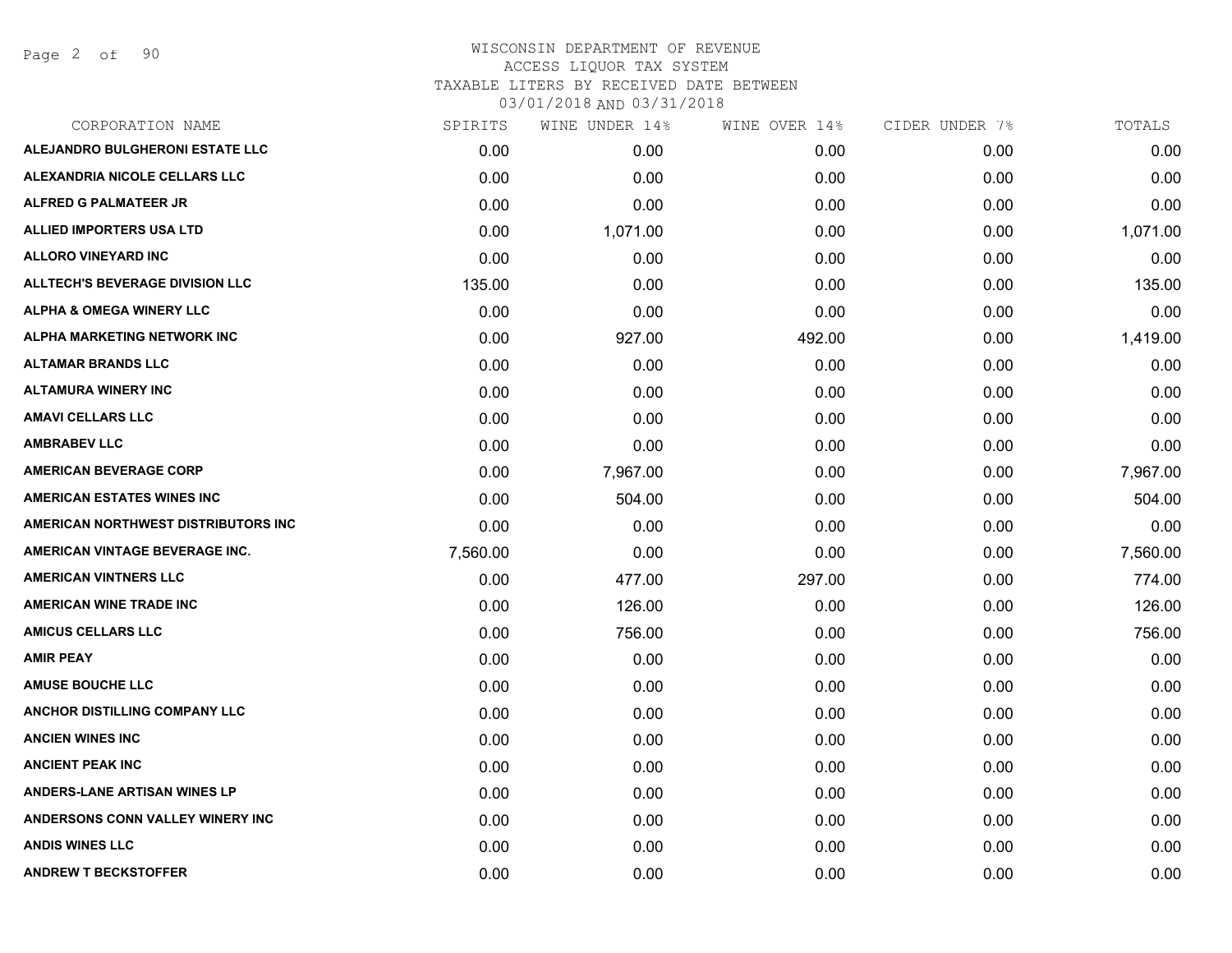Page 2 of 90

# WISCONSIN DEPARTMENT OF REVENUE ACCESS LIQUOR TAX SYSTEM TAXABLE LITERS BY RECEIVED DATE BETWEEN

| CORPORATION NAME                       | SPIRITS  | WINE UNDER 14% | WINE OVER 14% | CIDER UNDER 7% | TOTALS   |
|----------------------------------------|----------|----------------|---------------|----------------|----------|
| ALEJANDRO BULGHERONI ESTATE LLC        | 0.00     | 0.00           | 0.00          | 0.00           | 0.00     |
| ALEXANDRIA NICOLE CELLARS LLC          | 0.00     | 0.00           | 0.00          | 0.00           | 0.00     |
| <b>ALFRED G PALMATEER JR</b>           | 0.00     | 0.00           | 0.00          | 0.00           | 0.00     |
| <b>ALLIED IMPORTERS USA LTD</b>        | 0.00     | 1,071.00       | 0.00          | 0.00           | 1,071.00 |
| <b>ALLORO VINEYARD INC</b>             | 0.00     | 0.00           | 0.00          | 0.00           | 0.00     |
| <b>ALLTECH'S BEVERAGE DIVISION LLC</b> | 135.00   | 0.00           | 0.00          | 0.00           | 135.00   |
| <b>ALPHA &amp; OMEGA WINERY LLC</b>    | 0.00     | 0.00           | 0.00          | 0.00           | 0.00     |
| <b>ALPHA MARKETING NETWORK INC</b>     | 0.00     | 927.00         | 492.00        | 0.00           | 1,419.00 |
| <b>ALTAMAR BRANDS LLC</b>              | 0.00     | 0.00           | 0.00          | 0.00           | 0.00     |
| <b>ALTAMURA WINERY INC</b>             | 0.00     | 0.00           | 0.00          | 0.00           | 0.00     |
| <b>AMAVI CELLARS LLC</b>               | 0.00     | 0.00           | 0.00          | 0.00           | 0.00     |
| <b>AMBRABEV LLC</b>                    | 0.00     | 0.00           | 0.00          | 0.00           | 0.00     |
| <b>AMERICAN BEVERAGE CORP</b>          | 0.00     | 7,967.00       | 0.00          | 0.00           | 7,967.00 |
| <b>AMERICAN ESTATES WINES INC</b>      | 0.00     | 504.00         | 0.00          | 0.00           | 504.00   |
| AMERICAN NORTHWEST DISTRIBUTORS INC    | 0.00     | 0.00           | 0.00          | 0.00           | 0.00     |
| AMERICAN VINTAGE BEVERAGE INC.         | 7,560.00 | 0.00           | 0.00          | 0.00           | 7,560.00 |
| <b>AMERICAN VINTNERS LLC</b>           | 0.00     | 477.00         | 297.00        | 0.00           | 774.00   |
| <b>AMERICAN WINE TRADE INC</b>         | 0.00     | 126.00         | 0.00          | 0.00           | 126.00   |
| <b>AMICUS CELLARS LLC</b>              | 0.00     | 756.00         | 0.00          | 0.00           | 756.00   |
| <b>AMIR PEAY</b>                       | 0.00     | 0.00           | 0.00          | 0.00           | 0.00     |
| <b>AMUSE BOUCHE LLC</b>                | 0.00     | 0.00           | 0.00          | 0.00           | 0.00     |
| <b>ANCHOR DISTILLING COMPANY LLC</b>   | 0.00     | 0.00           | 0.00          | 0.00           | 0.00     |
| <b>ANCIEN WINES INC</b>                | 0.00     | 0.00           | 0.00          | 0.00           | 0.00     |
| <b>ANCIENT PEAK INC</b>                | 0.00     | 0.00           | 0.00          | 0.00           | 0.00     |
| <b>ANDERS-LANE ARTISAN WINES LP</b>    | 0.00     | 0.00           | 0.00          | 0.00           | 0.00     |
| ANDERSONS CONN VALLEY WINERY INC       | 0.00     | 0.00           | 0.00          | 0.00           | 0.00     |
| <b>ANDIS WINES LLC</b>                 | 0.00     | 0.00           | 0.00          | 0.00           | 0.00     |
| <b>ANDREW T BECKSTOFFER</b>            | 0.00     | 0.00           | 0.00          | 0.00           | 0.00     |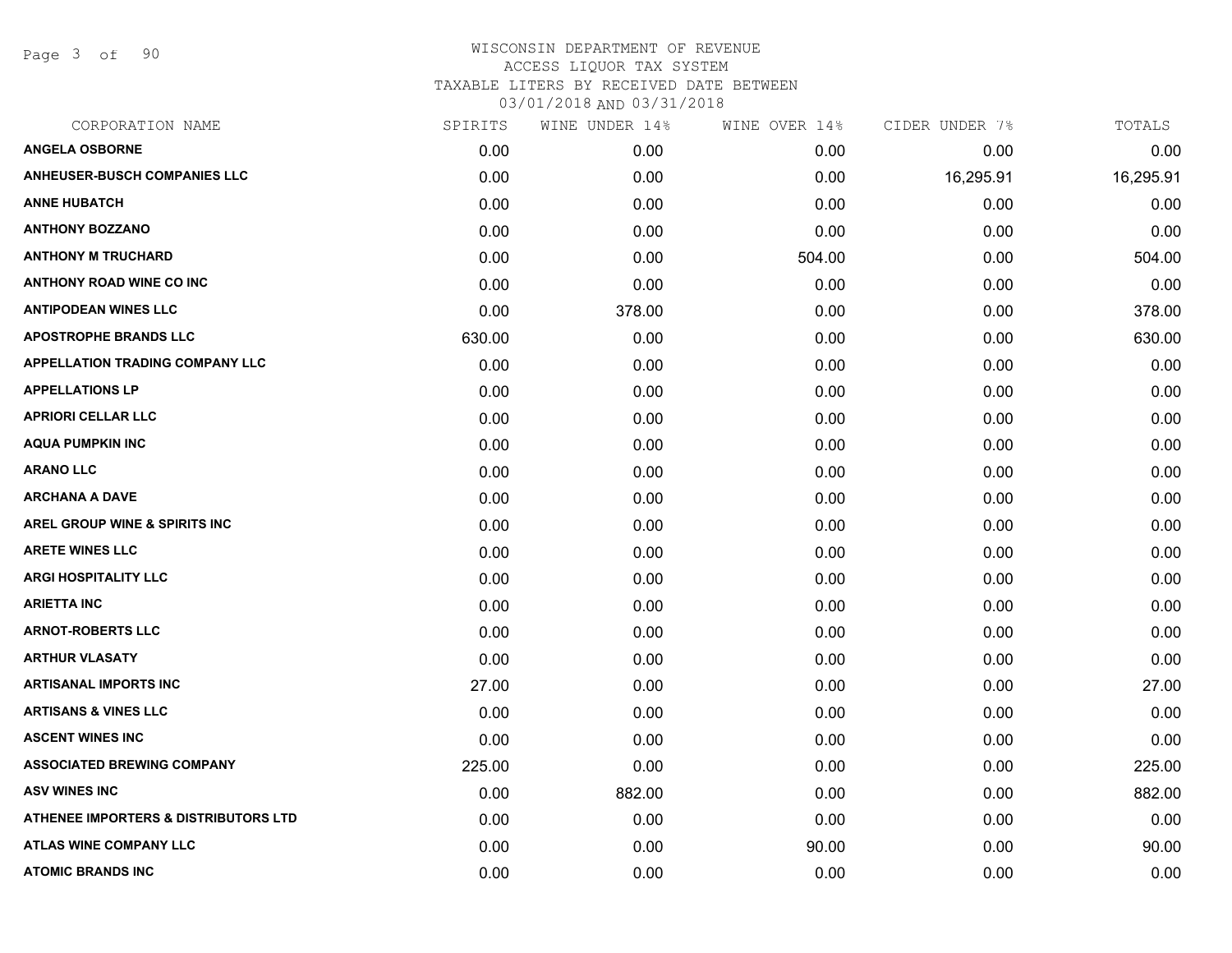Page 3 of 90

| CORPORATION NAME                                | SPIRITS | WINE UNDER 14% | WINE OVER 14% | CIDER UNDER 7% | TOTALS    |
|-------------------------------------------------|---------|----------------|---------------|----------------|-----------|
| <b>ANGELA OSBORNE</b>                           | 0.00    | 0.00           | 0.00          | 0.00           | 0.00      |
| <b>ANHEUSER-BUSCH COMPANIES LLC</b>             | 0.00    | 0.00           | 0.00          | 16,295.91      | 16,295.91 |
| <b>ANNE HUBATCH</b>                             | 0.00    | 0.00           | 0.00          | 0.00           | 0.00      |
| <b>ANTHONY BOZZANO</b>                          | 0.00    | 0.00           | 0.00          | 0.00           | 0.00      |
| <b>ANTHONY M TRUCHARD</b>                       | 0.00    | 0.00           | 504.00        | 0.00           | 504.00    |
| <b>ANTHONY ROAD WINE CO INC</b>                 | 0.00    | 0.00           | 0.00          | 0.00           | 0.00      |
| <b>ANTIPODEAN WINES LLC</b>                     | 0.00    | 378.00         | 0.00          | 0.00           | 378.00    |
| <b>APOSTROPHE BRANDS LLC</b>                    | 630.00  | 0.00           | 0.00          | 0.00           | 630.00    |
| <b>APPELLATION TRADING COMPANY LLC</b>          | 0.00    | 0.00           | 0.00          | 0.00           | 0.00      |
| <b>APPELLATIONS LP</b>                          | 0.00    | 0.00           | 0.00          | 0.00           | 0.00      |
| <b>APRIORI CELLAR LLC</b>                       | 0.00    | 0.00           | 0.00          | 0.00           | 0.00      |
| <b>AQUA PUMPKIN INC</b>                         | 0.00    | 0.00           | 0.00          | 0.00           | 0.00      |
| <b>ARANO LLC</b>                                | 0.00    | 0.00           | 0.00          | 0.00           | 0.00      |
| <b>ARCHANA A DAVE</b>                           | 0.00    | 0.00           | 0.00          | 0.00           | 0.00      |
| AREL GROUP WINE & SPIRITS INC                   | 0.00    | 0.00           | 0.00          | 0.00           | 0.00      |
| <b>ARETE WINES LLC</b>                          | 0.00    | 0.00           | 0.00          | 0.00           | 0.00      |
| <b>ARGI HOSPITALITY LLC</b>                     | 0.00    | 0.00           | 0.00          | 0.00           | 0.00      |
| <b>ARIETTA INC</b>                              | 0.00    | 0.00           | 0.00          | 0.00           | 0.00      |
| <b>ARNOT-ROBERTS LLC</b>                        | 0.00    | 0.00           | 0.00          | 0.00           | 0.00      |
| <b>ARTHUR VLASATY</b>                           | 0.00    | 0.00           | 0.00          | 0.00           | 0.00      |
| <b>ARTISANAL IMPORTS INC</b>                    | 27.00   | 0.00           | 0.00          | 0.00           | 27.00     |
| <b>ARTISANS &amp; VINES LLC</b>                 | 0.00    | 0.00           | 0.00          | 0.00           | 0.00      |
| <b>ASCENT WINES INC</b>                         | 0.00    | 0.00           | 0.00          | 0.00           | 0.00      |
| <b>ASSOCIATED BREWING COMPANY</b>               | 225.00  | 0.00           | 0.00          | 0.00           | 225.00    |
| <b>ASV WINES INC</b>                            | 0.00    | 882.00         | 0.00          | 0.00           | 882.00    |
| <b>ATHENEE IMPORTERS &amp; DISTRIBUTORS LTD</b> | 0.00    | 0.00           | 0.00          | 0.00           | 0.00      |
| ATLAS WINE COMPANY LLC                          | 0.00    | 0.00           | 90.00         | 0.00           | 90.00     |
| <b>ATOMIC BRANDS INC</b>                        | 0.00    | 0.00           | 0.00          | 0.00           | 0.00      |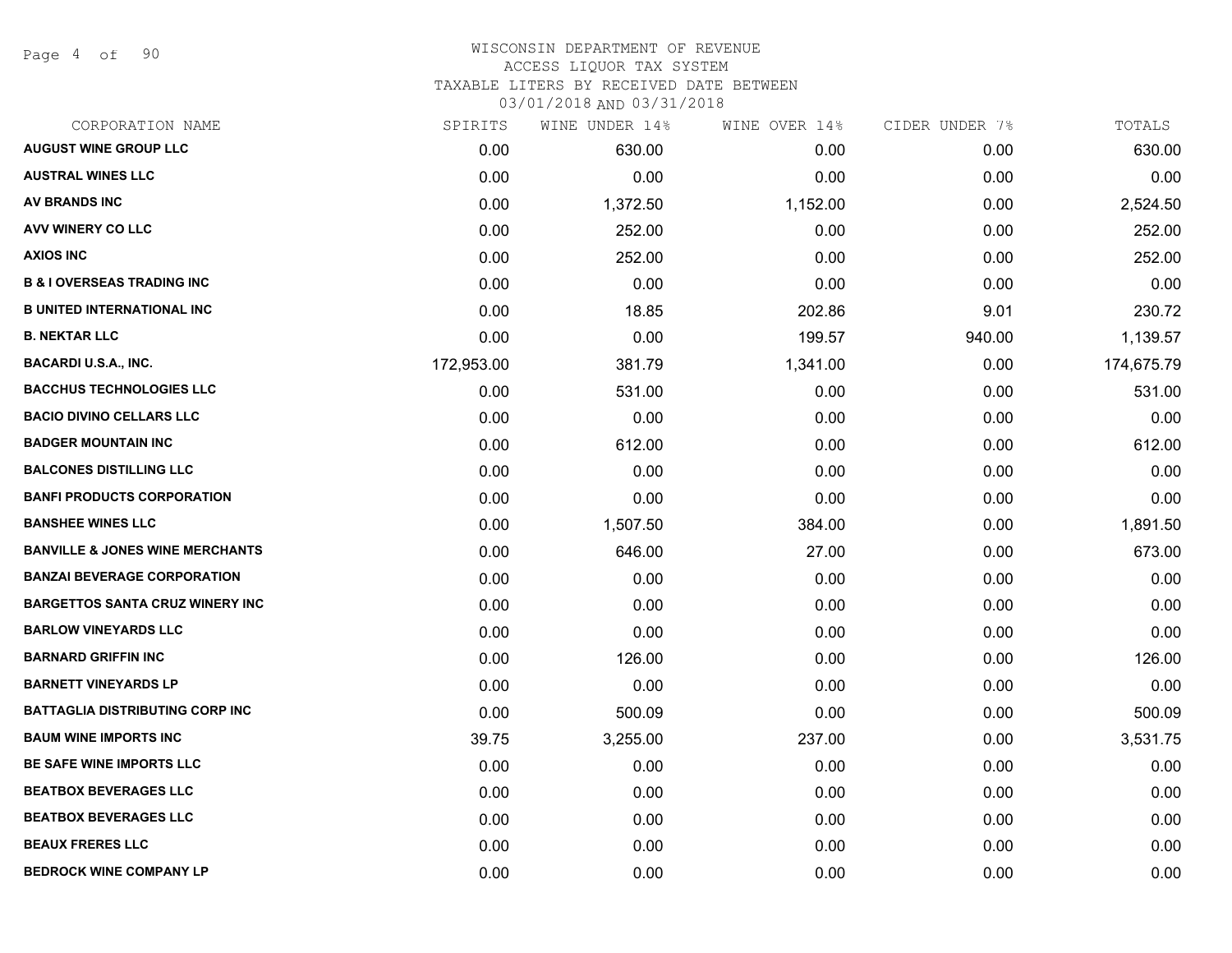Page 4 of 90

#### WISCONSIN DEPARTMENT OF REVENUE ACCESS LIQUOR TAX SYSTEM

TAXABLE LITERS BY RECEIVED DATE BETWEEN

| CORPORATION NAME                           | SPIRITS    | WINE UNDER 14% | WINE OVER 14% | CIDER UNDER 7% | TOTALS     |
|--------------------------------------------|------------|----------------|---------------|----------------|------------|
| <b>AUGUST WINE GROUP LLC</b>               | 0.00       | 630.00         | 0.00          | 0.00           | 630.00     |
| <b>AUSTRAL WINES LLC</b>                   | 0.00       | 0.00           | 0.00          | 0.00           | 0.00       |
| <b>AV BRANDS INC</b>                       | 0.00       | 1,372.50       | 1,152.00      | 0.00           | 2,524.50   |
| <b>AVV WINERY CO LLC</b>                   | 0.00       | 252.00         | 0.00          | 0.00           | 252.00     |
| <b>AXIOS INC</b>                           | 0.00       | 252.00         | 0.00          | 0.00           | 252.00     |
| <b>B &amp; I OVERSEAS TRADING INC</b>      | 0.00       | 0.00           | 0.00          | 0.00           | 0.00       |
| <b>B UNITED INTERNATIONAL INC</b>          | 0.00       | 18.85          | 202.86        | 9.01           | 230.72     |
| <b>B. NEKTAR LLC</b>                       | 0.00       | 0.00           | 199.57        | 940.00         | 1,139.57   |
| <b>BACARDI U.S.A., INC.</b>                | 172,953.00 | 381.79         | 1,341.00      | 0.00           | 174,675.79 |
| <b>BACCHUS TECHNOLOGIES LLC</b>            | 0.00       | 531.00         | 0.00          | 0.00           | 531.00     |
| <b>BACIO DIVINO CELLARS LLC</b>            | 0.00       | 0.00           | 0.00          | 0.00           | 0.00       |
| <b>BADGER MOUNTAIN INC</b>                 | 0.00       | 612.00         | 0.00          | 0.00           | 612.00     |
| <b>BALCONES DISTILLING LLC</b>             | 0.00       | 0.00           | 0.00          | 0.00           | 0.00       |
| <b>BANFI PRODUCTS CORPORATION</b>          | 0.00       | 0.00           | 0.00          | 0.00           | 0.00       |
| <b>BANSHEE WINES LLC</b>                   | 0.00       | 1,507.50       | 384.00        | 0.00           | 1,891.50   |
| <b>BANVILLE &amp; JONES WINE MERCHANTS</b> | 0.00       | 646.00         | 27.00         | 0.00           | 673.00     |
| <b>BANZAI BEVERAGE CORPORATION</b>         | 0.00       | 0.00           | 0.00          | 0.00           | 0.00       |
| <b>BARGETTOS SANTA CRUZ WINERY INC</b>     | 0.00       | 0.00           | 0.00          | 0.00           | 0.00       |
| <b>BARLOW VINEYARDS LLC</b>                | 0.00       | 0.00           | 0.00          | 0.00           | 0.00       |
| <b>BARNARD GRIFFIN INC</b>                 | 0.00       | 126.00         | 0.00          | 0.00           | 126.00     |
| <b>BARNETT VINEYARDS LP</b>                | 0.00       | 0.00           | 0.00          | 0.00           | 0.00       |
| <b>BATTAGLIA DISTRIBUTING CORP INC</b>     | 0.00       | 500.09         | 0.00          | 0.00           | 500.09     |
| <b>BAUM WINE IMPORTS INC</b>               | 39.75      | 3,255.00       | 237.00        | 0.00           | 3,531.75   |
| BE SAFE WINE IMPORTS LLC                   | 0.00       | 0.00           | 0.00          | 0.00           | 0.00       |
| <b>BEATBOX BEVERAGES LLC</b>               | 0.00       | 0.00           | 0.00          | 0.00           | 0.00       |
| <b>BEATBOX BEVERAGES LLC</b>               | 0.00       | 0.00           | 0.00          | 0.00           | 0.00       |
| <b>BEAUX FRERES LLC</b>                    | 0.00       | 0.00           | 0.00          | 0.00           | 0.00       |
| <b>BEDROCK WINE COMPANY LP</b>             | 0.00       | 0.00           | 0.00          | 0.00           | 0.00       |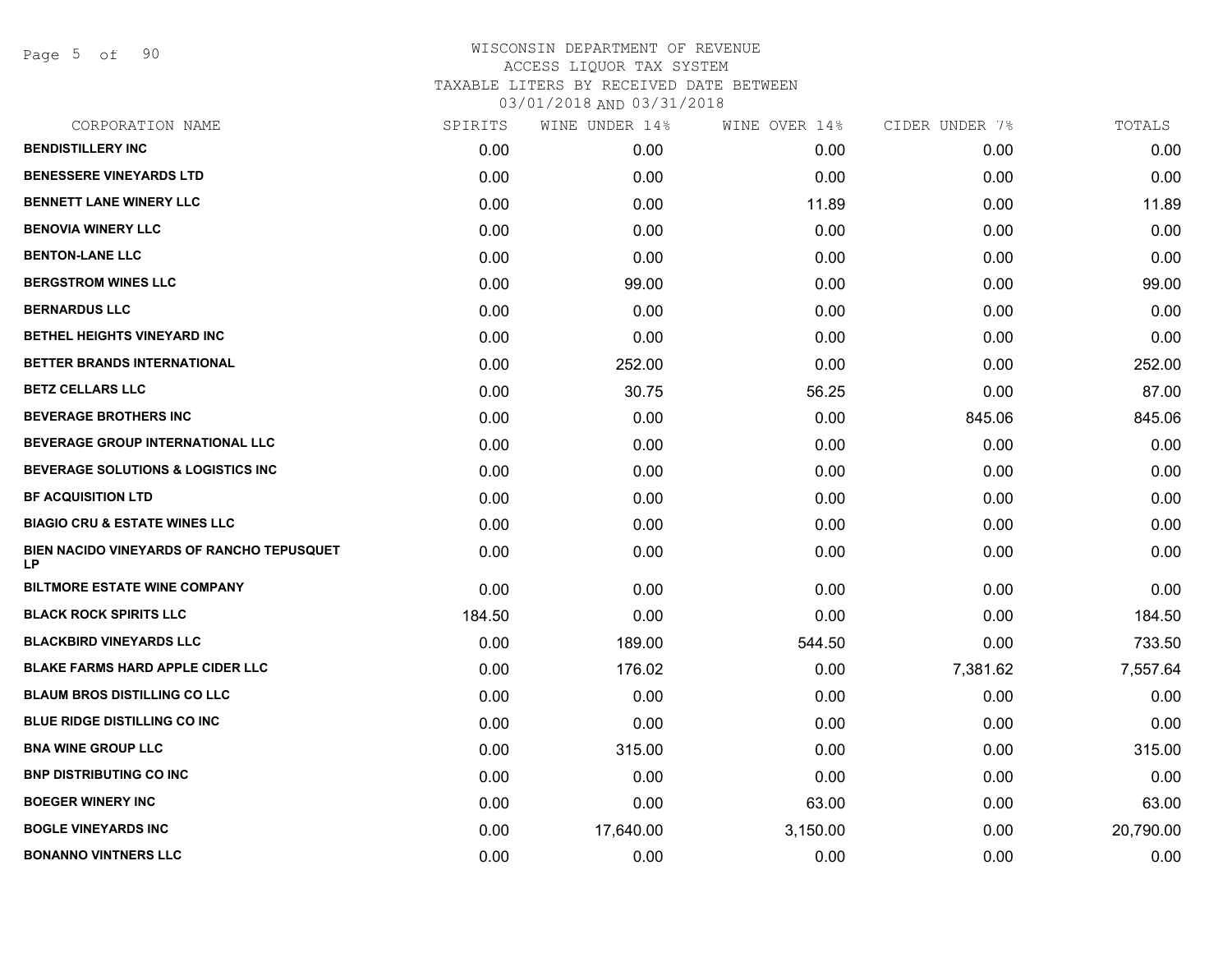Page 5 of 90

| CORPORATION NAME                                | SPIRITS | WINE UNDER 14% | WINE OVER 14% | CIDER UNDER 7% | TOTALS    |
|-------------------------------------------------|---------|----------------|---------------|----------------|-----------|
| <b>BENDISTILLERY INC</b>                        | 0.00    | 0.00           | 0.00          | 0.00           | 0.00      |
| <b>BENESSERE VINEYARDS LTD</b>                  | 0.00    | 0.00           | 0.00          | 0.00           | 0.00      |
| <b>BENNETT LANE WINERY LLC</b>                  | 0.00    | 0.00           | 11.89         | 0.00           | 11.89     |
| <b>BENOVIA WINERY LLC</b>                       | 0.00    | 0.00           | 0.00          | 0.00           | 0.00      |
| <b>BENTON-LANE LLC</b>                          | 0.00    | 0.00           | 0.00          | 0.00           | 0.00      |
| <b>BERGSTROM WINES LLC</b>                      | 0.00    | 99.00          | 0.00          | 0.00           | 99.00     |
| <b>BERNARDUS LLC</b>                            | 0.00    | 0.00           | 0.00          | 0.00           | 0.00      |
| BETHEL HEIGHTS VINEYARD INC                     | 0.00    | 0.00           | 0.00          | 0.00           | 0.00      |
| BETTER BRANDS INTERNATIONAL                     | 0.00    | 252.00         | 0.00          | 0.00           | 252.00    |
| <b>BETZ CELLARS LLC</b>                         | 0.00    | 30.75          | 56.25         | 0.00           | 87.00     |
| <b>BEVERAGE BROTHERS INC</b>                    | 0.00    | 0.00           | 0.00          | 845.06         | 845.06    |
| BEVERAGE GROUP INTERNATIONAL LLC                | 0.00    | 0.00           | 0.00          | 0.00           | 0.00      |
| <b>BEVERAGE SOLUTIONS &amp; LOGISTICS INC</b>   | 0.00    | 0.00           | 0.00          | 0.00           | 0.00      |
| <b>BF ACQUISITION LTD</b>                       | 0.00    | 0.00           | 0.00          | 0.00           | 0.00      |
| <b>BIAGIO CRU &amp; ESTATE WINES LLC</b>        | 0.00    | 0.00           | 0.00          | 0.00           | 0.00      |
| BIEN NACIDO VINEYARDS OF RANCHO TEPUSQUET<br>LP | 0.00    | 0.00           | 0.00          | 0.00           | 0.00      |
| <b>BILTMORE ESTATE WINE COMPANY</b>             | 0.00    | 0.00           | 0.00          | 0.00           | 0.00      |
| <b>BLACK ROCK SPIRITS LLC</b>                   | 184.50  | 0.00           | 0.00          | 0.00           | 184.50    |
| <b>BLACKBIRD VINEYARDS LLC</b>                  | 0.00    | 189.00         | 544.50        | 0.00           | 733.50    |
| <b>BLAKE FARMS HARD APPLE CIDER LLC</b>         | 0.00    | 176.02         | 0.00          | 7,381.62       | 7,557.64  |
| <b>BLAUM BROS DISTILLING CO LLC</b>             | 0.00    | 0.00           | 0.00          | 0.00           | 0.00      |
| <b>BLUE RIDGE DISTILLING CO INC</b>             | 0.00    | 0.00           | 0.00          | 0.00           | 0.00      |
| <b>BNA WINE GROUP LLC</b>                       | 0.00    | 315.00         | 0.00          | 0.00           | 315.00    |
| <b>BNP DISTRIBUTING CO INC.</b>                 | 0.00    | 0.00           | 0.00          | 0.00           | 0.00      |
| <b>BOEGER WINERY INC</b>                        | 0.00    | 0.00           | 63.00         | 0.00           | 63.00     |
| <b>BOGLE VINEYARDS INC</b>                      | 0.00    | 17,640.00      | 3,150.00      | 0.00           | 20,790.00 |
| <b>BONANNO VINTNERS LLC</b>                     | 0.00    | 0.00           | 0.00          | 0.00           | 0.00      |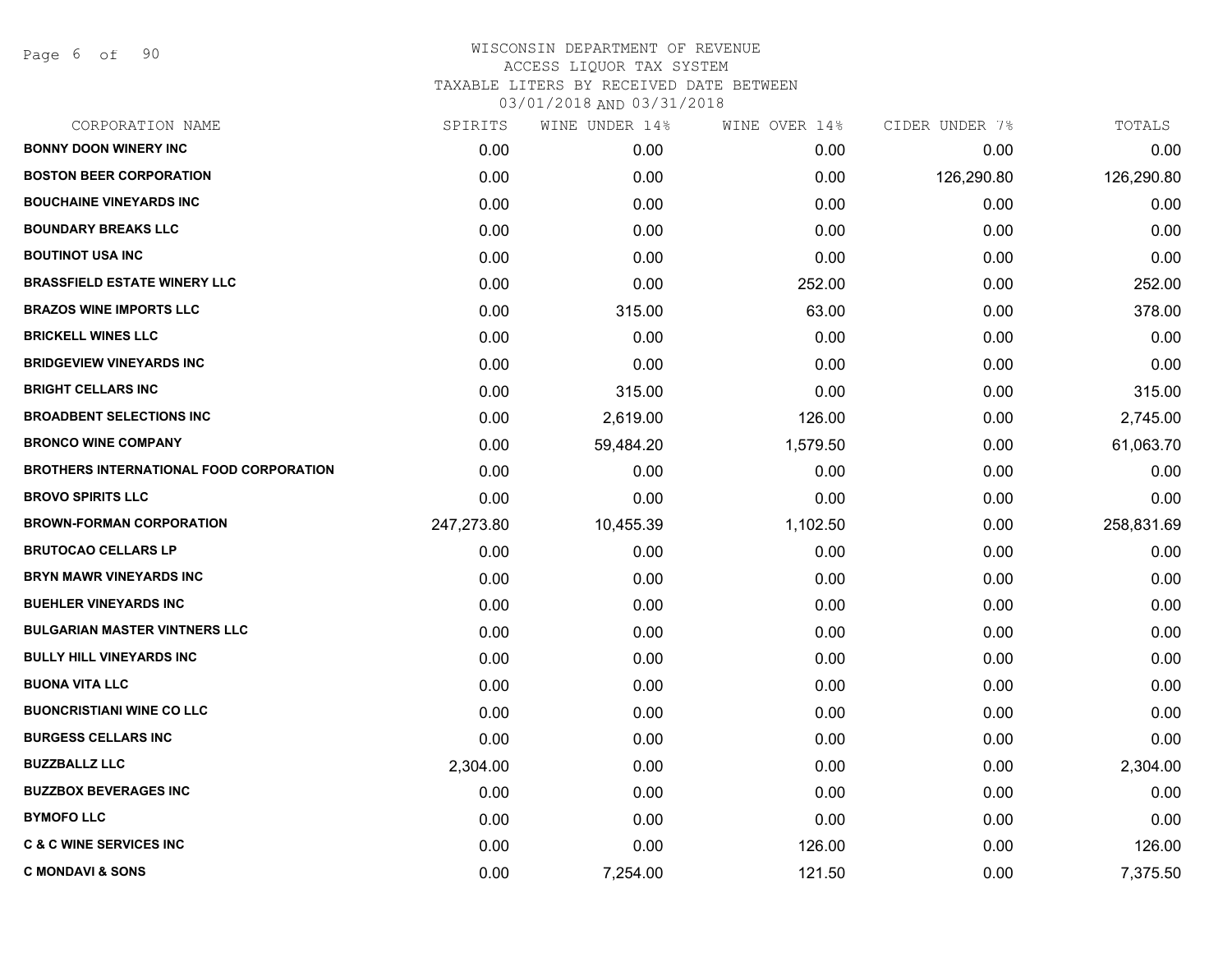Page 6 of 90

| CORPORATION NAME                               | SPIRITS    | WINE UNDER 14% | WINE OVER 14% | CIDER UNDER 7% | TOTALS     |
|------------------------------------------------|------------|----------------|---------------|----------------|------------|
| <b>BONNY DOON WINERY INC</b>                   | 0.00       | 0.00           | 0.00          | 0.00           | 0.00       |
| <b>BOSTON BEER CORPORATION</b>                 | 0.00       | 0.00           | 0.00          | 126,290.80     | 126,290.80 |
| <b>BOUCHAINE VINEYARDS INC</b>                 | 0.00       | 0.00           | 0.00          | 0.00           | 0.00       |
| <b>BOUNDARY BREAKS LLC</b>                     | 0.00       | 0.00           | 0.00          | 0.00           | 0.00       |
| <b>BOUTINOT USA INC</b>                        | 0.00       | 0.00           | 0.00          | 0.00           | 0.00       |
| <b>BRASSFIELD ESTATE WINERY LLC</b>            | 0.00       | 0.00           | 252.00        | 0.00           | 252.00     |
| <b>BRAZOS WINE IMPORTS LLC</b>                 | 0.00       | 315.00         | 63.00         | 0.00           | 378.00     |
| <b>BRICKELL WINES LLC</b>                      | 0.00       | 0.00           | 0.00          | 0.00           | 0.00       |
| <b>BRIDGEVIEW VINEYARDS INC</b>                | 0.00       | 0.00           | 0.00          | 0.00           | 0.00       |
| <b>BRIGHT CELLARS INC</b>                      | 0.00       | 315.00         | 0.00          | 0.00           | 315.00     |
| <b>BROADBENT SELECTIONS INC</b>                | 0.00       | 2,619.00       | 126.00        | 0.00           | 2,745.00   |
| <b>BRONCO WINE COMPANY</b>                     | 0.00       | 59,484.20      | 1,579.50      | 0.00           | 61,063.70  |
| <b>BROTHERS INTERNATIONAL FOOD CORPORATION</b> | 0.00       | 0.00           | 0.00          | 0.00           | 0.00       |
| <b>BROVO SPIRITS LLC</b>                       | 0.00       | 0.00           | 0.00          | 0.00           | 0.00       |
| <b>BROWN-FORMAN CORPORATION</b>                | 247,273.80 | 10,455.39      | 1,102.50      | 0.00           | 258,831.69 |
| <b>BRUTOCAO CELLARS LP</b>                     | 0.00       | 0.00           | 0.00          | 0.00           | 0.00       |
| <b>BRYN MAWR VINEYARDS INC</b>                 | 0.00       | 0.00           | 0.00          | 0.00           | 0.00       |
| <b>BUEHLER VINEYARDS INC</b>                   | 0.00       | 0.00           | 0.00          | 0.00           | 0.00       |
| <b>BULGARIAN MASTER VINTNERS LLC</b>           | 0.00       | 0.00           | 0.00          | 0.00           | 0.00       |
| <b>BULLY HILL VINEYARDS INC</b>                | 0.00       | 0.00           | 0.00          | 0.00           | 0.00       |
| <b>BUONA VITA LLC</b>                          | 0.00       | 0.00           | 0.00          | 0.00           | 0.00       |
| <b>BUONCRISTIANI WINE CO LLC</b>               | 0.00       | 0.00           | 0.00          | 0.00           | 0.00       |
| <b>BURGESS CELLARS INC</b>                     | 0.00       | 0.00           | 0.00          | 0.00           | 0.00       |
| <b>BUZZBALLZ LLC</b>                           | 2,304.00   | 0.00           | 0.00          | 0.00           | 2,304.00   |
| <b>BUZZBOX BEVERAGES INC</b>                   | 0.00       | 0.00           | 0.00          | 0.00           | 0.00       |
| <b>BYMOFO LLC</b>                              | 0.00       | 0.00           | 0.00          | 0.00           | 0.00       |
| <b>C &amp; C WINE SERVICES INC</b>             | 0.00       | 0.00           | 126.00        | 0.00           | 126.00     |
| <b>C MONDAVI &amp; SONS</b>                    | 0.00       | 7,254.00       | 121.50        | 0.00           | 7,375.50   |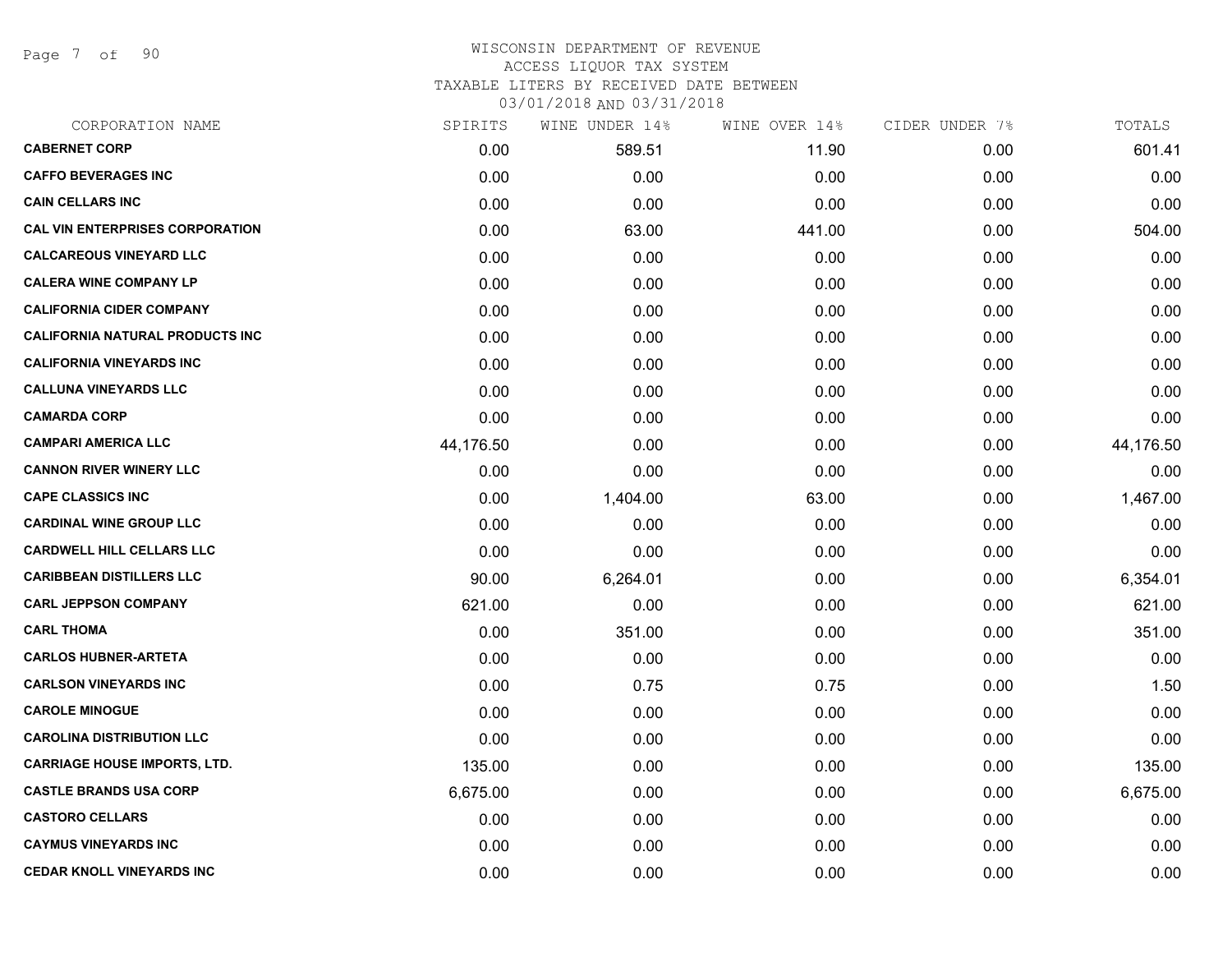Page 7 of 90

### WISCONSIN DEPARTMENT OF REVENUE ACCESS LIQUOR TAX SYSTEM TAXABLE LITERS BY RECEIVED DATE BETWEEN

| CORPORATION NAME                       | SPIRITS   | WINE UNDER 14% | WINE OVER 14% | CIDER UNDER 7% | TOTALS    |
|----------------------------------------|-----------|----------------|---------------|----------------|-----------|
| <b>CABERNET CORP</b>                   | 0.00      | 589.51         | 11.90         | 0.00           | 601.41    |
| <b>CAFFO BEVERAGES INC</b>             | 0.00      | 0.00           | 0.00          | 0.00           | 0.00      |
| <b>CAIN CELLARS INC</b>                | 0.00      | 0.00           | 0.00          | 0.00           | 0.00      |
| <b>CAL VIN ENTERPRISES CORPORATION</b> | 0.00      | 63.00          | 441.00        | 0.00           | 504.00    |
| <b>CALCAREOUS VINEYARD LLC</b>         | 0.00      | 0.00           | 0.00          | 0.00           | 0.00      |
| <b>CALERA WINE COMPANY LP</b>          | 0.00      | 0.00           | 0.00          | 0.00           | 0.00      |
| <b>CALIFORNIA CIDER COMPANY</b>        | 0.00      | 0.00           | 0.00          | 0.00           | 0.00      |
| <b>CALIFORNIA NATURAL PRODUCTS INC</b> | 0.00      | 0.00           | 0.00          | 0.00           | 0.00      |
| <b>CALIFORNIA VINEYARDS INC</b>        | 0.00      | 0.00           | 0.00          | 0.00           | 0.00      |
| <b>CALLUNA VINEYARDS LLC</b>           | 0.00      | 0.00           | 0.00          | 0.00           | 0.00      |
| <b>CAMARDA CORP</b>                    | 0.00      | 0.00           | 0.00          | 0.00           | 0.00      |
| <b>CAMPARI AMERICA LLC</b>             | 44,176.50 | 0.00           | 0.00          | 0.00           | 44,176.50 |
| <b>CANNON RIVER WINERY LLC</b>         | 0.00      | 0.00           | 0.00          | 0.00           | 0.00      |
| <b>CAPE CLASSICS INC</b>               | 0.00      | 1,404.00       | 63.00         | 0.00           | 1,467.00  |
| <b>CARDINAL WINE GROUP LLC</b>         | 0.00      | 0.00           | 0.00          | 0.00           | 0.00      |
| <b>CARDWELL HILL CELLARS LLC</b>       | 0.00      | 0.00           | 0.00          | 0.00           | 0.00      |
| <b>CARIBBEAN DISTILLERS LLC</b>        | 90.00     | 6,264.01       | 0.00          | 0.00           | 6,354.01  |
| <b>CARL JEPPSON COMPANY</b>            | 621.00    | 0.00           | 0.00          | 0.00           | 621.00    |
| <b>CARL THOMA</b>                      | 0.00      | 351.00         | 0.00          | 0.00           | 351.00    |
| <b>CARLOS HUBNER-ARTETA</b>            | 0.00      | 0.00           | 0.00          | 0.00           | 0.00      |
| <b>CARLSON VINEYARDS INC</b>           | 0.00      | 0.75           | 0.75          | 0.00           | 1.50      |
| <b>CAROLE MINOGUE</b>                  | 0.00      | 0.00           | 0.00          | 0.00           | 0.00      |
| <b>CAROLINA DISTRIBUTION LLC</b>       | 0.00      | 0.00           | 0.00          | 0.00           | 0.00      |
| <b>CARRIAGE HOUSE IMPORTS, LTD.</b>    | 135.00    | 0.00           | 0.00          | 0.00           | 135.00    |
| <b>CASTLE BRANDS USA CORP</b>          | 6,675.00  | 0.00           | 0.00          | 0.00           | 6,675.00  |
| <b>CASTORO CELLARS</b>                 | 0.00      | 0.00           | 0.00          | 0.00           | 0.00      |
| <b>CAYMUS VINEYARDS INC</b>            | 0.00      | 0.00           | 0.00          | 0.00           | 0.00      |
| <b>CEDAR KNOLL VINEYARDS INC</b>       | 0.00      | 0.00           | 0.00          | 0.00           | 0.00      |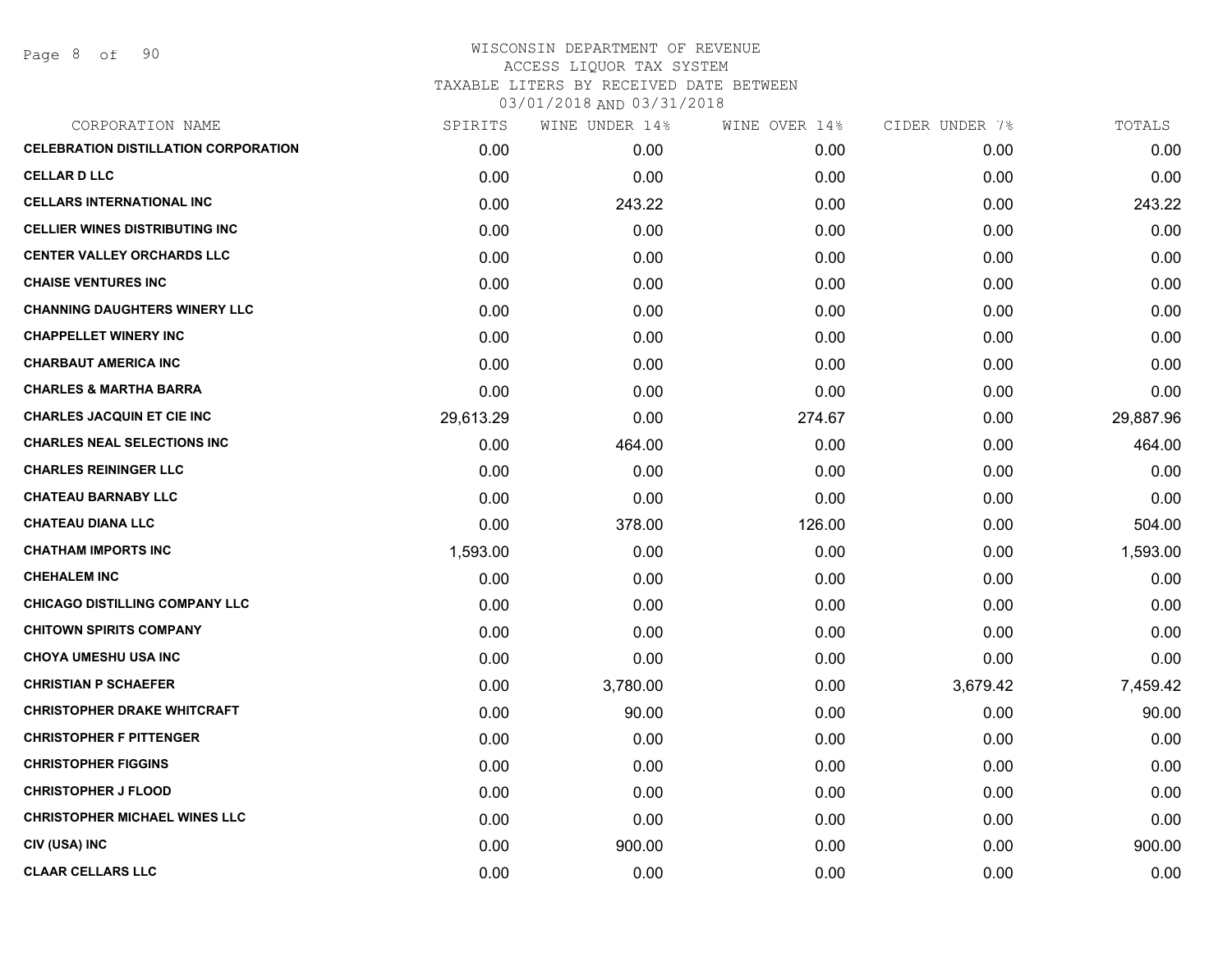| SPIRITS   | WINE UNDER 14% | WINE OVER 14% | CIDER UNDER 7% | TOTALS    |
|-----------|----------------|---------------|----------------|-----------|
| 0.00      | 0.00           | 0.00          | 0.00           | 0.00      |
| 0.00      | 0.00           | 0.00          | 0.00           | 0.00      |
| 0.00      | 243.22         | 0.00          | 0.00           | 243.22    |
| 0.00      | 0.00           | 0.00          | 0.00           | 0.00      |
| 0.00      | 0.00           | 0.00          | 0.00           | 0.00      |
| 0.00      | 0.00           | 0.00          | 0.00           | 0.00      |
| 0.00      | 0.00           | 0.00          | 0.00           | 0.00      |
| 0.00      | 0.00           | 0.00          | 0.00           | 0.00      |
| 0.00      | 0.00           | 0.00          | 0.00           | 0.00      |
| 0.00      | 0.00           | 0.00          | 0.00           | 0.00      |
| 29,613.29 | 0.00           | 274.67        | 0.00           | 29,887.96 |
| 0.00      | 464.00         | 0.00          | 0.00           | 464.00    |
| 0.00      | 0.00           | 0.00          | 0.00           | 0.00      |
| 0.00      | 0.00           | 0.00          | 0.00           | 0.00      |
| 0.00      | 378.00         | 126.00        | 0.00           | 504.00    |
| 1,593.00  | 0.00           | 0.00          | 0.00           | 1,593.00  |
| 0.00      | 0.00           | 0.00          | 0.00           | 0.00      |
| 0.00      | 0.00           | 0.00          | 0.00           | 0.00      |
| 0.00      | 0.00           | 0.00          | 0.00           | 0.00      |
| 0.00      | 0.00           | 0.00          | 0.00           | 0.00      |
| 0.00      | 3,780.00       | 0.00          | 3,679.42       | 7,459.42  |
| 0.00      | 90.00          | 0.00          | 0.00           | 90.00     |
| 0.00      | 0.00           | 0.00          | 0.00           | 0.00      |
| 0.00      | 0.00           | 0.00          | 0.00           | 0.00      |
| 0.00      | 0.00           | 0.00          | 0.00           | 0.00      |
| 0.00      | 0.00           | 0.00          | 0.00           | 0.00      |
| 0.00      | 900.00         | 0.00          | 0.00           | 900.00    |
| 0.00      | 0.00           | 0.00          | 0.00           | 0.00      |
|           |                |               |                |           |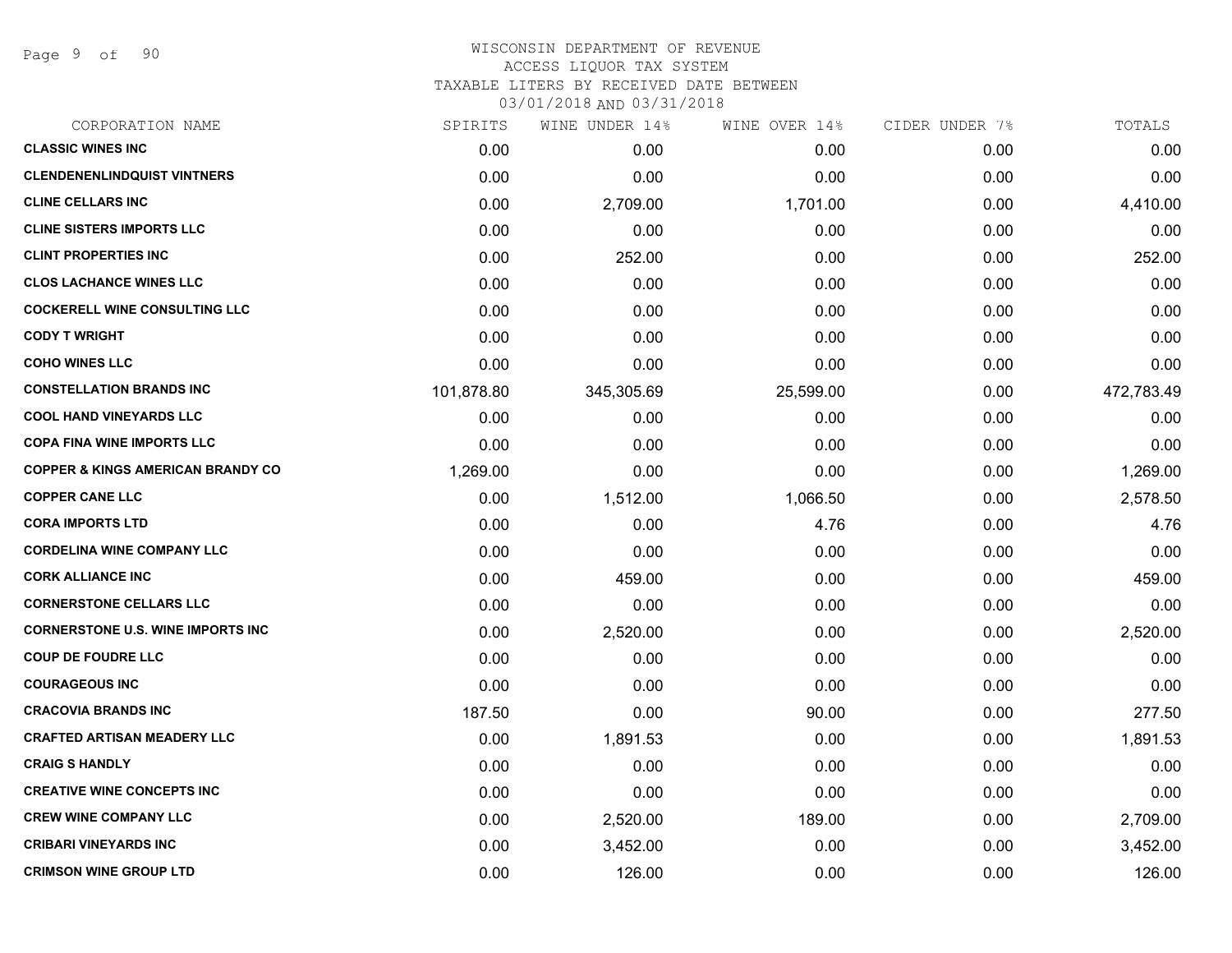Page 9 of 90

# WISCONSIN DEPARTMENT OF REVENUE ACCESS LIQUOR TAX SYSTEM TAXABLE LITERS BY RECEIVED DATE BETWEEN

| CORPORATION NAME                             | SPIRITS    | WINE UNDER 14% | WINE OVER 14% | CIDER UNDER 7% | TOTALS     |
|----------------------------------------------|------------|----------------|---------------|----------------|------------|
| <b>CLASSIC WINES INC</b>                     | 0.00       | 0.00           | 0.00          | 0.00           | 0.00       |
| <b>CLENDENENLINDQUIST VINTNERS</b>           | 0.00       | 0.00           | 0.00          | 0.00           | 0.00       |
| <b>CLINE CELLARS INC</b>                     | 0.00       | 2,709.00       | 1,701.00      | 0.00           | 4,410.00   |
| <b>CLINE SISTERS IMPORTS LLC</b>             | 0.00       | 0.00           | 0.00          | 0.00           | 0.00       |
| <b>CLINT PROPERTIES INC</b>                  | 0.00       | 252.00         | 0.00          | 0.00           | 252.00     |
| <b>CLOS LACHANCE WINES LLC</b>               | 0.00       | 0.00           | 0.00          | 0.00           | 0.00       |
| <b>COCKERELL WINE CONSULTING LLC</b>         | 0.00       | 0.00           | 0.00          | 0.00           | 0.00       |
| <b>CODY T WRIGHT</b>                         | 0.00       | 0.00           | 0.00          | 0.00           | 0.00       |
| <b>COHO WINES LLC</b>                        | 0.00       | 0.00           | 0.00          | 0.00           | 0.00       |
| <b>CONSTELLATION BRANDS INC</b>              | 101,878.80 | 345,305.69     | 25,599.00     | 0.00           | 472,783.49 |
| <b>COOL HAND VINEYARDS LLC</b>               | 0.00       | 0.00           | 0.00          | 0.00           | 0.00       |
| <b>COPA FINA WINE IMPORTS LLC</b>            | 0.00       | 0.00           | 0.00          | 0.00           | 0.00       |
| <b>COPPER &amp; KINGS AMERICAN BRANDY CO</b> | 1,269.00   | 0.00           | 0.00          | 0.00           | 1,269.00   |
| <b>COPPER CANE LLC</b>                       | 0.00       | 1,512.00       | 1,066.50      | 0.00           | 2,578.50   |
| <b>CORA IMPORTS LTD</b>                      | 0.00       | 0.00           | 4.76          | 0.00           | 4.76       |
| <b>CORDELINA WINE COMPANY LLC</b>            | 0.00       | 0.00           | 0.00          | 0.00           | 0.00       |
| <b>CORK ALLIANCE INC</b>                     | 0.00       | 459.00         | 0.00          | 0.00           | 459.00     |
| <b>CORNERSTONE CELLARS LLC</b>               | 0.00       | 0.00           | 0.00          | 0.00           | 0.00       |
| <b>CORNERSTONE U.S. WINE IMPORTS INC.</b>    | 0.00       | 2,520.00       | 0.00          | 0.00           | 2,520.00   |
| <b>COUP DE FOUDRE LLC</b>                    | 0.00       | 0.00           | 0.00          | 0.00           | 0.00       |
| <b>COURAGEOUS INC</b>                        | 0.00       | 0.00           | 0.00          | 0.00           | 0.00       |
| <b>CRACOVIA BRANDS INC</b>                   | 187.50     | 0.00           | 90.00         | 0.00           | 277.50     |
| <b>CRAFTED ARTISAN MEADERY LLC</b>           | 0.00       | 1,891.53       | 0.00          | 0.00           | 1,891.53   |
| <b>CRAIG S HANDLY</b>                        | 0.00       | 0.00           | 0.00          | 0.00           | 0.00       |
| <b>CREATIVE WINE CONCEPTS INC</b>            | 0.00       | 0.00           | 0.00          | 0.00           | 0.00       |
| <b>CREW WINE COMPANY LLC</b>                 | 0.00       | 2,520.00       | 189.00        | 0.00           | 2,709.00   |
| <b>CRIBARI VINEYARDS INC</b>                 | 0.00       | 3,452.00       | 0.00          | 0.00           | 3,452.00   |
| <b>CRIMSON WINE GROUP LTD</b>                | 0.00       | 126.00         | 0.00          | 0.00           | 126.00     |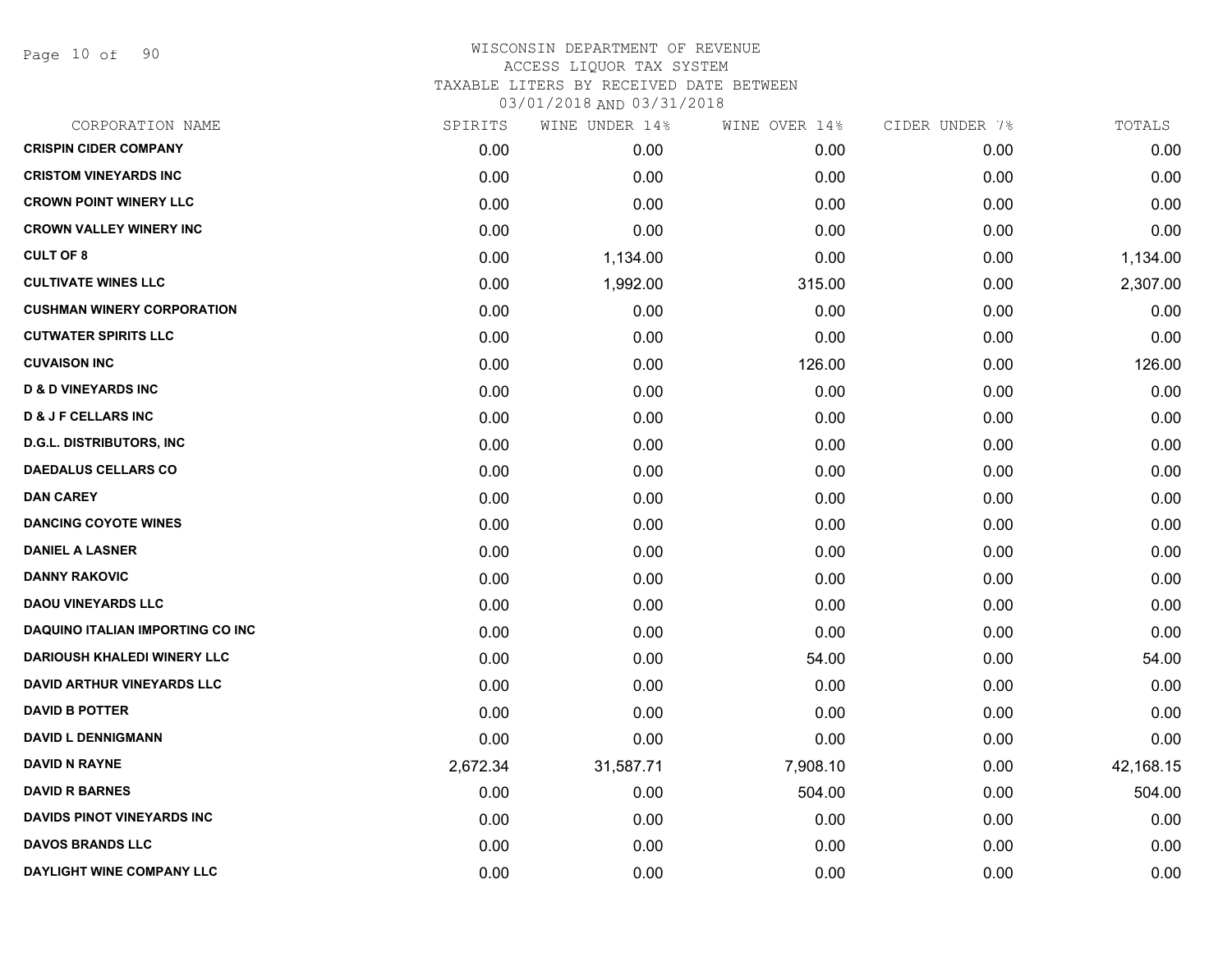Page 10 of 90

| CORPORATION NAME                   | SPIRITS  | WINE UNDER 14% | WINE OVER 14% | CIDER UNDER 7% | TOTALS    |
|------------------------------------|----------|----------------|---------------|----------------|-----------|
| <b>CRISPIN CIDER COMPANY</b>       | 0.00     | 0.00           | 0.00          | 0.00           | 0.00      |
| <b>CRISTOM VINEYARDS INC</b>       | 0.00     | 0.00           | 0.00          | 0.00           | 0.00      |
| <b>CROWN POINT WINERY LLC</b>      | 0.00     | 0.00           | 0.00          | 0.00           | 0.00      |
| <b>CROWN VALLEY WINERY INC</b>     | 0.00     | 0.00           | 0.00          | 0.00           | 0.00      |
| <b>CULT OF 8</b>                   | 0.00     | 1,134.00       | 0.00          | 0.00           | 1,134.00  |
| <b>CULTIVATE WINES LLC</b>         | 0.00     | 1,992.00       | 315.00        | 0.00           | 2,307.00  |
| <b>CUSHMAN WINERY CORPORATION</b>  | 0.00     | 0.00           | 0.00          | 0.00           | 0.00      |
| <b>CUTWATER SPIRITS LLC</b>        | 0.00     | 0.00           | 0.00          | 0.00           | 0.00      |
| <b>CUVAISON INC</b>                | 0.00     | 0.00           | 126.00        | 0.00           | 126.00    |
| <b>D &amp; D VINEYARDS INC</b>     | 0.00     | 0.00           | 0.00          | 0.00           | 0.00      |
| <b>D &amp; J F CELLARS INC</b>     | 0.00     | 0.00           | 0.00          | 0.00           | 0.00      |
| <b>D.G.L. DISTRIBUTORS, INC.</b>   | 0.00     | 0.00           | 0.00          | 0.00           | 0.00      |
| <b>DAEDALUS CELLARS CO</b>         | 0.00     | 0.00           | 0.00          | 0.00           | 0.00      |
| <b>DAN CAREY</b>                   | 0.00     | 0.00           | 0.00          | 0.00           | 0.00      |
| <b>DANCING COYOTE WINES</b>        | 0.00     | 0.00           | 0.00          | 0.00           | 0.00      |
| <b>DANIEL A LASNER</b>             | 0.00     | 0.00           | 0.00          | 0.00           | 0.00      |
| <b>DANNY RAKOVIC</b>               | 0.00     | 0.00           | 0.00          | 0.00           | 0.00      |
| <b>DAOU VINEYARDS LLC</b>          | 0.00     | 0.00           | 0.00          | 0.00           | 0.00      |
| DAQUINO ITALIAN IMPORTING CO INC   | 0.00     | 0.00           | 0.00          | 0.00           | 0.00      |
| <b>DARIOUSH KHALEDI WINERY LLC</b> | 0.00     | 0.00           | 54.00         | 0.00           | 54.00     |
| <b>DAVID ARTHUR VINEYARDS LLC</b>  | 0.00     | 0.00           | 0.00          | 0.00           | 0.00      |
| <b>DAVID B POTTER</b>              | 0.00     | 0.00           | 0.00          | 0.00           | 0.00      |
| <b>DAVID L DENNIGMANN</b>          | 0.00     | 0.00           | 0.00          | 0.00           | 0.00      |
| <b>DAVID N RAYNE</b>               | 2,672.34 | 31,587.71      | 7,908.10      | 0.00           | 42,168.15 |
| <b>DAVID R BARNES</b>              | 0.00     | 0.00           | 504.00        | 0.00           | 504.00    |
| <b>DAVIDS PINOT VINEYARDS INC</b>  | 0.00     | 0.00           | 0.00          | 0.00           | 0.00      |
| <b>DAVOS BRANDS LLC</b>            | 0.00     | 0.00           | 0.00          | 0.00           | 0.00      |
| DAYLIGHT WINE COMPANY LLC          | 0.00     | 0.00           | 0.00          | 0.00           | 0.00      |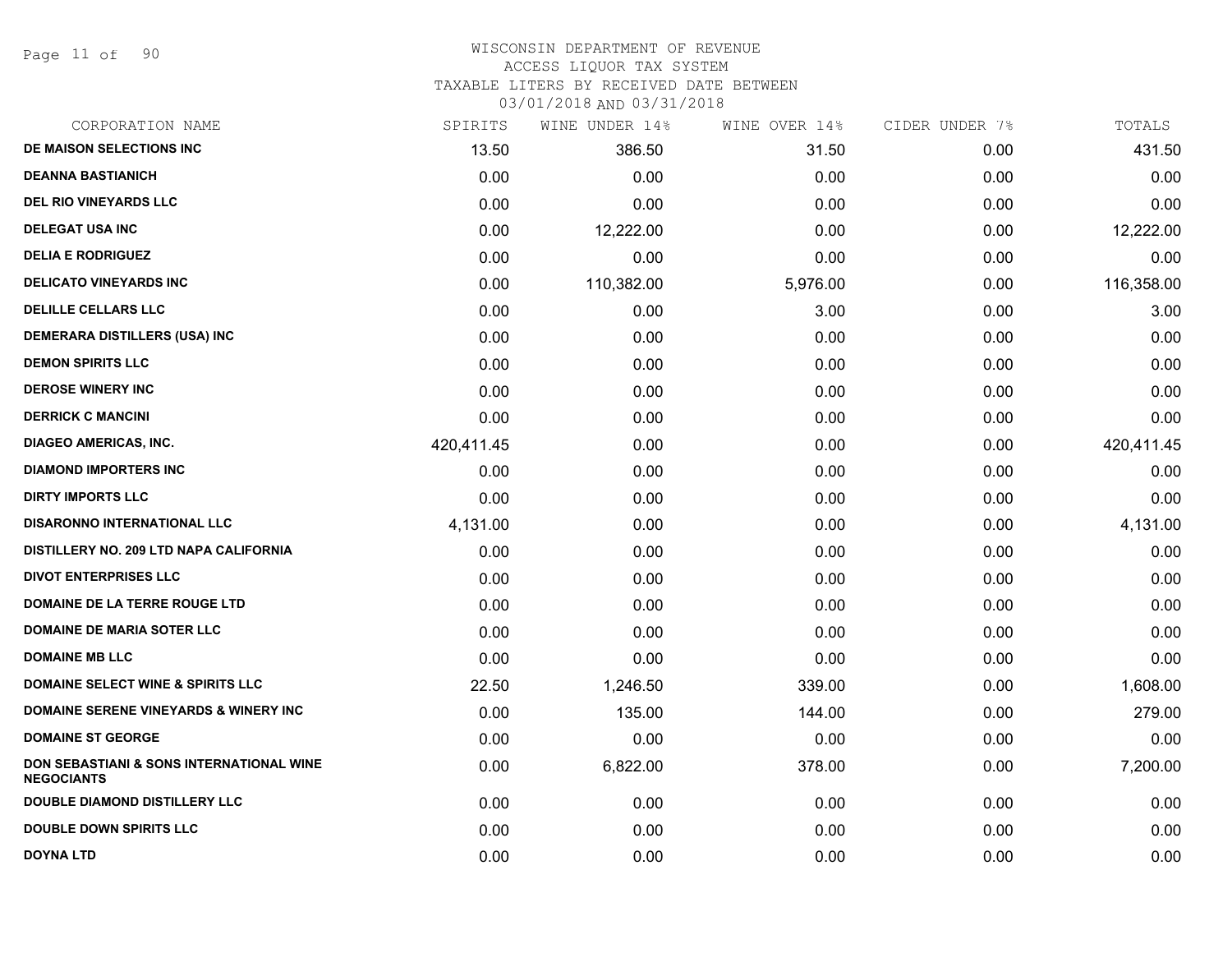Page 11 of 90

#### WISCONSIN DEPARTMENT OF REVENUE ACCESS LIQUOR TAX SYSTEM

TAXABLE LITERS BY RECEIVED DATE BETWEEN

| CORPORATION NAME                                              | SPIRITS    | WINE UNDER 14% | WINE OVER 14% | CIDER UNDER 7% | TOTALS     |
|---------------------------------------------------------------|------------|----------------|---------------|----------------|------------|
| DE MAISON SELECTIONS INC                                      | 13.50      | 386.50         | 31.50         | 0.00           | 431.50     |
| <b>DEANNA BASTIANICH</b>                                      | 0.00       | 0.00           | 0.00          | 0.00           | 0.00       |
| <b>DEL RIO VINEYARDS LLC</b>                                  | 0.00       | 0.00           | 0.00          | 0.00           | 0.00       |
| <b>DELEGAT USA INC</b>                                        | 0.00       | 12,222.00      | 0.00          | 0.00           | 12,222.00  |
| <b>DELIA E RODRIGUEZ</b>                                      | 0.00       | 0.00           | 0.00          | 0.00           | 0.00       |
| <b>DELICATO VINEYARDS INC</b>                                 | 0.00       | 110,382.00     | 5,976.00      | 0.00           | 116,358.00 |
| <b>DELILLE CELLARS LLC</b>                                    | 0.00       | 0.00           | 3.00          | 0.00           | 3.00       |
| DEMERARA DISTILLERS (USA) INC                                 | 0.00       | 0.00           | 0.00          | 0.00           | 0.00       |
| <b>DEMON SPIRITS LLC</b>                                      | 0.00       | 0.00           | 0.00          | 0.00           | 0.00       |
| <b>DEROSE WINERY INC</b>                                      | 0.00       | 0.00           | 0.00          | 0.00           | 0.00       |
| <b>DERRICK C MANCINI</b>                                      | 0.00       | 0.00           | 0.00          | 0.00           | 0.00       |
| <b>DIAGEO AMERICAS, INC.</b>                                  | 420,411.45 | 0.00           | 0.00          | 0.00           | 420,411.45 |
| <b>DIAMOND IMPORTERS INC</b>                                  | 0.00       | 0.00           | 0.00          | 0.00           | 0.00       |
| <b>DIRTY IMPORTS LLC</b>                                      | 0.00       | 0.00           | 0.00          | 0.00           | 0.00       |
| <b>DISARONNO INTERNATIONAL LLC</b>                            | 4,131.00   | 0.00           | 0.00          | 0.00           | 4,131.00   |
| DISTILLERY NO. 209 LTD NAPA CALIFORNIA                        | 0.00       | 0.00           | 0.00          | 0.00           | 0.00       |
| <b>DIVOT ENTERPRISES LLC</b>                                  | 0.00       | 0.00           | 0.00          | 0.00           | 0.00       |
| DOMAINE DE LA TERRE ROUGE LTD                                 | 0.00       | 0.00           | 0.00          | 0.00           | 0.00       |
| <b>DOMAINE DE MARIA SOTER LLC</b>                             | 0.00       | 0.00           | 0.00          | 0.00           | 0.00       |
| <b>DOMAINE MB LLC</b>                                         | 0.00       | 0.00           | 0.00          | 0.00           | 0.00       |
| <b>DOMAINE SELECT WINE &amp; SPIRITS LLC</b>                  | 22.50      | 1,246.50       | 339.00        | 0.00           | 1,608.00   |
| <b>DOMAINE SERENE VINEYARDS &amp; WINERY INC</b>              | 0.00       | 135.00         | 144.00        | 0.00           | 279.00     |
| <b>DOMAINE ST GEORGE</b>                                      | 0.00       | 0.00           | 0.00          | 0.00           | 0.00       |
| DON SEBASTIANI & SONS INTERNATIONAL WINE<br><b>NEGOCIANTS</b> | 0.00       | 6,822.00       | 378.00        | 0.00           | 7,200.00   |
| <b>DOUBLE DIAMOND DISTILLERY LLC</b>                          | 0.00       | 0.00           | 0.00          | 0.00           | 0.00       |
| <b>DOUBLE DOWN SPIRITS LLC</b>                                | 0.00       | 0.00           | 0.00          | 0.00           | 0.00       |
| DOYNA LTD                                                     | 0.00       | 0.00           | 0.00          | 0.00           | 0.00       |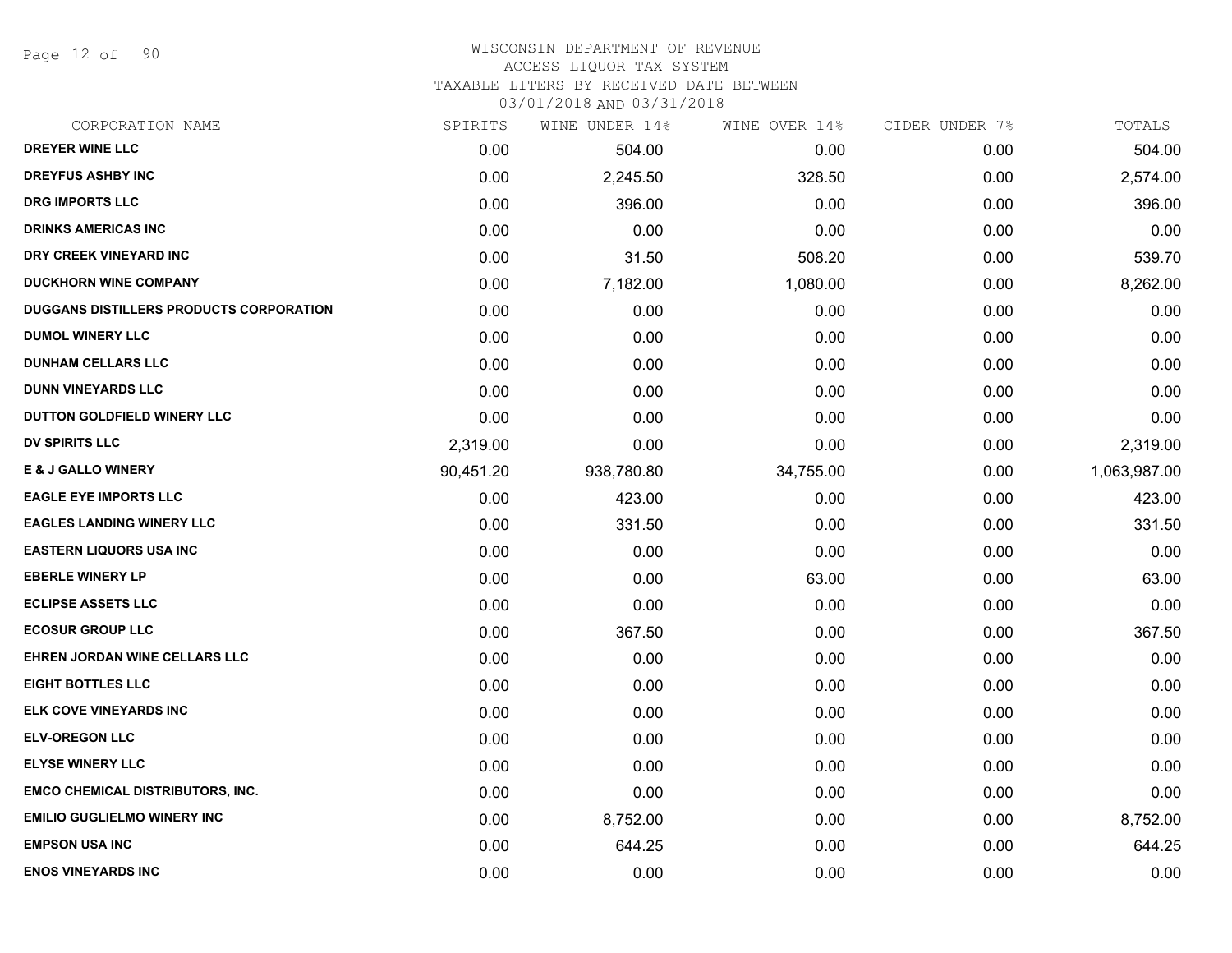Page 12 of 90

# WISCONSIN DEPARTMENT OF REVENUE

ACCESS LIQUOR TAX SYSTEM

TAXABLE LITERS BY RECEIVED DATE BETWEEN

| CORPORATION NAME                        | SPIRITS   | WINE UNDER 14% | WINE OVER 14% | CIDER UNDER 7% | TOTALS       |
|-----------------------------------------|-----------|----------------|---------------|----------------|--------------|
| DREYER WINE LLC                         | 0.00      | 504.00         | 0.00          | 0.00           | 504.00       |
| <b>DREYFUS ASHBY INC</b>                | 0.00      | 2,245.50       | 328.50        | 0.00           | 2,574.00     |
| DRG IMPORTS LLC                         | 0.00      | 396.00         | 0.00          | 0.00           | 396.00       |
| <b>DRINKS AMERICAS INC</b>              | 0.00      | 0.00           | 0.00          | 0.00           | 0.00         |
| DRY CREEK VINEYARD INC                  | 0.00      | 31.50          | 508.20        | 0.00           | 539.70       |
| <b>DUCKHORN WINE COMPANY</b>            | 0.00      | 7,182.00       | 1,080.00      | 0.00           | 8,262.00     |
| DUGGANS DISTILLERS PRODUCTS CORPORATION | 0.00      | 0.00           | 0.00          | 0.00           | 0.00         |
| <b>DUMOL WINERY LLC</b>                 | 0.00      | 0.00           | 0.00          | 0.00           | 0.00         |
| <b>DUNHAM CELLARS LLC</b>               | 0.00      | 0.00           | 0.00          | 0.00           | 0.00         |
| <b>DUNN VINEYARDS LLC</b>               | 0.00      | 0.00           | 0.00          | 0.00           | 0.00         |
| DUTTON GOLDFIELD WINERY LLC             | 0.00      | 0.00           | 0.00          | 0.00           | 0.00         |
| DV SPIRITS LLC                          | 2,319.00  | 0.00           | 0.00          | 0.00           | 2,319.00     |
| <b>E &amp; J GALLO WINERY</b>           | 90,451.20 | 938,780.80     | 34,755.00     | 0.00           | 1,063,987.00 |
| <b>EAGLE EYE IMPORTS LLC</b>            | 0.00      | 423.00         | 0.00          | 0.00           | 423.00       |
| <b>EAGLES LANDING WINERY LLC</b>        | 0.00      | 331.50         | 0.00          | 0.00           | 331.50       |
| <b>EASTERN LIQUORS USA INC</b>          | 0.00      | 0.00           | 0.00          | 0.00           | 0.00         |
| <b>EBERLE WINERY LP</b>                 | 0.00      | 0.00           | 63.00         | 0.00           | 63.00        |
| <b>ECLIPSE ASSETS LLC</b>               | 0.00      | 0.00           | 0.00          | 0.00           | 0.00         |
| <b>ECOSUR GROUP LLC</b>                 | 0.00      | 367.50         | 0.00          | 0.00           | 367.50       |
| EHREN JORDAN WINE CELLARS LLC           | 0.00      | 0.00           | 0.00          | 0.00           | 0.00         |
| <b>EIGHT BOTTLES LLC</b>                | 0.00      | 0.00           | 0.00          | 0.00           | 0.00         |
| ELK COVE VINEYARDS INC                  | 0.00      | 0.00           | 0.00          | 0.00           | 0.00         |
| <b>ELV-OREGON LLC</b>                   | 0.00      | 0.00           | 0.00          | 0.00           | 0.00         |
| <b>ELYSE WINERY LLC</b>                 | 0.00      | 0.00           | 0.00          | 0.00           | 0.00         |
| <b>EMCO CHEMICAL DISTRIBUTORS, INC.</b> | 0.00      | 0.00           | 0.00          | 0.00           | 0.00         |
| <b>EMILIO GUGLIELMO WINERY INC</b>      | 0.00      | 8,752.00       | 0.00          | 0.00           | 8,752.00     |
| <b>EMPSON USA INC</b>                   | 0.00      | 644.25         | 0.00          | 0.00           | 644.25       |
| <b>ENOS VINEYARDS INC</b>               | 0.00      | 0.00           | 0.00          | 0.00           | 0.00         |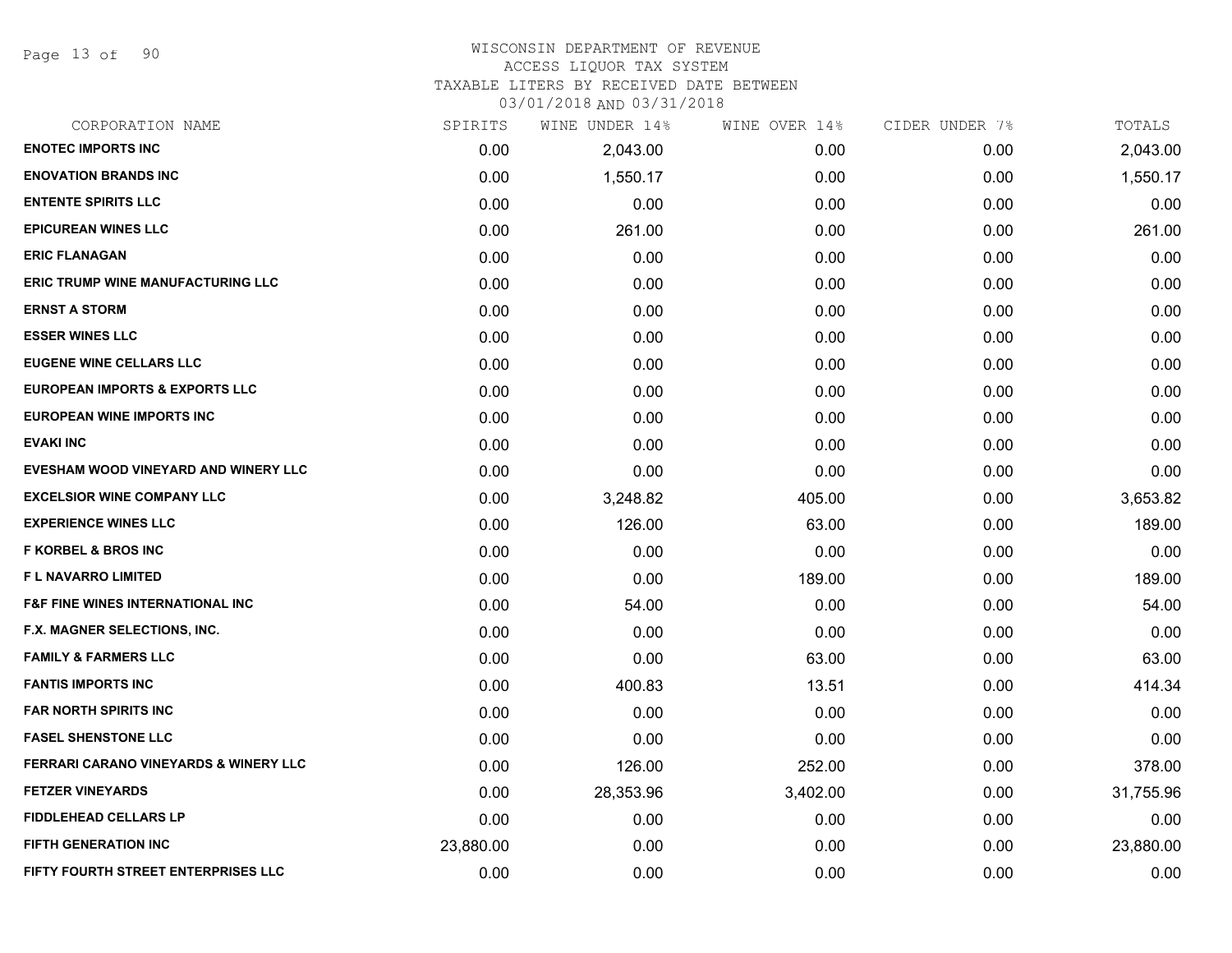Page 13 of 90

## WISCONSIN DEPARTMENT OF REVENUE

## ACCESS LIQUOR TAX SYSTEM

TAXABLE LITERS BY RECEIVED DATE BETWEEN

| CORPORATION NAME                                 | SPIRITS   | WINE UNDER 14% | WINE OVER 14% | CIDER UNDER 7% | TOTALS    |
|--------------------------------------------------|-----------|----------------|---------------|----------------|-----------|
| <b>ENOTEC IMPORTS INC</b>                        | 0.00      | 2,043.00       | 0.00          | 0.00           | 2,043.00  |
| <b>ENOVATION BRANDS INC</b>                      | 0.00      | 1,550.17       | 0.00          | 0.00           | 1,550.17  |
| <b>ENTENTE SPIRITS LLC</b>                       | 0.00      | 0.00           | 0.00          | 0.00           | 0.00      |
| <b>EPICUREAN WINES LLC</b>                       | 0.00      | 261.00         | 0.00          | 0.00           | 261.00    |
| <b>ERIC FLANAGAN</b>                             | 0.00      | 0.00           | 0.00          | 0.00           | 0.00      |
| <b>ERIC TRUMP WINE MANUFACTURING LLC</b>         | 0.00      | 0.00           | 0.00          | 0.00           | 0.00      |
| <b>ERNST A STORM</b>                             | 0.00      | 0.00           | 0.00          | 0.00           | 0.00      |
| <b>ESSER WINES LLC</b>                           | 0.00      | 0.00           | 0.00          | 0.00           | 0.00      |
| <b>EUGENE WINE CELLARS LLC</b>                   | 0.00      | 0.00           | 0.00          | 0.00           | 0.00      |
| <b>EUROPEAN IMPORTS &amp; EXPORTS LLC</b>        | 0.00      | 0.00           | 0.00          | 0.00           | 0.00      |
| <b>EUROPEAN WINE IMPORTS INC</b>                 | 0.00      | 0.00           | 0.00          | 0.00           | 0.00      |
| <b>EVAKI INC</b>                                 | 0.00      | 0.00           | 0.00          | 0.00           | 0.00      |
| EVESHAM WOOD VINEYARD AND WINERY LLC             | 0.00      | 0.00           | 0.00          | 0.00           | 0.00      |
| <b>EXCELSIOR WINE COMPANY LLC</b>                | 0.00      | 3,248.82       | 405.00        | 0.00           | 3,653.82  |
| <b>EXPERIENCE WINES LLC</b>                      | 0.00      | 126.00         | 63.00         | 0.00           | 189.00    |
| <b>F KORBEL &amp; BROS INC</b>                   | 0.00      | 0.00           | 0.00          | 0.00           | 0.00      |
| F L NAVARRO LIMITED                              | 0.00      | 0.00           | 189.00        | 0.00           | 189.00    |
| <b>F&amp;F FINE WINES INTERNATIONAL INC.</b>     | 0.00      | 54.00          | 0.00          | 0.00           | 54.00     |
| F.X. MAGNER SELECTIONS, INC.                     | 0.00      | 0.00           | 0.00          | 0.00           | 0.00      |
| <b>FAMILY &amp; FARMERS LLC</b>                  | 0.00      | 0.00           | 63.00         | 0.00           | 63.00     |
| <b>FANTIS IMPORTS INC</b>                        | 0.00      | 400.83         | 13.51         | 0.00           | 414.34    |
| <b>FAR NORTH SPIRITS INC</b>                     | 0.00      | 0.00           | 0.00          | 0.00           | 0.00      |
| <b>FASEL SHENSTONE LLC</b>                       | 0.00      | 0.00           | 0.00          | 0.00           | 0.00      |
| <b>FERRARI CARANO VINEYARDS &amp; WINERY LLC</b> | 0.00      | 126.00         | 252.00        | 0.00           | 378.00    |
| <b>FETZER VINEYARDS</b>                          | 0.00      | 28,353.96      | 3,402.00      | 0.00           | 31,755.96 |
| <b>FIDDLEHEAD CELLARS LP</b>                     | 0.00      | 0.00           | 0.00          | 0.00           | 0.00      |
| <b>FIFTH GENERATION INC</b>                      | 23,880.00 | 0.00           | 0.00          | 0.00           | 23,880.00 |
| FIFTY FOURTH STREET ENTERPRISES LLC              | 0.00      | 0.00           | 0.00          | 0.00           | 0.00      |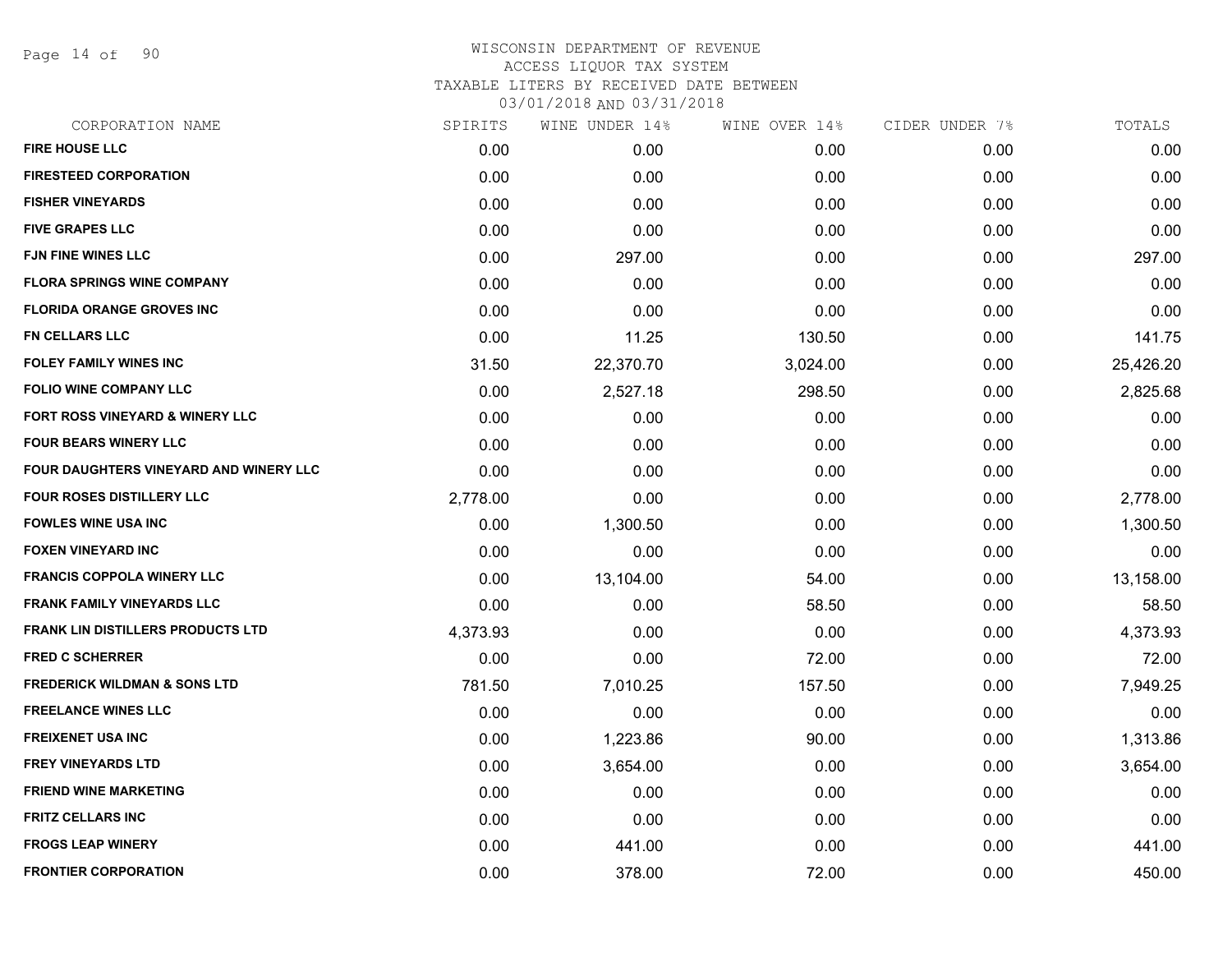Page 14 of 90

| CORPORATION NAME                         | SPIRITS  | WINE UNDER 14% | WINE OVER 14% | CIDER UNDER 7% | TOTALS    |
|------------------------------------------|----------|----------------|---------------|----------------|-----------|
| <b>FIRE HOUSE LLC</b>                    | 0.00     | 0.00           | 0.00          | 0.00           | 0.00      |
| <b>FIRESTEED CORPORATION</b>             | 0.00     | 0.00           | 0.00          | 0.00           | 0.00      |
| <b>FISHER VINEYARDS</b>                  | 0.00     | 0.00           | 0.00          | 0.00           | 0.00      |
| <b>FIVE GRAPES LLC</b>                   | 0.00     | 0.00           | 0.00          | 0.00           | 0.00      |
| <b>FJN FINE WINES LLC</b>                | 0.00     | 297.00         | 0.00          | 0.00           | 297.00    |
| <b>FLORA SPRINGS WINE COMPANY</b>        | 0.00     | 0.00           | 0.00          | 0.00           | 0.00      |
| <b>FLORIDA ORANGE GROVES INC</b>         | 0.00     | 0.00           | 0.00          | 0.00           | 0.00      |
| <b>FN CELLARS LLC</b>                    | 0.00     | 11.25          | 130.50        | 0.00           | 141.75    |
| FOLEY FAMILY WINES INC                   | 31.50    | 22,370.70      | 3,024.00      | 0.00           | 25,426.20 |
| <b>FOLIO WINE COMPANY LLC</b>            | 0.00     | 2,527.18       | 298.50        | 0.00           | 2,825.68  |
| FORT ROSS VINEYARD & WINERY LLC          | 0.00     | 0.00           | 0.00          | 0.00           | 0.00      |
| <b>FOUR BEARS WINERY LLC</b>             | 0.00     | 0.00           | 0.00          | 0.00           | 0.00      |
| FOUR DAUGHTERS VINEYARD AND WINERY LLC   | 0.00     | 0.00           | 0.00          | 0.00           | 0.00      |
| <b>FOUR ROSES DISTILLERY LLC</b>         | 2,778.00 | 0.00           | 0.00          | 0.00           | 2,778.00  |
| <b>FOWLES WINE USA INC</b>               | 0.00     | 1,300.50       | 0.00          | 0.00           | 1,300.50  |
| <b>FOXEN VINEYARD INC</b>                | 0.00     | 0.00           | 0.00          | 0.00           | 0.00      |
| <b>FRANCIS COPPOLA WINERY LLC</b>        | 0.00     | 13,104.00      | 54.00         | 0.00           | 13,158.00 |
| <b>FRANK FAMILY VINEYARDS LLC</b>        | 0.00     | 0.00           | 58.50         | 0.00           | 58.50     |
| <b>FRANK LIN DISTILLERS PRODUCTS LTD</b> | 4,373.93 | 0.00           | 0.00          | 0.00           | 4,373.93  |
| <b>FRED C SCHERRER</b>                   | 0.00     | 0.00           | 72.00         | 0.00           | 72.00     |
| <b>FREDERICK WILDMAN &amp; SONS LTD</b>  | 781.50   | 7,010.25       | 157.50        | 0.00           | 7,949.25  |
| <b>FREELANCE WINES LLC</b>               | 0.00     | 0.00           | 0.00          | 0.00           | 0.00      |
| <b>FREIXENET USA INC</b>                 | 0.00     | 1,223.86       | 90.00         | 0.00           | 1,313.86  |
| <b>FREY VINEYARDS LTD</b>                | 0.00     | 3,654.00       | 0.00          | 0.00           | 3,654.00  |
| <b>FRIEND WINE MARKETING</b>             | 0.00     | 0.00           | 0.00          | 0.00           | 0.00      |
| <b>FRITZ CELLARS INC</b>                 | 0.00     | 0.00           | 0.00          | 0.00           | 0.00      |
| <b>FROGS LEAP WINERY</b>                 | 0.00     | 441.00         | 0.00          | 0.00           | 441.00    |
| <b>FRONTIER CORPORATION</b>              | 0.00     | 378.00         | 72.00         | 0.00           | 450.00    |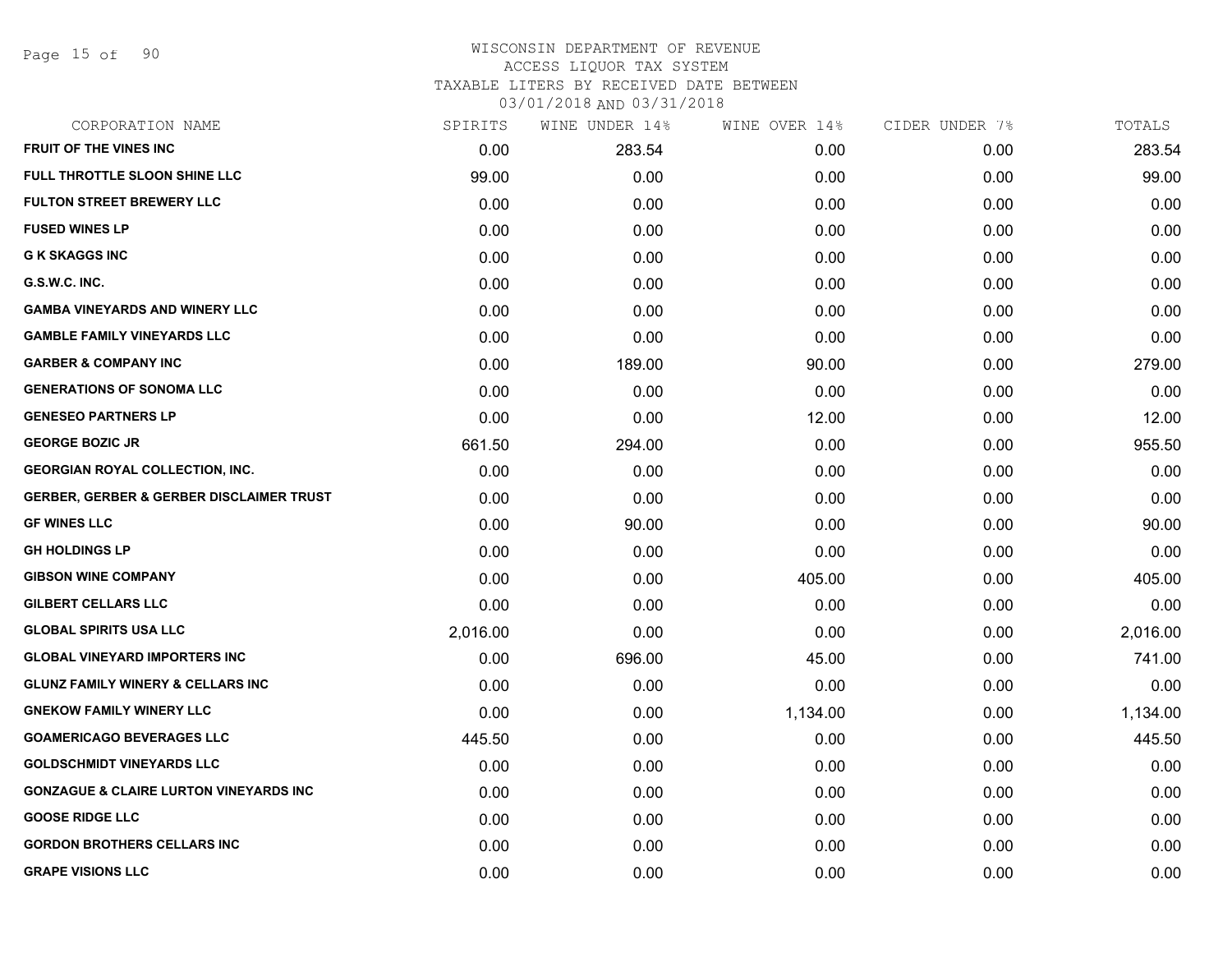Page 15 of 90

### WISCONSIN DEPARTMENT OF REVENUE ACCESS LIQUOR TAX SYSTEM TAXABLE LITERS BY RECEIVED DATE BETWEEN

| CORPORATION NAME                                    | SPIRITS  | WINE UNDER 14% | WINE OVER 14% | CIDER UNDER 7% | TOTALS   |
|-----------------------------------------------------|----------|----------------|---------------|----------------|----------|
| <b>FRUIT OF THE VINES INC</b>                       | 0.00     | 283.54         | 0.00          | 0.00           | 283.54   |
| <b>FULL THROTTLE SLOON SHINE LLC</b>                | 99.00    | 0.00           | 0.00          | 0.00           | 99.00    |
| <b>FULTON STREET BREWERY LLC</b>                    | 0.00     | 0.00           | 0.00          | 0.00           | 0.00     |
| <b>FUSED WINES LP</b>                               | 0.00     | 0.00           | 0.00          | 0.00           | 0.00     |
| <b>G K SKAGGS INC</b>                               | 0.00     | 0.00           | 0.00          | 0.00           | 0.00     |
| G.S.W.C. INC.                                       | 0.00     | 0.00           | 0.00          | 0.00           | 0.00     |
| <b>GAMBA VINEYARDS AND WINERY LLC</b>               | 0.00     | 0.00           | 0.00          | 0.00           | 0.00     |
| <b>GAMBLE FAMILY VINEYARDS LLC</b>                  | 0.00     | 0.00           | 0.00          | 0.00           | 0.00     |
| <b>GARBER &amp; COMPANY INC</b>                     | 0.00     | 189.00         | 90.00         | 0.00           | 279.00   |
| <b>GENERATIONS OF SONOMA LLC</b>                    | 0.00     | 0.00           | 0.00          | 0.00           | 0.00     |
| <b>GENESEO PARTNERS LP</b>                          | 0.00     | 0.00           | 12.00         | 0.00           | 12.00    |
| <b>GEORGE BOZIC JR</b>                              | 661.50   | 294.00         | 0.00          | 0.00           | 955.50   |
| <b>GEORGIAN ROYAL COLLECTION, INC.</b>              | 0.00     | 0.00           | 0.00          | 0.00           | 0.00     |
| <b>GERBER, GERBER &amp; GERBER DISCLAIMER TRUST</b> | 0.00     | 0.00           | 0.00          | 0.00           | 0.00     |
| <b>GF WINES LLC</b>                                 | 0.00     | 90.00          | 0.00          | 0.00           | 90.00    |
| <b>GH HOLDINGS LP</b>                               | 0.00     | 0.00           | 0.00          | 0.00           | 0.00     |
| <b>GIBSON WINE COMPANY</b>                          | 0.00     | 0.00           | 405.00        | 0.00           | 405.00   |
| <b>GILBERT CELLARS LLC</b>                          | 0.00     | 0.00           | 0.00          | 0.00           | 0.00     |
| <b>GLOBAL SPIRITS USA LLC</b>                       | 2,016.00 | 0.00           | 0.00          | 0.00           | 2,016.00 |
| <b>GLOBAL VINEYARD IMPORTERS INC</b>                | 0.00     | 696.00         | 45.00         | 0.00           | 741.00   |
| <b>GLUNZ FAMILY WINERY &amp; CELLARS INC</b>        | 0.00     | 0.00           | 0.00          | 0.00           | 0.00     |
| <b>GNEKOW FAMILY WINERY LLC</b>                     | 0.00     | 0.00           | 1,134.00      | 0.00           | 1,134.00 |
| <b>GOAMERICAGO BEVERAGES LLC</b>                    | 445.50   | 0.00           | 0.00          | 0.00           | 445.50   |
| <b>GOLDSCHMIDT VINEYARDS LLC</b>                    | 0.00     | 0.00           | 0.00          | 0.00           | 0.00     |
| <b>GONZAGUE &amp; CLAIRE LURTON VINEYARDS INC</b>   | 0.00     | 0.00           | 0.00          | 0.00           | 0.00     |
| <b>GOOSE RIDGE LLC</b>                              | 0.00     | 0.00           | 0.00          | 0.00           | 0.00     |
| <b>GORDON BROTHERS CELLARS INC</b>                  | 0.00     | 0.00           | 0.00          | 0.00           | 0.00     |
| <b>GRAPE VISIONS LLC</b>                            | 0.00     | 0.00           | 0.00          | 0.00           | 0.00     |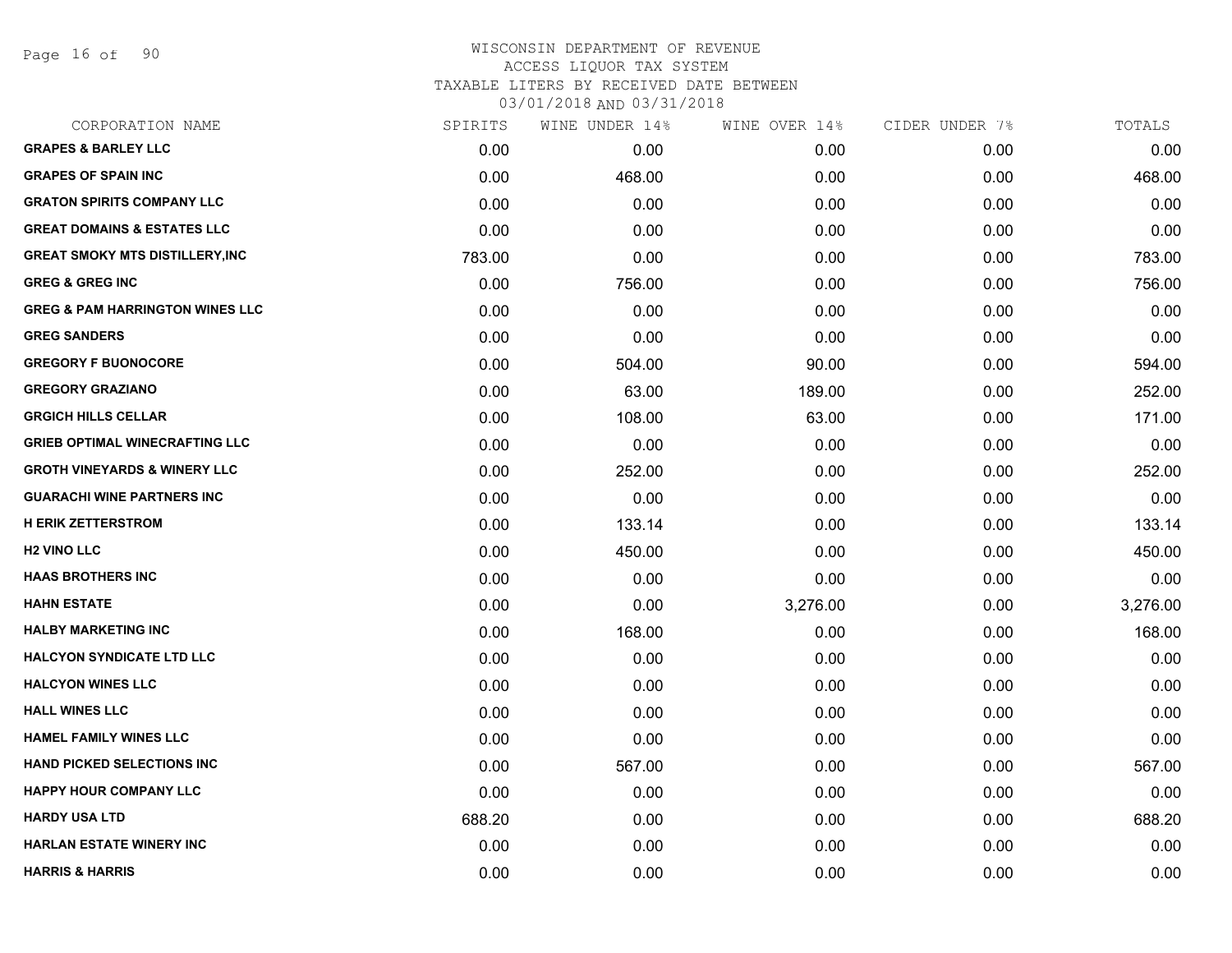Page 16 of 90

#### WISCONSIN DEPARTMENT OF REVENUE ACCESS LIQUOR TAX SYSTEM

TAXABLE LITERS BY RECEIVED DATE BETWEEN

| CORPORATION NAME                           | SPIRITS | WINE UNDER 14% | WINE OVER 14% | CIDER UNDER 7% | TOTALS   |
|--------------------------------------------|---------|----------------|---------------|----------------|----------|
| <b>GRAPES &amp; BARLEY LLC</b>             | 0.00    | 0.00           | 0.00          | 0.00           | 0.00     |
| <b>GRAPES OF SPAIN INC</b>                 | 0.00    | 468.00         | 0.00          | 0.00           | 468.00   |
| <b>GRATON SPIRITS COMPANY LLC</b>          | 0.00    | 0.00           | 0.00          | 0.00           | 0.00     |
| <b>GREAT DOMAINS &amp; ESTATES LLC</b>     | 0.00    | 0.00           | 0.00          | 0.00           | 0.00     |
| <b>GREAT SMOKY MTS DISTILLERY, INC</b>     | 783.00  | 0.00           | 0.00          | 0.00           | 783.00   |
| <b>GREG &amp; GREG INC</b>                 | 0.00    | 756.00         | 0.00          | 0.00           | 756.00   |
| <b>GREG &amp; PAM HARRINGTON WINES LLC</b> | 0.00    | 0.00           | 0.00          | 0.00           | 0.00     |
| <b>GREG SANDERS</b>                        | 0.00    | 0.00           | 0.00          | 0.00           | 0.00     |
| <b>GREGORY F BUONOCORE</b>                 | 0.00    | 504.00         | 90.00         | 0.00           | 594.00   |
| <b>GREGORY GRAZIANO</b>                    | 0.00    | 63.00          | 189.00        | 0.00           | 252.00   |
| <b>GRGICH HILLS CELLAR</b>                 | 0.00    | 108.00         | 63.00         | 0.00           | 171.00   |
| <b>GRIEB OPTIMAL WINECRAFTING LLC</b>      | 0.00    | 0.00           | 0.00          | 0.00           | 0.00     |
| <b>GROTH VINEYARDS &amp; WINERY LLC</b>    | 0.00    | 252.00         | 0.00          | 0.00           | 252.00   |
| <b>GUARACHI WINE PARTNERS INC</b>          | 0.00    | 0.00           | 0.00          | 0.00           | 0.00     |
| <b>H ERIK ZETTERSTROM</b>                  | 0.00    | 133.14         | 0.00          | 0.00           | 133.14   |
| <b>H2 VINO LLC</b>                         | 0.00    | 450.00         | 0.00          | 0.00           | 450.00   |
| <b>HAAS BROTHERS INC</b>                   | 0.00    | 0.00           | 0.00          | 0.00           | 0.00     |
| <b>HAHN ESTATE</b>                         | 0.00    | 0.00           | 3,276.00      | 0.00           | 3,276.00 |
| <b>HALBY MARKETING INC</b>                 | 0.00    | 168.00         | 0.00          | 0.00           | 168.00   |
| <b>HALCYON SYNDICATE LTD LLC</b>           | 0.00    | 0.00           | 0.00          | 0.00           | 0.00     |
| <b>HALCYON WINES LLC</b>                   | 0.00    | 0.00           | 0.00          | 0.00           | 0.00     |
| <b>HALL WINES LLC</b>                      | 0.00    | 0.00           | 0.00          | 0.00           | 0.00     |
| <b>HAMEL FAMILY WINES LLC</b>              | 0.00    | 0.00           | 0.00          | 0.00           | 0.00     |
| <b>HAND PICKED SELECTIONS INC</b>          | 0.00    | 567.00         | 0.00          | 0.00           | 567.00   |
| <b>HAPPY HOUR COMPANY LLC</b>              | 0.00    | 0.00           | 0.00          | 0.00           | 0.00     |
| <b>HARDY USA LTD</b>                       | 688.20  | 0.00           | 0.00          | 0.00           | 688.20   |
| <b>HARLAN ESTATE WINERY INC</b>            | 0.00    | 0.00           | 0.00          | 0.00           | 0.00     |
| <b>HARRIS &amp; HARRIS</b>                 | 0.00    | 0.00           | 0.00          | 0.00           | 0.00     |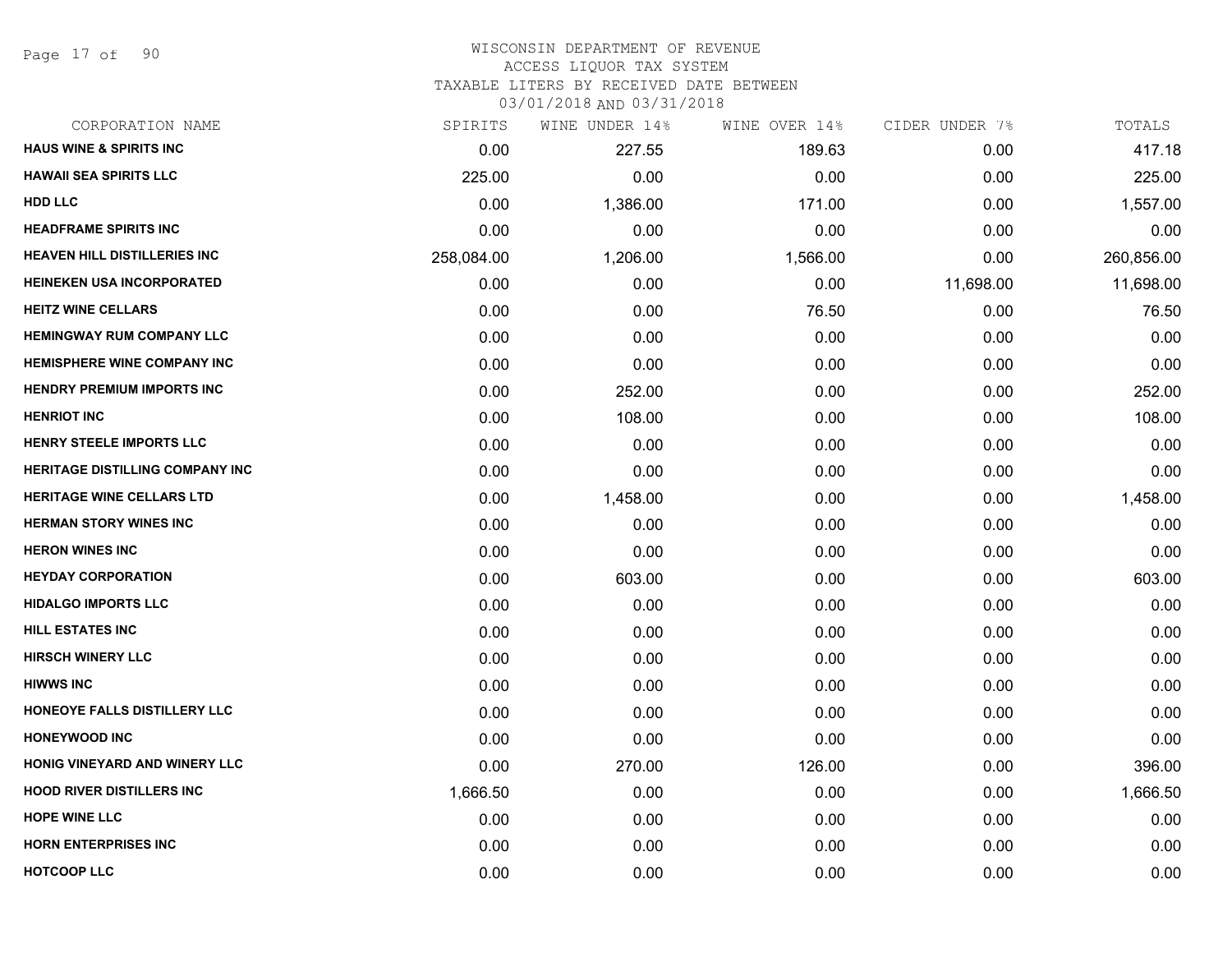Page 17 of 90

#### WISCONSIN DEPARTMENT OF REVENUE ACCESS LIQUOR TAX SYSTEM

TAXABLE LITERS BY RECEIVED DATE BETWEEN

| CORPORATION NAME                       | SPIRITS    | WINE UNDER 14% | WINE OVER 14% | CIDER UNDER 7% | TOTALS     |
|----------------------------------------|------------|----------------|---------------|----------------|------------|
| <b>HAUS WINE &amp; SPIRITS INC</b>     | 0.00       | 227.55         | 189.63        | 0.00           | 417.18     |
| <b>HAWAII SEA SPIRITS LLC</b>          | 225.00     | 0.00           | 0.00          | 0.00           | 225.00     |
| <b>HDD LLC</b>                         | 0.00       | 1,386.00       | 171.00        | 0.00           | 1,557.00   |
| <b>HEADFRAME SPIRITS INC</b>           | 0.00       | 0.00           | 0.00          | 0.00           | 0.00       |
| <b>HEAVEN HILL DISTILLERIES INC</b>    | 258,084.00 | 1,206.00       | 1,566.00      | 0.00           | 260,856.00 |
| <b>HEINEKEN USA INCORPORATED</b>       | 0.00       | 0.00           | 0.00          | 11,698.00      | 11,698.00  |
| <b>HEITZ WINE CELLARS</b>              | 0.00       | 0.00           | 76.50         | 0.00           | 76.50      |
| <b>HEMINGWAY RUM COMPANY LLC</b>       | 0.00       | 0.00           | 0.00          | 0.00           | 0.00       |
| <b>HEMISPHERE WINE COMPANY INC</b>     | 0.00       | 0.00           | 0.00          | 0.00           | 0.00       |
| <b>HENDRY PREMIUM IMPORTS INC</b>      | 0.00       | 252.00         | 0.00          | 0.00           | 252.00     |
| <b>HENRIOT INC</b>                     | 0.00       | 108.00         | 0.00          | 0.00           | 108.00     |
| HENRY STEELE IMPORTS LLC               | 0.00       | 0.00           | 0.00          | 0.00           | 0.00       |
| <b>HERITAGE DISTILLING COMPANY INC</b> | 0.00       | 0.00           | 0.00          | 0.00           | 0.00       |
| <b>HERITAGE WINE CELLARS LTD</b>       | 0.00       | 1,458.00       | 0.00          | 0.00           | 1,458.00   |
| <b>HERMAN STORY WINES INC</b>          | 0.00       | 0.00           | 0.00          | 0.00           | 0.00       |
| <b>HERON WINES INC</b>                 | 0.00       | 0.00           | 0.00          | 0.00           | 0.00       |
| <b>HEYDAY CORPORATION</b>              | 0.00       | 603.00         | 0.00          | 0.00           | 603.00     |
| <b>HIDALGO IMPORTS LLC</b>             | 0.00       | 0.00           | 0.00          | 0.00           | 0.00       |
| HILL ESTATES INC                       | 0.00       | 0.00           | 0.00          | 0.00           | 0.00       |
| <b>HIRSCH WINERY LLC</b>               | 0.00       | 0.00           | 0.00          | 0.00           | 0.00       |
| <b>HIWWS INC</b>                       | 0.00       | 0.00           | 0.00          | 0.00           | 0.00       |
| HONEOYE FALLS DISTILLERY LLC           | 0.00       | 0.00           | 0.00          | 0.00           | 0.00       |
| <b>HONEYWOOD INC</b>                   | 0.00       | 0.00           | 0.00          | 0.00           | 0.00       |
| HONIG VINEYARD AND WINERY LLC          | 0.00       | 270.00         | 126.00        | 0.00           | 396.00     |
| <b>HOOD RIVER DISTILLERS INC</b>       | 1,666.50   | 0.00           | 0.00          | 0.00           | 1,666.50   |
| <b>HOPE WINE LLC</b>                   | 0.00       | 0.00           | 0.00          | 0.00           | 0.00       |
| <b>HORN ENTERPRISES INC</b>            | 0.00       | 0.00           | 0.00          | 0.00           | 0.00       |
| <b>HOTCOOP LLC</b>                     | 0.00       | 0.00           | 0.00          | 0.00           | 0.00       |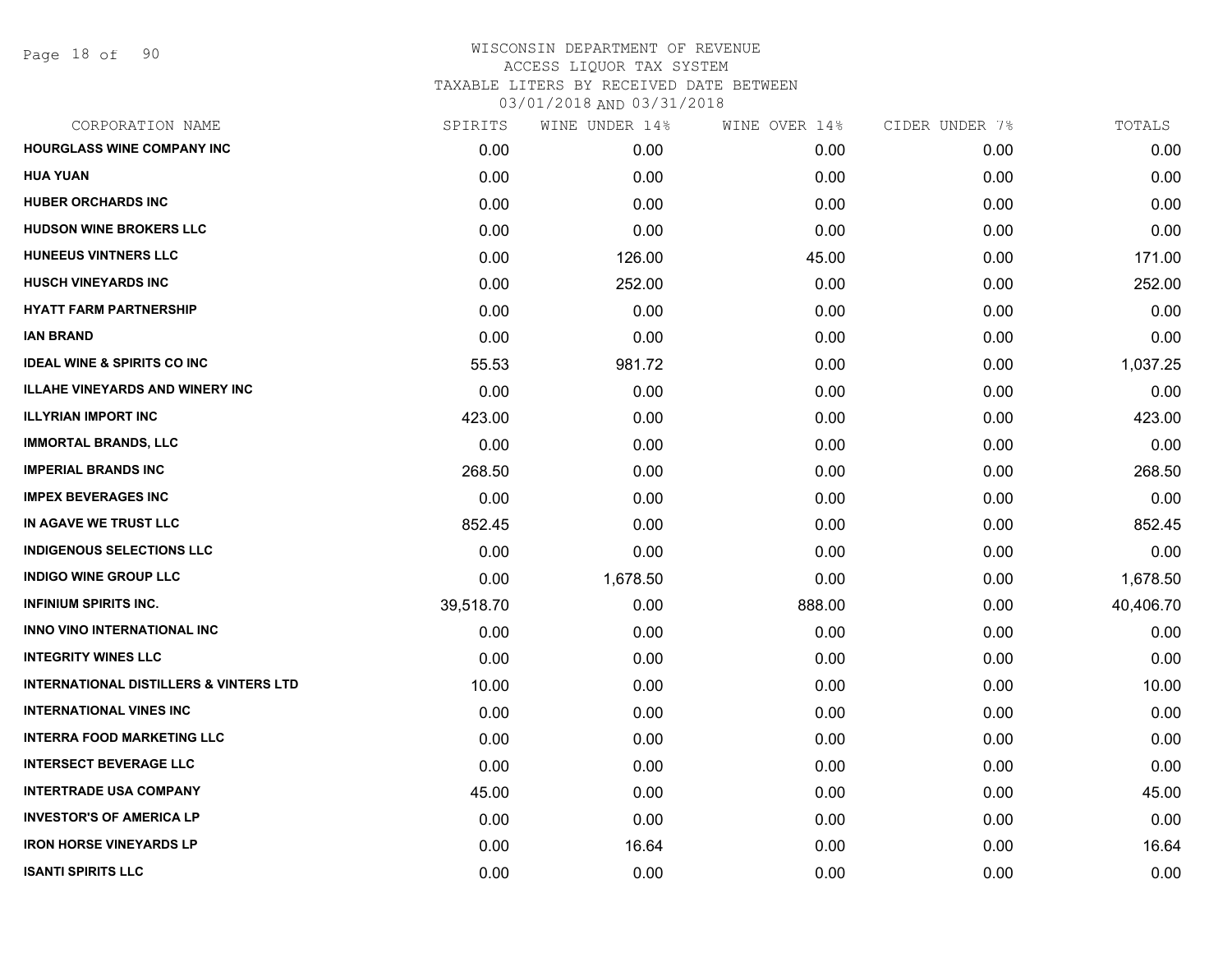| CORPORATION NAME                                  | SPIRITS   | WINE UNDER 14% | WINE OVER 14% | CIDER UNDER 7% | TOTALS    |
|---------------------------------------------------|-----------|----------------|---------------|----------------|-----------|
| <b>HOURGLASS WINE COMPANY INC</b>                 | 0.00      | 0.00           | 0.00          | 0.00           | 0.00      |
| <b>HUA YUAN</b>                                   | 0.00      | 0.00           | 0.00          | 0.00           | 0.00      |
| <b>HUBER ORCHARDS INC</b>                         | 0.00      | 0.00           | 0.00          | 0.00           | 0.00      |
| <b>HUDSON WINE BROKERS LLC</b>                    | 0.00      | 0.00           | 0.00          | 0.00           | 0.00      |
| <b>HUNEEUS VINTNERS LLC</b>                       | 0.00      | 126.00         | 45.00         | 0.00           | 171.00    |
| <b>HUSCH VINEYARDS INC</b>                        | 0.00      | 252.00         | 0.00          | 0.00           | 252.00    |
| <b>HYATT FARM PARTNERSHIP</b>                     | 0.00      | 0.00           | 0.00          | 0.00           | 0.00      |
| IAN BRAND                                         | 0.00      | 0.00           | 0.00          | 0.00           | 0.00      |
| <b>IDEAL WINE &amp; SPIRITS CO INC</b>            | 55.53     | 981.72         | 0.00          | 0.00           | 1,037.25  |
| <b>ILLAHE VINEYARDS AND WINERY INC</b>            | 0.00      | 0.00           | 0.00          | 0.00           | 0.00      |
| <b>ILLYRIAN IMPORT INC</b>                        | 423.00    | 0.00           | 0.00          | 0.00           | 423.00    |
| <b>IMMORTAL BRANDS, LLC</b>                       | 0.00      | 0.00           | 0.00          | 0.00           | 0.00      |
| <b>IMPERIAL BRANDS INC</b>                        | 268.50    | 0.00           | 0.00          | 0.00           | 268.50    |
| <b>IMPEX BEVERAGES INC</b>                        | 0.00      | 0.00           | 0.00          | 0.00           | 0.00      |
| IN AGAVE WE TRUST LLC                             | 852.45    | 0.00           | 0.00          | 0.00           | 852.45    |
| <b>INDIGENOUS SELECTIONS LLC</b>                  | 0.00      | 0.00           | 0.00          | 0.00           | 0.00      |
| <b>INDIGO WINE GROUP LLC</b>                      | 0.00      | 1,678.50       | 0.00          | 0.00           | 1,678.50  |
| <b>INFINIUM SPIRITS INC.</b>                      | 39,518.70 | 0.00           | 888.00        | 0.00           | 40,406.70 |
| INNO VINO INTERNATIONAL INC                       | 0.00      | 0.00           | 0.00          | 0.00           | 0.00      |
| <b>INTEGRITY WINES LLC</b>                        | 0.00      | 0.00           | 0.00          | 0.00           | 0.00      |
| <b>INTERNATIONAL DISTILLERS &amp; VINTERS LTD</b> | 10.00     | 0.00           | 0.00          | 0.00           | 10.00     |
| <b>INTERNATIONAL VINES INC</b>                    | 0.00      | 0.00           | 0.00          | 0.00           | 0.00      |
| <b>INTERRA FOOD MARKETING LLC</b>                 | 0.00      | 0.00           | 0.00          | 0.00           | 0.00      |
| <b>INTERSECT BEVERAGE LLC</b>                     | 0.00      | 0.00           | 0.00          | 0.00           | 0.00      |
| <b>INTERTRADE USA COMPANY</b>                     | 45.00     | 0.00           | 0.00          | 0.00           | 45.00     |
| <b>INVESTOR'S OF AMERICA LP</b>                   | 0.00      | 0.00           | 0.00          | 0.00           | 0.00      |
| <b>IRON HORSE VINEYARDS LP</b>                    | 0.00      | 16.64          | 0.00          | 0.00           | 16.64     |
| <b>ISANTI SPIRITS LLC</b>                         | 0.00      | 0.00           | 0.00          | 0.00           | 0.00      |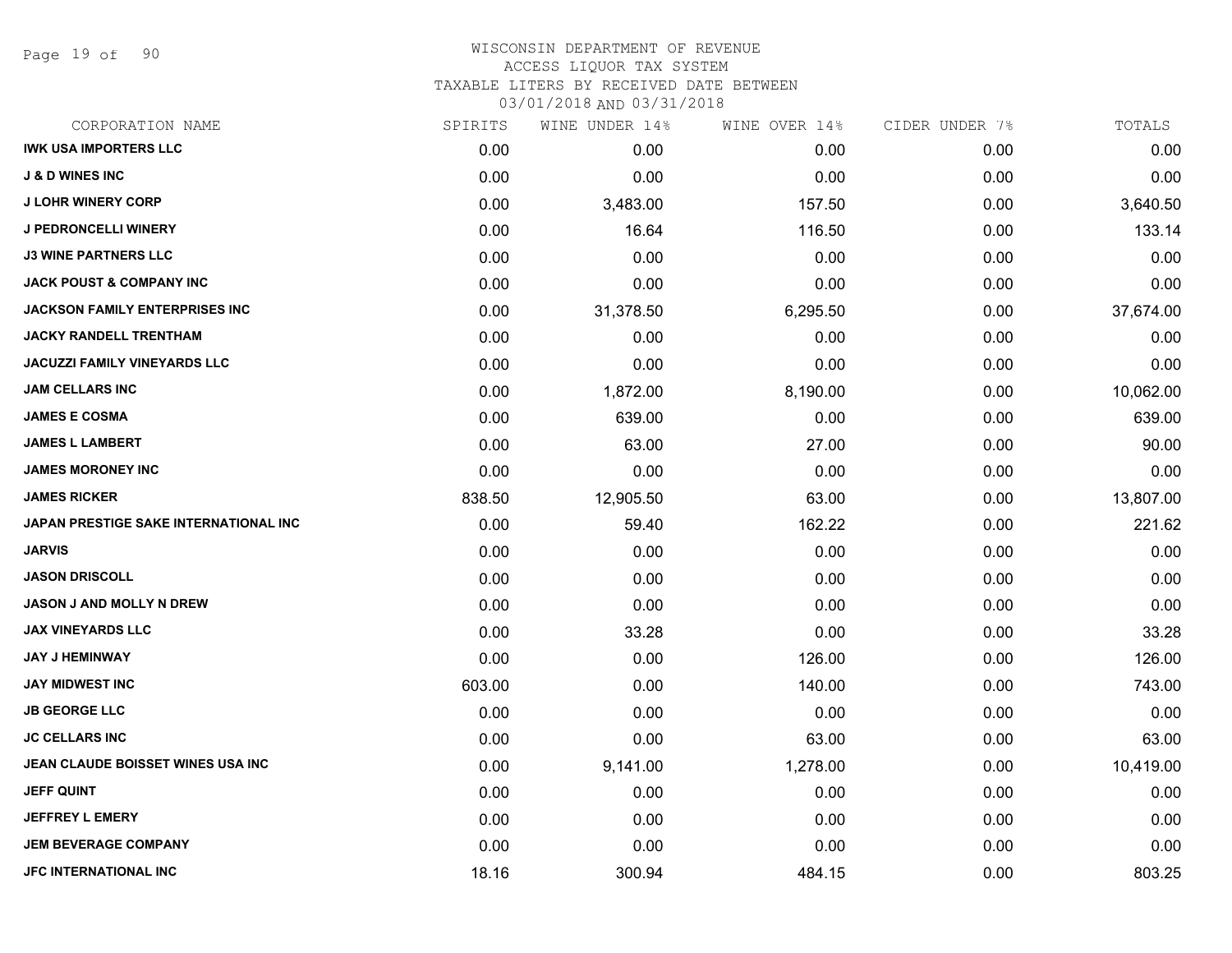Page 19 of 90

| CORPORATION NAME                             | SPIRITS | WINE UNDER 14% | WINE OVER 14% | CIDER UNDER 7% | TOTALS    |
|----------------------------------------------|---------|----------------|---------------|----------------|-----------|
| <b>IWK USA IMPORTERS LLC</b>                 | 0.00    | 0.00           | 0.00          | 0.00           | 0.00      |
| <b>J &amp; D WINES INC</b>                   | 0.00    | 0.00           | 0.00          | 0.00           | 0.00      |
| <b>J LOHR WINERY CORP</b>                    | 0.00    | 3,483.00       | 157.50        | 0.00           | 3,640.50  |
| J PEDRONCELLI WINERY                         | 0.00    | 16.64          | 116.50        | 0.00           | 133.14    |
| <b>J3 WINE PARTNERS LLC</b>                  | 0.00    | 0.00           | 0.00          | 0.00           | 0.00      |
| <b>JACK POUST &amp; COMPANY INC</b>          | 0.00    | 0.00           | 0.00          | 0.00           | 0.00      |
| <b>JACKSON FAMILY ENTERPRISES INC.</b>       | 0.00    | 31,378.50      | 6,295.50      | 0.00           | 37,674.00 |
| <b>JACKY RANDELL TRENTHAM</b>                | 0.00    | 0.00           | 0.00          | 0.00           | 0.00      |
| JACUZZI FAMILY VINEYARDS LLC                 | 0.00    | 0.00           | 0.00          | 0.00           | 0.00      |
| <b>JAM CELLARS INC</b>                       | 0.00    | 1,872.00       | 8,190.00      | 0.00           | 10,062.00 |
| <b>JAMES E COSMA</b>                         | 0.00    | 639.00         | 0.00          | 0.00           | 639.00    |
| <b>JAMES L LAMBERT</b>                       | 0.00    | 63.00          | 27.00         | 0.00           | 90.00     |
| <b>JAMES MORONEY INC</b>                     | 0.00    | 0.00           | 0.00          | 0.00           | 0.00      |
| <b>JAMES RICKER</b>                          | 838.50  | 12,905.50      | 63.00         | 0.00           | 13,807.00 |
| <b>JAPAN PRESTIGE SAKE INTERNATIONAL INC</b> | 0.00    | 59.40          | 162.22        | 0.00           | 221.62    |
| <b>JARVIS</b>                                | 0.00    | 0.00           | 0.00          | 0.00           | 0.00      |
| <b>JASON DRISCOLL</b>                        | 0.00    | 0.00           | 0.00          | 0.00           | 0.00      |
| <b>JASON J AND MOLLY N DREW</b>              | 0.00    | 0.00           | 0.00          | 0.00           | 0.00      |
| <b>JAX VINEYARDS LLC</b>                     | 0.00    | 33.28          | 0.00          | 0.00           | 33.28     |
| <b>JAY J HEMINWAY</b>                        | 0.00    | 0.00           | 126.00        | 0.00           | 126.00    |
| <b>JAY MIDWEST INC</b>                       | 603.00  | 0.00           | 140.00        | 0.00           | 743.00    |
| <b>JB GEORGE LLC</b>                         | 0.00    | 0.00           | 0.00          | 0.00           | 0.00      |
| <b>JC CELLARS INC</b>                        | 0.00    | 0.00           | 63.00         | 0.00           | 63.00     |
| JEAN CLAUDE BOISSET WINES USA INC            | 0.00    | 9,141.00       | 1,278.00      | 0.00           | 10,419.00 |
| <b>JEFF QUINT</b>                            | 0.00    | 0.00           | 0.00          | 0.00           | 0.00      |
| <b>JEFFREY L EMERY</b>                       | 0.00    | 0.00           | 0.00          | 0.00           | 0.00      |
| <b>JEM BEVERAGE COMPANY</b>                  | 0.00    | 0.00           | 0.00          | 0.00           | 0.00      |
| JFC INTERNATIONAL INC                        | 18.16   | 300.94         | 484.15        | 0.00           | 803.25    |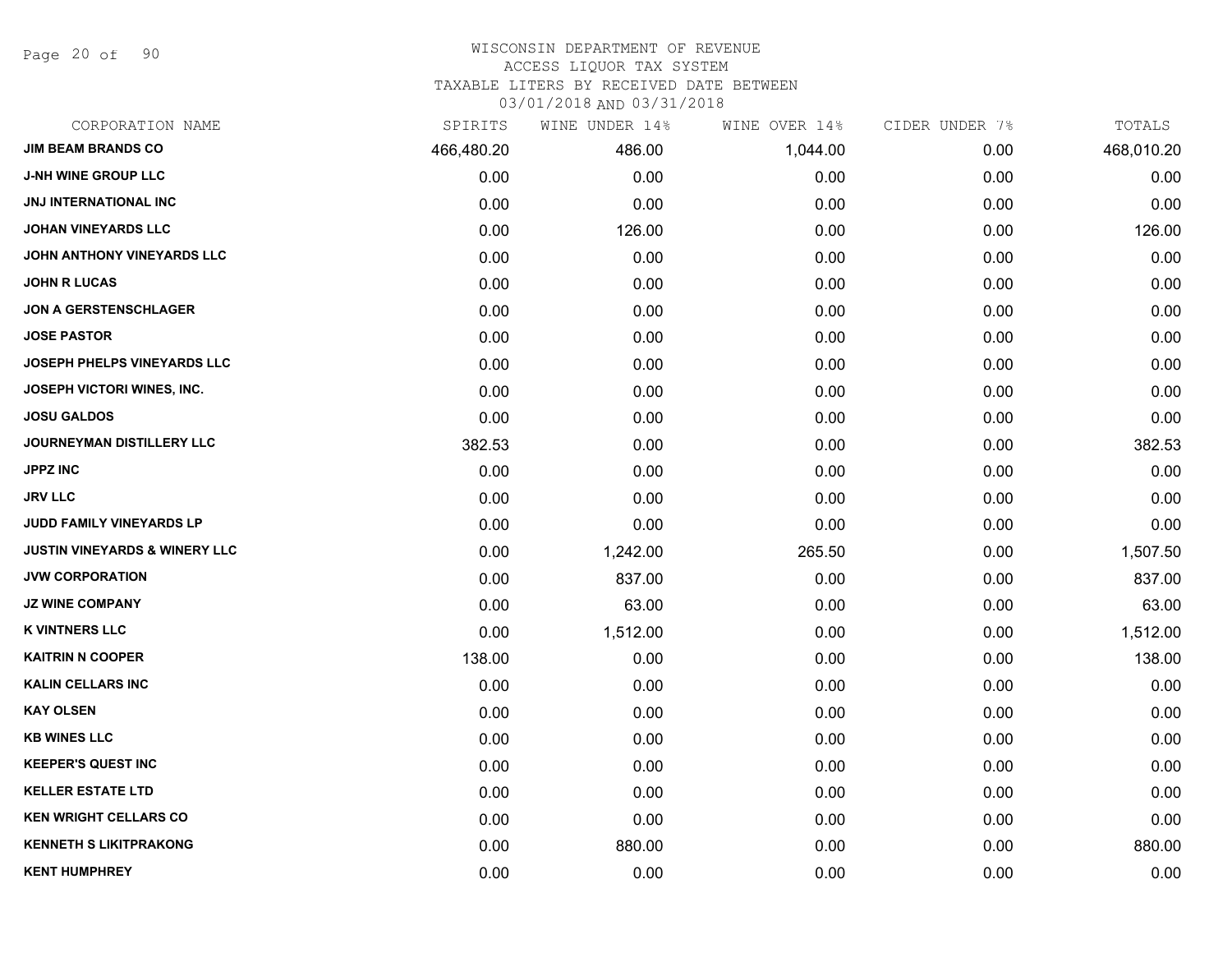Page 20 of 90

## WISCONSIN DEPARTMENT OF REVENUE

### ACCESS LIQUOR TAX SYSTEM

TAXABLE LITERS BY RECEIVED DATE BETWEEN

| CORPORATION NAME                         | SPIRITS    | WINE UNDER 14% | WINE OVER 14% | CIDER UNDER 7% | TOTALS     |
|------------------------------------------|------------|----------------|---------------|----------------|------------|
| <b>JIM BEAM BRANDS CO</b>                | 466,480.20 | 486.00         | 1,044.00      | 0.00           | 468,010.20 |
| <b>J-NH WINE GROUP LLC</b>               | 0.00       | 0.00           | 0.00          | 0.00           | 0.00       |
| <b>JNJ INTERNATIONAL INC</b>             | 0.00       | 0.00           | 0.00          | 0.00           | 0.00       |
| <b>JOHAN VINEYARDS LLC</b>               | 0.00       | 126.00         | 0.00          | 0.00           | 126.00     |
| JOHN ANTHONY VINEYARDS LLC               | 0.00       | 0.00           | 0.00          | 0.00           | 0.00       |
| <b>JOHN R LUCAS</b>                      | 0.00       | 0.00           | 0.00          | 0.00           | 0.00       |
| <b>JON A GERSTENSCHLAGER</b>             | 0.00       | 0.00           | 0.00          | 0.00           | 0.00       |
| <b>JOSE PASTOR</b>                       | 0.00       | 0.00           | 0.00          | 0.00           | 0.00       |
| JOSEPH PHELPS VINEYARDS LLC              | 0.00       | 0.00           | 0.00          | 0.00           | 0.00       |
| JOSEPH VICTORI WINES, INC.               | 0.00       | 0.00           | 0.00          | 0.00           | 0.00       |
| <b>JOSU GALDOS</b>                       | 0.00       | 0.00           | 0.00          | 0.00           | 0.00       |
| JOURNEYMAN DISTILLERY LLC                | 382.53     | 0.00           | 0.00          | 0.00           | 382.53     |
| <b>JPPZ INC</b>                          | 0.00       | 0.00           | 0.00          | 0.00           | 0.00       |
| <b>JRV LLC</b>                           | 0.00       | 0.00           | 0.00          | 0.00           | 0.00       |
| <b>JUDD FAMILY VINEYARDS LP</b>          | 0.00       | 0.00           | 0.00          | 0.00           | 0.00       |
| <b>JUSTIN VINEYARDS &amp; WINERY LLC</b> | 0.00       | 1,242.00       | 265.50        | 0.00           | 1,507.50   |
| <b>JVW CORPORATION</b>                   | 0.00       | 837.00         | 0.00          | 0.00           | 837.00     |
| <b>JZ WINE COMPANY</b>                   | 0.00       | 63.00          | 0.00          | 0.00           | 63.00      |
| <b>K VINTNERS LLC</b>                    | 0.00       | 1,512.00       | 0.00          | 0.00           | 1,512.00   |
| <b>KAITRIN N COOPER</b>                  | 138.00     | 0.00           | 0.00          | 0.00           | 138.00     |
| <b>KALIN CELLARS INC</b>                 | 0.00       | 0.00           | 0.00          | 0.00           | 0.00       |
| <b>KAY OLSEN</b>                         | 0.00       | 0.00           | 0.00          | 0.00           | 0.00       |
| <b>KB WINES LLC</b>                      | 0.00       | 0.00           | 0.00          | 0.00           | 0.00       |
| <b>KEEPER'S QUEST INC</b>                | 0.00       | 0.00           | 0.00          | 0.00           | 0.00       |
| <b>KELLER ESTATE LTD</b>                 | 0.00       | 0.00           | 0.00          | 0.00           | 0.00       |
| <b>KEN WRIGHT CELLARS CO</b>             | 0.00       | 0.00           | 0.00          | 0.00           | 0.00       |
| <b>KENNETH S LIKITPRAKONG</b>            | 0.00       | 880.00         | 0.00          | 0.00           | 880.00     |
| <b>KENT HUMPHREY</b>                     | 0.00       | 0.00           | 0.00          | 0.00           | 0.00       |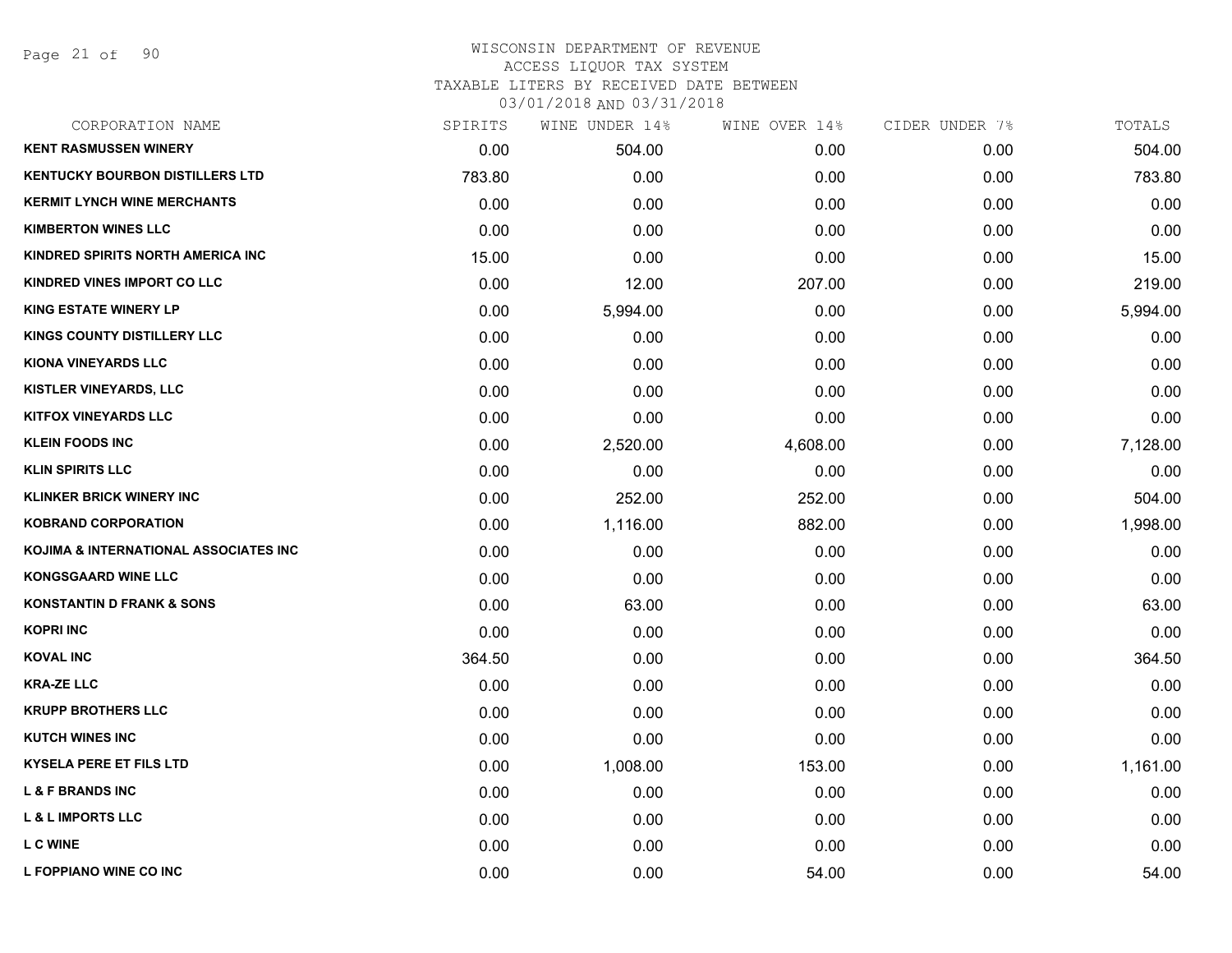| CORPORATION NAME                       | SPIRITS | WINE UNDER 14% | WINE OVER 14% | CIDER UNDER 7% | TOTALS   |
|----------------------------------------|---------|----------------|---------------|----------------|----------|
| <b>KENT RASMUSSEN WINERY</b>           | 0.00    | 504.00         | 0.00          | 0.00           | 504.00   |
| <b>KENTUCKY BOURBON DISTILLERS LTD</b> | 783.80  | 0.00           | 0.00          | 0.00           | 783.80   |
| <b>KERMIT LYNCH WINE MERCHANTS</b>     | 0.00    | 0.00           | 0.00          | 0.00           | 0.00     |
| <b>KIMBERTON WINES LLC</b>             | 0.00    | 0.00           | 0.00          | 0.00           | 0.00     |
| KINDRED SPIRITS NORTH AMERICA INC      | 15.00   | 0.00           | 0.00          | 0.00           | 15.00    |
| KINDRED VINES IMPORT CO LLC            | 0.00    | 12.00          | 207.00        | 0.00           | 219.00   |
| <b>KING ESTATE WINERY LP</b>           | 0.00    | 5,994.00       | 0.00          | 0.00           | 5,994.00 |
| KINGS COUNTY DISTILLERY LLC            | 0.00    | 0.00           | 0.00          | 0.00           | 0.00     |
| <b>KIONA VINEYARDS LLC</b>             | 0.00    | 0.00           | 0.00          | 0.00           | 0.00     |
| KISTLER VINEYARDS, LLC                 | 0.00    | 0.00           | 0.00          | 0.00           | 0.00     |
| <b>KITFOX VINEYARDS LLC</b>            | 0.00    | 0.00           | 0.00          | 0.00           | 0.00     |
| <b>KLEIN FOODS INC</b>                 | 0.00    | 2,520.00       | 4,608.00      | 0.00           | 7,128.00 |
| <b>KLIN SPIRITS LLC</b>                | 0.00    | 0.00           | 0.00          | 0.00           | 0.00     |
| <b>KLINKER BRICK WINERY INC</b>        | 0.00    | 252.00         | 252.00        | 0.00           | 504.00   |
| <b>KOBRAND CORPORATION</b>             | 0.00    | 1,116.00       | 882.00        | 0.00           | 1,998.00 |
| KOJIMA & INTERNATIONAL ASSOCIATES INC  | 0.00    | 0.00           | 0.00          | 0.00           | 0.00     |
| <b>KONGSGAARD WINE LLC</b>             | 0.00    | 0.00           | 0.00          | 0.00           | 0.00     |
| <b>KONSTANTIN D FRANK &amp; SONS</b>   | 0.00    | 63.00          | 0.00          | 0.00           | 63.00    |
| <b>KOPRI INC</b>                       | 0.00    | 0.00           | 0.00          | 0.00           | 0.00     |
| <b>KOVAL INC</b>                       | 364.50  | 0.00           | 0.00          | 0.00           | 364.50   |
| <b>KRA-ZE LLC</b>                      | 0.00    | 0.00           | 0.00          | 0.00           | 0.00     |
| <b>KRUPP BROTHERS LLC</b>              | 0.00    | 0.00           | 0.00          | 0.00           | 0.00     |
| <b>KUTCH WINES INC</b>                 | 0.00    | 0.00           | 0.00          | 0.00           | 0.00     |
| <b>KYSELA PERE ET FILS LTD</b>         | 0.00    | 1,008.00       | 153.00        | 0.00           | 1,161.00 |
| <b>L &amp; F BRANDS INC</b>            | 0.00    | 0.00           | 0.00          | 0.00           | 0.00     |
| <b>L &amp; L IMPORTS LLC</b>           | 0.00    | 0.00           | 0.00          | 0.00           | 0.00     |
| <b>L C WINE</b>                        | 0.00    | 0.00           | 0.00          | 0.00           | 0.00     |
| L FOPPIANO WINE CO INC                 | 0.00    | 0.00           | 54.00         | 0.00           | 54.00    |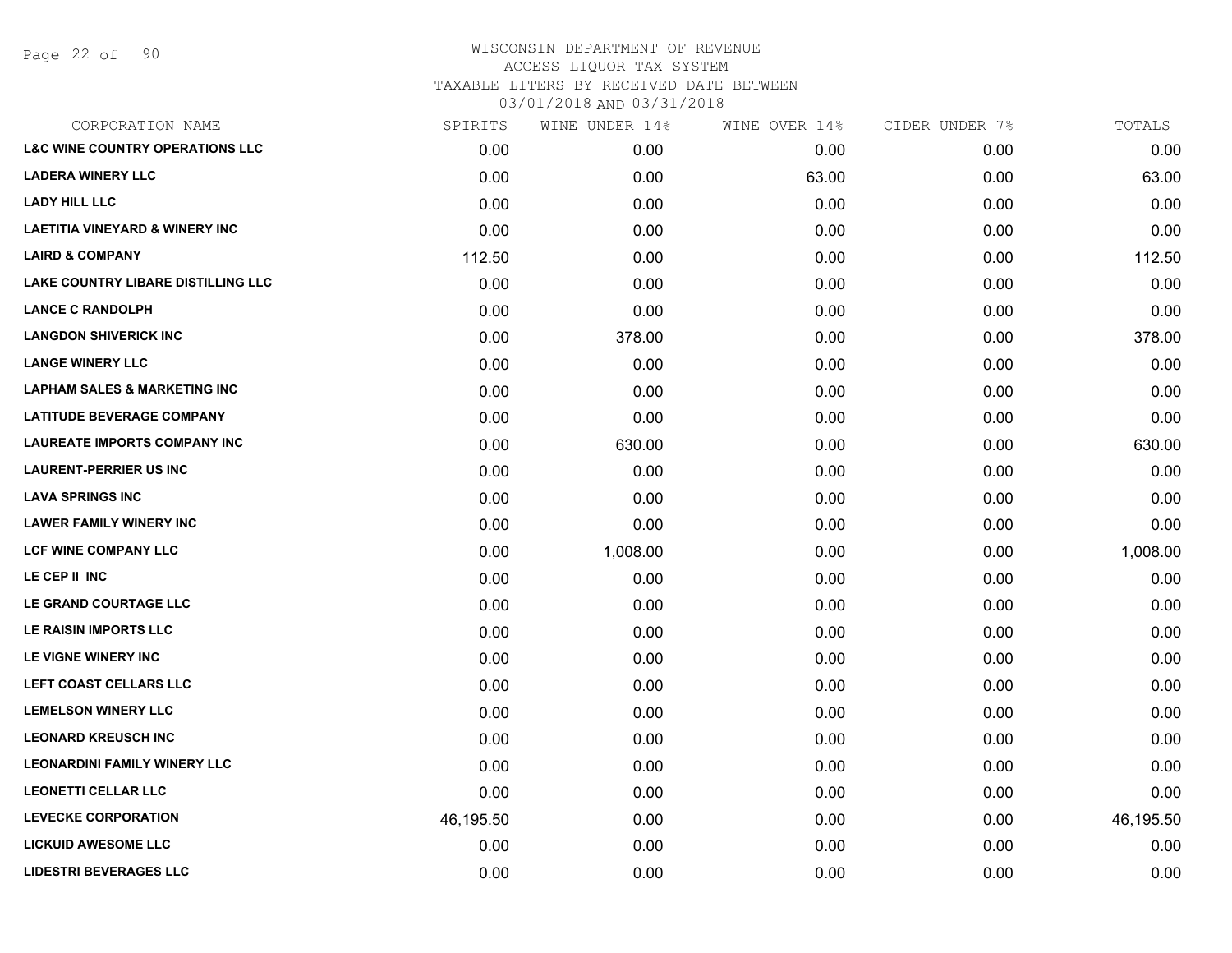Page 22 of 90

| CORPORATION NAME                           | SPIRITS   | WINE UNDER 14% | WINE OVER 14% | CIDER UNDER 7% | TOTALS    |
|--------------------------------------------|-----------|----------------|---------------|----------------|-----------|
| <b>L&amp;C WINE COUNTRY OPERATIONS LLC</b> | 0.00      | 0.00           | 0.00          | 0.00           | 0.00      |
| <b>LADERA WINERY LLC</b>                   | 0.00      | 0.00           | 63.00         | 0.00           | 63.00     |
| <b>LADY HILL LLC</b>                       | 0.00      | 0.00           | 0.00          | 0.00           | 0.00      |
| <b>LAETITIA VINEYARD &amp; WINERY INC</b>  | 0.00      | 0.00           | 0.00          | 0.00           | 0.00      |
| <b>LAIRD &amp; COMPANY</b>                 | 112.50    | 0.00           | 0.00          | 0.00           | 112.50    |
| <b>LAKE COUNTRY LIBARE DISTILLING LLC</b>  | 0.00      | 0.00           | 0.00          | 0.00           | 0.00      |
| <b>LANCE C RANDOLPH</b>                    | 0.00      | 0.00           | 0.00          | 0.00           | 0.00      |
| <b>LANGDON SHIVERICK INC</b>               | 0.00      | 378.00         | 0.00          | 0.00           | 378.00    |
| <b>LANGE WINERY LLC</b>                    | 0.00      | 0.00           | 0.00          | 0.00           | 0.00      |
| <b>LAPHAM SALES &amp; MARKETING INC</b>    | 0.00      | 0.00           | 0.00          | 0.00           | 0.00      |
| <b>LATITUDE BEVERAGE COMPANY</b>           | 0.00      | 0.00           | 0.00          | 0.00           | 0.00      |
| <b>LAUREATE IMPORTS COMPANY INC</b>        | 0.00      | 630.00         | 0.00          | 0.00           | 630.00    |
| <b>LAURENT-PERRIER US INC</b>              | 0.00      | 0.00           | 0.00          | 0.00           | 0.00      |
| <b>LAVA SPRINGS INC</b>                    | 0.00      | 0.00           | 0.00          | 0.00           | 0.00      |
| <b>LAWER FAMILY WINERY INC</b>             | 0.00      | 0.00           | 0.00          | 0.00           | 0.00      |
| <b>LCF WINE COMPANY LLC</b>                | 0.00      | 1,008.00       | 0.00          | 0.00           | 1,008.00  |
| LE CEP II INC                              | 0.00      | 0.00           | 0.00          | 0.00           | 0.00      |
| LE GRAND COURTAGE LLC                      | 0.00      | 0.00           | 0.00          | 0.00           | 0.00      |
| LE RAISIN IMPORTS LLC                      | 0.00      | 0.00           | 0.00          | 0.00           | 0.00      |
| LE VIGNE WINERY INC                        | 0.00      | 0.00           | 0.00          | 0.00           | 0.00      |
| LEFT COAST CELLARS LLC                     | 0.00      | 0.00           | 0.00          | 0.00           | 0.00      |
| <b>LEMELSON WINERY LLC</b>                 | 0.00      | 0.00           | 0.00          | 0.00           | 0.00      |
| <b>LEONARD KREUSCH INC</b>                 | 0.00      | 0.00           | 0.00          | 0.00           | 0.00      |
| <b>LEONARDINI FAMILY WINERY LLC</b>        | 0.00      | 0.00           | 0.00          | 0.00           | 0.00      |
| <b>LEONETTI CELLAR LLC</b>                 | 0.00      | 0.00           | 0.00          | 0.00           | 0.00      |
| <b>LEVECKE CORPORATION</b>                 | 46,195.50 | 0.00           | 0.00          | 0.00           | 46,195.50 |
| <b>LICKUID AWESOME LLC</b>                 | 0.00      | 0.00           | 0.00          | 0.00           | 0.00      |
| <b>LIDESTRI BEVERAGES LLC</b>              | 0.00      | 0.00           | 0.00          | 0.00           | 0.00      |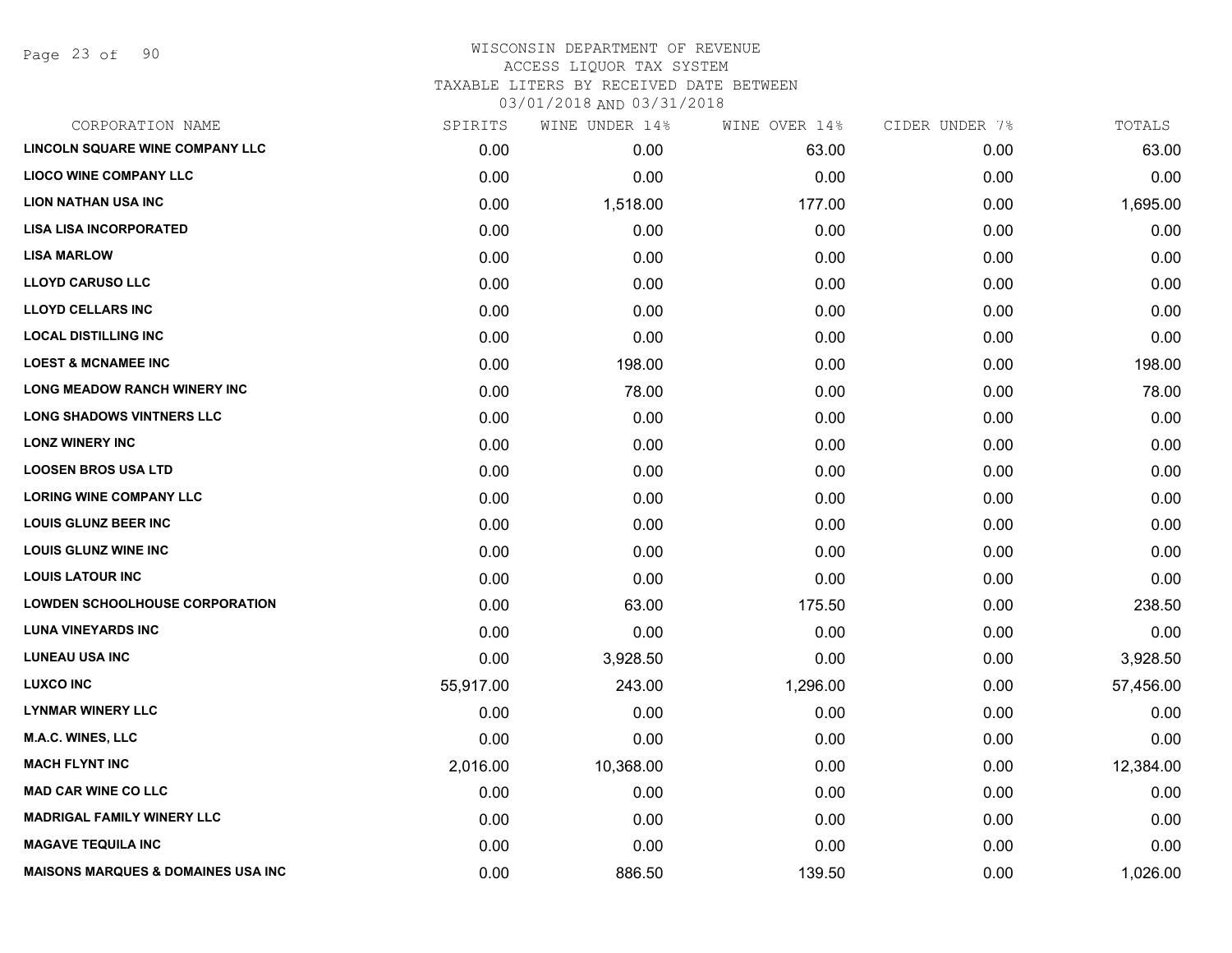Page 23 of 90

### WISCONSIN DEPARTMENT OF REVENUE ACCESS LIQUOR TAX SYSTEM TAXABLE LITERS BY RECEIVED DATE BETWEEN

| CORPORATION NAME                              | SPIRITS   | WINE UNDER 14% | WINE OVER 14% | CIDER UNDER 7% | TOTALS    |
|-----------------------------------------------|-----------|----------------|---------------|----------------|-----------|
| <b>LINCOLN SQUARE WINE COMPANY LLC</b>        | 0.00      | 0.00           | 63.00         | 0.00           | 63.00     |
| <b>LIOCO WINE COMPANY LLC</b>                 | 0.00      | 0.00           | 0.00          | 0.00           | 0.00      |
| <b>LION NATHAN USA INC</b>                    | 0.00      | 1,518.00       | 177.00        | 0.00           | 1,695.00  |
| <b>LISA LISA INCORPORATED</b>                 | 0.00      | 0.00           | 0.00          | 0.00           | 0.00      |
| <b>LISA MARLOW</b>                            | 0.00      | 0.00           | 0.00          | 0.00           | 0.00      |
| <b>LLOYD CARUSO LLC</b>                       | 0.00      | 0.00           | 0.00          | 0.00           | 0.00      |
| <b>LLOYD CELLARS INC</b>                      | 0.00      | 0.00           | 0.00          | 0.00           | 0.00      |
| <b>LOCAL DISTILLING INC</b>                   | 0.00      | 0.00           | 0.00          | 0.00           | 0.00      |
| <b>LOEST &amp; MCNAMEE INC</b>                | 0.00      | 198.00         | 0.00          | 0.00           | 198.00    |
| <b>LONG MEADOW RANCH WINERY INC</b>           | 0.00      | 78.00          | 0.00          | 0.00           | 78.00     |
| <b>LONG SHADOWS VINTNERS LLC</b>              | 0.00      | 0.00           | 0.00          | 0.00           | 0.00      |
| <b>LONZ WINERY INC</b>                        | 0.00      | 0.00           | 0.00          | 0.00           | 0.00      |
| <b>LOOSEN BROS USA LTD</b>                    | 0.00      | 0.00           | 0.00          | 0.00           | 0.00      |
| <b>LORING WINE COMPANY LLC</b>                | 0.00      | 0.00           | 0.00          | 0.00           | 0.00      |
| <b>LOUIS GLUNZ BEER INC</b>                   | 0.00      | 0.00           | 0.00          | 0.00           | 0.00      |
| <b>LOUIS GLUNZ WINE INC</b>                   | 0.00      | 0.00           | 0.00          | 0.00           | 0.00      |
| <b>LOUIS LATOUR INC</b>                       | 0.00      | 0.00           | 0.00          | 0.00           | 0.00      |
| <b>LOWDEN SCHOOLHOUSE CORPORATION</b>         | 0.00      | 63.00          | 175.50        | 0.00           | 238.50    |
| <b>LUNA VINEYARDS INC</b>                     | 0.00      | 0.00           | 0.00          | 0.00           | 0.00      |
| <b>LUNEAU USA INC</b>                         | 0.00      | 3,928.50       | 0.00          | 0.00           | 3,928.50  |
| <b>LUXCO INC</b>                              | 55,917.00 | 243.00         | 1,296.00      | 0.00           | 57,456.00 |
| <b>LYNMAR WINERY LLC</b>                      | 0.00      | 0.00           | 0.00          | 0.00           | 0.00      |
| <b>M.A.C. WINES, LLC</b>                      | 0.00      | 0.00           | 0.00          | 0.00           | 0.00      |
| <b>MACH FLYNT INC</b>                         | 2,016.00  | 10,368.00      | 0.00          | 0.00           | 12,384.00 |
| <b>MAD CAR WINE CO LLC</b>                    | 0.00      | 0.00           | 0.00          | 0.00           | 0.00      |
| <b>MADRIGAL FAMILY WINERY LLC</b>             | 0.00      | 0.00           | 0.00          | 0.00           | 0.00      |
| <b>MAGAVE TEQUILA INC</b>                     | 0.00      | 0.00           | 0.00          | 0.00           | 0.00      |
| <b>MAISONS MARQUES &amp; DOMAINES USA INC</b> | 0.00      | 886.50         | 139.50        | 0.00           | 1,026.00  |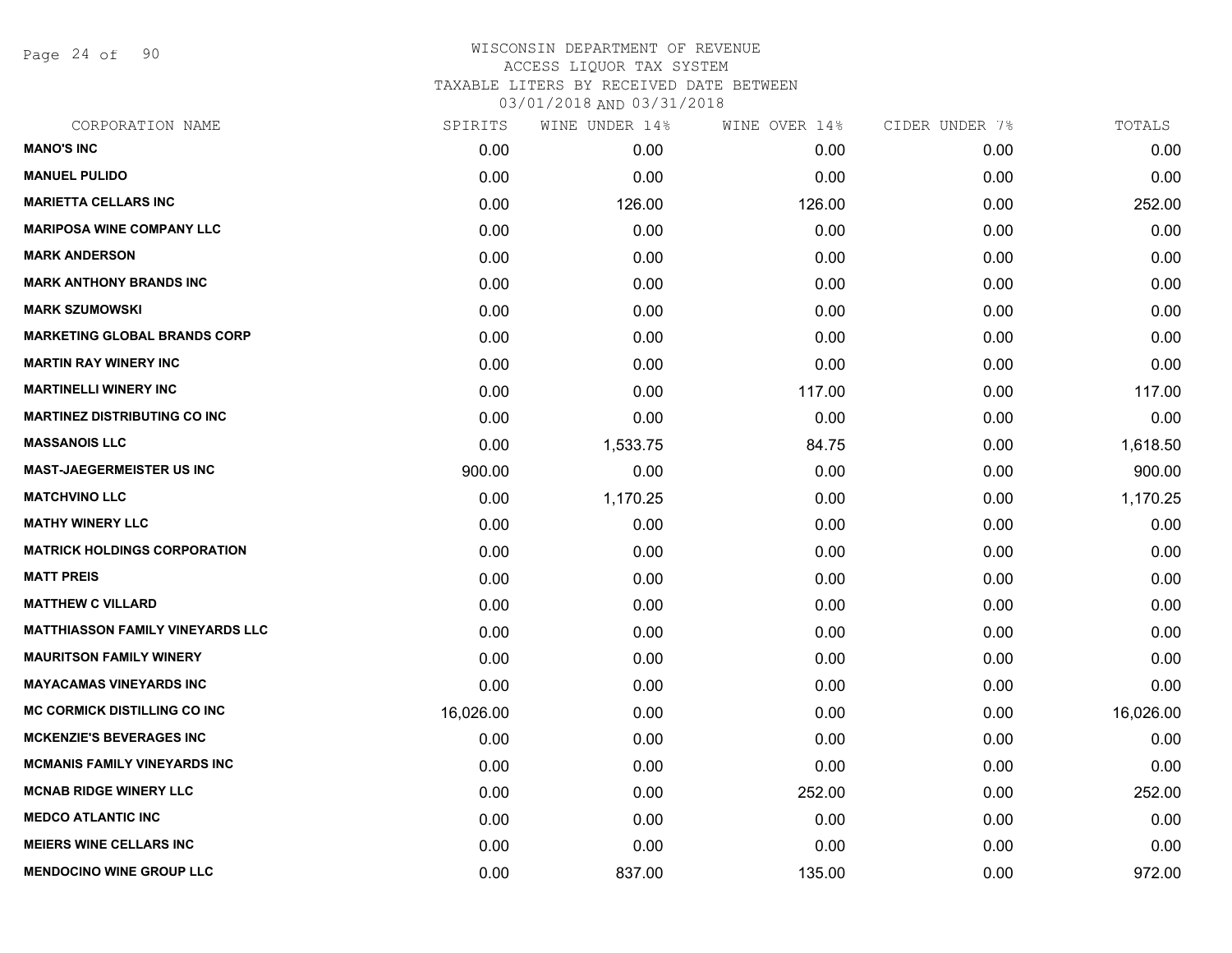Page 24 of 90

| CORPORATION NAME                        | SPIRITS   | WINE UNDER 14% | WINE OVER 14% | CIDER UNDER 7% | TOTALS    |
|-----------------------------------------|-----------|----------------|---------------|----------------|-----------|
| <b>MANO'S INC</b>                       | 0.00      | 0.00           | 0.00          | 0.00           | 0.00      |
| <b>MANUEL PULIDO</b>                    | 0.00      | 0.00           | 0.00          | 0.00           | 0.00      |
| <b>MARIETTA CELLARS INC</b>             | 0.00      | 126.00         | 126.00        | 0.00           | 252.00    |
| <b>MARIPOSA WINE COMPANY LLC</b>        | 0.00      | 0.00           | 0.00          | 0.00           | 0.00      |
| <b>MARK ANDERSON</b>                    | 0.00      | 0.00           | 0.00          | 0.00           | 0.00      |
| <b>MARK ANTHONY BRANDS INC</b>          | 0.00      | 0.00           | 0.00          | 0.00           | 0.00      |
| <b>MARK SZUMOWSKI</b>                   | 0.00      | 0.00           | 0.00          | 0.00           | 0.00      |
| <b>MARKETING GLOBAL BRANDS CORP</b>     | 0.00      | 0.00           | 0.00          | 0.00           | 0.00      |
| <b>MARTIN RAY WINERY INC</b>            | 0.00      | 0.00           | 0.00          | 0.00           | 0.00      |
| <b>MARTINELLI WINERY INC</b>            | 0.00      | 0.00           | 117.00        | 0.00           | 117.00    |
| <b>MARTINEZ DISTRIBUTING CO INC</b>     | 0.00      | 0.00           | 0.00          | 0.00           | 0.00      |
| <b>MASSANOIS LLC</b>                    | 0.00      | 1,533.75       | 84.75         | 0.00           | 1,618.50  |
| <b>MAST-JAEGERMEISTER US INC</b>        | 900.00    | 0.00           | 0.00          | 0.00           | 900.00    |
| <b>MATCHVINO LLC</b>                    | 0.00      | 1,170.25       | 0.00          | 0.00           | 1,170.25  |
| <b>MATHY WINERY LLC</b>                 | 0.00      | 0.00           | 0.00          | 0.00           | 0.00      |
| <b>MATRICK HOLDINGS CORPORATION</b>     | 0.00      | 0.00           | 0.00          | 0.00           | 0.00      |
| <b>MATT PREIS</b>                       | 0.00      | 0.00           | 0.00          | 0.00           | 0.00      |
| <b>MATTHEW C VILLARD</b>                | 0.00      | 0.00           | 0.00          | 0.00           | 0.00      |
| <b>MATTHIASSON FAMILY VINEYARDS LLC</b> | 0.00      | 0.00           | 0.00          | 0.00           | 0.00      |
| <b>MAURITSON FAMILY WINERY</b>          | 0.00      | 0.00           | 0.00          | 0.00           | 0.00      |
| <b>MAYACAMAS VINEYARDS INC</b>          | 0.00      | 0.00           | 0.00          | 0.00           | 0.00      |
| <b>MC CORMICK DISTILLING CO INC</b>     | 16,026.00 | 0.00           | 0.00          | 0.00           | 16,026.00 |
| <b>MCKENZIE'S BEVERAGES INC</b>         | 0.00      | 0.00           | 0.00          | 0.00           | 0.00      |
| <b>MCMANIS FAMILY VINEYARDS INC</b>     | 0.00      | 0.00           | 0.00          | 0.00           | 0.00      |
| <b>MCNAB RIDGE WINERY LLC</b>           | 0.00      | 0.00           | 252.00        | 0.00           | 252.00    |
| <b>MEDCO ATLANTIC INC</b>               | 0.00      | 0.00           | 0.00          | 0.00           | 0.00      |
| <b>MEIERS WINE CELLARS INC</b>          | 0.00      | 0.00           | 0.00          | 0.00           | 0.00      |
| <b>MENDOCINO WINE GROUP LLC</b>         | 0.00      | 837.00         | 135.00        | 0.00           | 972.00    |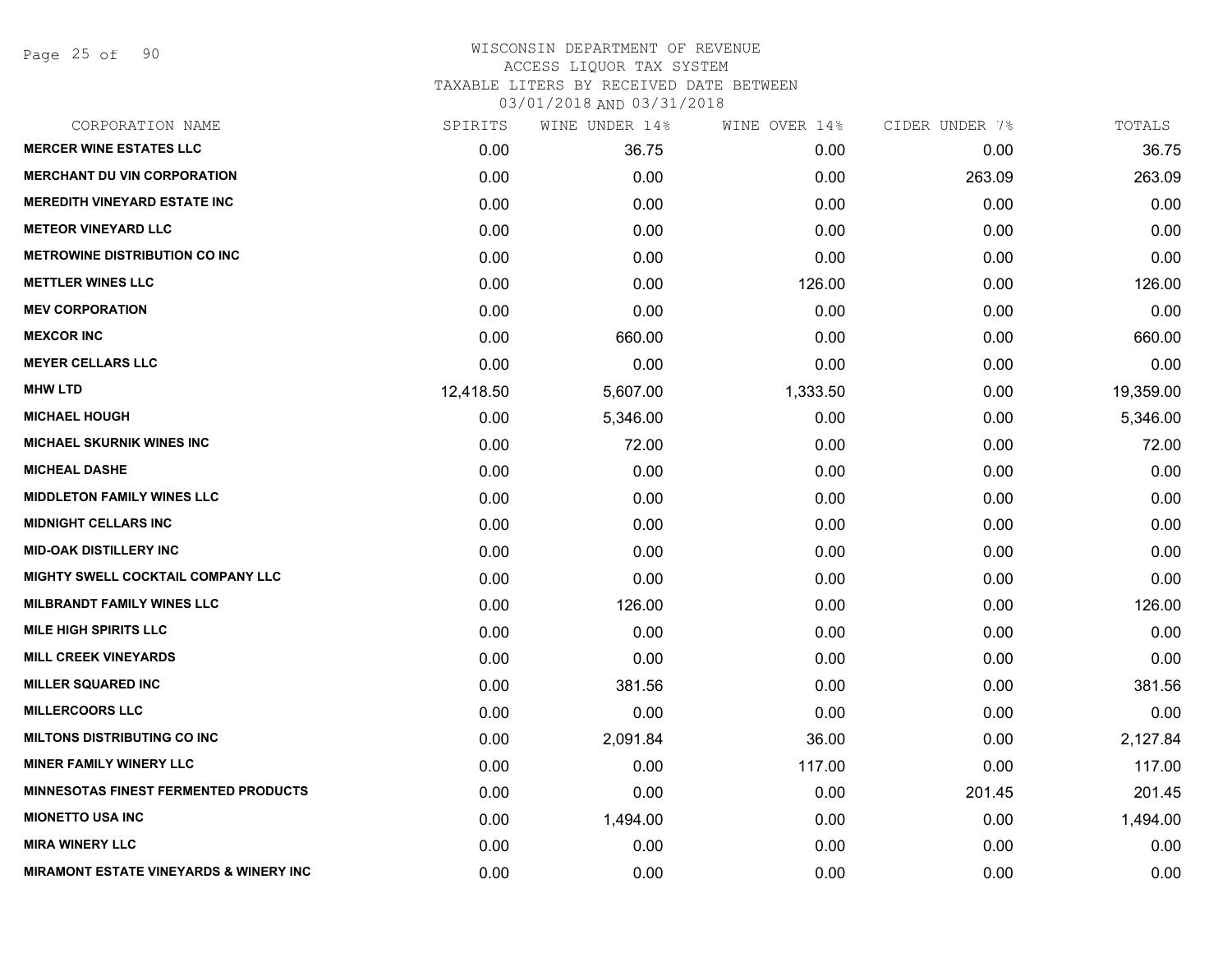Page 25 of 90

| CORPORATION NAME                                  | SPIRITS   | WINE UNDER 14% | WINE OVER 14% | CIDER UNDER 7% | TOTALS    |
|---------------------------------------------------|-----------|----------------|---------------|----------------|-----------|
| <b>MERCER WINE ESTATES LLC</b>                    | 0.00      | 36.75          | 0.00          | 0.00           | 36.75     |
| <b>MERCHANT DU VIN CORPORATION</b>                | 0.00      | 0.00           | 0.00          | 263.09         | 263.09    |
| <b>MEREDITH VINEYARD ESTATE INC</b>               | 0.00      | 0.00           | 0.00          | 0.00           | 0.00      |
| <b>METEOR VINEYARD LLC</b>                        | 0.00      | 0.00           | 0.00          | 0.00           | 0.00      |
| <b>METROWINE DISTRIBUTION CO INC</b>              | 0.00      | 0.00           | 0.00          | 0.00           | 0.00      |
| <b>METTLER WINES LLC</b>                          | 0.00      | 0.00           | 126.00        | 0.00           | 126.00    |
| <b>MEV CORPORATION</b>                            | 0.00      | 0.00           | 0.00          | 0.00           | 0.00      |
| <b>MEXCOR INC</b>                                 | 0.00      | 660.00         | 0.00          | 0.00           | 660.00    |
| <b>MEYER CELLARS LLC</b>                          | 0.00      | 0.00           | 0.00          | 0.00           | 0.00      |
| <b>MHW LTD</b>                                    | 12,418.50 | 5,607.00       | 1,333.50      | 0.00           | 19,359.00 |
| <b>MICHAEL HOUGH</b>                              | 0.00      | 5,346.00       | 0.00          | 0.00           | 5,346.00  |
| <b>MICHAEL SKURNIK WINES INC</b>                  | 0.00      | 72.00          | 0.00          | 0.00           | 72.00     |
| <b>MICHEAL DASHE</b>                              | 0.00      | 0.00           | 0.00          | 0.00           | 0.00      |
| <b>MIDDLETON FAMILY WINES LLC</b>                 | 0.00      | 0.00           | 0.00          | 0.00           | 0.00      |
| <b>MIDNIGHT CELLARS INC</b>                       | 0.00      | 0.00           | 0.00          | 0.00           | 0.00      |
| <b>MID-OAK DISTILLERY INC</b>                     | 0.00      | 0.00           | 0.00          | 0.00           | 0.00      |
| MIGHTY SWELL COCKTAIL COMPANY LLC                 | 0.00      | 0.00           | 0.00          | 0.00           | 0.00      |
| <b>MILBRANDT FAMILY WINES LLC</b>                 | 0.00      | 126.00         | 0.00          | 0.00           | 126.00    |
| <b>MILE HIGH SPIRITS LLC</b>                      | 0.00      | 0.00           | 0.00          | 0.00           | 0.00      |
| <b>MILL CREEK VINEYARDS</b>                       | 0.00      | 0.00           | 0.00          | 0.00           | 0.00      |
| <b>MILLER SQUARED INC</b>                         | 0.00      | 381.56         | 0.00          | 0.00           | 381.56    |
| <b>MILLERCOORS LLC</b>                            | 0.00      | 0.00           | 0.00          | 0.00           | 0.00      |
| <b>MILTONS DISTRIBUTING CO INC</b>                | 0.00      | 2,091.84       | 36.00         | 0.00           | 2,127.84  |
| <b>MINER FAMILY WINERY LLC</b>                    | 0.00      | 0.00           | 117.00        | 0.00           | 117.00    |
| <b>MINNESOTAS FINEST FERMENTED PRODUCTS</b>       | 0.00      | 0.00           | 0.00          | 201.45         | 201.45    |
| <b>MIONETTO USA INC</b>                           | 0.00      | 1,494.00       | 0.00          | 0.00           | 1,494.00  |
| <b>MIRA WINERY LLC</b>                            | 0.00      | 0.00           | 0.00          | 0.00           | 0.00      |
| <b>MIRAMONT ESTATE VINEYARDS &amp; WINERY INC</b> | 0.00      | 0.00           | 0.00          | 0.00           | 0.00      |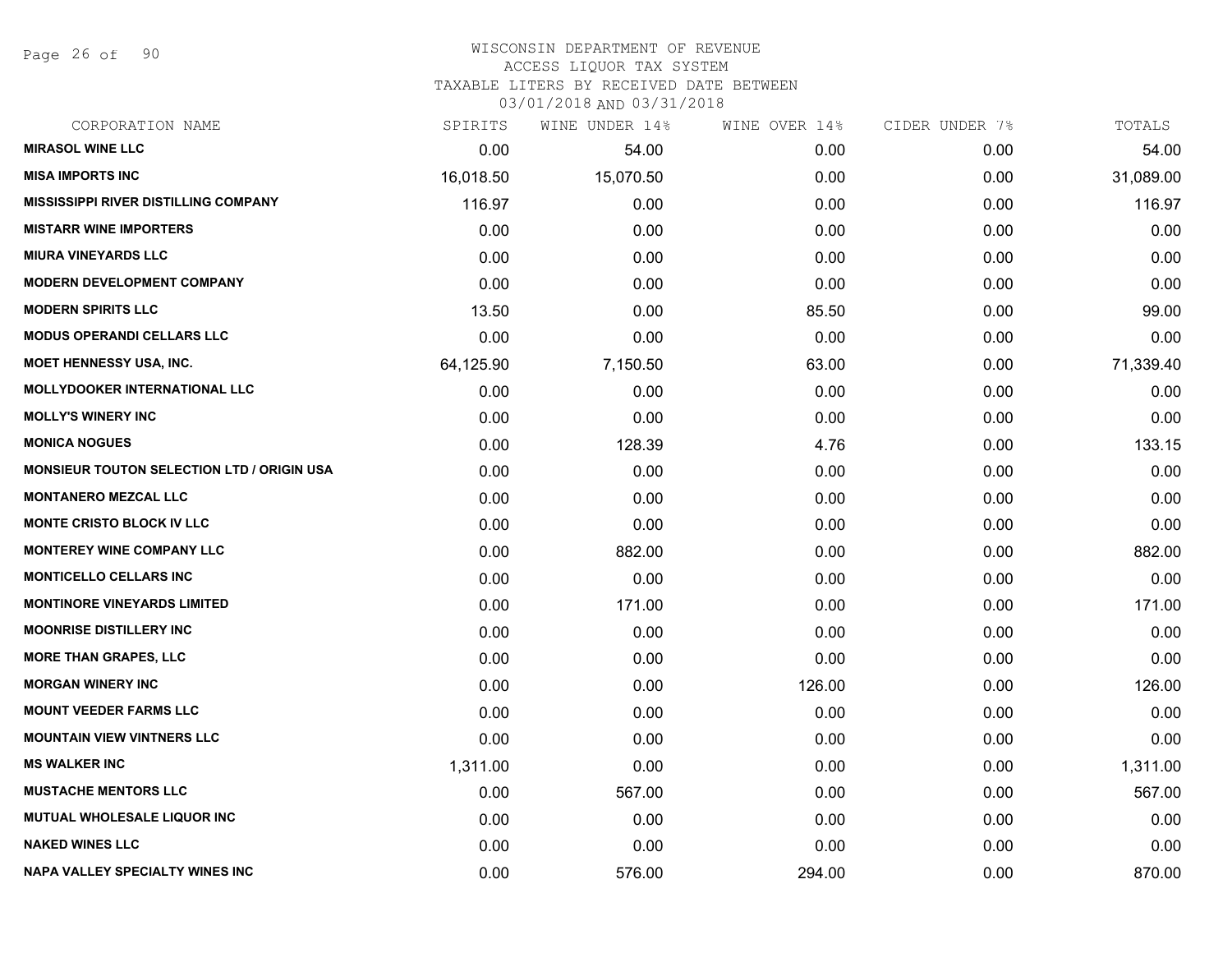Page 26 of 90

#### WISCONSIN DEPARTMENT OF REVENUE ACCESS LIQUOR TAX SYSTEM

TAXABLE LITERS BY RECEIVED DATE BETWEEN

| CORPORATION NAME                                  | SPIRITS   | WINE UNDER 14% | WINE OVER 14% | CIDER UNDER 7% | TOTALS    |
|---------------------------------------------------|-----------|----------------|---------------|----------------|-----------|
| <b>MIRASOL WINE LLC</b>                           | 0.00      | 54.00          | 0.00          | 0.00           | 54.00     |
| <b>MISA IMPORTS INC</b>                           | 16,018.50 | 15,070.50      | 0.00          | 0.00           | 31,089.00 |
| <b>MISSISSIPPI RIVER DISTILLING COMPANY</b>       | 116.97    | 0.00           | 0.00          | 0.00           | 116.97    |
| <b>MISTARR WINE IMPORTERS</b>                     | 0.00      | 0.00           | 0.00          | 0.00           | 0.00      |
| <b>MIURA VINEYARDS LLC</b>                        | 0.00      | 0.00           | 0.00          | 0.00           | 0.00      |
| <b>MODERN DEVELOPMENT COMPANY</b>                 | 0.00      | 0.00           | 0.00          | 0.00           | 0.00      |
| <b>MODERN SPIRITS LLC</b>                         | 13.50     | 0.00           | 85.50         | 0.00           | 99.00     |
| <b>MODUS OPERANDI CELLARS LLC</b>                 | 0.00      | 0.00           | 0.00          | 0.00           | 0.00      |
| <b>MOET HENNESSY USA, INC.</b>                    | 64,125.90 | 7,150.50       | 63.00         | 0.00           | 71,339.40 |
| <b>MOLLYDOOKER INTERNATIONAL LLC</b>              | 0.00      | 0.00           | 0.00          | 0.00           | 0.00      |
| <b>MOLLY'S WINERY INC</b>                         | 0.00      | 0.00           | 0.00          | 0.00           | 0.00      |
| <b>MONICA NOGUES</b>                              | 0.00      | 128.39         | 4.76          | 0.00           | 133.15    |
| <b>MONSIEUR TOUTON SELECTION LTD / ORIGIN USA</b> | 0.00      | 0.00           | 0.00          | 0.00           | 0.00      |
| <b>MONTANERO MEZCAL LLC</b>                       | 0.00      | 0.00           | 0.00          | 0.00           | 0.00      |
| <b>MONTE CRISTO BLOCK IV LLC</b>                  | 0.00      | 0.00           | 0.00          | 0.00           | 0.00      |
| <b>MONTEREY WINE COMPANY LLC</b>                  | 0.00      | 882.00         | 0.00          | 0.00           | 882.00    |
| <b>MONTICELLO CELLARS INC</b>                     | 0.00      | 0.00           | 0.00          | 0.00           | 0.00      |
| <b>MONTINORE VINEYARDS LIMITED</b>                | 0.00      | 171.00         | 0.00          | 0.00           | 171.00    |
| <b>MOONRISE DISTILLERY INC</b>                    | 0.00      | 0.00           | 0.00          | 0.00           | 0.00      |
| <b>MORE THAN GRAPES, LLC</b>                      | 0.00      | 0.00           | 0.00          | 0.00           | 0.00      |
| <b>MORGAN WINERY INC</b>                          | 0.00      | 0.00           | 126.00        | 0.00           | 126.00    |
| <b>MOUNT VEEDER FARMS LLC</b>                     | 0.00      | 0.00           | 0.00          | 0.00           | 0.00      |
| <b>MOUNTAIN VIEW VINTNERS LLC</b>                 | 0.00      | 0.00           | 0.00          | 0.00           | 0.00      |
| <b>MS WALKER INC</b>                              | 1,311.00  | 0.00           | 0.00          | 0.00           | 1,311.00  |
| <b>MUSTACHE MENTORS LLC</b>                       | 0.00      | 567.00         | 0.00          | 0.00           | 567.00    |
| <b>MUTUAL WHOLESALE LIQUOR INC</b>                | 0.00      | 0.00           | 0.00          | 0.00           | 0.00      |
| <b>NAKED WINES LLC</b>                            | 0.00      | 0.00           | 0.00          | 0.00           | 0.00      |
| NAPA VALLEY SPECIALTY WINES INC                   | 0.00      | 576.00         | 294.00        | 0.00           | 870.00    |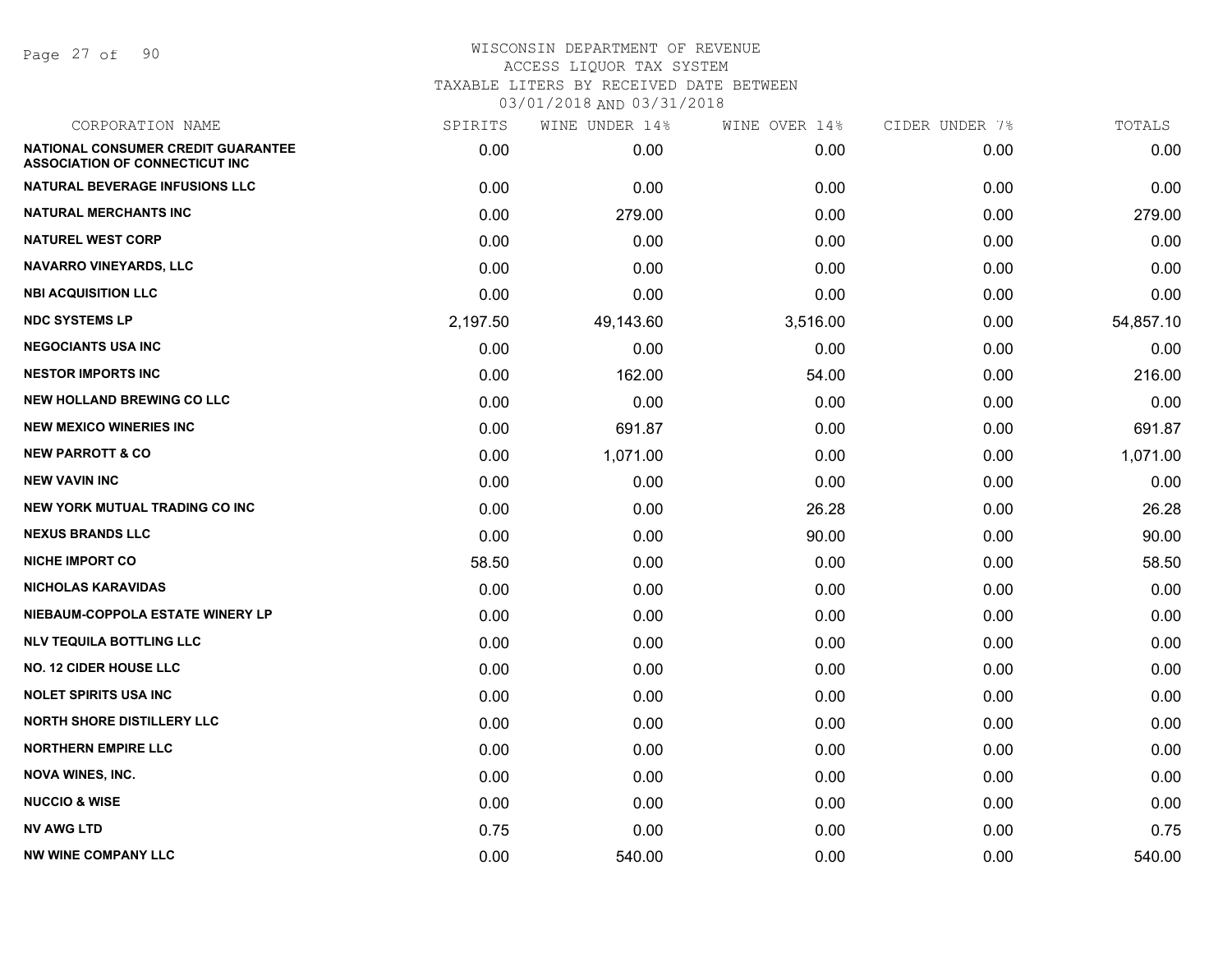Page 27 of 90

| CORPORATION NAME                                                                   | SPIRITS  | WINE UNDER 14% | WINE OVER 14% | CIDER UNDER 7% | TOTALS    |
|------------------------------------------------------------------------------------|----------|----------------|---------------|----------------|-----------|
| <b>NATIONAL CONSUMER CREDIT GUARANTEE</b><br><b>ASSOCIATION OF CONNECTICUT INC</b> | 0.00     | 0.00           | 0.00          | 0.00           | 0.00      |
| NATURAL BEVERAGE INFUSIONS LLC                                                     | 0.00     | 0.00           | 0.00          | 0.00           | 0.00      |
| <b>NATURAL MERCHANTS INC</b>                                                       | 0.00     | 279.00         | 0.00          | 0.00           | 279.00    |
| <b>NATUREL WEST CORP</b>                                                           | 0.00     | 0.00           | 0.00          | 0.00           | 0.00      |
| <b>NAVARRO VINEYARDS, LLC</b>                                                      | 0.00     | 0.00           | 0.00          | 0.00           | 0.00      |
| <b>NBI ACQUISITION LLC</b>                                                         | 0.00     | 0.00           | 0.00          | 0.00           | 0.00      |
| <b>NDC SYSTEMS LP</b>                                                              | 2,197.50 | 49,143.60      | 3,516.00      | 0.00           | 54,857.10 |
| <b>NEGOCIANTS USA INC</b>                                                          | 0.00     | 0.00           | 0.00          | 0.00           | 0.00      |
| <b>NESTOR IMPORTS INC</b>                                                          | 0.00     | 162.00         | 54.00         | 0.00           | 216.00    |
| <b>NEW HOLLAND BREWING CO LLC</b>                                                  | 0.00     | 0.00           | 0.00          | 0.00           | 0.00      |
| <b>NEW MEXICO WINERIES INC</b>                                                     | 0.00     | 691.87         | 0.00          | 0.00           | 691.87    |
| <b>NEW PARROTT &amp; CO</b>                                                        | 0.00     | 1,071.00       | 0.00          | 0.00           | 1,071.00  |
| <b>NEW VAVIN INC</b>                                                               | 0.00     | 0.00           | 0.00          | 0.00           | 0.00      |
| <b>NEW YORK MUTUAL TRADING CO INC</b>                                              | 0.00     | 0.00           | 26.28         | 0.00           | 26.28     |
| <b>NEXUS BRANDS LLC</b>                                                            | 0.00     | 0.00           | 90.00         | 0.00           | 90.00     |
| <b>NICHE IMPORT CO</b>                                                             | 58.50    | 0.00           | 0.00          | 0.00           | 58.50     |
| <b>NICHOLAS KARAVIDAS</b>                                                          | 0.00     | 0.00           | 0.00          | 0.00           | 0.00      |
| NIEBAUM-COPPOLA ESTATE WINERY LP                                                   | 0.00     | 0.00           | 0.00          | 0.00           | 0.00      |
| <b>NLV TEQUILA BOTTLING LLC</b>                                                    | 0.00     | 0.00           | 0.00          | 0.00           | 0.00      |
| <b>NO. 12 CIDER HOUSE LLC</b>                                                      | 0.00     | 0.00           | 0.00          | 0.00           | 0.00      |
| <b>NOLET SPIRITS USA INC</b>                                                       | 0.00     | 0.00           | 0.00          | 0.00           | 0.00      |
| <b>NORTH SHORE DISTILLERY LLC</b>                                                  | 0.00     | 0.00           | 0.00          | 0.00           | 0.00      |
| <b>NORTHERN EMPIRE LLC</b>                                                         | 0.00     | 0.00           | 0.00          | 0.00           | 0.00      |
| <b>NOVA WINES, INC.</b>                                                            | 0.00     | 0.00           | 0.00          | 0.00           | 0.00      |
| <b>NUCCIO &amp; WISE</b>                                                           | 0.00     | 0.00           | 0.00          | 0.00           | 0.00      |
| <b>NV AWG LTD</b>                                                                  | 0.75     | 0.00           | 0.00          | 0.00           | 0.75      |
| <b>NW WINE COMPANY LLC</b>                                                         | 0.00     | 540.00         | 0.00          | 0.00           | 540.00    |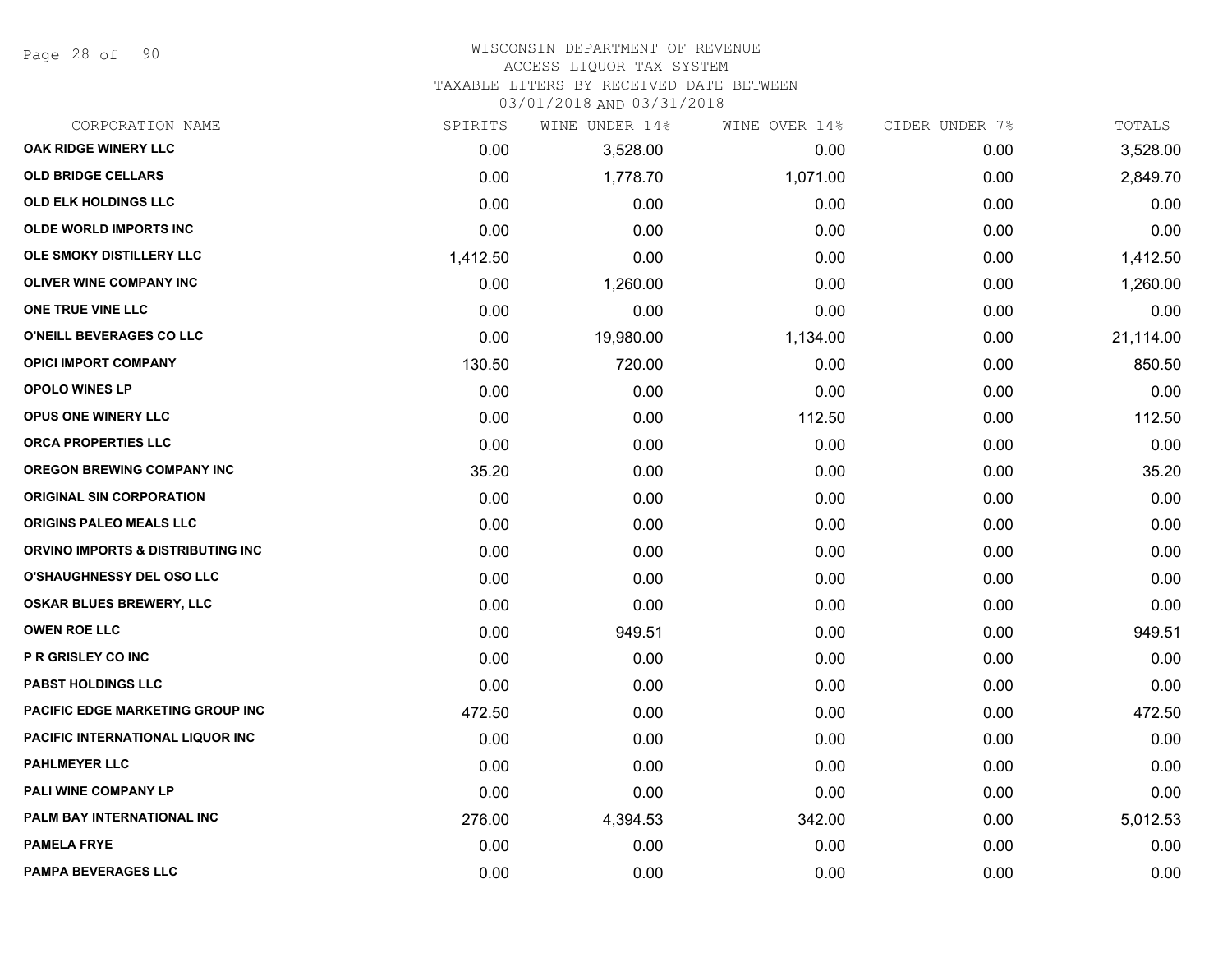Page 28 of 90

# WISCONSIN DEPARTMENT OF REVENUE

ACCESS LIQUOR TAX SYSTEM

TAXABLE LITERS BY RECEIVED DATE BETWEEN

| CORPORATION NAME                  | SPIRITS  | WINE UNDER 14% | WINE OVER 14% | CIDER UNDER 7% | TOTALS    |
|-----------------------------------|----------|----------------|---------------|----------------|-----------|
| OAK RIDGE WINERY LLC              | 0.00     | 3,528.00       | 0.00          | 0.00           | 3,528.00  |
| <b>OLD BRIDGE CELLARS</b>         | 0.00     | 1,778.70       | 1,071.00      | 0.00           | 2,849.70  |
| <b>OLD ELK HOLDINGS LLC</b>       | 0.00     | 0.00           | 0.00          | 0.00           | 0.00      |
| <b>OLDE WORLD IMPORTS INC</b>     | 0.00     | 0.00           | 0.00          | 0.00           | 0.00      |
| OLE SMOKY DISTILLERY LLC          | 1,412.50 | 0.00           | 0.00          | 0.00           | 1,412.50  |
| <b>OLIVER WINE COMPANY INC</b>    | 0.00     | 1,260.00       | 0.00          | 0.00           | 1,260.00  |
| ONE TRUE VINE LLC                 | 0.00     | 0.00           | 0.00          | 0.00           | 0.00      |
| O'NEILL BEVERAGES CO LLC          | 0.00     | 19,980.00      | 1,134.00      | 0.00           | 21,114.00 |
| <b>OPICI IMPORT COMPANY</b>       | 130.50   | 720.00         | 0.00          | 0.00           | 850.50    |
| <b>OPOLO WINES LP</b>             | 0.00     | 0.00           | 0.00          | 0.00           | 0.00      |
| OPUS ONE WINERY LLC               | 0.00     | 0.00           | 112.50        | 0.00           | 112.50    |
| ORCA PROPERTIES LLC               | 0.00     | 0.00           | 0.00          | 0.00           | 0.00      |
| <b>OREGON BREWING COMPANY INC</b> | 35.20    | 0.00           | 0.00          | 0.00           | 35.20     |
| <b>ORIGINAL SIN CORPORATION</b>   | 0.00     | 0.00           | 0.00          | 0.00           | 0.00      |
| <b>ORIGINS PALEO MEALS LLC</b>    | 0.00     | 0.00           | 0.00          | 0.00           | 0.00      |
| ORVINO IMPORTS & DISTRIBUTING INC | 0.00     | 0.00           | 0.00          | 0.00           | 0.00      |
| O'SHAUGHNESSY DEL OSO LLC         | 0.00     | 0.00           | 0.00          | 0.00           | 0.00      |
| OSKAR BLUES BREWERY, LLC          | 0.00     | 0.00           | 0.00          | 0.00           | 0.00      |
| <b>OWEN ROE LLC</b>               | 0.00     | 949.51         | 0.00          | 0.00           | 949.51    |
| <b>P R GRISLEY CO INC</b>         | 0.00     | 0.00           | 0.00          | 0.00           | 0.00      |
| <b>PABST HOLDINGS LLC</b>         | 0.00     | 0.00           | 0.00          | 0.00           | 0.00      |
| PACIFIC EDGE MARKETING GROUP INC  | 472.50   | 0.00           | 0.00          | 0.00           | 472.50    |
| PACIFIC INTERNATIONAL LIQUOR INC  | 0.00     | 0.00           | 0.00          | 0.00           | 0.00      |
| <b>PAHLMEYER LLC</b>              | 0.00     | 0.00           | 0.00          | 0.00           | 0.00      |
| <b>PALI WINE COMPANY LP</b>       | 0.00     | 0.00           | 0.00          | 0.00           | 0.00      |
| PALM BAY INTERNATIONAL INC        | 276.00   | 4,394.53       | 342.00        | 0.00           | 5,012.53  |
| <b>PAMELA FRYE</b>                | 0.00     | 0.00           | 0.00          | 0.00           | 0.00      |
| <b>PAMPA BEVERAGES LLC</b>        | 0.00     | 0.00           | 0.00          | 0.00           | 0.00      |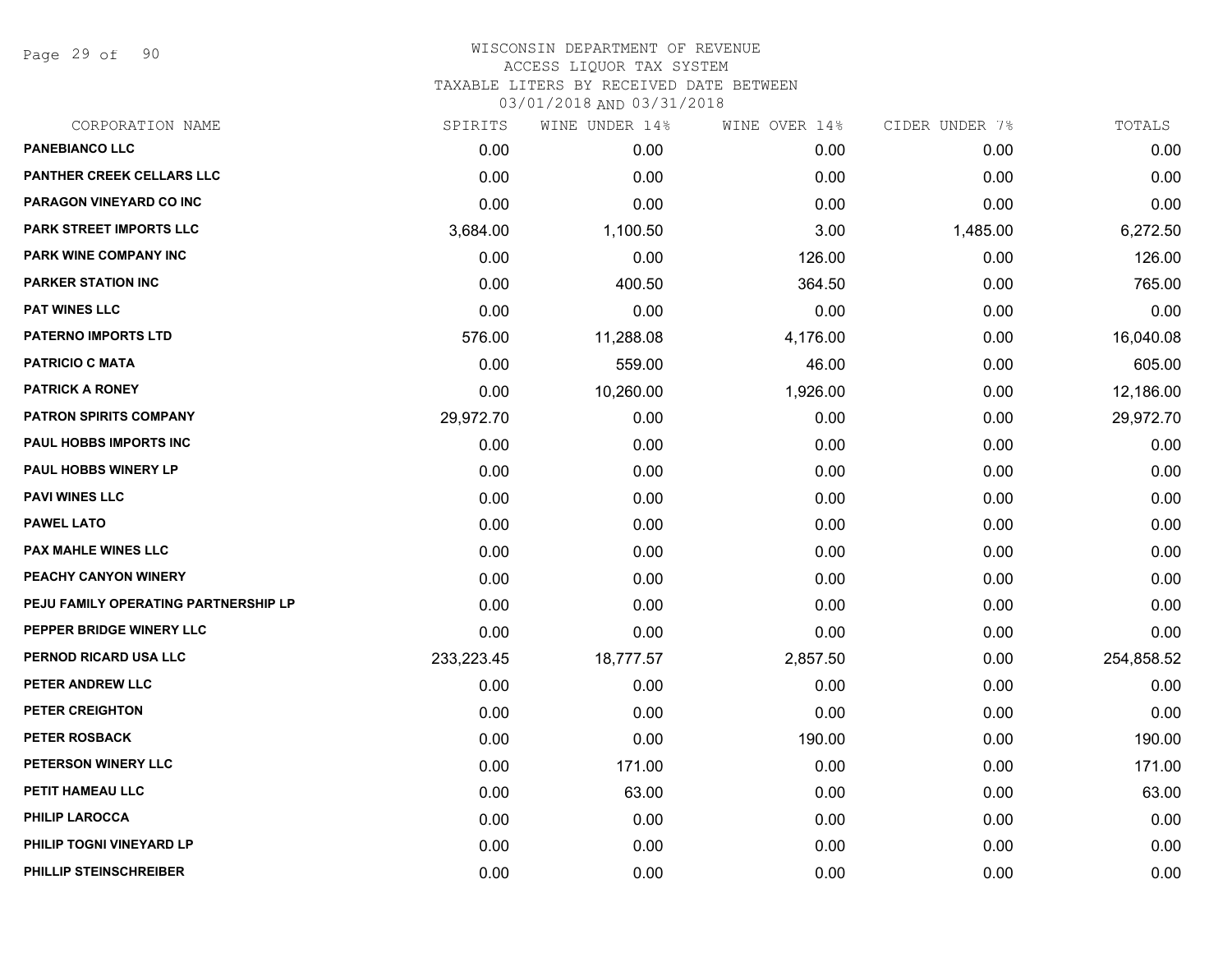Page 29 of 90

# WISCONSIN DEPARTMENT OF REVENUE ACCESS LIQUOR TAX SYSTEM TAXABLE LITERS BY RECEIVED DATE BETWEEN

| CORPORATION NAME                     | SPIRITS    | WINE UNDER 14% | WINE OVER 14% | CIDER UNDER 7% | TOTALS     |
|--------------------------------------|------------|----------------|---------------|----------------|------------|
| <b>PANEBIANCO LLC</b>                | 0.00       | 0.00           | 0.00          | 0.00           | 0.00       |
| PANTHER CREEK CELLARS LLC            | 0.00       | 0.00           | 0.00          | 0.00           | 0.00       |
| PARAGON VINEYARD CO INC              | 0.00       | 0.00           | 0.00          | 0.00           | 0.00       |
| PARK STREET IMPORTS LLC              | 3,684.00   | 1,100.50       | 3.00          | 1,485.00       | 6,272.50   |
| PARK WINE COMPANY INC                | 0.00       | 0.00           | 126.00        | 0.00           | 126.00     |
| <b>PARKER STATION INC</b>            | 0.00       | 400.50         | 364.50        | 0.00           | 765.00     |
| <b>PAT WINES LLC</b>                 | 0.00       | 0.00           | 0.00          | 0.00           | 0.00       |
| <b>PATERNO IMPORTS LTD</b>           | 576.00     | 11,288.08      | 4,176.00      | 0.00           | 16,040.08  |
| <b>PATRICIO C MATA</b>               | 0.00       | 559.00         | 46.00         | 0.00           | 605.00     |
| <b>PATRICK A RONEY</b>               | 0.00       | 10,260.00      | 1,926.00      | 0.00           | 12,186.00  |
| <b>PATRON SPIRITS COMPANY</b>        | 29,972.70  | 0.00           | 0.00          | 0.00           | 29,972.70  |
| PAUL HOBBS IMPORTS INC               | 0.00       | 0.00           | 0.00          | 0.00           | 0.00       |
| <b>PAUL HOBBS WINERY LP</b>          | 0.00       | 0.00           | 0.00          | 0.00           | 0.00       |
| <b>PAVI WINES LLC</b>                | 0.00       | 0.00           | 0.00          | 0.00           | 0.00       |
| <b>PAWEL LATO</b>                    | 0.00       | 0.00           | 0.00          | 0.00           | 0.00       |
| PAX MAHLE WINES LLC                  | 0.00       | 0.00           | 0.00          | 0.00           | 0.00       |
| PEACHY CANYON WINERY                 | 0.00       | 0.00           | 0.00          | 0.00           | 0.00       |
| PEJU FAMILY OPERATING PARTNERSHIP LP | 0.00       | 0.00           | 0.00          | 0.00           | 0.00       |
| PEPPER BRIDGE WINERY LLC             | 0.00       | 0.00           | 0.00          | 0.00           | 0.00       |
| PERNOD RICARD USA LLC                | 233,223.45 | 18,777.57      | 2,857.50      | 0.00           | 254,858.52 |
| PETER ANDREW LLC                     | 0.00       | 0.00           | 0.00          | 0.00           | 0.00       |
| PETER CREIGHTON                      | 0.00       | 0.00           | 0.00          | 0.00           | 0.00       |
| <b>PETER ROSBACK</b>                 | 0.00       | 0.00           | 190.00        | 0.00           | 190.00     |
| PETERSON WINERY LLC                  | 0.00       | 171.00         | 0.00          | 0.00           | 171.00     |
| PETIT HAMEAU LLC                     | 0.00       | 63.00          | 0.00          | 0.00           | 63.00      |
| PHILIP LAROCCA                       | 0.00       | 0.00           | 0.00          | 0.00           | 0.00       |
| PHILIP TOGNI VINEYARD LP             | 0.00       | 0.00           | 0.00          | 0.00           | 0.00       |
| PHILLIP STEINSCHREIBER               | 0.00       | 0.00           | 0.00          | 0.00           | 0.00       |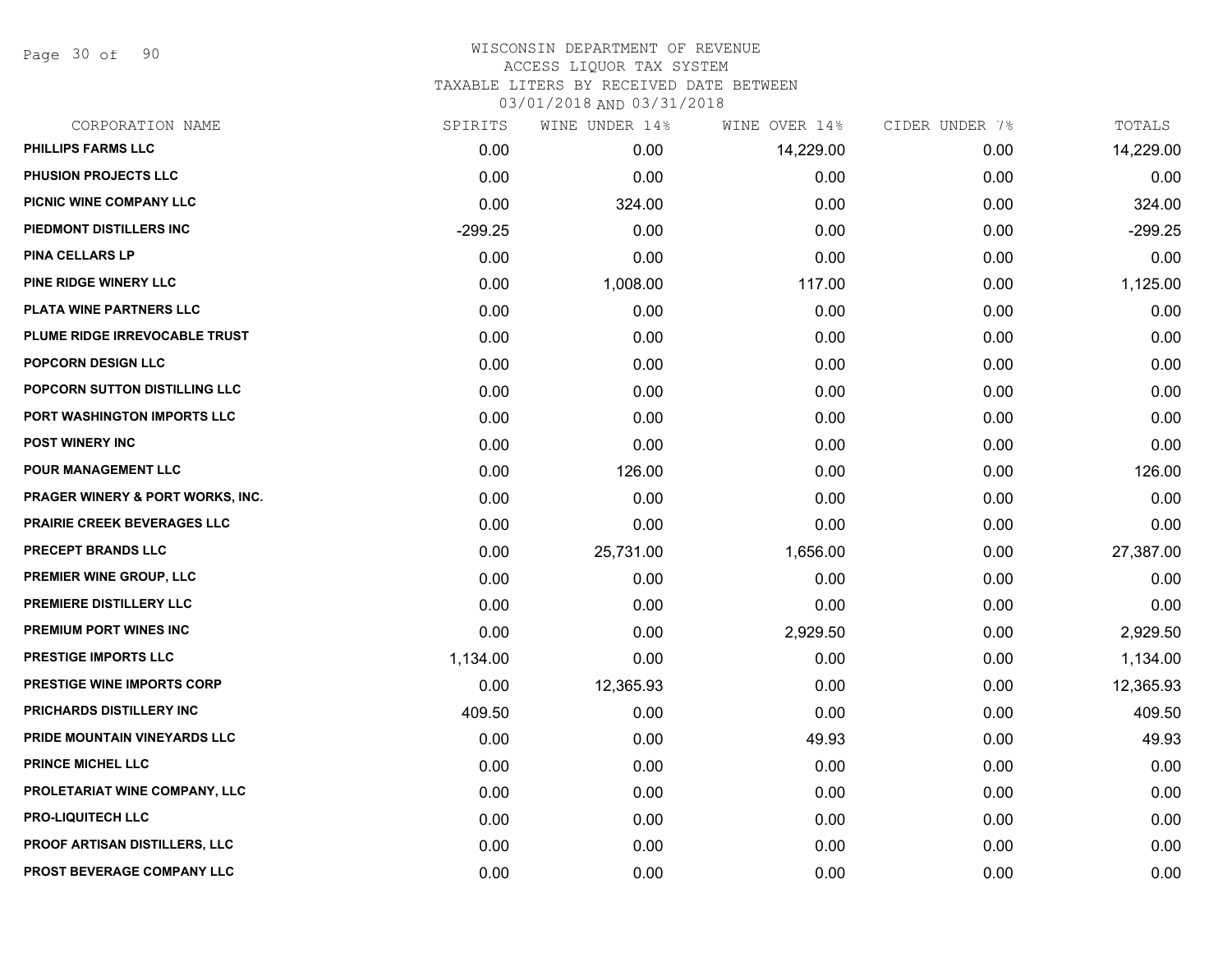Page 30 of 90

### WISCONSIN DEPARTMENT OF REVENUE ACCESS LIQUOR TAX SYSTEM TAXABLE LITERS BY RECEIVED DATE BETWEEN

| CORPORATION NAME                            | SPIRITS   | WINE UNDER 14% | WINE OVER 14% | CIDER UNDER 7% | TOTALS    |
|---------------------------------------------|-----------|----------------|---------------|----------------|-----------|
| PHILLIPS FARMS LLC                          | 0.00      | 0.00           | 14,229.00     | 0.00           | 14,229.00 |
| PHUSION PROJECTS LLC                        | 0.00      | 0.00           | 0.00          | 0.00           | 0.00      |
| PICNIC WINE COMPANY LLC                     | 0.00      | 324.00         | 0.00          | 0.00           | 324.00    |
| PIEDMONT DISTILLERS INC                     | $-299.25$ | 0.00           | 0.00          | 0.00           | $-299.25$ |
| <b>PINA CELLARS LP</b>                      | 0.00      | 0.00           | 0.00          | 0.00           | 0.00      |
| PINE RIDGE WINERY LLC                       | 0.00      | 1,008.00       | 117.00        | 0.00           | 1,125.00  |
| PLATA WINE PARTNERS LLC                     | 0.00      | 0.00           | 0.00          | 0.00           | 0.00      |
| PLUME RIDGE IRREVOCABLE TRUST               | 0.00      | 0.00           | 0.00          | 0.00           | 0.00      |
| <b>POPCORN DESIGN LLC</b>                   | 0.00      | 0.00           | 0.00          | 0.00           | 0.00      |
| POPCORN SUTTON DISTILLING LLC               | 0.00      | 0.00           | 0.00          | 0.00           | 0.00      |
| PORT WASHINGTON IMPORTS LLC                 | 0.00      | 0.00           | 0.00          | 0.00           | 0.00      |
| <b>POST WINERY INC</b>                      | 0.00      | 0.00           | 0.00          | 0.00           | 0.00      |
| <b>POUR MANAGEMENT LLC</b>                  | 0.00      | 126.00         | 0.00          | 0.00           | 126.00    |
| <b>PRAGER WINERY &amp; PORT WORKS, INC.</b> | 0.00      | 0.00           | 0.00          | 0.00           | 0.00      |
| PRAIRIE CREEK BEVERAGES LLC                 | 0.00      | 0.00           | 0.00          | 0.00           | 0.00      |
| PRECEPT BRANDS LLC                          | 0.00      | 25,731.00      | 1,656.00      | 0.00           | 27,387.00 |
| PREMIER WINE GROUP, LLC                     | 0.00      | 0.00           | 0.00          | 0.00           | 0.00      |
| PREMIERE DISTILLERY LLC                     | 0.00      | 0.00           | 0.00          | 0.00           | 0.00      |
| PREMIUM PORT WINES INC                      | 0.00      | 0.00           | 2,929.50      | 0.00           | 2,929.50  |
| <b>PRESTIGE IMPORTS LLC</b>                 | 1,134.00  | 0.00           | 0.00          | 0.00           | 1,134.00  |
| <b>PRESTIGE WINE IMPORTS CORP</b>           | 0.00      | 12,365.93      | 0.00          | 0.00           | 12,365.93 |
| PRICHARDS DISTILLERY INC                    | 409.50    | 0.00           | 0.00          | 0.00           | 409.50    |
| PRIDE MOUNTAIN VINEYARDS LLC                | 0.00      | 0.00           | 49.93         | 0.00           | 49.93     |
| PRINCE MICHEL LLC                           | 0.00      | 0.00           | 0.00          | 0.00           | 0.00      |
| PROLETARIAT WINE COMPANY, LLC               | 0.00      | 0.00           | 0.00          | 0.00           | 0.00      |
| <b>PRO-LIQUITECH LLC</b>                    | 0.00      | 0.00           | 0.00          | 0.00           | 0.00      |
| PROOF ARTISAN DISTILLERS, LLC               | 0.00      | 0.00           | 0.00          | 0.00           | 0.00      |
| PROST BEVERAGE COMPANY LLC                  | 0.00      | 0.00           | 0.00          | 0.00           | 0.00      |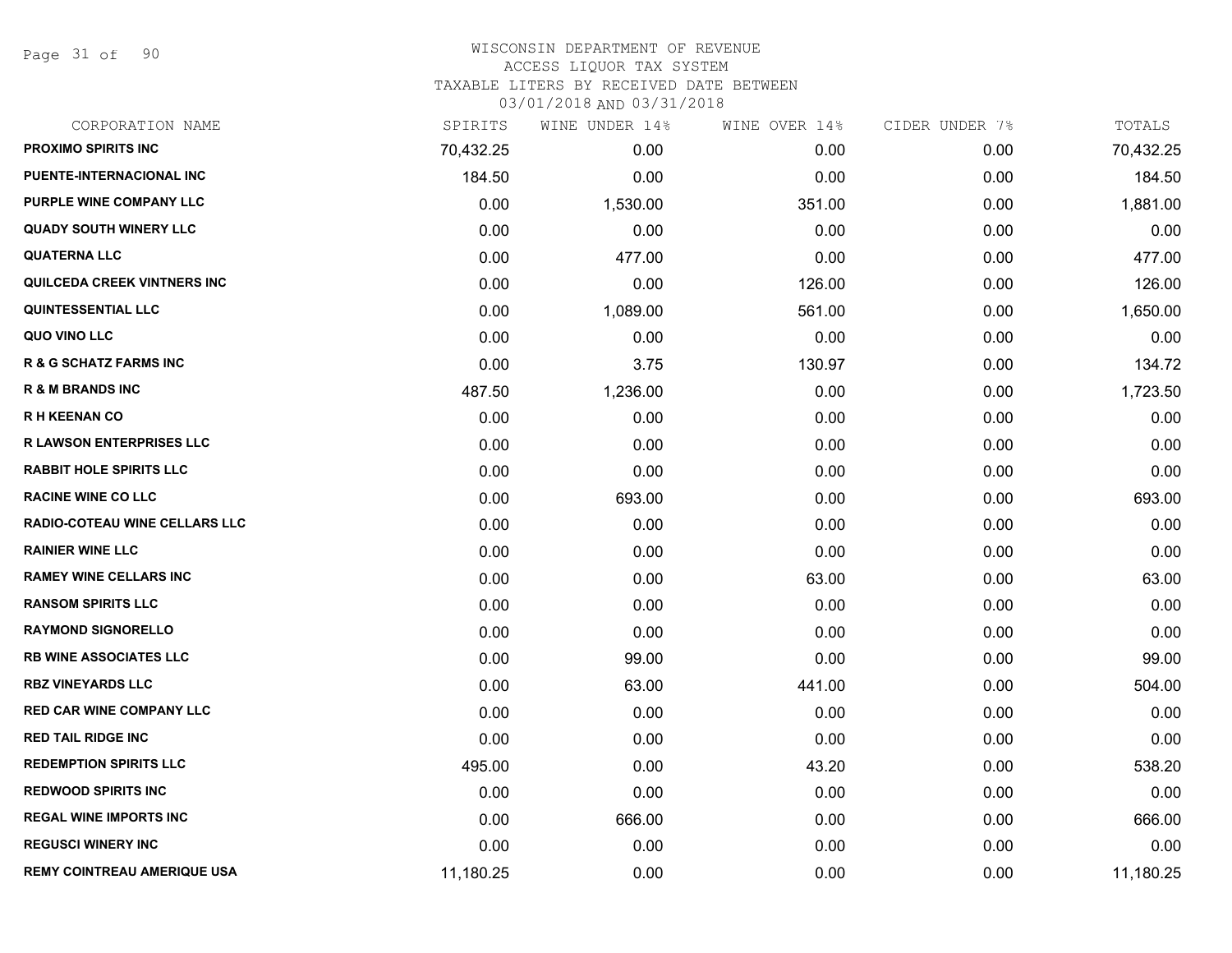Page 31 of 90

# WISCONSIN DEPARTMENT OF REVENUE ACCESS LIQUOR TAX SYSTEM

TAXABLE LITERS BY RECEIVED DATE BETWEEN

| CORPORATION NAME                     | SPIRITS   | WINE UNDER 14% | WINE OVER 14% | CIDER UNDER 7% | TOTALS    |
|--------------------------------------|-----------|----------------|---------------|----------------|-----------|
| PROXIMO SPIRITS INC                  | 70,432.25 | 0.00           | 0.00          | 0.00           | 70,432.25 |
| <b>PUENTE-INTERNACIONAL INC</b>      | 184.50    | 0.00           | 0.00          | 0.00           | 184.50    |
| PURPLE WINE COMPANY LLC              | 0.00      | 1,530.00       | 351.00        | 0.00           | 1,881.00  |
| <b>QUADY SOUTH WINERY LLC</b>        | 0.00      | 0.00           | 0.00          | 0.00           | 0.00      |
| <b>QUATERNA LLC</b>                  | 0.00      | 477.00         | 0.00          | 0.00           | 477.00    |
| QUILCEDA CREEK VINTNERS INC          | 0.00      | 0.00           | 126.00        | 0.00           | 126.00    |
| <b>QUINTESSENTIAL LLC</b>            | 0.00      | 1,089.00       | 561.00        | 0.00           | 1,650.00  |
| QUO VINO LLC                         | 0.00      | 0.00           | 0.00          | 0.00           | 0.00      |
| <b>R &amp; G SCHATZ FARMS INC</b>    | 0.00      | 3.75           | 130.97        | 0.00           | 134.72    |
| <b>R &amp; M BRANDS INC</b>          | 487.50    | 1,236.00       | 0.00          | 0.00           | 1,723.50  |
| <b>RH KEENAN CO</b>                  | 0.00      | 0.00           | 0.00          | 0.00           | 0.00      |
| <b>R LAWSON ENTERPRISES LLC</b>      | 0.00      | 0.00           | 0.00          | 0.00           | 0.00      |
| <b>RABBIT HOLE SPIRITS LLC</b>       | 0.00      | 0.00           | 0.00          | 0.00           | 0.00      |
| <b>RACINE WINE CO LLC</b>            | 0.00      | 693.00         | 0.00          | 0.00           | 693.00    |
| <b>RADIO-COTEAU WINE CELLARS LLC</b> | 0.00      | 0.00           | 0.00          | 0.00           | 0.00      |
| <b>RAINIER WINE LLC</b>              | 0.00      | 0.00           | 0.00          | 0.00           | 0.00      |
| <b>RAMEY WINE CELLARS INC</b>        | 0.00      | 0.00           | 63.00         | 0.00           | 63.00     |
| <b>RANSOM SPIRITS LLC</b>            | 0.00      | 0.00           | 0.00          | 0.00           | 0.00      |
| <b>RAYMOND SIGNORELLO</b>            | 0.00      | 0.00           | 0.00          | 0.00           | 0.00      |
| <b>RB WINE ASSOCIATES LLC</b>        | 0.00      | 99.00          | 0.00          | 0.00           | 99.00     |
| <b>RBZ VINEYARDS LLC</b>             | 0.00      | 63.00          | 441.00        | 0.00           | 504.00    |
| <b>RED CAR WINE COMPANY LLC</b>      | 0.00      | 0.00           | 0.00          | 0.00           | 0.00      |
| <b>RED TAIL RIDGE INC</b>            | 0.00      | 0.00           | 0.00          | 0.00           | 0.00      |
| <b>REDEMPTION SPIRITS LLC</b>        | 495.00    | 0.00           | 43.20         | 0.00           | 538.20    |
| <b>REDWOOD SPIRITS INC</b>           | 0.00      | 0.00           | 0.00          | 0.00           | 0.00      |
| <b>REGAL WINE IMPORTS INC</b>        | 0.00      | 666.00         | 0.00          | 0.00           | 666.00    |
| <b>REGUSCI WINERY INC</b>            | 0.00      | 0.00           | 0.00          | 0.00           | 0.00      |
| <b>REMY COINTREAU AMERIQUE USA</b>   | 11,180.25 | 0.00           | 0.00          | 0.00           | 11,180.25 |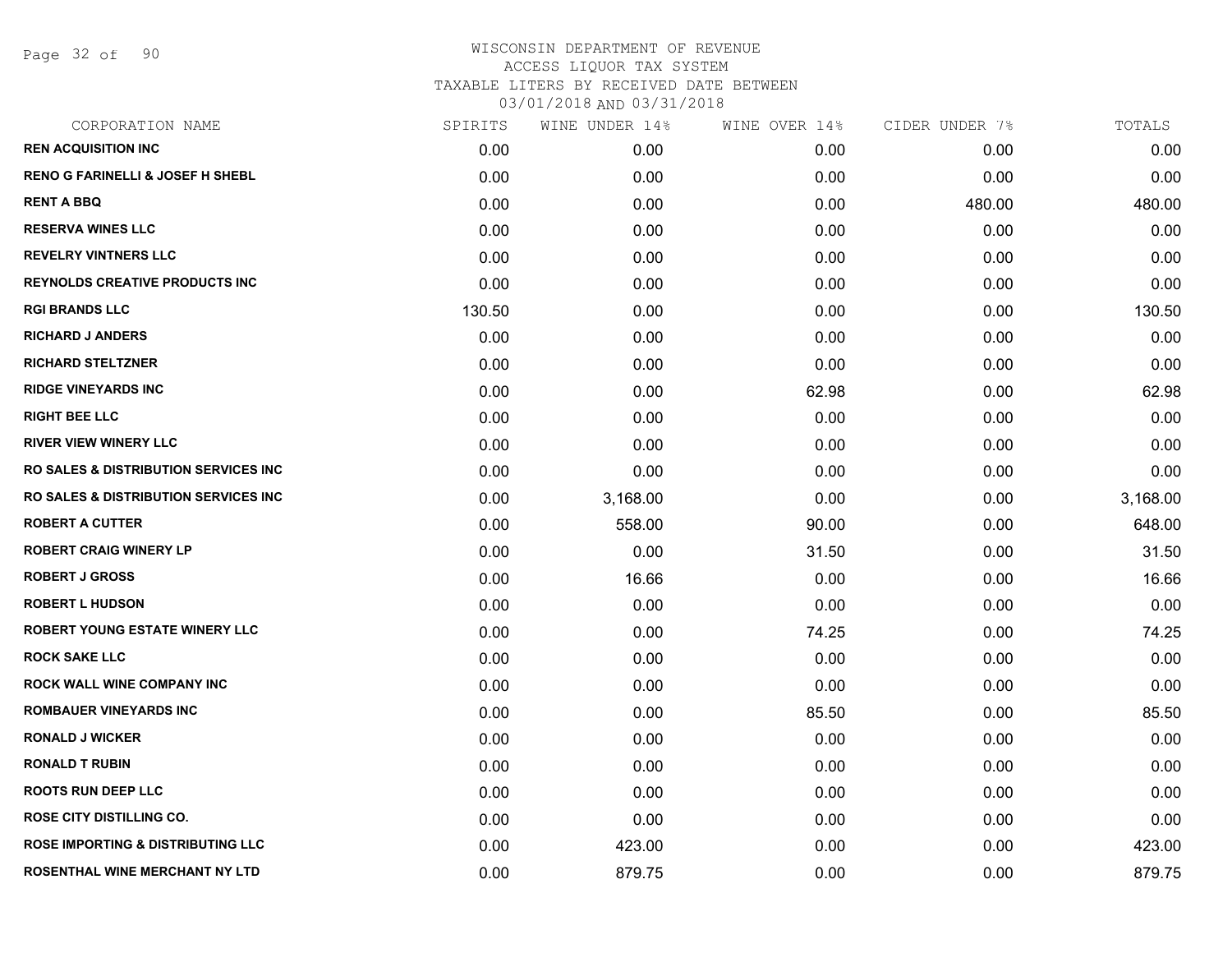Page 32 of 90

| CORPORATION NAME                                 | SPIRITS | WINE UNDER 14% | WINE OVER 14% | CIDER UNDER 7% | TOTALS   |
|--------------------------------------------------|---------|----------------|---------------|----------------|----------|
| <b>REN ACQUISITION INC</b>                       | 0.00    | 0.00           | 0.00          | 0.00           | 0.00     |
| <b>RENO G FARINELLI &amp; JOSEF H SHEBL</b>      | 0.00    | 0.00           | 0.00          | 0.00           | 0.00     |
| <b>RENT A BBQ</b>                                | 0.00    | 0.00           | 0.00          | 480.00         | 480.00   |
| <b>RESERVA WINES LLC</b>                         | 0.00    | 0.00           | 0.00          | 0.00           | 0.00     |
| <b>REVELRY VINTNERS LLC</b>                      | 0.00    | 0.00           | 0.00          | 0.00           | 0.00     |
| <b>REYNOLDS CREATIVE PRODUCTS INC</b>            | 0.00    | 0.00           | 0.00          | 0.00           | 0.00     |
| <b>RGI BRANDS LLC</b>                            | 130.50  | 0.00           | 0.00          | 0.00           | 130.50   |
| <b>RICHARD J ANDERS</b>                          | 0.00    | 0.00           | 0.00          | 0.00           | 0.00     |
| <b>RICHARD STELTZNER</b>                         | 0.00    | 0.00           | 0.00          | 0.00           | 0.00     |
| <b>RIDGE VINEYARDS INC</b>                       | 0.00    | 0.00           | 62.98         | 0.00           | 62.98    |
| <b>RIGHT BEE LLC</b>                             | 0.00    | 0.00           | 0.00          | 0.00           | 0.00     |
| <b>RIVER VIEW WINERY LLC</b>                     | 0.00    | 0.00           | 0.00          | 0.00           | 0.00     |
| <b>RO SALES &amp; DISTRIBUTION SERVICES INC.</b> | 0.00    | 0.00           | 0.00          | 0.00           | 0.00     |
| <b>RO SALES &amp; DISTRIBUTION SERVICES INC.</b> | 0.00    | 3,168.00       | 0.00          | 0.00           | 3,168.00 |
| <b>ROBERT A CUTTER</b>                           | 0.00    | 558.00         | 90.00         | 0.00           | 648.00   |
| <b>ROBERT CRAIG WINERY LP</b>                    | 0.00    | 0.00           | 31.50         | 0.00           | 31.50    |
| <b>ROBERT J GROSS</b>                            | 0.00    | 16.66          | 0.00          | 0.00           | 16.66    |
| <b>ROBERT L HUDSON</b>                           | 0.00    | 0.00           | 0.00          | 0.00           | 0.00     |
| <b>ROBERT YOUNG ESTATE WINERY LLC</b>            | 0.00    | 0.00           | 74.25         | 0.00           | 74.25    |
| <b>ROCK SAKE LLC</b>                             | 0.00    | 0.00           | 0.00          | 0.00           | 0.00     |
| <b>ROCK WALL WINE COMPANY INC</b>                | 0.00    | 0.00           | 0.00          | 0.00           | 0.00     |
| <b>ROMBAUER VINEYARDS INC</b>                    | 0.00    | 0.00           | 85.50         | 0.00           | 85.50    |
| <b>RONALD J WICKER</b>                           | 0.00    | 0.00           | 0.00          | 0.00           | 0.00     |
| <b>RONALD T RUBIN</b>                            | 0.00    | 0.00           | 0.00          | 0.00           | 0.00     |
| <b>ROOTS RUN DEEP LLC</b>                        | 0.00    | 0.00           | 0.00          | 0.00           | 0.00     |
| <b>ROSE CITY DISTILLING CO.</b>                  | 0.00    | 0.00           | 0.00          | 0.00           | 0.00     |
| <b>ROSE IMPORTING &amp; DISTRIBUTING LLC</b>     | 0.00    | 423.00         | 0.00          | 0.00           | 423.00   |
| ROSENTHAL WINE MERCHANT NY LTD                   | 0.00    | 879.75         | 0.00          | 0.00           | 879.75   |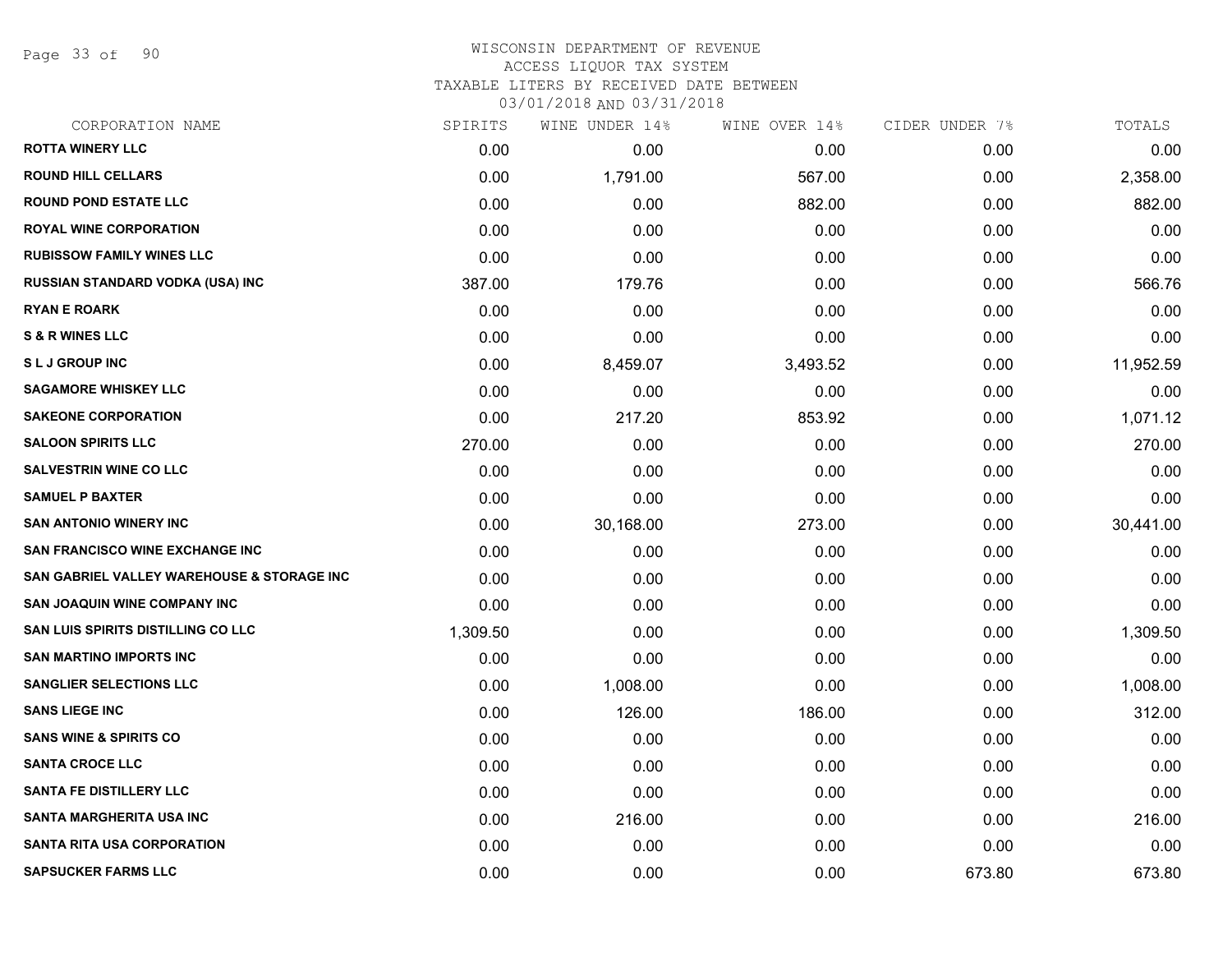Page 33 of 90

#### WISCONSIN DEPARTMENT OF REVENUE ACCESS LIQUOR TAX SYSTEM

TAXABLE LITERS BY RECEIVED DATE BETWEEN

| CORPORATION NAME                           | SPIRITS  | WINE UNDER 14% | WINE OVER 14% | CIDER UNDER 7% | TOTALS    |
|--------------------------------------------|----------|----------------|---------------|----------------|-----------|
| <b>ROTTA WINERY LLC</b>                    | 0.00     | 0.00           | 0.00          | 0.00           | 0.00      |
| <b>ROUND HILL CELLARS</b>                  | 0.00     | 1,791.00       | 567.00        | 0.00           | 2,358.00  |
| <b>ROUND POND ESTATE LLC</b>               | 0.00     | 0.00           | 882.00        | 0.00           | 882.00    |
| <b>ROYAL WINE CORPORATION</b>              | 0.00     | 0.00           | 0.00          | 0.00           | 0.00      |
| <b>RUBISSOW FAMILY WINES LLC</b>           | 0.00     | 0.00           | 0.00          | 0.00           | 0.00      |
| <b>RUSSIAN STANDARD VODKA (USA) INC</b>    | 387.00   | 179.76         | 0.00          | 0.00           | 566.76    |
| <b>RYAN E ROARK</b>                        | 0.00     | 0.00           | 0.00          | 0.00           | 0.00      |
| <b>S &amp; R WINES LLC</b>                 | 0.00     | 0.00           | 0.00          | 0.00           | 0.00      |
| <b>SLJ GROUP INC</b>                       | 0.00     | 8,459.07       | 3,493.52      | 0.00           | 11,952.59 |
| <b>SAGAMORE WHISKEY LLC</b>                | 0.00     | 0.00           | 0.00          | 0.00           | 0.00      |
| <b>SAKEONE CORPORATION</b>                 | 0.00     | 217.20         | 853.92        | 0.00           | 1,071.12  |
| <b>SALOON SPIRITS LLC</b>                  | 270.00   | 0.00           | 0.00          | 0.00           | 270.00    |
| <b>SALVESTRIN WINE CO LLC</b>              | 0.00     | 0.00           | 0.00          | 0.00           | 0.00      |
| <b>SAMUEL P BAXTER</b>                     | 0.00     | 0.00           | 0.00          | 0.00           | 0.00      |
| <b>SAN ANTONIO WINERY INC</b>              | 0.00     | 30,168.00      | 273.00        | 0.00           | 30,441.00 |
| SAN FRANCISCO WINE EXCHANGE INC            | 0.00     | 0.00           | 0.00          | 0.00           | 0.00      |
| SAN GABRIEL VALLEY WAREHOUSE & STORAGE INC | 0.00     | 0.00           | 0.00          | 0.00           | 0.00      |
| SAN JOAQUIN WINE COMPANY INC               | 0.00     | 0.00           | 0.00          | 0.00           | 0.00      |
| <b>SAN LUIS SPIRITS DISTILLING CO LLC</b>  | 1,309.50 | 0.00           | 0.00          | 0.00           | 1,309.50  |
| <b>SAN MARTINO IMPORTS INC</b>             | 0.00     | 0.00           | 0.00          | 0.00           | 0.00      |
| <b>SANGLIER SELECTIONS LLC</b>             | 0.00     | 1,008.00       | 0.00          | 0.00           | 1,008.00  |
| <b>SANS LIEGE INC</b>                      | 0.00     | 126.00         | 186.00        | 0.00           | 312.00    |
| <b>SANS WINE &amp; SPIRITS CO</b>          | 0.00     | 0.00           | 0.00          | 0.00           | 0.00      |
| <b>SANTA CROCE LLC</b>                     | 0.00     | 0.00           | 0.00          | 0.00           | 0.00      |
| <b>SANTA FE DISTILLERY LLC</b>             | 0.00     | 0.00           | 0.00          | 0.00           | 0.00      |
| <b>SANTA MARGHERITA USA INC</b>            | 0.00     | 216.00         | 0.00          | 0.00           | 216.00    |
| <b>SANTA RITA USA CORPORATION</b>          | 0.00     | 0.00           | 0.00          | 0.00           | 0.00      |
| <b>SAPSUCKER FARMS LLC</b>                 | 0.00     | 0.00           | 0.00          | 673.80         | 673.80    |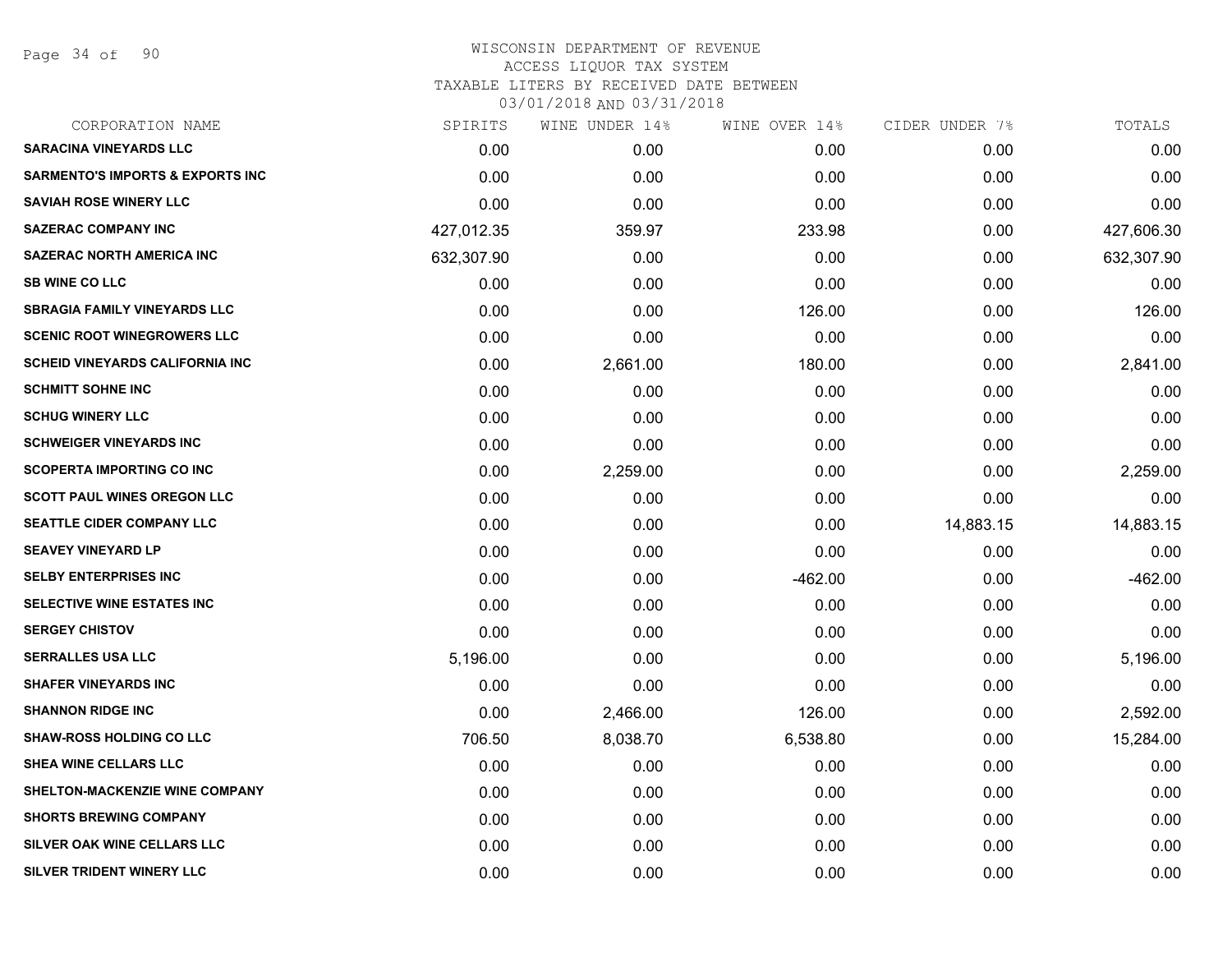Page 34 of 90

| CORPORATION NAME                            | SPIRITS    | WINE UNDER 14% | WINE OVER 14% | CIDER UNDER 7% | TOTALS     |
|---------------------------------------------|------------|----------------|---------------|----------------|------------|
| <b>SARACINA VINEYARDS LLC</b>               | 0.00       | 0.00           | 0.00          | 0.00           | 0.00       |
| <b>SARMENTO'S IMPORTS &amp; EXPORTS INC</b> | 0.00       | 0.00           | 0.00          | 0.00           | 0.00       |
| <b>SAVIAH ROSE WINERY LLC</b>               | 0.00       | 0.00           | 0.00          | 0.00           | 0.00       |
| <b>SAZERAC COMPANY INC</b>                  | 427,012.35 | 359.97         | 233.98        | 0.00           | 427,606.30 |
| <b>SAZERAC NORTH AMERICA INC</b>            | 632,307.90 | 0.00           | 0.00          | 0.00           | 632,307.90 |
| <b>SB WINE CO LLC</b>                       | 0.00       | 0.00           | 0.00          | 0.00           | 0.00       |
| <b>SBRAGIA FAMILY VINEYARDS LLC</b>         | 0.00       | 0.00           | 126.00        | 0.00           | 126.00     |
| <b>SCENIC ROOT WINEGROWERS LLC</b>          | 0.00       | 0.00           | 0.00          | 0.00           | 0.00       |
| <b>SCHEID VINEYARDS CALIFORNIA INC</b>      | 0.00       | 2,661.00       | 180.00        | 0.00           | 2,841.00   |
| <b>SCHMITT SOHNE INC</b>                    | 0.00       | 0.00           | 0.00          | 0.00           | 0.00       |
| <b>SCHUG WINERY LLC</b>                     | 0.00       | 0.00           | 0.00          | 0.00           | 0.00       |
| <b>SCHWEIGER VINEYARDS INC</b>              | 0.00       | 0.00           | 0.00          | 0.00           | 0.00       |
| <b>SCOPERTA IMPORTING CO INC</b>            | 0.00       | 2,259.00       | 0.00          | 0.00           | 2,259.00   |
| <b>SCOTT PAUL WINES OREGON LLC</b>          | 0.00       | 0.00           | 0.00          | 0.00           | 0.00       |
| SEATTLE CIDER COMPANY LLC                   | 0.00       | 0.00           | 0.00          | 14,883.15      | 14,883.15  |
| <b>SEAVEY VINEYARD LP</b>                   | 0.00       | 0.00           | 0.00          | 0.00           | 0.00       |
| <b>SELBY ENTERPRISES INC</b>                | 0.00       | 0.00           | $-462.00$     | 0.00           | $-462.00$  |
| <b>SELECTIVE WINE ESTATES INC</b>           | 0.00       | 0.00           | 0.00          | 0.00           | 0.00       |
| <b>SERGEY CHISTOV</b>                       | 0.00       | 0.00           | 0.00          | 0.00           | 0.00       |
| <b>SERRALLES USA LLC</b>                    | 5,196.00   | 0.00           | 0.00          | 0.00           | 5,196.00   |
| <b>SHAFER VINEYARDS INC</b>                 | 0.00       | 0.00           | 0.00          | 0.00           | 0.00       |
| <b>SHANNON RIDGE INC</b>                    | 0.00       | 2,466.00       | 126.00        | 0.00           | 2,592.00   |
| <b>SHAW-ROSS HOLDING CO LLC</b>             | 706.50     | 8,038.70       | 6,538.80      | 0.00           | 15,284.00  |
| SHEA WINE CELLARS LLC                       | 0.00       | 0.00           | 0.00          | 0.00           | 0.00       |
| SHELTON-MACKENZIE WINE COMPANY              | 0.00       | 0.00           | 0.00          | 0.00           | 0.00       |
| <b>SHORTS BREWING COMPANY</b>               | 0.00       | 0.00           | 0.00          | 0.00           | 0.00       |
| SILVER OAK WINE CELLARS LLC                 | 0.00       | 0.00           | 0.00          | 0.00           | 0.00       |
| SILVER TRIDENT WINERY LLC                   | 0.00       | 0.00           | 0.00          | 0.00           | 0.00       |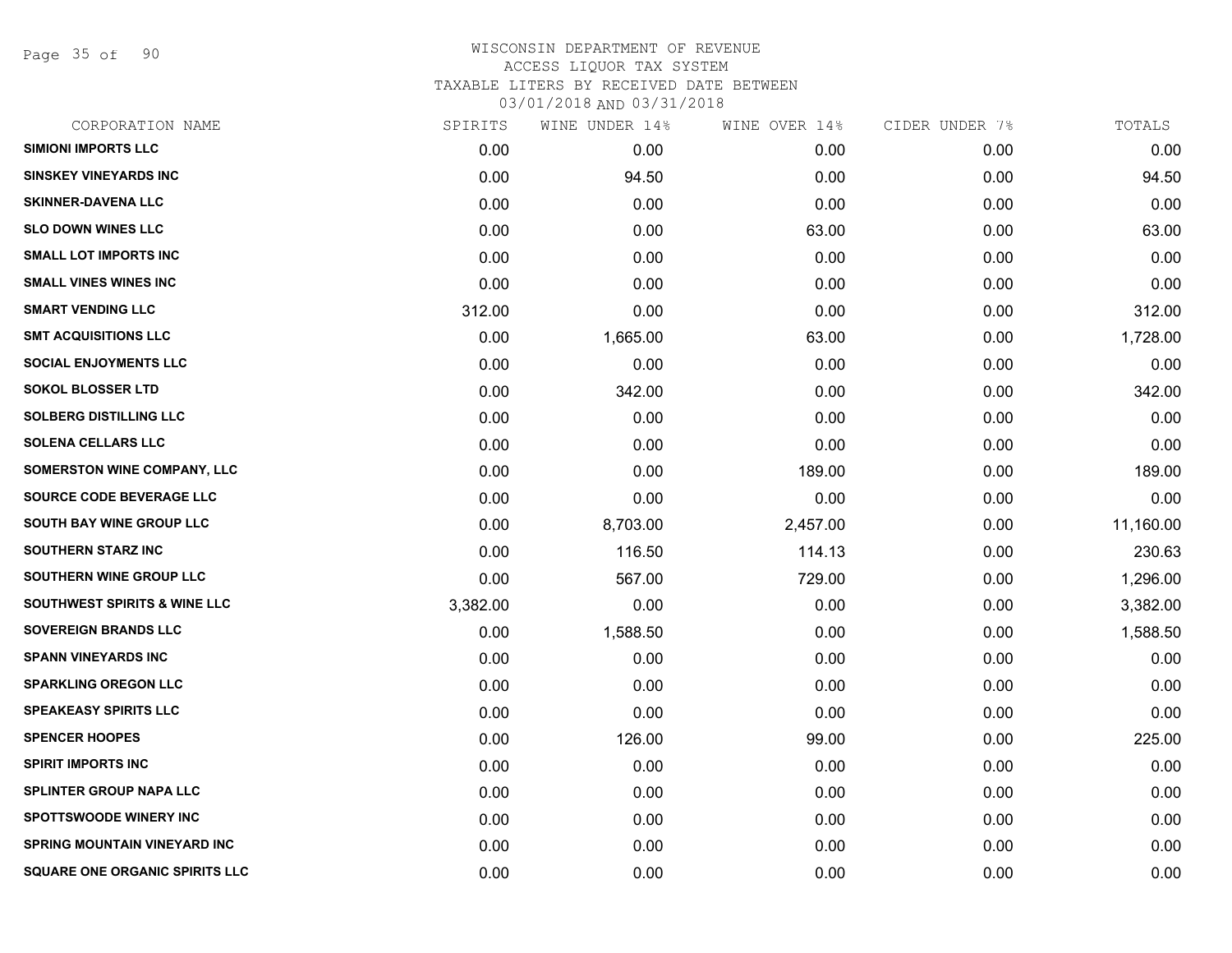Page 35 of 90

| CORPORATION NAME                        | SPIRITS  | WINE UNDER 14% | WINE OVER 14% | CIDER UNDER 7% | TOTALS    |
|-----------------------------------------|----------|----------------|---------------|----------------|-----------|
| <b>SIMIONI IMPORTS LLC</b>              | 0.00     | 0.00           | 0.00          | 0.00           | 0.00      |
| <b>SINSKEY VINEYARDS INC</b>            | 0.00     | 94.50          | 0.00          | 0.00           | 94.50     |
| <b>SKINNER-DAVENA LLC</b>               | 0.00     | 0.00           | 0.00          | 0.00           | 0.00      |
| <b>SLO DOWN WINES LLC</b>               | 0.00     | 0.00           | 63.00         | 0.00           | 63.00     |
| <b>SMALL LOT IMPORTS INC</b>            | 0.00     | 0.00           | 0.00          | 0.00           | 0.00      |
| <b>SMALL VINES WINES INC</b>            | 0.00     | 0.00           | 0.00          | 0.00           | 0.00      |
| <b>SMART VENDING LLC</b>                | 312.00   | 0.00           | 0.00          | 0.00           | 312.00    |
| <b>SMT ACQUISITIONS LLC</b>             | 0.00     | 1,665.00       | 63.00         | 0.00           | 1,728.00  |
| <b>SOCIAL ENJOYMENTS LLC</b>            | 0.00     | 0.00           | 0.00          | 0.00           | 0.00      |
| <b>SOKOL BLOSSER LTD</b>                | 0.00     | 342.00         | 0.00          | 0.00           | 342.00    |
| <b>SOLBERG DISTILLING LLC</b>           | 0.00     | 0.00           | 0.00          | 0.00           | 0.00      |
| <b>SOLENA CELLARS LLC</b>               | 0.00     | 0.00           | 0.00          | 0.00           | 0.00      |
| <b>SOMERSTON WINE COMPANY, LLC</b>      | 0.00     | 0.00           | 189.00        | 0.00           | 189.00    |
| SOURCE CODE BEVERAGE LLC                | 0.00     | 0.00           | 0.00          | 0.00           | 0.00      |
| SOUTH BAY WINE GROUP LLC                | 0.00     | 8,703.00       | 2,457.00      | 0.00           | 11,160.00 |
| <b>SOUTHERN STARZ INC</b>               | 0.00     | 116.50         | 114.13        | 0.00           | 230.63    |
| <b>SOUTHERN WINE GROUP LLC</b>          | 0.00     | 567.00         | 729.00        | 0.00           | 1,296.00  |
| <b>SOUTHWEST SPIRITS &amp; WINE LLC</b> | 3,382.00 | 0.00           | 0.00          | 0.00           | 3,382.00  |
| <b>SOVEREIGN BRANDS LLC</b>             | 0.00     | 1,588.50       | 0.00          | 0.00           | 1,588.50  |
| <b>SPANN VINEYARDS INC</b>              | 0.00     | 0.00           | 0.00          | 0.00           | 0.00      |
| <b>SPARKLING OREGON LLC</b>             | 0.00     | 0.00           | 0.00          | 0.00           | 0.00      |
| <b>SPEAKEASY SPIRITS LLC</b>            | 0.00     | 0.00           | 0.00          | 0.00           | 0.00      |
| <b>SPENCER HOOPES</b>                   | 0.00     | 126.00         | 99.00         | 0.00           | 225.00    |
| <b>SPIRIT IMPORTS INC</b>               | 0.00     | 0.00           | 0.00          | 0.00           | 0.00      |
| <b>SPLINTER GROUP NAPA LLC</b>          | 0.00     | 0.00           | 0.00          | 0.00           | 0.00      |
| <b>SPOTTSWOODE WINERY INC</b>           | 0.00     | 0.00           | 0.00          | 0.00           | 0.00      |
| <b>SPRING MOUNTAIN VINEYARD INC</b>     | 0.00     | 0.00           | 0.00          | 0.00           | 0.00      |
| <b>SQUARE ONE ORGANIC SPIRITS LLC</b>   | 0.00     | 0.00           | 0.00          | 0.00           | 0.00      |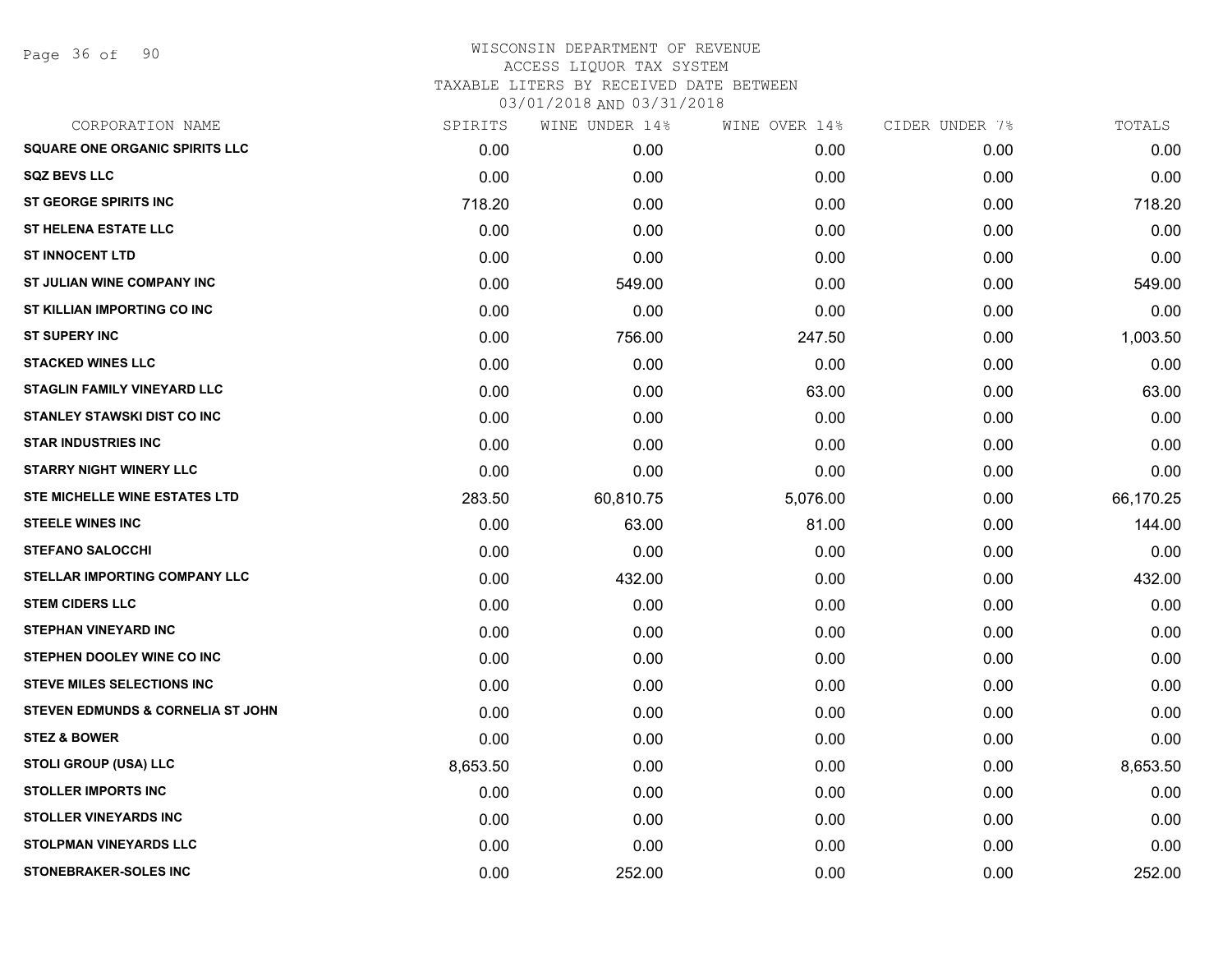| CORPORATION NAME                      | SPIRITS  | WINE UNDER 14% | WINE OVER 14% | CIDER UNDER 7% | TOTALS    |
|---------------------------------------|----------|----------------|---------------|----------------|-----------|
| <b>SQUARE ONE ORGANIC SPIRITS LLC</b> | 0.00     | 0.00           | 0.00          | 0.00           | 0.00      |
| <b>SQZ BEVS LLC</b>                   | 0.00     | 0.00           | 0.00          | 0.00           | 0.00      |
| <b>ST GEORGE SPIRITS INC</b>          | 718.20   | 0.00           | 0.00          | 0.00           | 718.20    |
| <b>ST HELENA ESTATE LLC</b>           | 0.00     | 0.00           | 0.00          | 0.00           | 0.00      |
| <b>ST INNOCENT LTD</b>                | 0.00     | 0.00           | 0.00          | 0.00           | 0.00      |
| ST JULIAN WINE COMPANY INC            | 0.00     | 549.00         | 0.00          | 0.00           | 549.00    |
| ST KILLIAN IMPORTING CO INC           | 0.00     | 0.00           | 0.00          | 0.00           | 0.00      |
| <b>ST SUPERY INC</b>                  | 0.00     | 756.00         | 247.50        | 0.00           | 1,003.50  |
| <b>STACKED WINES LLC</b>              | 0.00     | 0.00           | 0.00          | 0.00           | 0.00      |
| <b>STAGLIN FAMILY VINEYARD LLC</b>    | 0.00     | 0.00           | 63.00         | 0.00           | 63.00     |
| <b>STANLEY STAWSKI DIST CO INC</b>    | 0.00     | 0.00           | 0.00          | 0.00           | 0.00      |
| <b>STAR INDUSTRIES INC</b>            | 0.00     | 0.00           | 0.00          | 0.00           | 0.00      |
| <b>STARRY NIGHT WINERY LLC</b>        | 0.00     | 0.00           | 0.00          | 0.00           | 0.00      |
| STE MICHELLE WINE ESTATES LTD         | 283.50   | 60,810.75      | 5,076.00      | 0.00           | 66,170.25 |
| <b>STEELE WINES INC</b>               | 0.00     | 63.00          | 81.00         | 0.00           | 144.00    |
| <b>STEFANO SALOCCHI</b>               | 0.00     | 0.00           | 0.00          | 0.00           | 0.00      |
| STELLAR IMPORTING COMPANY LLC         | 0.00     | 432.00         | 0.00          | 0.00           | 432.00    |
| <b>STEM CIDERS LLC</b>                | 0.00     | 0.00           | 0.00          | 0.00           | 0.00      |
| <b>STEPHAN VINEYARD INC</b>           | 0.00     | 0.00           | 0.00          | 0.00           | 0.00      |
| STEPHEN DOOLEY WINE CO INC            | 0.00     | 0.00           | 0.00          | 0.00           | 0.00      |
| <b>STEVE MILES SELECTIONS INC</b>     | 0.00     | 0.00           | 0.00          | 0.00           | 0.00      |
| STEVEN EDMUNDS & CORNELIA ST JOHN     | 0.00     | 0.00           | 0.00          | 0.00           | 0.00      |
| <b>STEZ &amp; BOWER</b>               | 0.00     | 0.00           | 0.00          | 0.00           | 0.00      |
| <b>STOLI GROUP (USA) LLC</b>          | 8,653.50 | 0.00           | 0.00          | 0.00           | 8,653.50  |
| <b>STOLLER IMPORTS INC</b>            | 0.00     | 0.00           | 0.00          | 0.00           | 0.00      |
| <b>STOLLER VINEYARDS INC</b>          | 0.00     | 0.00           | 0.00          | 0.00           | 0.00      |
| <b>STOLPMAN VINEYARDS LLC</b>         | 0.00     | 0.00           | 0.00          | 0.00           | 0.00      |
| <b>STONEBRAKER-SOLES INC</b>          | 0.00     | 252.00         | 0.00          | 0.00           | 252.00    |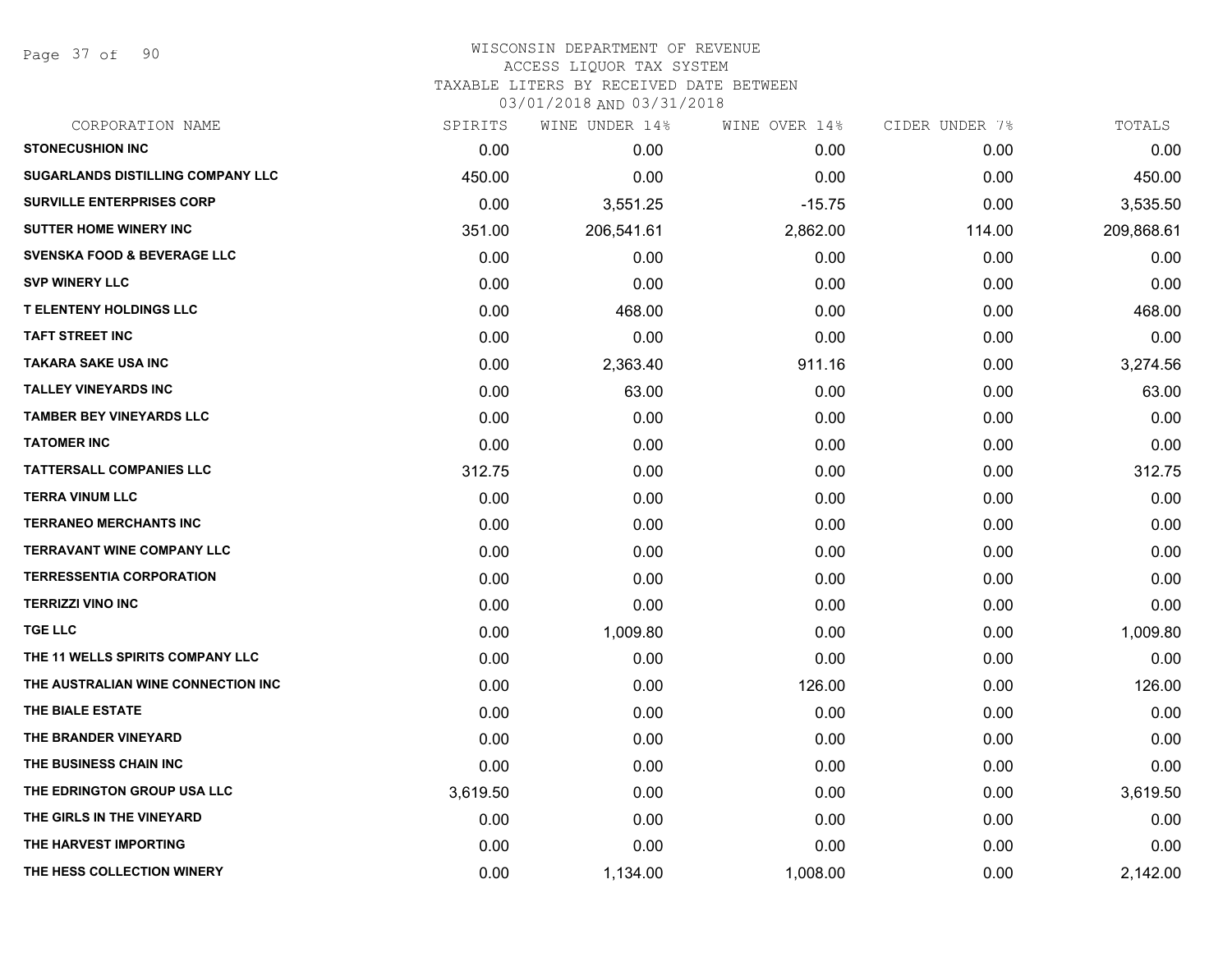Page 37 of 90

| CORPORATION NAME                       | SPIRITS  | WINE UNDER 14% | WINE OVER 14% | CIDER UNDER 7% | TOTALS     |
|----------------------------------------|----------|----------------|---------------|----------------|------------|
| <b>STONECUSHION INC</b>                | 0.00     | 0.00           | 0.00          | 0.00           | 0.00       |
| SUGARLANDS DISTILLING COMPANY LLC      | 450.00   | 0.00           | 0.00          | 0.00           | 450.00     |
| <b>SURVILLE ENTERPRISES CORP</b>       | 0.00     | 3,551.25       | $-15.75$      | 0.00           | 3,535.50   |
| <b>SUTTER HOME WINERY INC</b>          | 351.00   | 206,541.61     | 2,862.00      | 114.00         | 209,868.61 |
| <b>SVENSKA FOOD &amp; BEVERAGE LLC</b> | 0.00     | 0.00           | 0.00          | 0.00           | 0.00       |
| <b>SVP WINERY LLC</b>                  | 0.00     | 0.00           | 0.00          | 0.00           | 0.00       |
| <b>T ELENTENY HOLDINGS LLC</b>         | 0.00     | 468.00         | 0.00          | 0.00           | 468.00     |
| <b>TAFT STREET INC</b>                 | 0.00     | 0.00           | 0.00          | 0.00           | 0.00       |
| <b>TAKARA SAKE USA INC</b>             | 0.00     | 2,363.40       | 911.16        | 0.00           | 3,274.56   |
| <b>TALLEY VINEYARDS INC</b>            | 0.00     | 63.00          | 0.00          | 0.00           | 63.00      |
| <b>TAMBER BEY VINEYARDS LLC</b>        | 0.00     | 0.00           | 0.00          | 0.00           | 0.00       |
| <b>TATOMER INC</b>                     | 0.00     | 0.00           | 0.00          | 0.00           | 0.00       |
| <b>TATTERSALL COMPANIES LLC</b>        | 312.75   | 0.00           | 0.00          | 0.00           | 312.75     |
| <b>TERRA VINUM LLC</b>                 | 0.00     | 0.00           | 0.00          | 0.00           | 0.00       |
| <b>TERRANEO MERCHANTS INC</b>          | 0.00     | 0.00           | 0.00          | 0.00           | 0.00       |
| <b>TERRAVANT WINE COMPANY LLC</b>      | 0.00     | 0.00           | 0.00          | 0.00           | 0.00       |
| <b>TERRESSENTIA CORPORATION</b>        | 0.00     | 0.00           | 0.00          | 0.00           | 0.00       |
| <b>TERRIZZI VINO INC</b>               | 0.00     | 0.00           | 0.00          | 0.00           | 0.00       |
| <b>TGE LLC</b>                         | 0.00     | 1,009.80       | 0.00          | 0.00           | 1,009.80   |
| THE 11 WELLS SPIRITS COMPANY LLC       | 0.00     | 0.00           | 0.00          | 0.00           | 0.00       |
| THE AUSTRALIAN WINE CONNECTION INC     | 0.00     | 0.00           | 126.00        | 0.00           | 126.00     |
| THE BIALE ESTATE                       | 0.00     | 0.00           | 0.00          | 0.00           | 0.00       |
| THE BRANDER VINEYARD                   | 0.00     | 0.00           | 0.00          | 0.00           | 0.00       |
| THE BUSINESS CHAIN INC                 | 0.00     | 0.00           | 0.00          | 0.00           | 0.00       |
| THE EDRINGTON GROUP USA LLC            | 3,619.50 | 0.00           | 0.00          | 0.00           | 3,619.50   |
| THE GIRLS IN THE VINEYARD              | 0.00     | 0.00           | 0.00          | 0.00           | 0.00       |
| THE HARVEST IMPORTING                  | 0.00     | 0.00           | 0.00          | 0.00           | 0.00       |
| THE HESS COLLECTION WINERY             | 0.00     | 1,134.00       | 1,008.00      | 0.00           | 2,142.00   |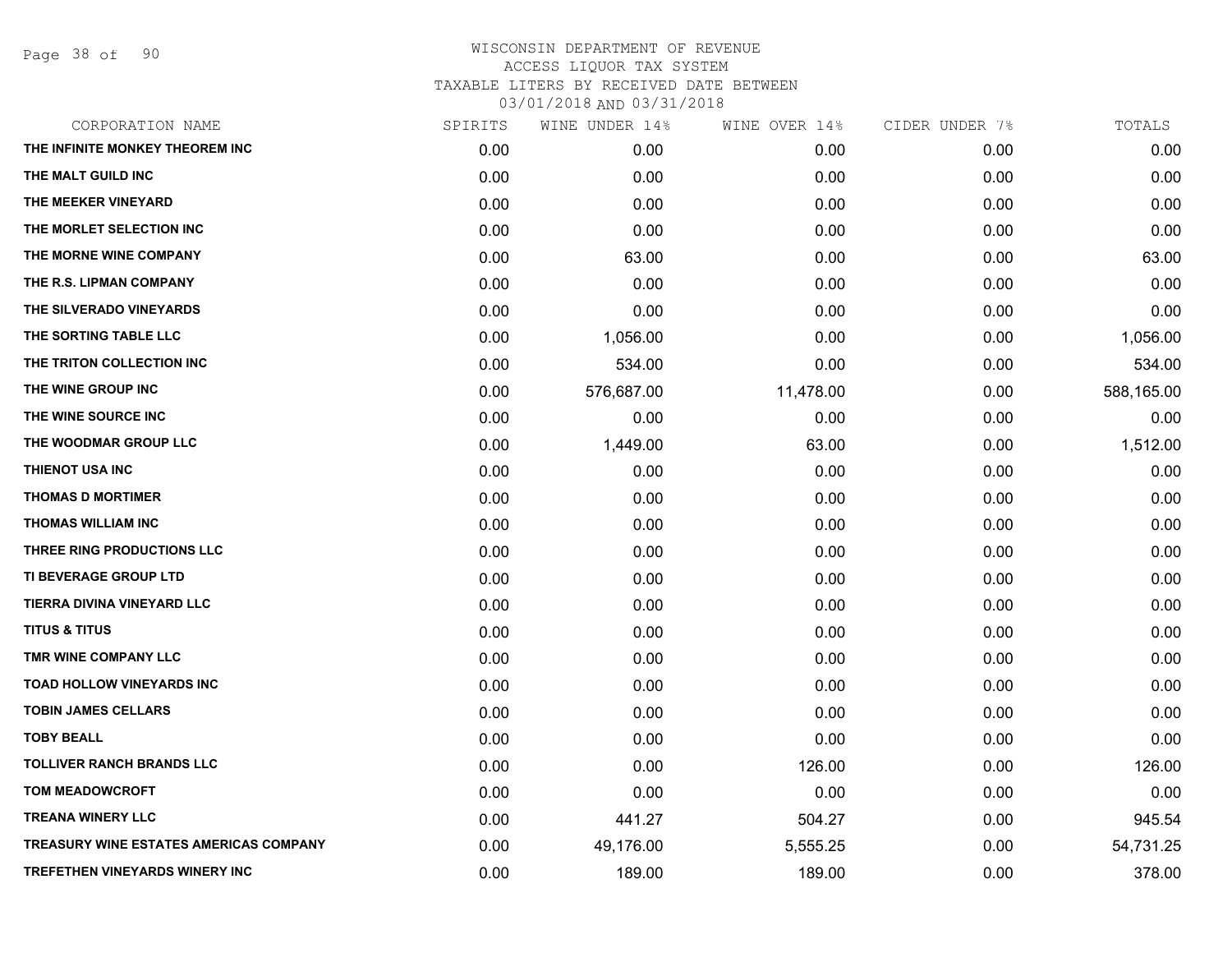Page 38 of 90

| SPIRITS | WINE UNDER 14% | WINE OVER 14% |      | TOTALS         |
|---------|----------------|---------------|------|----------------|
| 0.00    | 0.00           | 0.00          | 0.00 | 0.00           |
| 0.00    | 0.00           | 0.00          | 0.00 | 0.00           |
| 0.00    | 0.00           | 0.00          | 0.00 | 0.00           |
| 0.00    | 0.00           | 0.00          | 0.00 | 0.00           |
| 0.00    | 63.00          | 0.00          | 0.00 | 63.00          |
| 0.00    | 0.00           | 0.00          | 0.00 | 0.00           |
| 0.00    | 0.00           | 0.00          | 0.00 | 0.00           |
| 0.00    | 1,056.00       | 0.00          | 0.00 | 1,056.00       |
| 0.00    | 534.00         | 0.00          | 0.00 | 534.00         |
| 0.00    | 576,687.00     | 11,478.00     | 0.00 | 588,165.00     |
| 0.00    | 0.00           | 0.00          | 0.00 | 0.00           |
| 0.00    | 1,449.00       | 63.00         | 0.00 | 1,512.00       |
| 0.00    | 0.00           | 0.00          | 0.00 | 0.00           |
| 0.00    | 0.00           | 0.00          | 0.00 | 0.00           |
| 0.00    | 0.00           | 0.00          | 0.00 | 0.00           |
| 0.00    | 0.00           | 0.00          | 0.00 | 0.00           |
| 0.00    | 0.00           | 0.00          | 0.00 | 0.00           |
| 0.00    | 0.00           | 0.00          | 0.00 | 0.00           |
| 0.00    | 0.00           | 0.00          | 0.00 | 0.00           |
| 0.00    | 0.00           | 0.00          | 0.00 | 0.00           |
| 0.00    | 0.00           | 0.00          | 0.00 | 0.00           |
| 0.00    | 0.00           | 0.00          | 0.00 | 0.00           |
| 0.00    | 0.00           | 0.00          | 0.00 | 0.00           |
| 0.00    | 0.00           | 126.00        | 0.00 | 126.00         |
| 0.00    | 0.00           | 0.00          | 0.00 | 0.00           |
| 0.00    | 441.27         | 504.27        | 0.00 | 945.54         |
| 0.00    | 49,176.00      | 5,555.25      | 0.00 | 54,731.25      |
| 0.00    | 189.00         | 189.00        | 0.00 | 378.00         |
|         |                |               |      | CIDER UNDER 7% |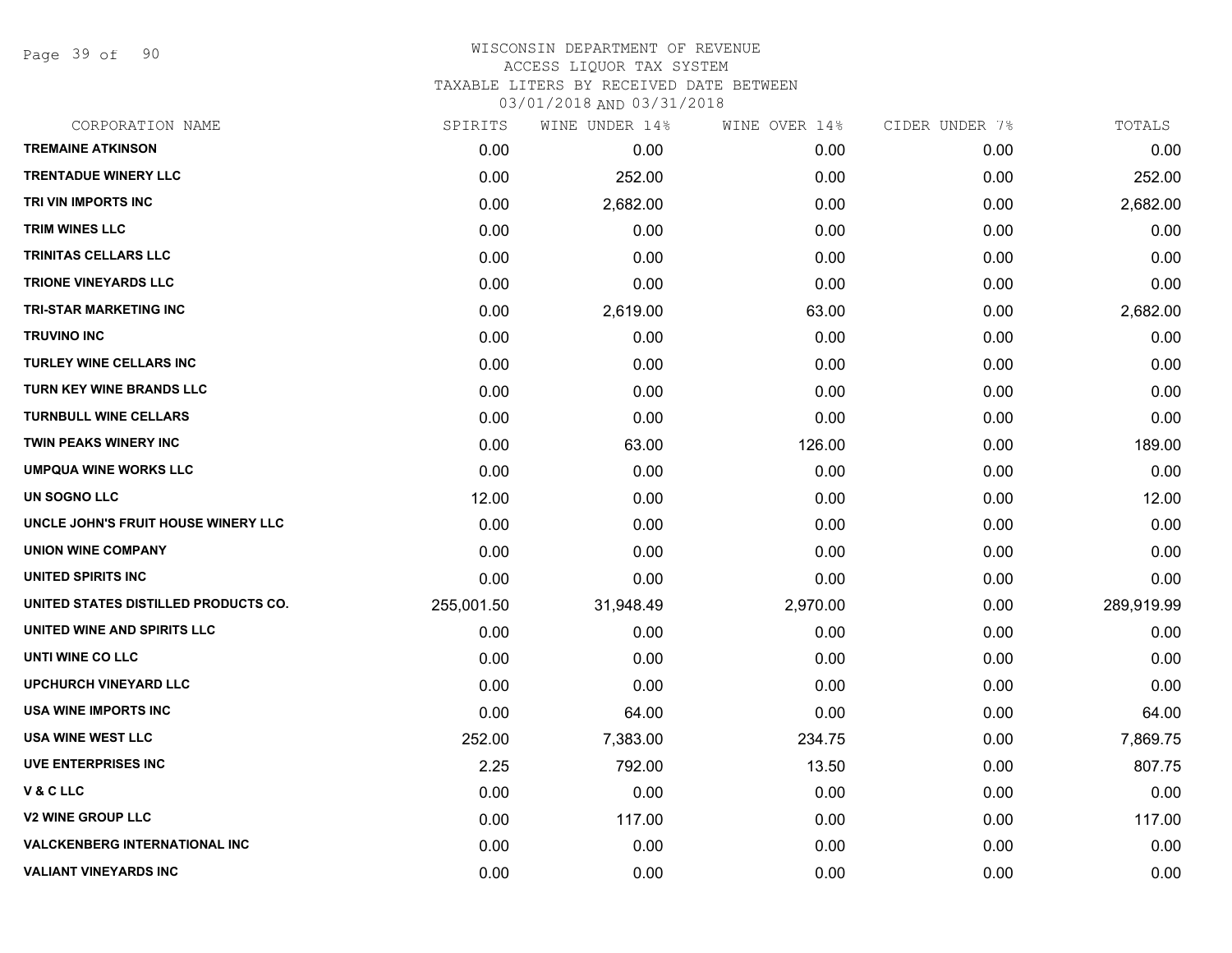Page 39 of 90

## WISCONSIN DEPARTMENT OF REVENUE ACCESS LIQUOR TAX SYSTEM TAXABLE LITERS BY RECEIVED DATE BETWEEN

| CORPORATION NAME                     | SPIRITS    | WINE UNDER 14% | WINE OVER 14% | CIDER UNDER 7% | TOTALS     |
|--------------------------------------|------------|----------------|---------------|----------------|------------|
| <b>TREMAINE ATKINSON</b>             | 0.00       | 0.00           | 0.00          | 0.00           | 0.00       |
| <b>TRENTADUE WINERY LLC</b>          | 0.00       | 252.00         | 0.00          | 0.00           | 252.00     |
| TRI VIN IMPORTS INC                  | 0.00       | 2,682.00       | 0.00          | 0.00           | 2,682.00   |
| <b>TRIM WINES LLC</b>                | 0.00       | 0.00           | 0.00          | 0.00           | 0.00       |
| TRINITAS CELLARS LLC                 | 0.00       | 0.00           | 0.00          | 0.00           | 0.00       |
| <b>TRIONE VINEYARDS LLC</b>          | 0.00       | 0.00           | 0.00          | 0.00           | 0.00       |
| TRI-STAR MARKETING INC               | 0.00       | 2,619.00       | 63.00         | 0.00           | 2,682.00   |
| <b>TRUVINO INC</b>                   | 0.00       | 0.00           | 0.00          | 0.00           | 0.00       |
| <b>TURLEY WINE CELLARS INC</b>       | 0.00       | 0.00           | 0.00          | 0.00           | 0.00       |
| TURN KEY WINE BRANDS LLC             | 0.00       | 0.00           | 0.00          | 0.00           | 0.00       |
| <b>TURNBULL WINE CELLARS</b>         | 0.00       | 0.00           | 0.00          | 0.00           | 0.00       |
| TWIN PEAKS WINERY INC                | 0.00       | 63.00          | 126.00        | 0.00           | 189.00     |
| <b>UMPQUA WINE WORKS LLC</b>         | 0.00       | 0.00           | 0.00          | 0.00           | 0.00       |
| UN SOGNO LLC                         | 12.00      | 0.00           | 0.00          | 0.00           | 12.00      |
| UNCLE JOHN'S FRUIT HOUSE WINERY LLC  | 0.00       | 0.00           | 0.00          | 0.00           | 0.00       |
| <b>UNION WINE COMPANY</b>            | 0.00       | 0.00           | 0.00          | 0.00           | 0.00       |
| UNITED SPIRITS INC                   | 0.00       | 0.00           | 0.00          | 0.00           | 0.00       |
| UNITED STATES DISTILLED PRODUCTS CO. | 255,001.50 | 31,948.49      | 2,970.00      | 0.00           | 289,919.99 |
| UNITED WINE AND SPIRITS LLC          | 0.00       | 0.00           | 0.00          | 0.00           | 0.00       |
| UNTI WINE CO LLC                     | 0.00       | 0.00           | 0.00          | 0.00           | 0.00       |
| <b>UPCHURCH VINEYARD LLC</b>         | 0.00       | 0.00           | 0.00          | 0.00           | 0.00       |
| USA WINE IMPORTS INC                 | 0.00       | 64.00          | 0.00          | 0.00           | 64.00      |
| <b>USA WINE WEST LLC</b>             | 252.00     | 7,383.00       | 234.75        | 0.00           | 7,869.75   |
| <b>UVE ENTERPRISES INC</b>           | 2.25       | 792.00         | 13.50         | 0.00           | 807.75     |
| V & C LLC                            | 0.00       | 0.00           | 0.00          | 0.00           | 0.00       |
| <b>V2 WINE GROUP LLC</b>             | 0.00       | 117.00         | 0.00          | 0.00           | 117.00     |
| <b>VALCKENBERG INTERNATIONAL INC</b> | 0.00       | 0.00           | 0.00          | 0.00           | 0.00       |
| <b>VALIANT VINEYARDS INC</b>         | 0.00       | 0.00           | 0.00          | 0.00           | 0.00       |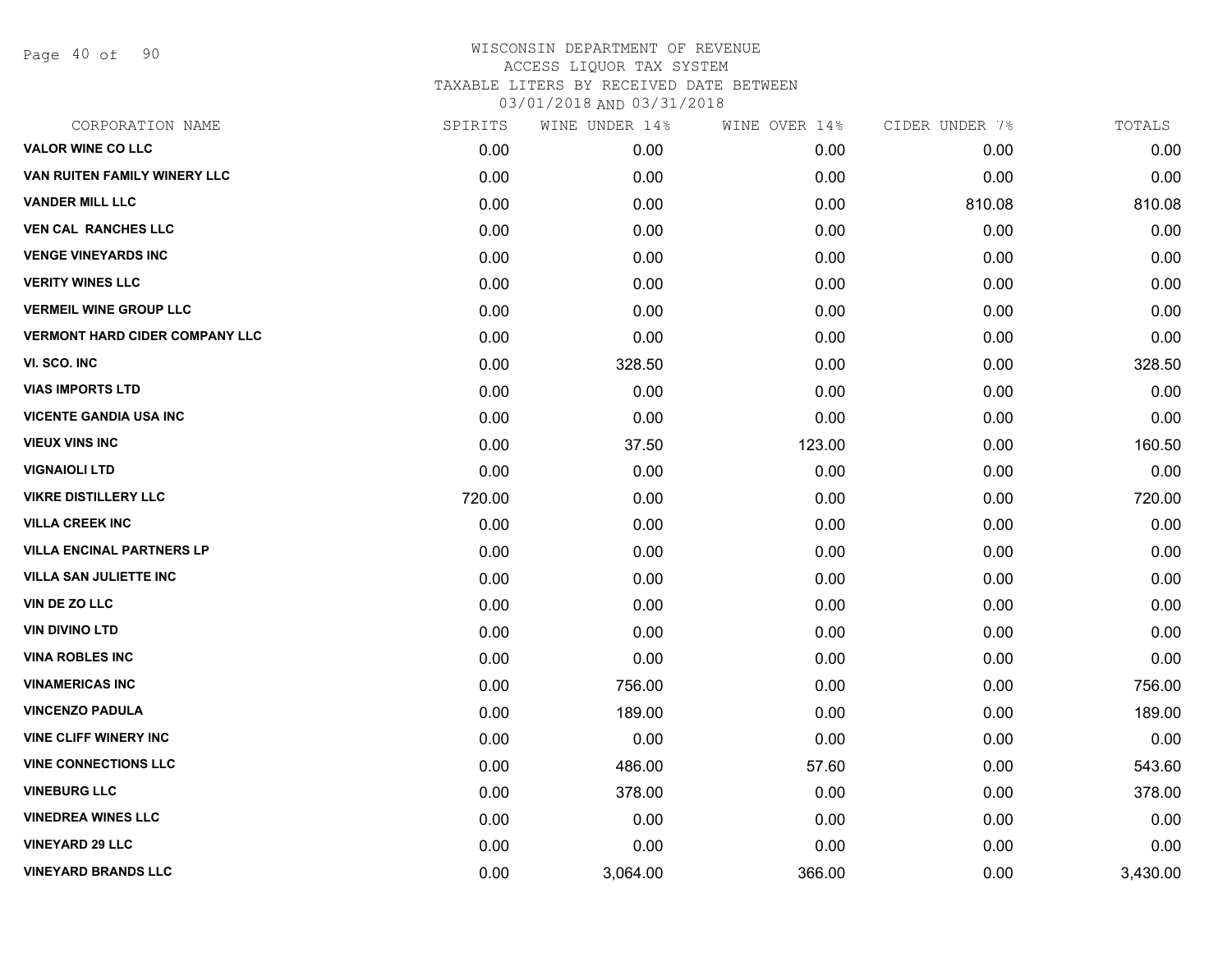Page 40 of 90

| CORPORATION NAME                      | SPIRITS | WINE UNDER 14% | WINE OVER 14% | CIDER UNDER 7% | TOTALS   |
|---------------------------------------|---------|----------------|---------------|----------------|----------|
| <b>VALOR WINE CO LLC</b>              | 0.00    | 0.00           | 0.00          | 0.00           | 0.00     |
| VAN RUITEN FAMILY WINERY LLC          | 0.00    | 0.00           | 0.00          | 0.00           | 0.00     |
| <b>VANDER MILL LLC</b>                | 0.00    | 0.00           | 0.00          | 810.08         | 810.08   |
| <b>VEN CAL RANCHES LLC</b>            | 0.00    | 0.00           | 0.00          | 0.00           | 0.00     |
| <b>VENGE VINEYARDS INC</b>            | 0.00    | 0.00           | 0.00          | 0.00           | 0.00     |
| <b>VERITY WINES LLC</b>               | 0.00    | 0.00           | 0.00          | 0.00           | 0.00     |
| <b>VERMEIL WINE GROUP LLC</b>         | 0.00    | 0.00           | 0.00          | 0.00           | 0.00     |
| <b>VERMONT HARD CIDER COMPANY LLC</b> | 0.00    | 0.00           | 0.00          | 0.00           | 0.00     |
| VI. SCO. INC                          | 0.00    | 328.50         | 0.00          | 0.00           | 328.50   |
| <b>VIAS IMPORTS LTD</b>               | 0.00    | 0.00           | 0.00          | 0.00           | 0.00     |
| <b>VICENTE GANDIA USA INC</b>         | 0.00    | 0.00           | 0.00          | 0.00           | 0.00     |
| <b>VIEUX VINS INC</b>                 | 0.00    | 37.50          | 123.00        | 0.00           | 160.50   |
| <b>VIGNAIOLI LTD</b>                  | 0.00    | 0.00           | 0.00          | 0.00           | 0.00     |
| <b>VIKRE DISTILLERY LLC</b>           | 720.00  | 0.00           | 0.00          | 0.00           | 720.00   |
| <b>VILLA CREEK INC</b>                | 0.00    | 0.00           | 0.00          | 0.00           | 0.00     |
| <b>VILLA ENCINAL PARTNERS LP</b>      | 0.00    | 0.00           | 0.00          | 0.00           | 0.00     |
| <b>VILLA SAN JULIETTE INC</b>         | 0.00    | 0.00           | 0.00          | 0.00           | 0.00     |
| VIN DE ZO LLC                         | 0.00    | 0.00           | 0.00          | 0.00           | 0.00     |
| <b>VIN DIVINO LTD</b>                 | 0.00    | 0.00           | 0.00          | 0.00           | 0.00     |
| <b>VINA ROBLES INC</b>                | 0.00    | 0.00           | 0.00          | 0.00           | 0.00     |
| <b>VINAMERICAS INC</b>                | 0.00    | 756.00         | 0.00          | 0.00           | 756.00   |
| <b>VINCENZO PADULA</b>                | 0.00    | 189.00         | 0.00          | 0.00           | 189.00   |
| <b>VINE CLIFF WINERY INC</b>          | 0.00    | 0.00           | 0.00          | 0.00           | 0.00     |
| <b>VINE CONNECTIONS LLC</b>           | 0.00    | 486.00         | 57.60         | 0.00           | 543.60   |
| <b>VINEBURG LLC</b>                   | 0.00    | 378.00         | 0.00          | 0.00           | 378.00   |
| <b>VINEDREA WINES LLC</b>             | 0.00    | 0.00           | 0.00          | 0.00           | 0.00     |
| <b>VINEYARD 29 LLC</b>                | 0.00    | 0.00           | 0.00          | 0.00           | 0.00     |
| <b>VINEYARD BRANDS LLC</b>            | 0.00    | 3,064.00       | 366.00        | 0.00           | 3,430.00 |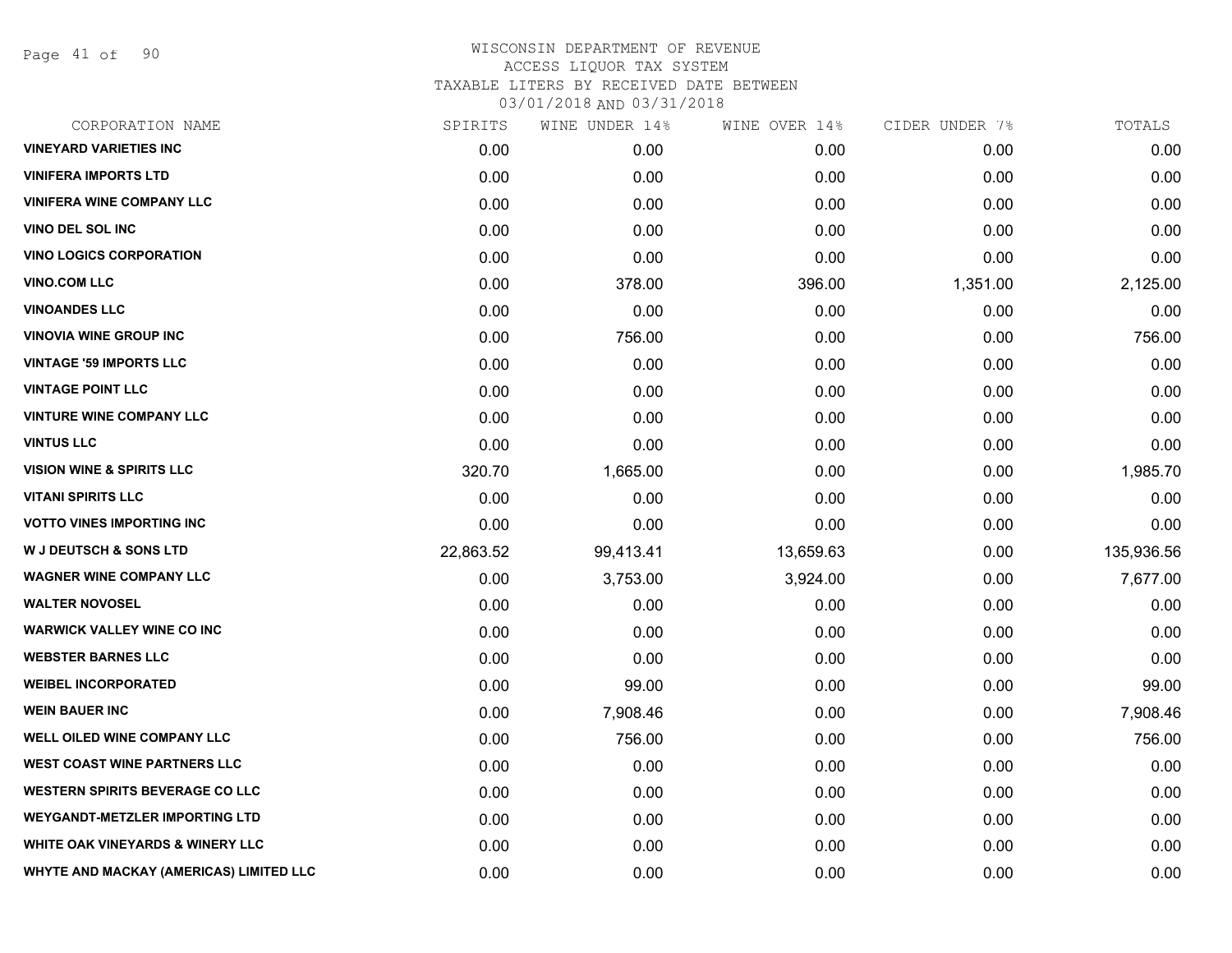Page 41 of 90

| CORPORATION NAME                            | SPIRITS   | WINE UNDER 14% | WINE OVER 14% | CIDER UNDER 7% | TOTALS     |
|---------------------------------------------|-----------|----------------|---------------|----------------|------------|
| <b>VINEYARD VARIETIES INC</b>               | 0.00      | 0.00           | 0.00          | 0.00           | 0.00       |
| <b>VINIFERA IMPORTS LTD</b>                 | 0.00      | 0.00           | 0.00          | 0.00           | 0.00       |
| <b>VINIFERA WINE COMPANY LLC</b>            | 0.00      | 0.00           | 0.00          | 0.00           | 0.00       |
| <b>VINO DEL SOL INC</b>                     | 0.00      | 0.00           | 0.00          | 0.00           | 0.00       |
| <b>VINO LOGICS CORPORATION</b>              | 0.00      | 0.00           | 0.00          | 0.00           | 0.00       |
| <b>VINO.COM LLC</b>                         | 0.00      | 378.00         | 396.00        | 1,351.00       | 2,125.00   |
| <b>VINOANDES LLC</b>                        | 0.00      | 0.00           | 0.00          | 0.00           | 0.00       |
| <b>VINOVIA WINE GROUP INC</b>               | 0.00      | 756.00         | 0.00          | 0.00           | 756.00     |
| <b>VINTAGE '59 IMPORTS LLC</b>              | 0.00      | 0.00           | 0.00          | 0.00           | 0.00       |
| <b>VINTAGE POINT LLC</b>                    | 0.00      | 0.00           | 0.00          | 0.00           | 0.00       |
| <b>VINTURE WINE COMPANY LLC</b>             | 0.00      | 0.00           | 0.00          | 0.00           | 0.00       |
| <b>VINTUS LLC</b>                           | 0.00      | 0.00           | 0.00          | 0.00           | 0.00       |
| <b>VISION WINE &amp; SPIRITS LLC</b>        | 320.70    | 1,665.00       | 0.00          | 0.00           | 1,985.70   |
| <b>VITANI SPIRITS LLC</b>                   | 0.00      | 0.00           | 0.00          | 0.00           | 0.00       |
| <b>VOTTO VINES IMPORTING INC</b>            | 0.00      | 0.00           | 0.00          | 0.00           | 0.00       |
| <b>W J DEUTSCH &amp; SONS LTD</b>           | 22,863.52 | 99,413.41      | 13,659.63     | 0.00           | 135,936.56 |
| <b>WAGNER WINE COMPANY LLC</b>              | 0.00      | 3,753.00       | 3,924.00      | 0.00           | 7,677.00   |
| <b>WALTER NOVOSEL</b>                       | 0.00      | 0.00           | 0.00          | 0.00           | 0.00       |
| <b>WARWICK VALLEY WINE CO INC</b>           | 0.00      | 0.00           | 0.00          | 0.00           | 0.00       |
| <b>WEBSTER BARNES LLC</b>                   | 0.00      | 0.00           | 0.00          | 0.00           | 0.00       |
| <b>WEIBEL INCORPORATED</b>                  | 0.00      | 99.00          | 0.00          | 0.00           | 99.00      |
| <b>WEIN BAUER INC</b>                       | 0.00      | 7,908.46       | 0.00          | 0.00           | 7,908.46   |
| WELL OILED WINE COMPANY LLC                 | 0.00      | 756.00         | 0.00          | 0.00           | 756.00     |
| <b>WEST COAST WINE PARTNERS LLC</b>         | 0.00      | 0.00           | 0.00          | 0.00           | 0.00       |
| <b>WESTERN SPIRITS BEVERAGE CO LLC</b>      | 0.00      | 0.00           | 0.00          | 0.00           | 0.00       |
| <b>WEYGANDT-METZLER IMPORTING LTD</b>       | 0.00      | 0.00           | 0.00          | 0.00           | 0.00       |
| <b>WHITE OAK VINEYARDS &amp; WINERY LLC</b> | 0.00      | 0.00           | 0.00          | 0.00           | 0.00       |
| WHYTE AND MACKAY (AMERICAS) LIMITED LLC     | 0.00      | 0.00           | 0.00          | 0.00           | 0.00       |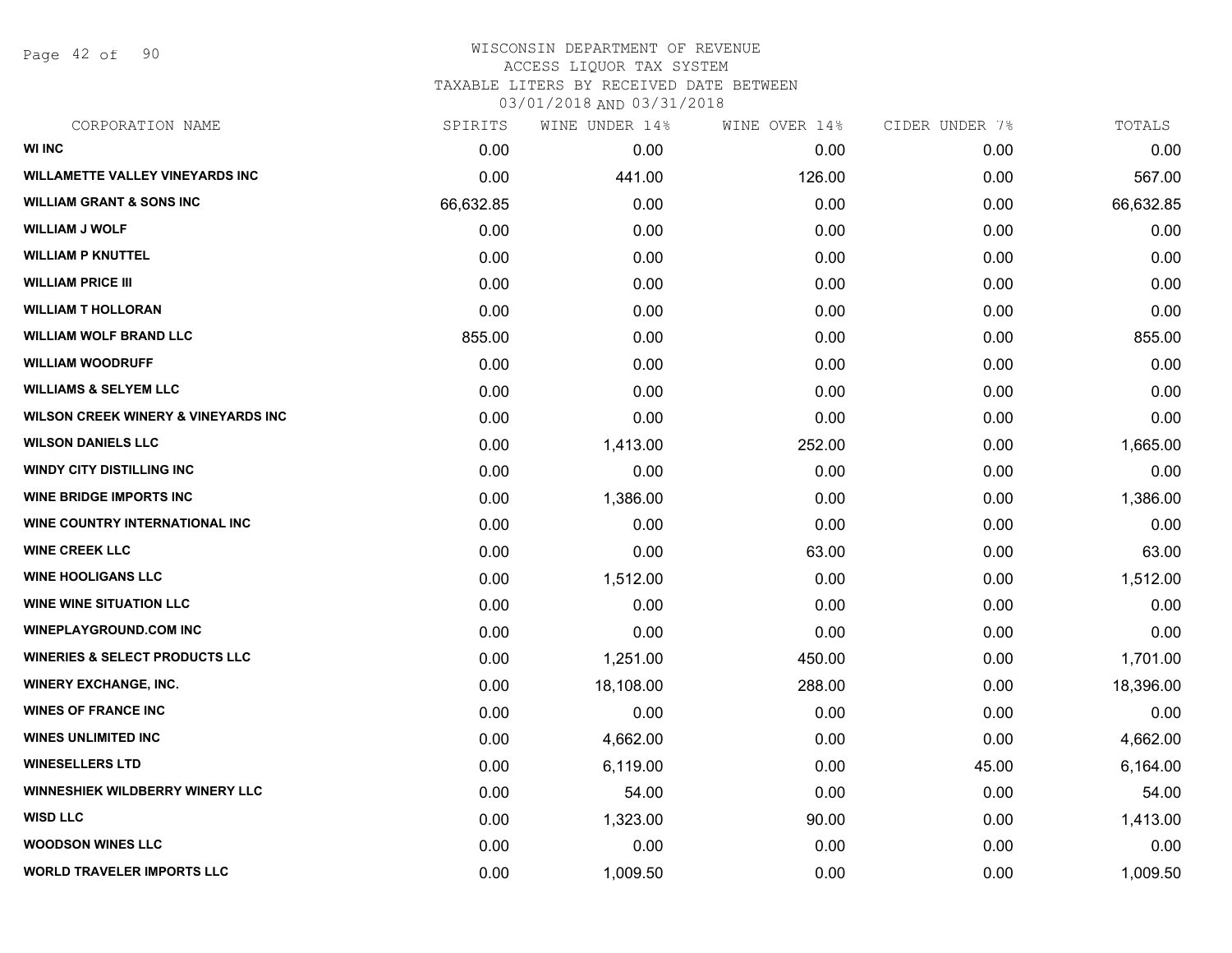Page 42 of 90

| CORPORATION NAME                               | SPIRITS   | WINE UNDER 14% | WINE OVER 14% | CIDER UNDER 7% | TOTALS    |
|------------------------------------------------|-----------|----------------|---------------|----------------|-----------|
| <b>WI INC</b>                                  | 0.00      | 0.00           | 0.00          | 0.00           | 0.00      |
| <b>WILLAMETTE VALLEY VINEYARDS INC</b>         | 0.00      | 441.00         | 126.00        | 0.00           | 567.00    |
| <b>WILLIAM GRANT &amp; SONS INC</b>            | 66,632.85 | 0.00           | 0.00          | 0.00           | 66,632.85 |
| <b>WILLIAM J WOLF</b>                          | 0.00      | 0.00           | 0.00          | 0.00           | 0.00      |
| <b>WILLIAM P KNUTTEL</b>                       | 0.00      | 0.00           | 0.00          | 0.00           | 0.00      |
| <b>WILLIAM PRICE III</b>                       | 0.00      | 0.00           | 0.00          | 0.00           | 0.00      |
| WILLIAM T HOLLORAN                             | 0.00      | 0.00           | 0.00          | 0.00           | 0.00      |
| <b>WILLIAM WOLF BRAND LLC</b>                  | 855.00    | 0.00           | 0.00          | 0.00           | 855.00    |
| <b>WILLIAM WOODRUFF</b>                        | 0.00      | 0.00           | 0.00          | 0.00           | 0.00      |
| <b>WILLIAMS &amp; SELYEM LLC</b>               | 0.00      | 0.00           | 0.00          | 0.00           | 0.00      |
| <b>WILSON CREEK WINERY &amp; VINEYARDS INC</b> | 0.00      | 0.00           | 0.00          | 0.00           | 0.00      |
| <b>WILSON DANIELS LLC</b>                      | 0.00      | 1,413.00       | 252.00        | 0.00           | 1,665.00  |
| <b>WINDY CITY DISTILLING INC</b>               | 0.00      | 0.00           | 0.00          | 0.00           | 0.00      |
| <b>WINE BRIDGE IMPORTS INC</b>                 | 0.00      | 1,386.00       | 0.00          | 0.00           | 1,386.00  |
| WINE COUNTRY INTERNATIONAL INC                 | 0.00      | 0.00           | 0.00          | 0.00           | 0.00      |
| <b>WINE CREEK LLC</b>                          | 0.00      | 0.00           | 63.00         | 0.00           | 63.00     |
| <b>WINE HOOLIGANS LLC</b>                      | 0.00      | 1,512.00       | 0.00          | 0.00           | 1,512.00  |
| <b>WINE WINE SITUATION LLC</b>                 | 0.00      | 0.00           | 0.00          | 0.00           | 0.00      |
| <b>WINEPLAYGROUND.COM INC</b>                  | 0.00      | 0.00           | 0.00          | 0.00           | 0.00      |
| <b>WINERIES &amp; SELECT PRODUCTS LLC</b>      | 0.00      | 1,251.00       | 450.00        | 0.00           | 1,701.00  |
| <b>WINERY EXCHANGE, INC.</b>                   | 0.00      | 18,108.00      | 288.00        | 0.00           | 18,396.00 |
| <b>WINES OF FRANCE INC</b>                     | 0.00      | 0.00           | 0.00          | 0.00           | 0.00      |
| <b>WINES UNLIMITED INC</b>                     | 0.00      | 4,662.00       | 0.00          | 0.00           | 4,662.00  |
| <b>WINESELLERS LTD</b>                         | 0.00      | 6,119.00       | 0.00          | 45.00          | 6,164.00  |
| <b>WINNESHIEK WILDBERRY WINERY LLC</b>         | 0.00      | 54.00          | 0.00          | 0.00           | 54.00     |
| <b>WISD LLC</b>                                | 0.00      | 1,323.00       | 90.00         | 0.00           | 1,413.00  |
| <b>WOODSON WINES LLC</b>                       | 0.00      | 0.00           | 0.00          | 0.00           | 0.00      |
| <b>WORLD TRAVELER IMPORTS LLC</b>              | 0.00      | 1,009.50       | 0.00          | 0.00           | 1,009.50  |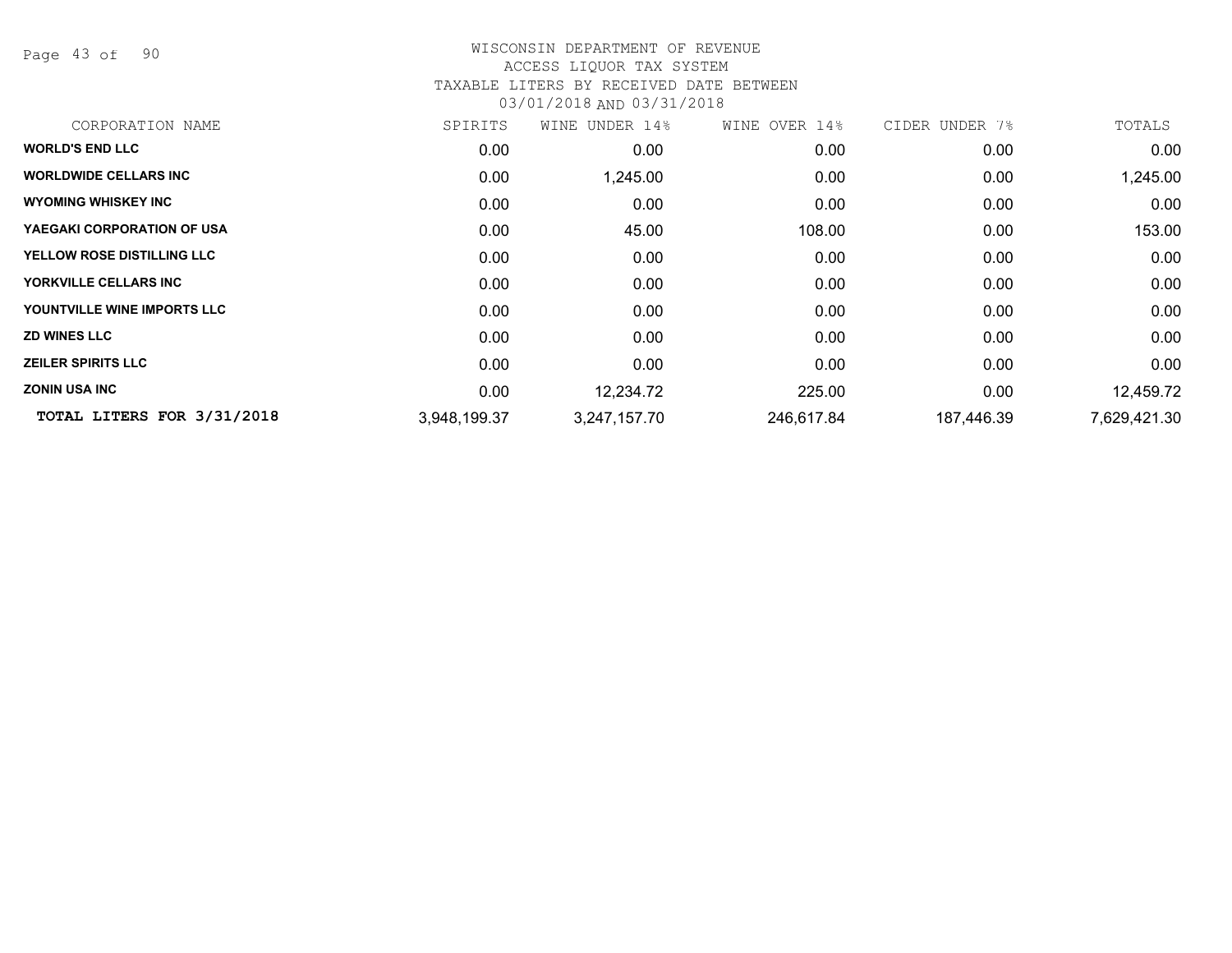Page 43 of 90

## WISCONSIN DEPARTMENT OF REVENUE ACCESS LIQUOR TAX SYSTEM TAXABLE LITERS BY RECEIVED DATE BETWEEN

| CORPORATION NAME                  | SPIRITS      | WINE UNDER 14% | WINE OVER 14% | CIDER UNDER 7% | TOTALS       |
|-----------------------------------|--------------|----------------|---------------|----------------|--------------|
| <b>WORLD'S END LLC</b>            | 0.00         | 0.00           | 0.00          | 0.00           | 0.00         |
| <b>WORLDWIDE CELLARS INC.</b>     | 0.00         | 1,245.00       | 0.00          | 0.00           | 1,245.00     |
| <b>WYOMING WHISKEY INC</b>        | 0.00         | 0.00           | 0.00          | 0.00           | 0.00         |
| YAEGAKI CORPORATION OF USA        | 0.00         | 45.00          | 108.00        | 0.00           | 153.00       |
| <b>YELLOW ROSE DISTILLING LLC</b> | 0.00         | 0.00           | 0.00          | 0.00           | 0.00         |
| YORKVILLE CELLARS INC             | 0.00         | 0.00           | 0.00          | 0.00           | 0.00         |
| YOUNTVILLE WINE IMPORTS LLC       | 0.00         | 0.00           | 0.00          | 0.00           | 0.00         |
| <b>ZD WINES LLC</b>               | 0.00         | 0.00           | 0.00          | 0.00           | 0.00         |
| <b>ZEILER SPIRITS LLC</b>         | 0.00         | 0.00           | 0.00          | 0.00           | 0.00         |
| <b>ZONIN USA INC</b>              | 0.00         | 12,234.72      | 225.00        | 0.00           | 12,459.72    |
| TOTAL LITERS FOR 3/31/2018        | 3,948,199.37 | 3,247,157.70   | 246,617.84    | 187,446.39     | 7,629,421.30 |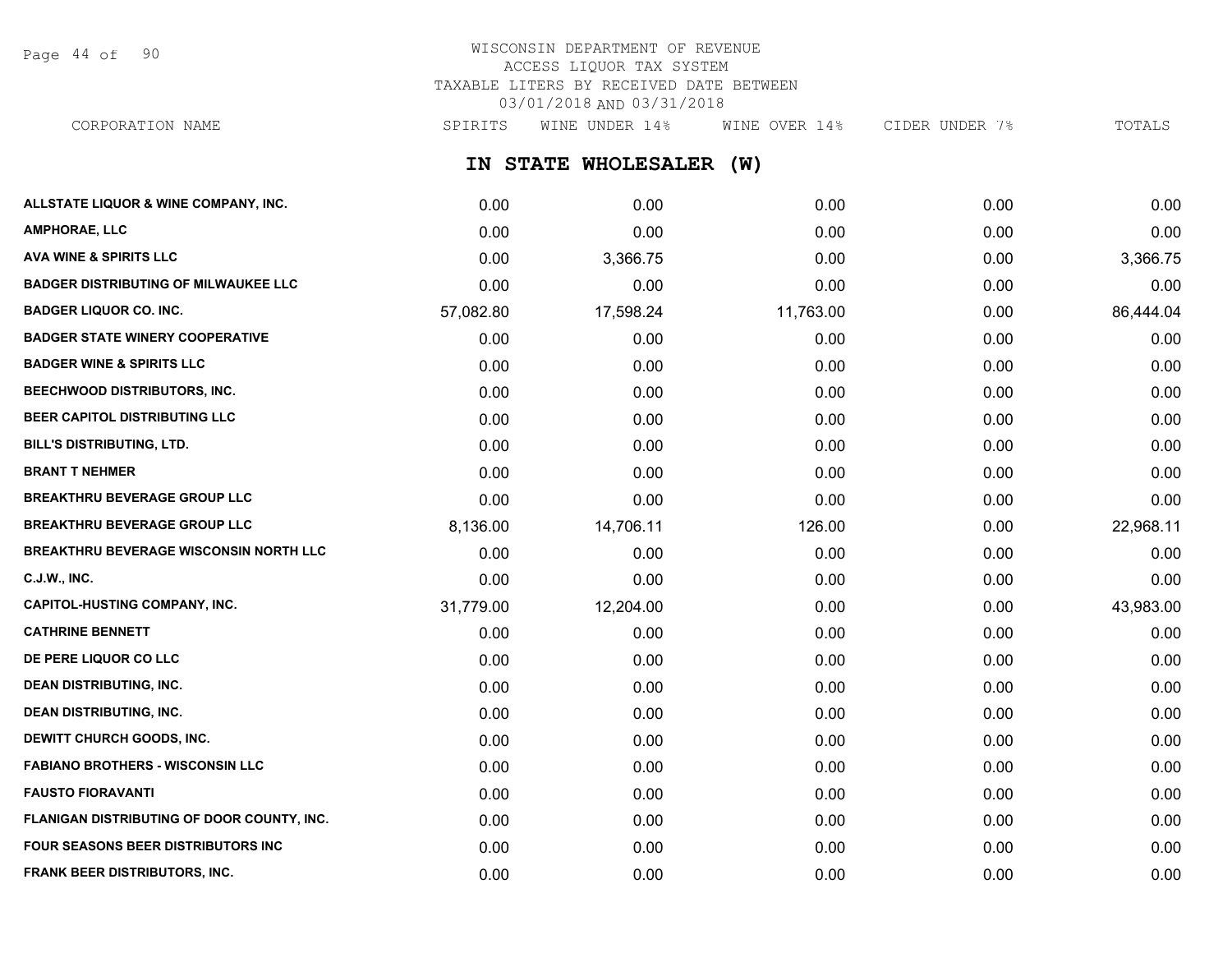Page 44 of 90

## WISCONSIN DEPARTMENT OF REVENUE ACCESS LIQUOR TAX SYSTEM TAXABLE LITERS BY RECEIVED DATE BETWEEN 03/01/2018 AND 03/31/2018

CORPORATION NAME SPIRITS WINE UNDER 14% WINE OVER 14% CIDER UNDER 7% TOTALS

**IN STATE WHOLESALER (W)**

| ALLSTATE LIQUOR & WINE COMPANY, INC.          | 0.00      | 0.00      | 0.00      | 0.00 | 0.00      |
|-----------------------------------------------|-----------|-----------|-----------|------|-----------|
| <b>AMPHORAE, LLC</b>                          | 0.00      | 0.00      | 0.00      | 0.00 | 0.00      |
| <b>AVA WINE &amp; SPIRITS LLC</b>             | 0.00      | 3,366.75  | 0.00      | 0.00 | 3,366.75  |
| <b>BADGER DISTRIBUTING OF MILWAUKEE LLC</b>   | 0.00      | 0.00      | 0.00      | 0.00 | 0.00      |
| <b>BADGER LIQUOR CO. INC.</b>                 | 57,082.80 | 17,598.24 | 11,763.00 | 0.00 | 86,444.04 |
| <b>BADGER STATE WINERY COOPERATIVE</b>        | 0.00      | 0.00      | 0.00      | 0.00 | 0.00      |
| <b>BADGER WINE &amp; SPIRITS LLC</b>          | 0.00      | 0.00      | 0.00      | 0.00 | 0.00      |
| <b>BEECHWOOD DISTRIBUTORS, INC.</b>           | 0.00      | 0.00      | 0.00      | 0.00 | 0.00      |
| BEER CAPITOL DISTRIBUTING LLC                 | 0.00      | 0.00      | 0.00      | 0.00 | 0.00      |
| <b>BILL'S DISTRIBUTING, LTD.</b>              | 0.00      | 0.00      | 0.00      | 0.00 | 0.00      |
| <b>BRANT T NEHMER</b>                         | 0.00      | 0.00      | 0.00      | 0.00 | 0.00      |
| <b>BREAKTHRU BEVERAGE GROUP LLC</b>           | 0.00      | 0.00      | 0.00      | 0.00 | 0.00      |
| <b>BREAKTHRU BEVERAGE GROUP LLC</b>           | 8,136.00  | 14,706.11 | 126.00    | 0.00 | 22,968.11 |
| <b>BREAKTHRU BEVERAGE WISCONSIN NORTH LLC</b> | 0.00      | 0.00      | 0.00      | 0.00 | 0.00      |
| <b>C.J.W., INC.</b>                           | 0.00      | 0.00      | 0.00      | 0.00 | 0.00      |
| <b>CAPITOL-HUSTING COMPANY, INC.</b>          | 31,779.00 | 12,204.00 | 0.00      | 0.00 | 43,983.00 |
| <b>CATHRINE BENNETT</b>                       | 0.00      | 0.00      | 0.00      | 0.00 | 0.00      |
| DE PERE LIQUOR CO LLC                         | 0.00      | 0.00      | 0.00      | 0.00 | 0.00      |
| <b>DEAN DISTRIBUTING, INC.</b>                | 0.00      | 0.00      | 0.00      | 0.00 | 0.00      |
| <b>DEAN DISTRIBUTING, INC.</b>                | 0.00      | 0.00      | 0.00      | 0.00 | 0.00      |
| DEWITT CHURCH GOODS, INC.                     | 0.00      | 0.00      | 0.00      | 0.00 | 0.00      |
| <b>FABIANO BROTHERS - WISCONSIN LLC</b>       | 0.00      | 0.00      | 0.00      | 0.00 | 0.00      |
| <b>FAUSTO FIORAVANTI</b>                      | 0.00      | 0.00      | 0.00      | 0.00 | 0.00      |
| FLANIGAN DISTRIBUTING OF DOOR COUNTY, INC.    | 0.00      | 0.00      | 0.00      | 0.00 | 0.00      |
| <b>FOUR SEASONS BEER DISTRIBUTORS INC</b>     | 0.00      | 0.00      | 0.00      | 0.00 | 0.00      |
| FRANK BEER DISTRIBUTORS, INC.                 | 0.00      | 0.00      | 0.00      | 0.00 | 0.00      |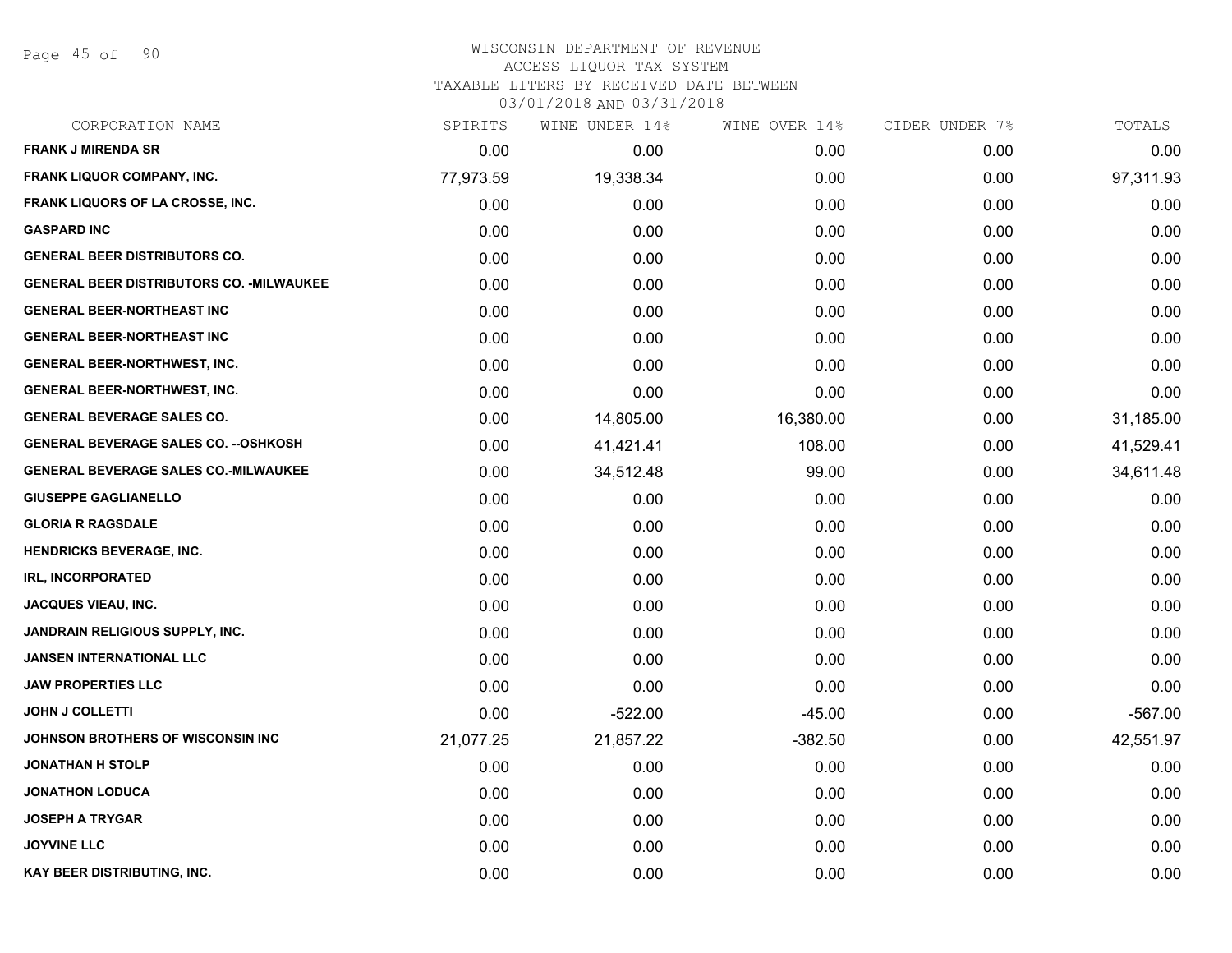Page 45 of 90

## WISCONSIN DEPARTMENT OF REVENUE ACCESS LIQUOR TAX SYSTEM TAXABLE LITERS BY RECEIVED DATE BETWEEN

| CORPORATION NAME                                 | SPIRITS   | WINE UNDER 14% | WINE OVER 14% | CIDER UNDER 7% | TOTALS    |
|--------------------------------------------------|-----------|----------------|---------------|----------------|-----------|
| <b>FRANK J MIRENDA SR</b>                        | 0.00      | 0.00           | 0.00          | 0.00           | 0.00      |
| FRANK LIQUOR COMPANY, INC.                       | 77,973.59 | 19,338.34      | 0.00          | 0.00           | 97,311.93 |
| FRANK LIQUORS OF LA CROSSE, INC.                 | 0.00      | 0.00           | 0.00          | 0.00           | 0.00      |
| <b>GASPARD INC</b>                               | 0.00      | 0.00           | 0.00          | 0.00           | 0.00      |
| <b>GENERAL BEER DISTRIBUTORS CO.</b>             | 0.00      | 0.00           | 0.00          | 0.00           | 0.00      |
| <b>GENERAL BEER DISTRIBUTORS CO. - MILWAUKEE</b> | 0.00      | 0.00           | 0.00          | 0.00           | 0.00      |
| <b>GENERAL BEER-NORTHEAST INC</b>                | 0.00      | 0.00           | 0.00          | 0.00           | 0.00      |
| <b>GENERAL BEER-NORTHEAST INC</b>                | 0.00      | 0.00           | 0.00          | 0.00           | 0.00      |
| <b>GENERAL BEER-NORTHWEST, INC.</b>              | 0.00      | 0.00           | 0.00          | 0.00           | 0.00      |
| GENERAL BEER-NORTHWEST, INC.                     | 0.00      | 0.00           | 0.00          | 0.00           | 0.00      |
| <b>GENERAL BEVERAGE SALES CO.</b>                | 0.00      | 14,805.00      | 16,380.00     | 0.00           | 31,185.00 |
| <b>GENERAL BEVERAGE SALES CO. -- OSHKOSH</b>     | 0.00      | 41,421.41      | 108.00        | 0.00           | 41,529.41 |
| <b>GENERAL BEVERAGE SALES CO.-MILWAUKEE</b>      | 0.00      | 34,512.48      | 99.00         | 0.00           | 34,611.48 |
| <b>GIUSEPPE GAGLIANELLO</b>                      | 0.00      | 0.00           | 0.00          | 0.00           | 0.00      |
| <b>GLORIA R RAGSDALE</b>                         | 0.00      | 0.00           | 0.00          | 0.00           | 0.00      |
| <b>HENDRICKS BEVERAGE, INC.</b>                  | 0.00      | 0.00           | 0.00          | 0.00           | 0.00      |
| <b>IRL, INCORPORATED</b>                         | 0.00      | 0.00           | 0.00          | 0.00           | 0.00      |
| <b>JACQUES VIEAU, INC.</b>                       | 0.00      | 0.00           | 0.00          | 0.00           | 0.00      |
| JANDRAIN RELIGIOUS SUPPLY, INC.                  | 0.00      | 0.00           | 0.00          | 0.00           | 0.00      |
| <b>JANSEN INTERNATIONAL LLC</b>                  | 0.00      | 0.00           | 0.00          | 0.00           | 0.00      |
| <b>JAW PROPERTIES LLC</b>                        | 0.00      | 0.00           | 0.00          | 0.00           | 0.00      |
| <b>JOHN J COLLETTI</b>                           | 0.00      | $-522.00$      | $-45.00$      | 0.00           | $-567.00$ |
| JOHNSON BROTHERS OF WISCONSIN INC                | 21,077.25 | 21,857.22      | $-382.50$     | 0.00           | 42,551.97 |
| <b>JONATHAN H STOLP</b>                          | 0.00      | 0.00           | 0.00          | 0.00           | 0.00      |
| <b>JONATHON LODUCA</b>                           | 0.00      | 0.00           | 0.00          | 0.00           | 0.00      |
| <b>JOSEPH A TRYGAR</b>                           | 0.00      | 0.00           | 0.00          | 0.00           | 0.00      |
| <b>JOYVINE LLC</b>                               | 0.00      | 0.00           | 0.00          | 0.00           | 0.00      |
| KAY BEER DISTRIBUTING, INC.                      | 0.00      | 0.00           | 0.00          | 0.00           | 0.00      |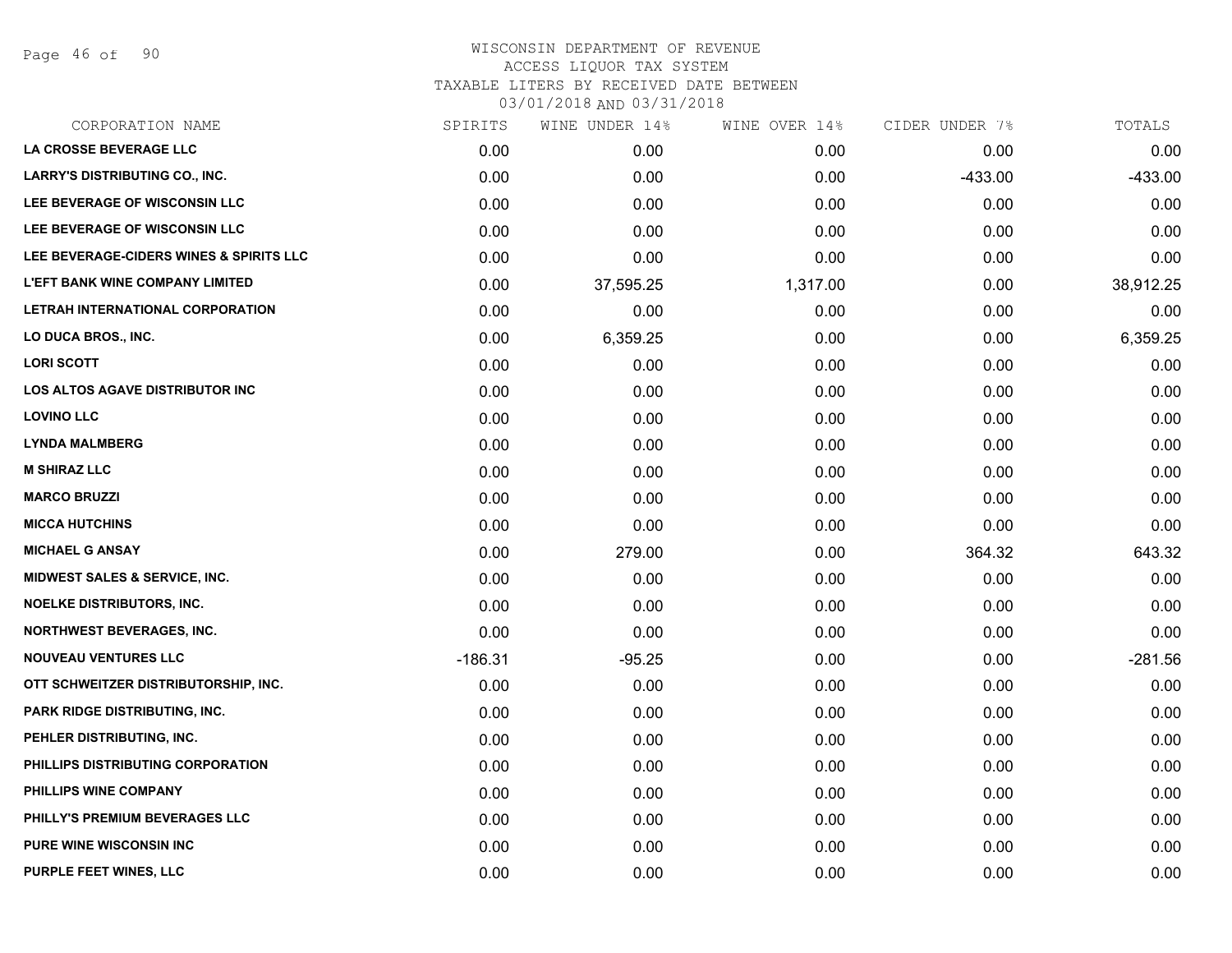Page 46 of 90

## WISCONSIN DEPARTMENT OF REVENUE ACCESS LIQUOR TAX SYSTEM TAXABLE LITERS BY RECEIVED DATE BETWEEN

| CORPORATION NAME                         | SPIRITS   | WINE UNDER 14% | WINE OVER 14% | CIDER UNDER 7% | TOTALS    |
|------------------------------------------|-----------|----------------|---------------|----------------|-----------|
| LA CROSSE BEVERAGE LLC                   | 0.00      | 0.00           | 0.00          | 0.00           | 0.00      |
| <b>LARRY'S DISTRIBUTING CO., INC.</b>    | 0.00      | 0.00           | 0.00          | $-433.00$      | $-433.00$ |
| LEE BEVERAGE OF WISCONSIN LLC            | 0.00      | 0.00           | 0.00          | 0.00           | 0.00      |
| LEE BEVERAGE OF WISCONSIN LLC            | 0.00      | 0.00           | 0.00          | 0.00           | 0.00      |
| LEE BEVERAGE-CIDERS WINES & SPIRITS LLC  | 0.00      | 0.00           | 0.00          | 0.00           | 0.00      |
| <b>L'EFT BANK WINE COMPANY LIMITED</b>   | 0.00      | 37,595.25      | 1,317.00      | 0.00           | 38,912.25 |
| LETRAH INTERNATIONAL CORPORATION         | 0.00      | 0.00           | 0.00          | 0.00           | 0.00      |
| LO DUCA BROS., INC.                      | 0.00      | 6,359.25       | 0.00          | 0.00           | 6,359.25  |
| <b>LORI SCOTT</b>                        | 0.00      | 0.00           | 0.00          | 0.00           | 0.00      |
| <b>LOS ALTOS AGAVE DISTRIBUTOR INC</b>   | 0.00      | 0.00           | 0.00          | 0.00           | 0.00      |
| <b>LOVINO LLC</b>                        | 0.00      | 0.00           | 0.00          | 0.00           | 0.00      |
| <b>LYNDA MALMBERG</b>                    | 0.00      | 0.00           | 0.00          | 0.00           | 0.00      |
| <b>M SHIRAZ LLC</b>                      | 0.00      | 0.00           | 0.00          | 0.00           | 0.00      |
| <b>MARCO BRUZZI</b>                      | 0.00      | 0.00           | 0.00          | 0.00           | 0.00      |
| <b>MICCA HUTCHINS</b>                    | 0.00      | 0.00           | 0.00          | 0.00           | 0.00      |
| <b>MICHAEL G ANSAY</b>                   | 0.00      | 279.00         | 0.00          | 364.32         | 643.32    |
| <b>MIDWEST SALES &amp; SERVICE, INC.</b> | 0.00      | 0.00           | 0.00          | 0.00           | 0.00      |
| <b>NOELKE DISTRIBUTORS, INC.</b>         | 0.00      | 0.00           | 0.00          | 0.00           | 0.00      |
| <b>NORTHWEST BEVERAGES, INC.</b>         | 0.00      | 0.00           | 0.00          | 0.00           | 0.00      |
| <b>NOUVEAU VENTURES LLC</b>              | $-186.31$ | $-95.25$       | 0.00          | 0.00           | $-281.56$ |
| OTT SCHWEITZER DISTRIBUTORSHIP, INC.     | 0.00      | 0.00           | 0.00          | 0.00           | 0.00      |
| PARK RIDGE DISTRIBUTING, INC.            | 0.00      | 0.00           | 0.00          | 0.00           | 0.00      |
| PEHLER DISTRIBUTING, INC.                | 0.00      | 0.00           | 0.00          | 0.00           | 0.00      |
| PHILLIPS DISTRIBUTING CORPORATION        | 0.00      | 0.00           | 0.00          | 0.00           | 0.00      |
| PHILLIPS WINE COMPANY                    | 0.00      | 0.00           | 0.00          | 0.00           | 0.00      |
| PHILLY'S PREMIUM BEVERAGES LLC           | 0.00      | 0.00           | 0.00          | 0.00           | 0.00      |
| PURE WINE WISCONSIN INC                  | 0.00      | 0.00           | 0.00          | 0.00           | 0.00      |
| PURPLE FEET WINES, LLC                   | 0.00      | 0.00           | 0.00          | 0.00           | 0.00      |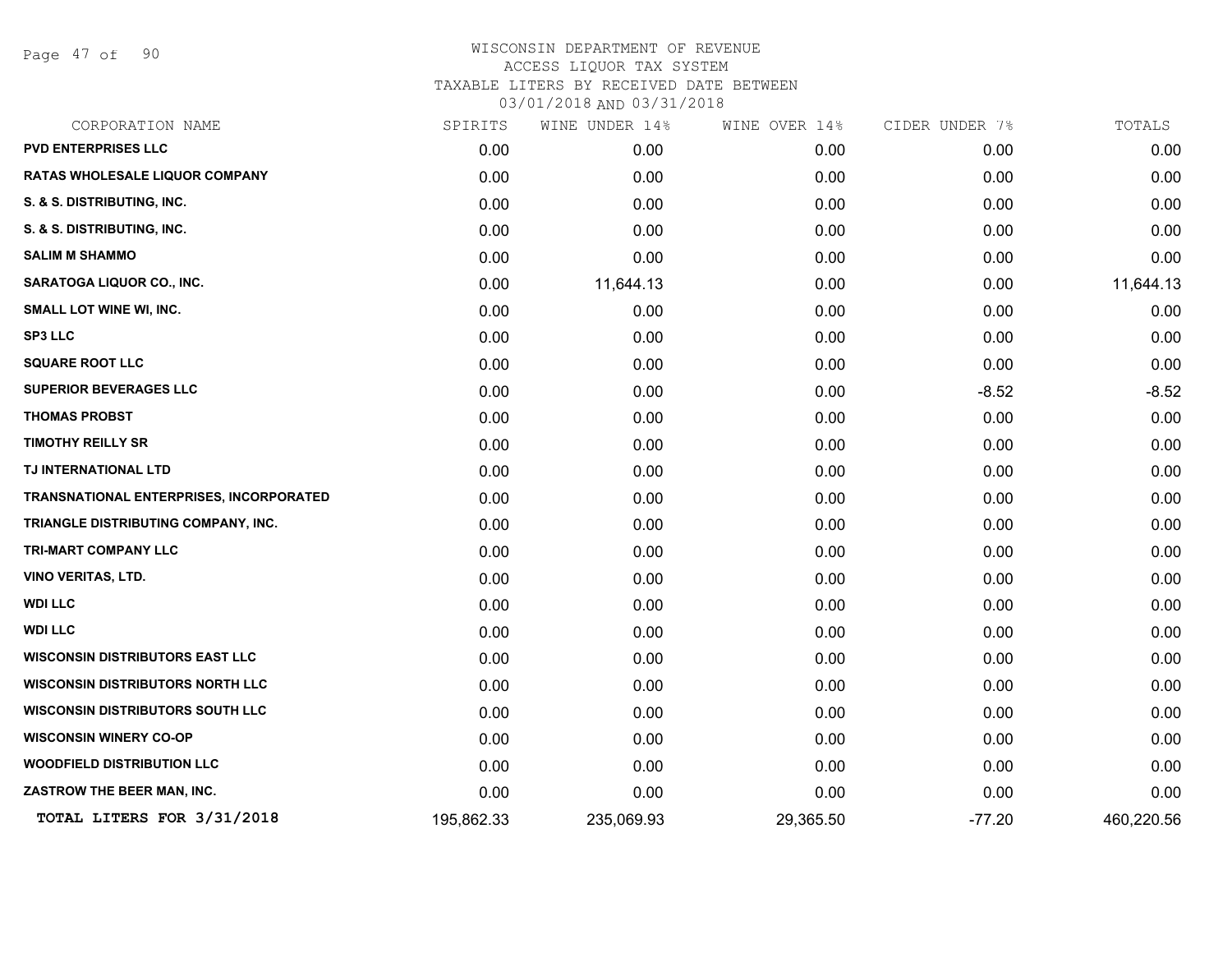Page 47 of 90

| CORPORATION NAME                        | SPIRITS    | WINE UNDER 14% | WINE OVER 14% | CIDER UNDER 7% | TOTALS     |
|-----------------------------------------|------------|----------------|---------------|----------------|------------|
| <b>PVD ENTERPRISES LLC</b>              | 0.00       | 0.00           | 0.00          | 0.00           | 0.00       |
| RATAS WHOLESALE LIQUOR COMPANY          | 0.00       | 0.00           | 0.00          | 0.00           | 0.00       |
| S. & S. DISTRIBUTING, INC.              | 0.00       | 0.00           | 0.00          | 0.00           | 0.00       |
| S. & S. DISTRIBUTING, INC.              | 0.00       | 0.00           | 0.00          | 0.00           | 0.00       |
| <b>SALIM M SHAMMO</b>                   | 0.00       | 0.00           | 0.00          | 0.00           | 0.00       |
| <b>SARATOGA LIQUOR CO., INC.</b>        | 0.00       | 11,644.13      | 0.00          | 0.00           | 11,644.13  |
| <b>SMALL LOT WINE WI, INC.</b>          | 0.00       | 0.00           | 0.00          | 0.00           | 0.00       |
| <b>SP3 LLC</b>                          | 0.00       | 0.00           | 0.00          | 0.00           | 0.00       |
| <b>SQUARE ROOT LLC</b>                  | 0.00       | 0.00           | 0.00          | 0.00           | 0.00       |
| <b>SUPERIOR BEVERAGES LLC</b>           | 0.00       | 0.00           | 0.00          | $-8.52$        | $-8.52$    |
| <b>THOMAS PROBST</b>                    | 0.00       | 0.00           | 0.00          | 0.00           | 0.00       |
| <b>TIMOTHY REILLY SR</b>                | 0.00       | 0.00           | 0.00          | 0.00           | 0.00       |
| TJ INTERNATIONAL LTD                    | 0.00       | 0.00           | 0.00          | 0.00           | 0.00       |
| TRANSNATIONAL ENTERPRISES, INCORPORATED | 0.00       | 0.00           | 0.00          | 0.00           | 0.00       |
| TRIANGLE DISTRIBUTING COMPANY, INC.     | 0.00       | 0.00           | 0.00          | 0.00           | 0.00       |
| TRI-MART COMPANY LLC                    | 0.00       | 0.00           | 0.00          | 0.00           | 0.00       |
| <b>VINO VERITAS, LTD.</b>               | 0.00       | 0.00           | 0.00          | 0.00           | 0.00       |
| <b>WDI LLC</b>                          | 0.00       | 0.00           | 0.00          | 0.00           | 0.00       |
| <b>WDI LLC</b>                          | 0.00       | 0.00           | 0.00          | 0.00           | 0.00       |
| <b>WISCONSIN DISTRIBUTORS EAST LLC</b>  | 0.00       | 0.00           | 0.00          | 0.00           | 0.00       |
| <b>WISCONSIN DISTRIBUTORS NORTH LLC</b> | 0.00       | 0.00           | 0.00          | 0.00           | 0.00       |
| <b>WISCONSIN DISTRIBUTORS SOUTH LLC</b> | 0.00       | 0.00           | 0.00          | 0.00           | 0.00       |
| <b>WISCONSIN WINERY CO-OP</b>           | 0.00       | 0.00           | 0.00          | 0.00           | 0.00       |
| <b>WOODFIELD DISTRIBUTION LLC</b>       | 0.00       | 0.00           | 0.00          | 0.00           | 0.00       |
| ZASTROW THE BEER MAN, INC.              | 0.00       | 0.00           | 0.00          | 0.00           | 0.00       |
| TOTAL LITERS FOR 3/31/2018              | 195,862.33 | 235,069.93     | 29,365.50     | $-77.20$       | 460,220.56 |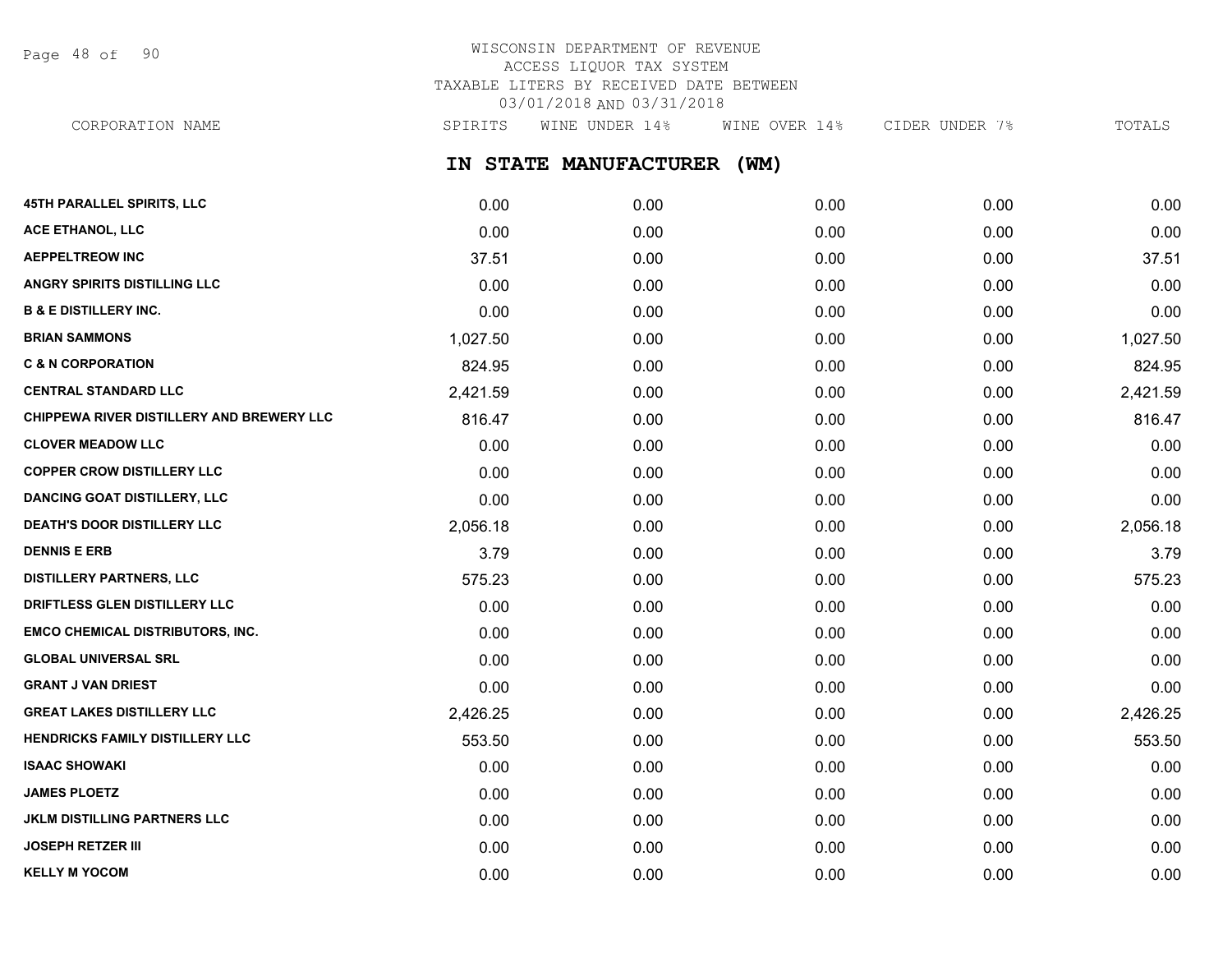Page 48 of 90

## WISCONSIN DEPARTMENT OF REVENUE ACCESS LIQUOR TAX SYSTEM TAXABLE LITERS BY RECEIVED DATE BETWEEN 03/01/2018 AND 03/31/2018

CORPORATION NAME SPIRITS WINE UNDER 14% WINE OVER 14% CIDER UNDER 7% TOTALS

**IN STATE MANUFACTURER (WM)**

| 45TH PARALLEL SPIRITS, LLC                | 0.00     | 0.00 | 0.00 | 0.00 | 0.00     |
|-------------------------------------------|----------|------|------|------|----------|
| ACE ETHANOL, LLC                          | 0.00     | 0.00 | 0.00 | 0.00 | 0.00     |
| <b>AEPPELTREOW INC</b>                    | 37.51    | 0.00 | 0.00 | 0.00 | 37.51    |
| ANGRY SPIRITS DISTILLING LLC              | 0.00     | 0.00 | 0.00 | 0.00 | 0.00     |
| <b>B &amp; E DISTILLERY INC.</b>          | 0.00     | 0.00 | 0.00 | 0.00 | 0.00     |
| <b>BRIAN SAMMONS</b>                      | 1,027.50 | 0.00 | 0.00 | 0.00 | 1,027.50 |
| <b>C &amp; N CORPORATION</b>              | 824.95   | 0.00 | 0.00 | 0.00 | 824.95   |
| <b>CENTRAL STANDARD LLC</b>               | 2,421.59 | 0.00 | 0.00 | 0.00 | 2,421.59 |
| CHIPPEWA RIVER DISTILLERY AND BREWERY LLC | 816.47   | 0.00 | 0.00 | 0.00 | 816.47   |
| <b>CLOVER MEADOW LLC</b>                  | 0.00     | 0.00 | 0.00 | 0.00 | 0.00     |
| <b>COPPER CROW DISTILLERY LLC</b>         | 0.00     | 0.00 | 0.00 | 0.00 | 0.00     |
| <b>DANCING GOAT DISTILLERY, LLC</b>       | 0.00     | 0.00 | 0.00 | 0.00 | 0.00     |
| <b>DEATH'S DOOR DISTILLERY LLC</b>        | 2,056.18 | 0.00 | 0.00 | 0.00 | 2,056.18 |
| <b>DENNIS E ERB</b>                       | 3.79     | 0.00 | 0.00 | 0.00 | 3.79     |
| <b>DISTILLERY PARTNERS, LLC</b>           | 575.23   | 0.00 | 0.00 | 0.00 | 575.23   |
| DRIFTLESS GLEN DISTILLERY LLC             | 0.00     | 0.00 | 0.00 | 0.00 | 0.00     |
| <b>EMCO CHEMICAL DISTRIBUTORS, INC.</b>   | 0.00     | 0.00 | 0.00 | 0.00 | 0.00     |
| <b>GLOBAL UNIVERSAL SRL</b>               | 0.00     | 0.00 | 0.00 | 0.00 | 0.00     |
| <b>GRANT J VAN DRIEST</b>                 | 0.00     | 0.00 | 0.00 | 0.00 | 0.00     |
| <b>GREAT LAKES DISTILLERY LLC</b>         | 2,426.25 | 0.00 | 0.00 | 0.00 | 2,426.25 |
| HENDRICKS FAMILY DISTILLERY LLC           | 553.50   | 0.00 | 0.00 | 0.00 | 553.50   |
| <b>ISAAC SHOWAKI</b>                      | 0.00     | 0.00 | 0.00 | 0.00 | 0.00     |
| <b>JAMES PLOETZ</b>                       | 0.00     | 0.00 | 0.00 | 0.00 | 0.00     |
| <b>JKLM DISTILLING PARTNERS LLC</b>       | 0.00     | 0.00 | 0.00 | 0.00 | 0.00     |
| <b>JOSEPH RETZER III</b>                  | 0.00     | 0.00 | 0.00 | 0.00 | 0.00     |
| <b>KELLY M YOCOM</b>                      | 0.00     | 0.00 | 0.00 | 0.00 | 0.00     |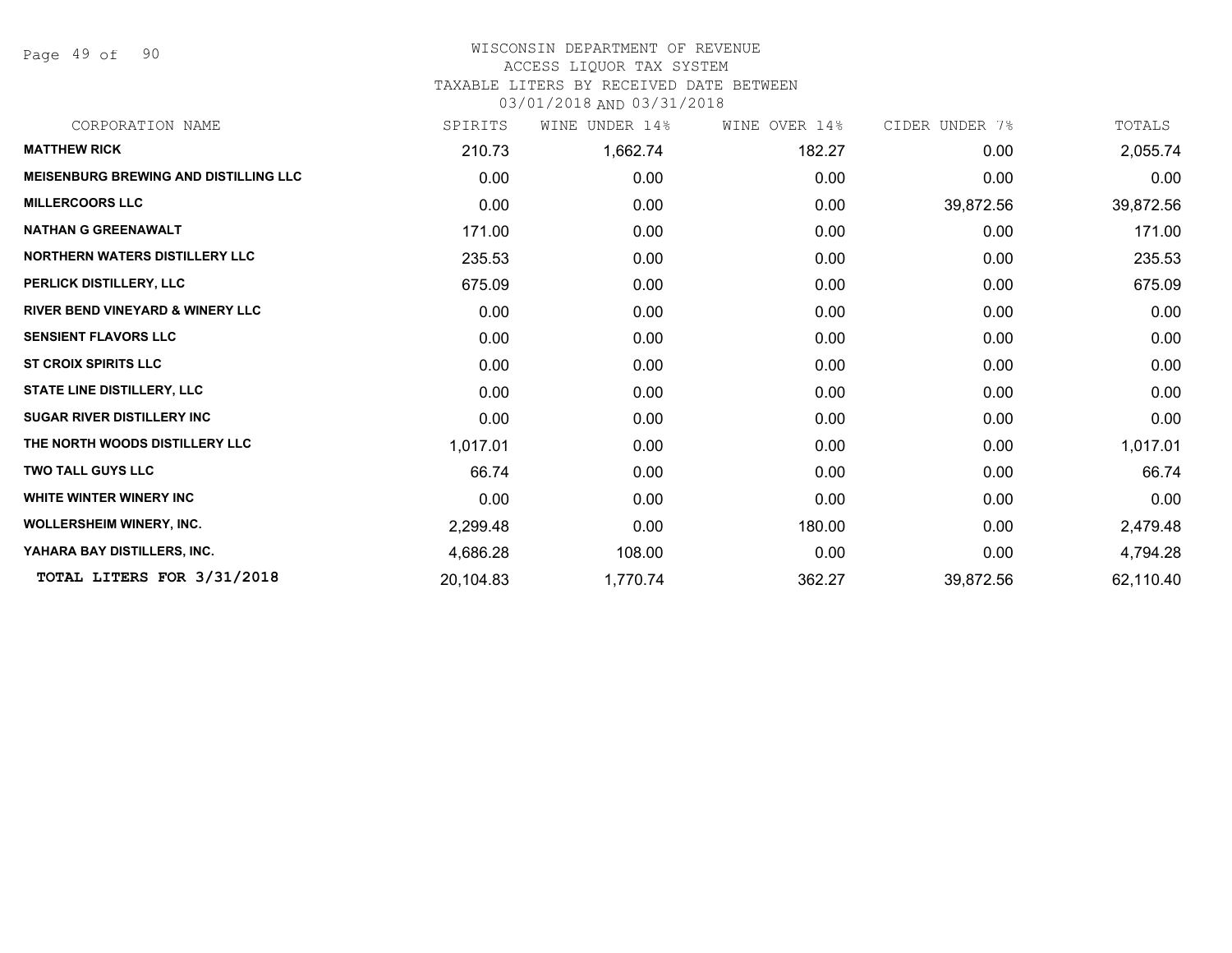Page 49 of 90

#### WISCONSIN DEPARTMENT OF REVENUE ACCESS LIQUOR TAX SYSTEM

## TAXABLE LITERS BY RECEIVED DATE BETWEEN

| CORPORATION NAME                             | SPIRITS   | UNDER 14%<br>WINE | WINE OVER 14% | CIDER UNDER 7% | TOTALS    |
|----------------------------------------------|-----------|-------------------|---------------|----------------|-----------|
| <b>MATTHEW RICK</b>                          | 210.73    | 1,662.74          | 182.27        | 0.00           | 2,055.74  |
| <b>MEISENBURG BREWING AND DISTILLING LLC</b> | 0.00      | 0.00              | 0.00          | 0.00           | 0.00      |
| <b>MILLERCOORS LLC</b>                       | 0.00      | 0.00              | 0.00          | 39,872.56      | 39,872.56 |
| <b>NATHAN G GREENAWALT</b>                   | 171.00    | 0.00              | 0.00          | 0.00           | 171.00    |
| <b>NORTHERN WATERS DISTILLERY LLC</b>        | 235.53    | 0.00              | 0.00          | 0.00           | 235.53    |
| PERLICK DISTILLERY, LLC                      | 675.09    | 0.00              | 0.00          | 0.00           | 675.09    |
| <b>RIVER BEND VINEYARD &amp; WINERY LLC</b>  | 0.00      | 0.00              | 0.00          | 0.00           | 0.00      |
| <b>SENSIENT FLAVORS LLC</b>                  | 0.00      | 0.00              | 0.00          | 0.00           | 0.00      |
| <b>ST CROIX SPIRITS LLC</b>                  | 0.00      | 0.00              | 0.00          | 0.00           | 0.00      |
| <b>STATE LINE DISTILLERY, LLC</b>            | 0.00      | 0.00              | 0.00          | 0.00           | 0.00      |
| <b>SUGAR RIVER DISTILLERY INC</b>            | 0.00      | 0.00              | 0.00          | 0.00           | 0.00      |
| THE NORTH WOODS DISTILLERY LLC               | 1,017.01  | 0.00              | 0.00          | 0.00           | 1,017.01  |
| <b>TWO TALL GUYS LLC</b>                     | 66.74     | 0.00              | 0.00          | 0.00           | 66.74     |
| WHITE WINTER WINERY INC                      | 0.00      | 0.00              | 0.00          | 0.00           | 0.00      |
| <b>WOLLERSHEIM WINERY, INC.</b>              | 2,299.48  | 0.00              | 180.00        | 0.00           | 2,479.48  |
| YAHARA BAY DISTILLERS, INC.                  | 4,686.28  | 108.00            | 0.00          | 0.00           | 4,794.28  |
| TOTAL LITERS FOR 3/31/2018                   | 20,104.83 | 1,770.74          | 362.27        | 39,872.56      | 62,110.40 |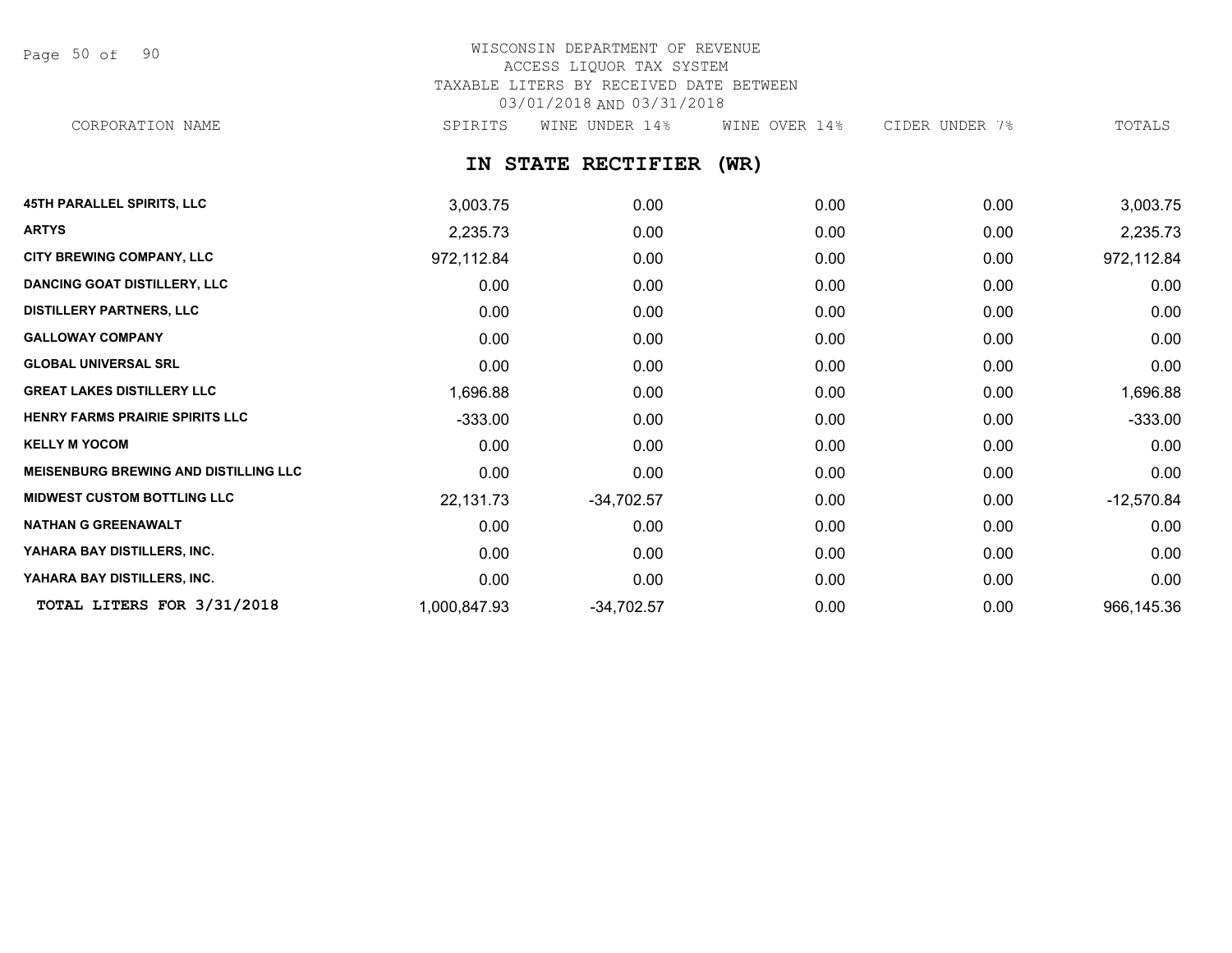Page 50 of 90

# WISCONSIN DEPARTMENT OF REVENUE ACCESS LIQUOR TAX SYSTEM TAXABLE LITERS BY RECEIVED DATE BETWEEN 03/01/2018 AND 03/31/2018

CORPORATION NAME SPIRITS WINE UNDER 14% WINE OVER 14% CIDER UNDER 7% TOTALS

**IN STATE RECTIFIER (WR)**

| <b>45TH PARALLEL SPIRITS, LLC</b>            | 3,003.75     | 0.00         | 0.00 | 0.00 | 3,003.75     |
|----------------------------------------------|--------------|--------------|------|------|--------------|
| <b>ARTYS</b>                                 | 2,235.73     | 0.00         | 0.00 | 0.00 | 2,235.73     |
| <b>CITY BREWING COMPANY, LLC</b>             | 972,112.84   | 0.00         | 0.00 | 0.00 | 972,112.84   |
| <b>DANCING GOAT DISTILLERY, LLC</b>          | 0.00         | 0.00         | 0.00 | 0.00 | 0.00         |
| <b>DISTILLERY PARTNERS, LLC</b>              | 0.00         | 0.00         | 0.00 | 0.00 | 0.00         |
| <b>GALLOWAY COMPANY</b>                      | 0.00         | 0.00         | 0.00 | 0.00 | 0.00         |
| <b>GLOBAL UNIVERSAL SRL</b>                  | 0.00         | 0.00         | 0.00 | 0.00 | 0.00         |
| <b>GREAT LAKES DISTILLERY LLC</b>            | 1,696.88     | 0.00         | 0.00 | 0.00 | 1,696.88     |
| HENRY FARMS PRAIRIE SPIRITS LLC              | $-333.00$    | 0.00         | 0.00 | 0.00 | $-333.00$    |
| <b>KELLY M YOCOM</b>                         | 0.00         | 0.00         | 0.00 | 0.00 | 0.00         |
| <b>MEISENBURG BREWING AND DISTILLING LLC</b> | 0.00         | 0.00         | 0.00 | 0.00 | 0.00         |
| <b>MIDWEST CUSTOM BOTTLING LLC</b>           | 22,131.73    | $-34,702.57$ | 0.00 | 0.00 | $-12,570.84$ |
| <b>NATHAN G GREENAWALT</b>                   | 0.00         | 0.00         | 0.00 | 0.00 | 0.00         |
| YAHARA BAY DISTILLERS, INC.                  | 0.00         | 0.00         | 0.00 | 0.00 | 0.00         |
| YAHARA BAY DISTILLERS, INC.                  | 0.00         | 0.00         | 0.00 | 0.00 | 0.00         |
| TOTAL LITERS FOR 3/31/2018                   | 1,000,847.93 | $-34,702.57$ | 0.00 | 0.00 | 966,145.36   |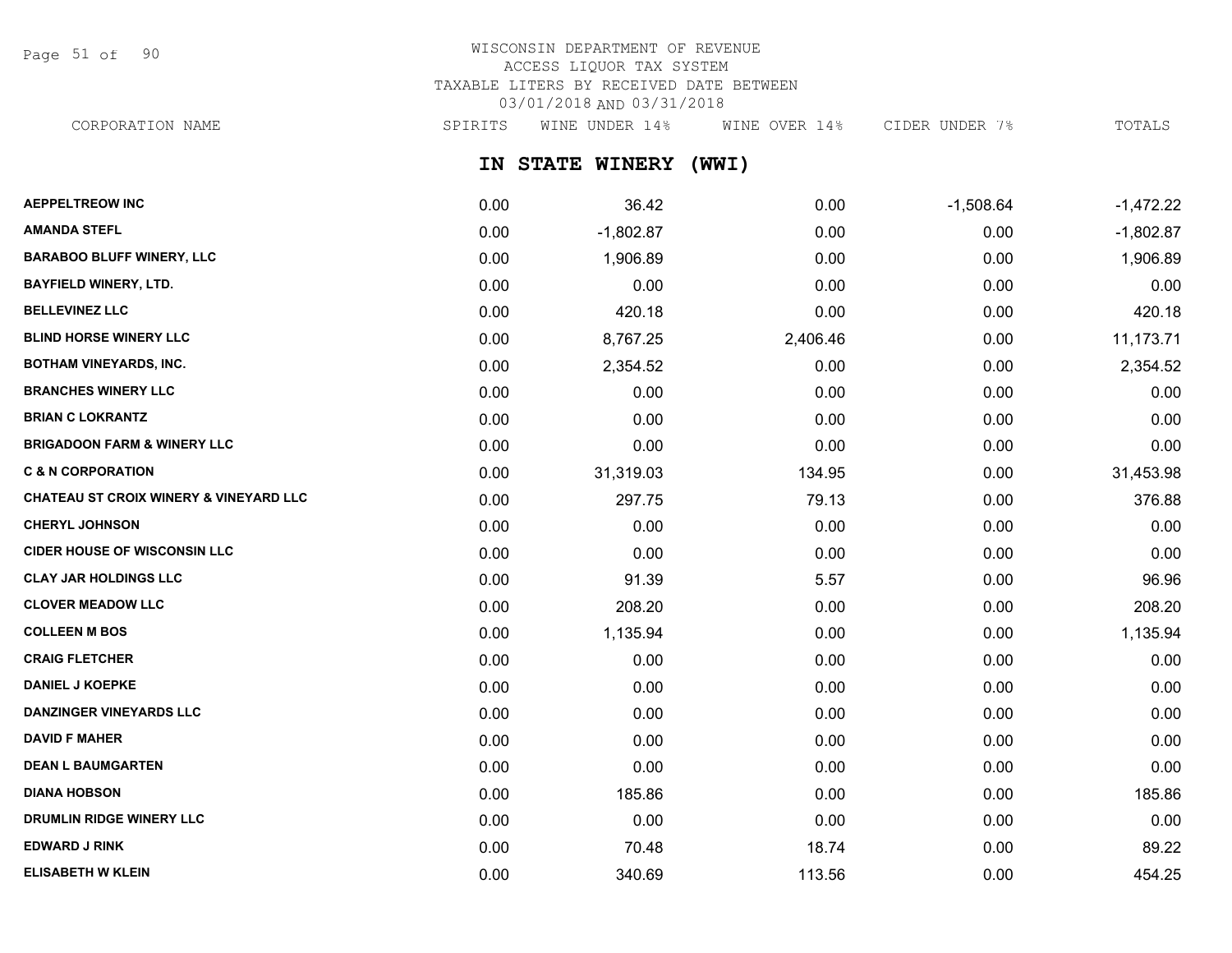Page 51 of 90

## WISCONSIN DEPARTMENT OF REVENUE ACCESS LIQUOR TAX SYSTEM TAXABLE LITERS BY RECEIVED DATE BETWEEN 03/01/2018 AND 03/31/2018

CORPORATION NAME SPIRITS WINE UNDER 14% WINE OVER 14% CIDER UNDER 7% TOTALS

**IN STATE WINERY (WWI)**

| <b>AEPPELTREOW INC</b>                            | 0.00 | 36.42       | 0.00     | $-1,508.64$ | $-1,472.22$ |
|---------------------------------------------------|------|-------------|----------|-------------|-------------|
| <b>AMANDA STEFL</b>                               | 0.00 | $-1,802.87$ | 0.00     | 0.00        | $-1,802.87$ |
| <b>BARABOO BLUFF WINERY, LLC</b>                  | 0.00 | 1,906.89    | 0.00     | 0.00        | 1,906.89    |
| <b>BAYFIELD WINERY, LTD.</b>                      | 0.00 | 0.00        | 0.00     | 0.00        | 0.00        |
| <b>BELLEVINEZ LLC</b>                             | 0.00 | 420.18      | 0.00     | 0.00        | 420.18      |
| <b>BLIND HORSE WINERY LLC</b>                     | 0.00 | 8,767.25    | 2,406.46 | 0.00        | 11,173.71   |
| <b>BOTHAM VINEYARDS, INC.</b>                     | 0.00 | 2,354.52    | 0.00     | 0.00        | 2,354.52    |
| <b>BRANCHES WINERY LLC</b>                        | 0.00 | 0.00        | 0.00     | 0.00        | 0.00        |
| <b>BRIAN C LOKRANTZ</b>                           | 0.00 | 0.00        | 0.00     | 0.00        | 0.00        |
| <b>BRIGADOON FARM &amp; WINERY LLC</b>            | 0.00 | 0.00        | 0.00     | 0.00        | 0.00        |
| <b>C &amp; N CORPORATION</b>                      | 0.00 | 31,319.03   | 134.95   | 0.00        | 31,453.98   |
| <b>CHATEAU ST CROIX WINERY &amp; VINEYARD LLC</b> | 0.00 | 297.75      | 79.13    | 0.00        | 376.88      |
| <b>CHERYL JOHNSON</b>                             | 0.00 | 0.00        | 0.00     | 0.00        | 0.00        |
| <b>CIDER HOUSE OF WISCONSIN LLC</b>               | 0.00 | 0.00        | 0.00     | 0.00        | 0.00        |
| <b>CLAY JAR HOLDINGS LLC</b>                      | 0.00 | 91.39       | 5.57     | 0.00        | 96.96       |
| <b>CLOVER MEADOW LLC</b>                          | 0.00 | 208.20      | 0.00     | 0.00        | 208.20      |
| <b>COLLEEN M BOS</b>                              | 0.00 | 1,135.94    | 0.00     | 0.00        | 1,135.94    |
| <b>CRAIG FLETCHER</b>                             | 0.00 | 0.00        | 0.00     | 0.00        | 0.00        |
| <b>DANIEL J KOEPKE</b>                            | 0.00 | 0.00        | 0.00     | 0.00        | 0.00        |
| DANZINGER VINEYARDS LLC                           | 0.00 | 0.00        | 0.00     | 0.00        | 0.00        |
| <b>DAVID F MAHER</b>                              | 0.00 | 0.00        | 0.00     | 0.00        | 0.00        |
| <b>DEAN L BAUMGARTEN</b>                          | 0.00 | 0.00        | 0.00     | 0.00        | 0.00        |
| <b>DIANA HOBSON</b>                               | 0.00 | 185.86      | 0.00     | 0.00        | 185.86      |
| DRUMLIN RIDGE WINERY LLC                          | 0.00 | 0.00        | 0.00     | 0.00        | 0.00        |
| <b>EDWARD J RINK</b>                              | 0.00 | 70.48       | 18.74    | 0.00        | 89.22       |
| <b>ELISABETH W KLEIN</b>                          | 0.00 | 340.69      | 113.56   | 0.00        | 454.25      |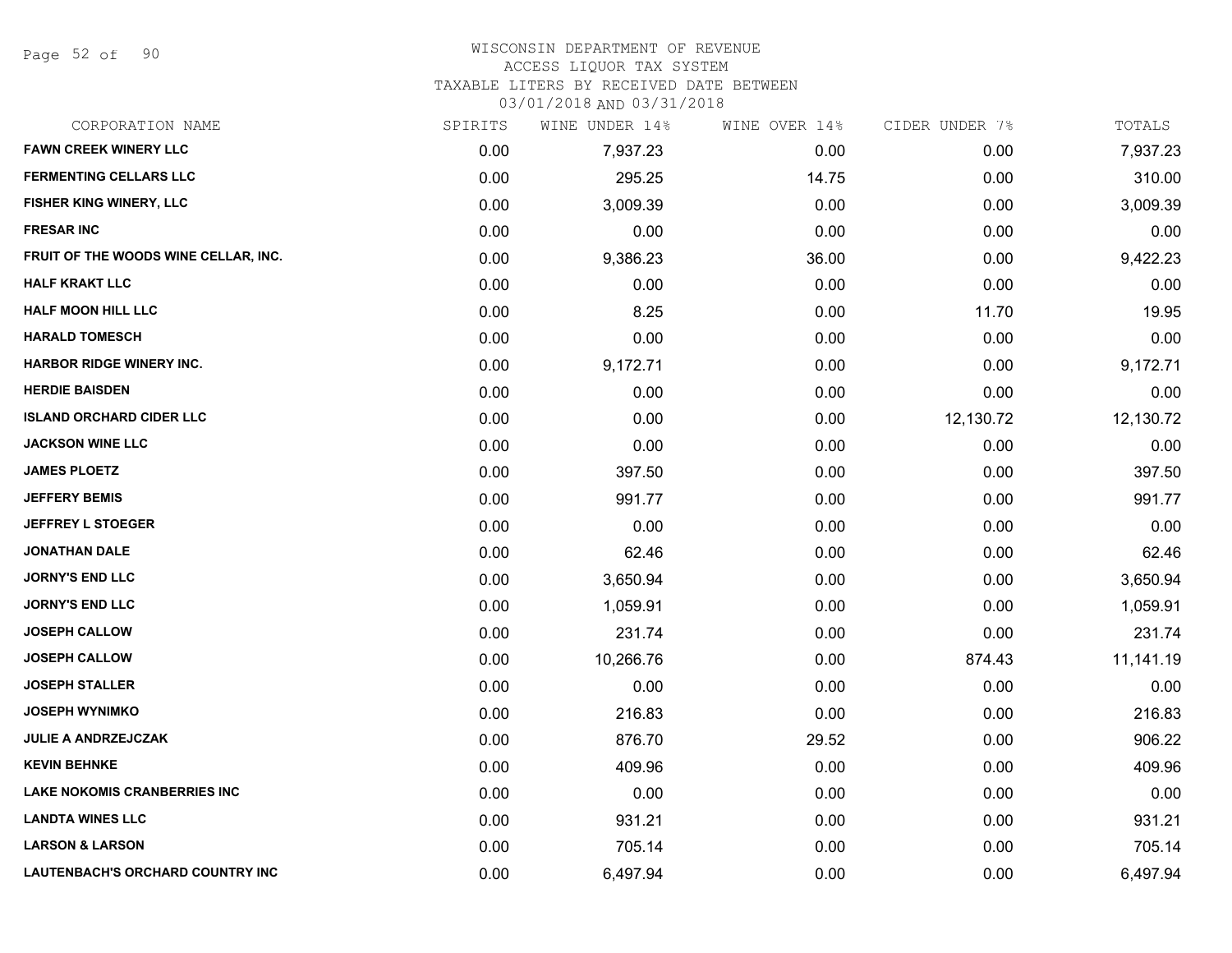Page 52 of 90

#### WISCONSIN DEPARTMENT OF REVENUE

#### ACCESS LIQUOR TAX SYSTEM

TAXABLE LITERS BY RECEIVED DATE BETWEEN

| CORPORATION NAME                     | SPIRITS | WINE UNDER 14% | WINE OVER 14% | CIDER UNDER 7% | TOTALS    |
|--------------------------------------|---------|----------------|---------------|----------------|-----------|
| <b>FAWN CREEK WINERY LLC</b>         | 0.00    | 7,937.23       | 0.00          | 0.00           | 7,937.23  |
| <b>FERMENTING CELLARS LLC</b>        | 0.00    | 295.25         | 14.75         | 0.00           | 310.00    |
| FISHER KING WINERY, LLC              | 0.00    | 3,009.39       | 0.00          | 0.00           | 3,009.39  |
| <b>FRESAR INC</b>                    | 0.00    | 0.00           | 0.00          | 0.00           | 0.00      |
| FRUIT OF THE WOODS WINE CELLAR, INC. | 0.00    | 9,386.23       | 36.00         | 0.00           | 9,422.23  |
| <b>HALF KRAKT LLC</b>                | 0.00    | 0.00           | 0.00          | 0.00           | 0.00      |
| <b>HALF MOON HILL LLC</b>            | 0.00    | 8.25           | 0.00          | 11.70          | 19.95     |
| <b>HARALD TOMESCH</b>                | 0.00    | 0.00           | 0.00          | 0.00           | 0.00      |
| <b>HARBOR RIDGE WINERY INC.</b>      | 0.00    | 9,172.71       | 0.00          | 0.00           | 9,172.71  |
| <b>HERDIE BAISDEN</b>                | 0.00    | 0.00           | 0.00          | 0.00           | 0.00      |
| <b>ISLAND ORCHARD CIDER LLC</b>      | 0.00    | 0.00           | 0.00          | 12,130.72      | 12,130.72 |
| <b>JACKSON WINE LLC</b>              | 0.00    | 0.00           | 0.00          | 0.00           | 0.00      |
| <b>JAMES PLOETZ</b>                  | 0.00    | 397.50         | 0.00          | 0.00           | 397.50    |
| <b>JEFFERY BEMIS</b>                 | 0.00    | 991.77         | 0.00          | 0.00           | 991.77    |
| <b>JEFFREY L STOEGER</b>             | 0.00    | 0.00           | 0.00          | 0.00           | 0.00      |
| <b>JONATHAN DALE</b>                 | 0.00    | 62.46          | 0.00          | 0.00           | 62.46     |
| <b>JORNY'S END LLC</b>               | 0.00    | 3,650.94       | 0.00          | 0.00           | 3,650.94  |
| <b>JORNY'S END LLC</b>               | 0.00    | 1,059.91       | 0.00          | 0.00           | 1,059.91  |
| <b>JOSEPH CALLOW</b>                 | 0.00    | 231.74         | 0.00          | 0.00           | 231.74    |
| <b>JOSEPH CALLOW</b>                 | 0.00    | 10,266.76      | 0.00          | 874.43         | 11,141.19 |
| <b>JOSEPH STALLER</b>                | 0.00    | 0.00           | 0.00          | 0.00           | 0.00      |
| <b>JOSEPH WYNIMKO</b>                | 0.00    | 216.83         | 0.00          | 0.00           | 216.83    |
| <b>JULIE A ANDRZEJCZAK</b>           | 0.00    | 876.70         | 29.52         | 0.00           | 906.22    |
| <b>KEVIN BEHNKE</b>                  | 0.00    | 409.96         | 0.00          | 0.00           | 409.96    |
| <b>LAKE NOKOMIS CRANBERRIES INC</b>  | 0.00    | 0.00           | 0.00          | 0.00           | 0.00      |
| <b>LANDTA WINES LLC</b>              | 0.00    | 931.21         | 0.00          | 0.00           | 931.21    |
| <b>LARSON &amp; LARSON</b>           | 0.00    | 705.14         | 0.00          | 0.00           | 705.14    |
| LAUTENBACH'S ORCHARD COUNTRY INC     | 0.00    | 6,497.94       | 0.00          | 0.00           | 6,497.94  |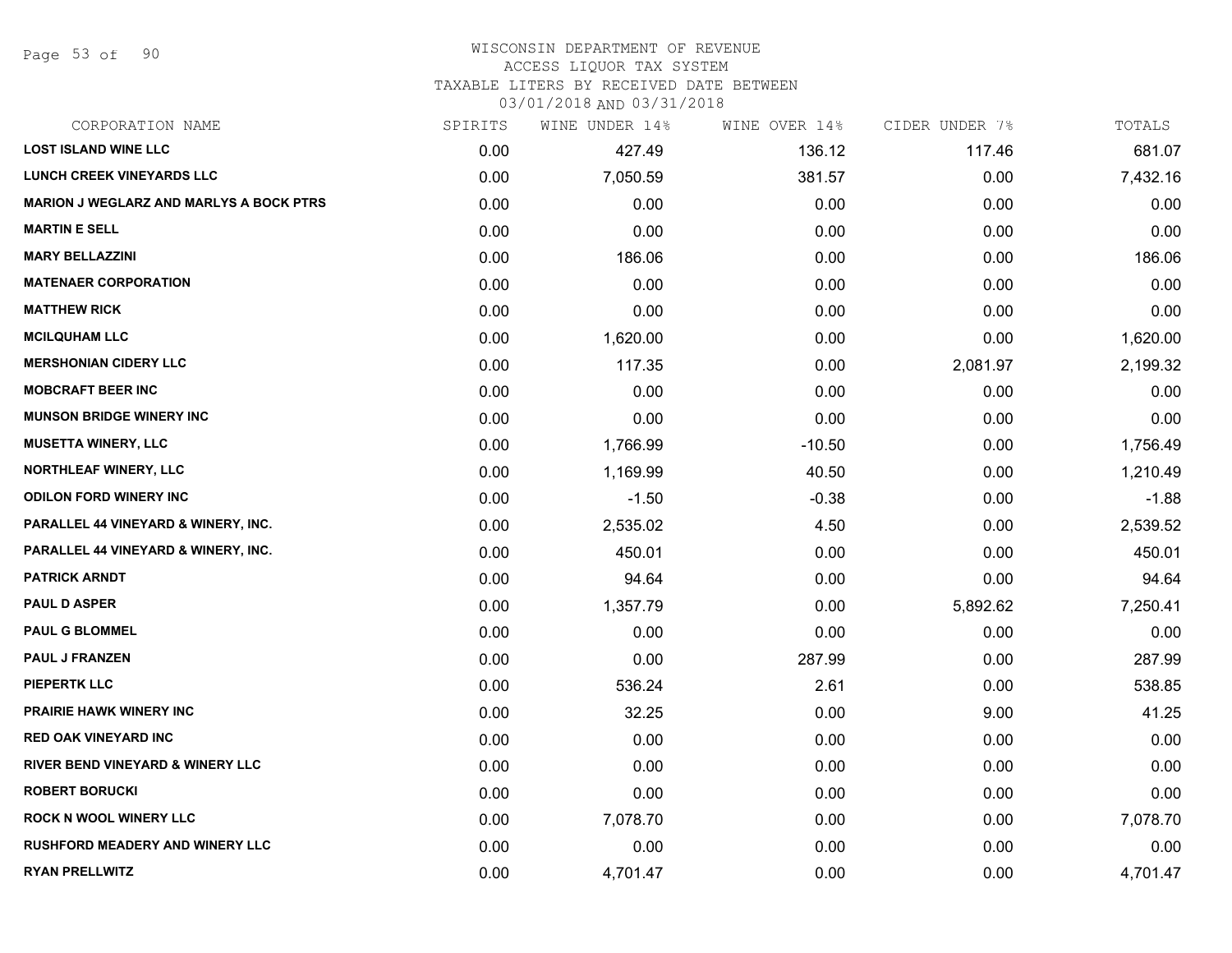Page 53 of 90

#### WISCONSIN DEPARTMENT OF REVENUE ACCESS LIQUOR TAX SYSTEM

TAXABLE LITERS BY RECEIVED DATE BETWEEN

| CORPORATION NAME                               | SPIRITS | WINE UNDER 14% | WINE OVER 14% | CIDER UNDER 7% | TOTALS   |
|------------------------------------------------|---------|----------------|---------------|----------------|----------|
| <b>LOST ISLAND WINE LLC</b>                    | 0.00    | 427.49         | 136.12        | 117.46         | 681.07   |
| <b>LUNCH CREEK VINEYARDS LLC</b>               | 0.00    | 7,050.59       | 381.57        | 0.00           | 7,432.16 |
| <b>MARION J WEGLARZ AND MARLYS A BOCK PTRS</b> | 0.00    | 0.00           | 0.00          | 0.00           | 0.00     |
| <b>MARTIN E SELL</b>                           | 0.00    | 0.00           | 0.00          | 0.00           | 0.00     |
| <b>MARY BELLAZZINI</b>                         | 0.00    | 186.06         | 0.00          | 0.00           | 186.06   |
| <b>MATENAER CORPORATION</b>                    | 0.00    | 0.00           | 0.00          | 0.00           | 0.00     |
| <b>MATTHEW RICK</b>                            | 0.00    | 0.00           | 0.00          | 0.00           | 0.00     |
| <b>MCILQUHAM LLC</b>                           | 0.00    | 1,620.00       | 0.00          | 0.00           | 1,620.00 |
| <b>MERSHONIAN CIDERY LLC</b>                   | 0.00    | 117.35         | 0.00          | 2,081.97       | 2,199.32 |
| <b>MOBCRAFT BEER INC</b>                       | 0.00    | 0.00           | 0.00          | 0.00           | 0.00     |
| <b>MUNSON BRIDGE WINERY INC</b>                | 0.00    | 0.00           | 0.00          | 0.00           | 0.00     |
| <b>MUSETTA WINERY, LLC</b>                     | 0.00    | 1,766.99       | $-10.50$      | 0.00           | 1,756.49 |
| <b>NORTHLEAF WINERY, LLC</b>                   | 0.00    | 1,169.99       | 40.50         | 0.00           | 1,210.49 |
| <b>ODILON FORD WINERY INC</b>                  | 0.00    | $-1.50$        | $-0.38$       | 0.00           | $-1.88$  |
| PARALLEL 44 VINEYARD & WINERY, INC.            | 0.00    | 2,535.02       | 4.50          | 0.00           | 2,539.52 |
| PARALLEL 44 VINEYARD & WINERY, INC.            | 0.00    | 450.01         | 0.00          | 0.00           | 450.01   |
| <b>PATRICK ARNDT</b>                           | 0.00    | 94.64          | 0.00          | 0.00           | 94.64    |
| <b>PAUL D ASPER</b>                            | 0.00    | 1,357.79       | 0.00          | 5,892.62       | 7,250.41 |
| <b>PAUL G BLOMMEL</b>                          | 0.00    | 0.00           | 0.00          | 0.00           | 0.00     |
| <b>PAUL J FRANZEN</b>                          | 0.00    | 0.00           | 287.99        | 0.00           | 287.99   |
| <b>PIEPERTK LLC</b>                            | 0.00    | 536.24         | 2.61          | 0.00           | 538.85   |
| PRAIRIE HAWK WINERY INC                        | 0.00    | 32.25          | 0.00          | 9.00           | 41.25    |
| <b>RED OAK VINEYARD INC</b>                    | 0.00    | 0.00           | 0.00          | 0.00           | 0.00     |
| RIVER BEND VINEYARD & WINERY LLC               | 0.00    | 0.00           | 0.00          | 0.00           | 0.00     |
| <b>ROBERT BORUCKI</b>                          | 0.00    | 0.00           | 0.00          | 0.00           | 0.00     |
| <b>ROCK N WOOL WINERY LLC</b>                  | 0.00    | 7,078.70       | 0.00          | 0.00           | 7,078.70 |
| <b>RUSHFORD MEADERY AND WINERY LLC</b>         | 0.00    | 0.00           | 0.00          | 0.00           | 0.00     |
| <b>RYAN PRELLWITZ</b>                          | 0.00    | 4,701.47       | 0.00          | 0.00           | 4,701.47 |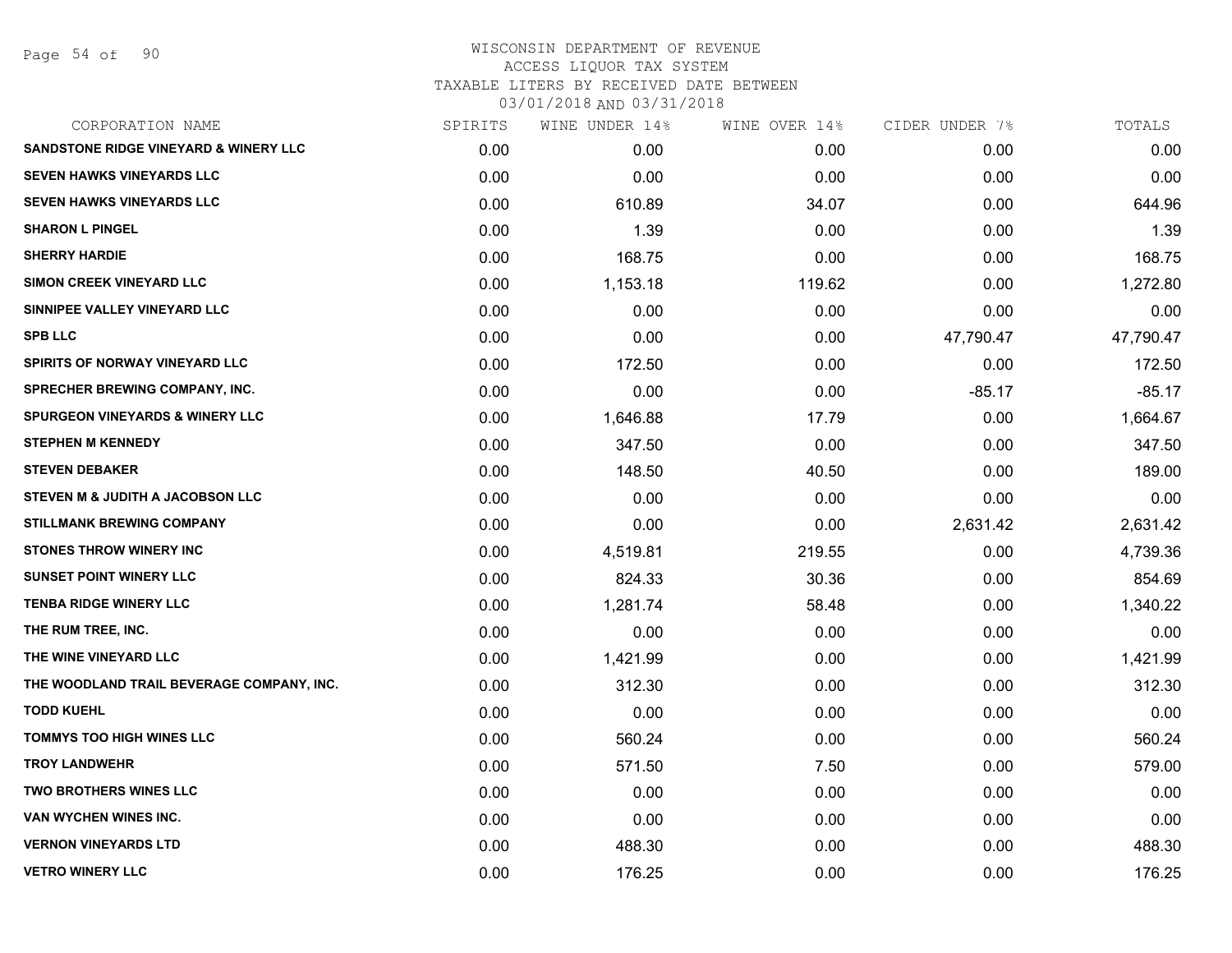| CORPORATION NAME                                 | SPIRITS | WINE UNDER 14% | WINE OVER 14% | CIDER UNDER 7% | TOTALS    |
|--------------------------------------------------|---------|----------------|---------------|----------------|-----------|
| <b>SANDSTONE RIDGE VINEYARD &amp; WINERY LLC</b> | 0.00    | 0.00           | 0.00          | 0.00           | 0.00      |
| <b>SEVEN HAWKS VINEYARDS LLC</b>                 | 0.00    | 0.00           | 0.00          | 0.00           | 0.00      |
| SEVEN HAWKS VINEYARDS LLC                        | 0.00    | 610.89         | 34.07         | 0.00           | 644.96    |
| <b>SHARON L PINGEL</b>                           | 0.00    | 1.39           | 0.00          | 0.00           | 1.39      |
| <b>SHERRY HARDIE</b>                             | 0.00    | 168.75         | 0.00          | 0.00           | 168.75    |
| SIMON CREEK VINEYARD LLC                         | 0.00    | 1,153.18       | 119.62        | 0.00           | 1,272.80  |
| SINNIPEE VALLEY VINEYARD LLC                     | 0.00    | 0.00           | 0.00          | 0.00           | 0.00      |
| <b>SPB LLC</b>                                   | 0.00    | 0.00           | 0.00          | 47,790.47      | 47,790.47 |
| <b>SPIRITS OF NORWAY VINEYARD LLC</b>            | 0.00    | 172.50         | 0.00          | 0.00           | 172.50    |
| SPRECHER BREWING COMPANY, INC.                   | 0.00    | 0.00           | 0.00          | $-85.17$       | $-85.17$  |
| <b>SPURGEON VINEYARDS &amp; WINERY LLC</b>       | 0.00    | 1,646.88       | 17.79         | 0.00           | 1,664.67  |
| <b>STEPHEN M KENNEDY</b>                         | 0.00    | 347.50         | 0.00          | 0.00           | 347.50    |
| <b>STEVEN DEBAKER</b>                            | 0.00    | 148.50         | 40.50         | 0.00           | 189.00    |
| STEVEN M & JUDITH A JACOBSON LLC                 | 0.00    | 0.00           | 0.00          | 0.00           | 0.00      |
| <b>STILLMANK BREWING COMPANY</b>                 | 0.00    | 0.00           | 0.00          | 2,631.42       | 2,631.42  |
| <b>STONES THROW WINERY INC</b>                   | 0.00    | 4,519.81       | 219.55        | 0.00           | 4,739.36  |
| <b>SUNSET POINT WINERY LLC</b>                   | 0.00    | 824.33         | 30.36         | 0.00           | 854.69    |
| <b>TENBA RIDGE WINERY LLC</b>                    | 0.00    | 1,281.74       | 58.48         | 0.00           | 1,340.22  |
| THE RUM TREE, INC.                               | 0.00    | 0.00           | 0.00          | 0.00           | 0.00      |
| THE WINE VINEYARD LLC                            | 0.00    | 1,421.99       | 0.00          | 0.00           | 1,421.99  |
| THE WOODLAND TRAIL BEVERAGE COMPANY, INC.        | 0.00    | 312.30         | 0.00          | 0.00           | 312.30    |
| <b>TODD KUEHL</b>                                | 0.00    | 0.00           | 0.00          | 0.00           | 0.00      |
| <b>TOMMYS TOO HIGH WINES LLC</b>                 | 0.00    | 560.24         | 0.00          | 0.00           | 560.24    |
| <b>TROY LANDWEHR</b>                             | 0.00    | 571.50         | 7.50          | 0.00           | 579.00    |
| TWO BROTHERS WINES LLC                           | 0.00    | 0.00           | 0.00          | 0.00           | 0.00      |
| VAN WYCHEN WINES INC.                            | 0.00    | 0.00           | 0.00          | 0.00           | 0.00      |
| <b>VERNON VINEYARDS LTD</b>                      | 0.00    | 488.30         | 0.00          | 0.00           | 488.30    |
| <b>VETRO WINERY LLC</b>                          | 0.00    | 176.25         | 0.00          | 0.00           | 176.25    |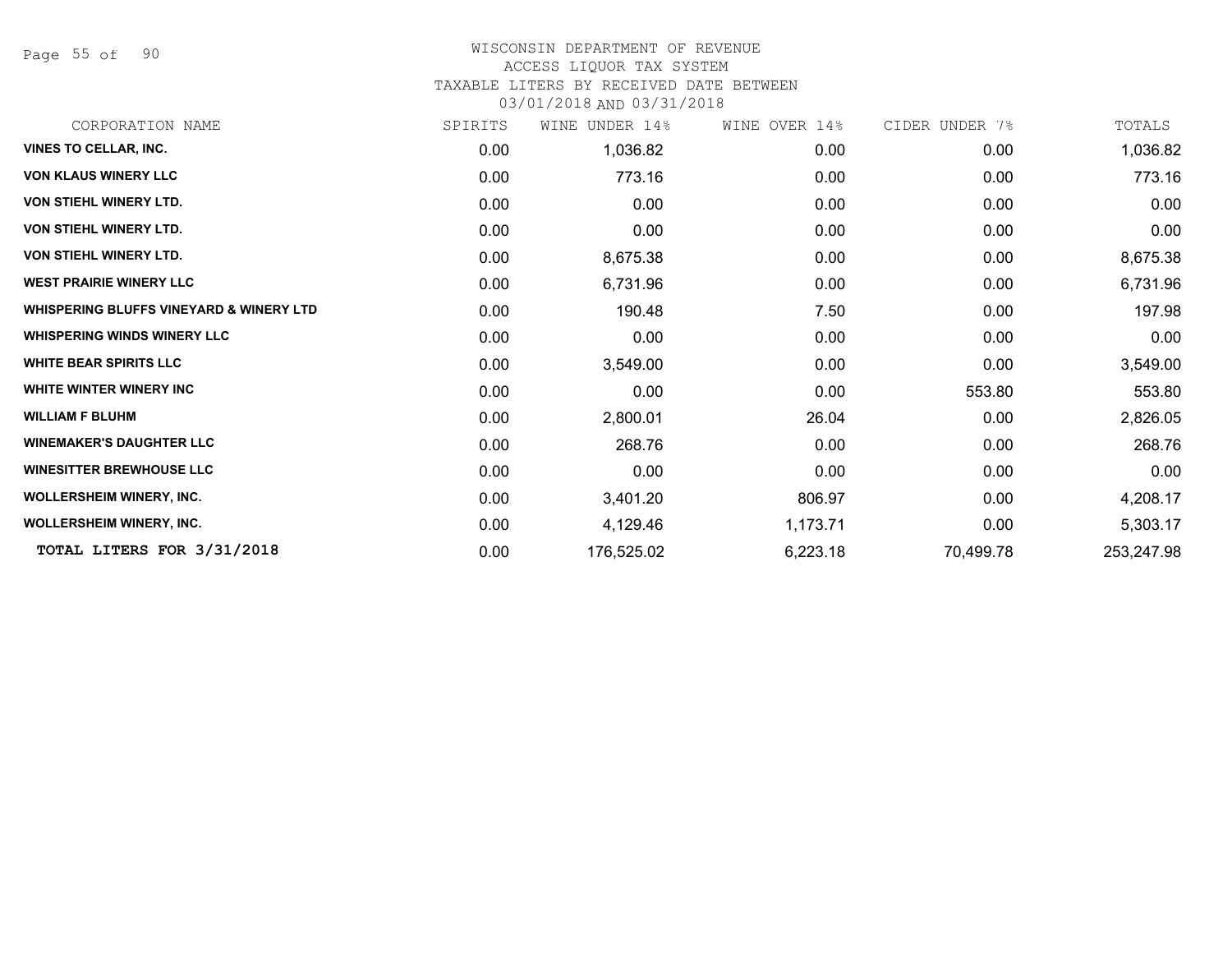Page 55 of 90

#### WISCONSIN DEPARTMENT OF REVENUE

#### ACCESS LIQUOR TAX SYSTEM

TAXABLE LITERS BY RECEIVED DATE BETWEEN

| CORPORATION NAME                                   | SPIRITS | UNDER 14%<br>WINE | WINE OVER 14% | CIDER UNDER 7% | TOTALS     |
|----------------------------------------------------|---------|-------------------|---------------|----------------|------------|
| <b>VINES TO CELLAR, INC.</b>                       | 0.00    | 1,036.82          | 0.00          | 0.00           | 1,036.82   |
| <b>VON KLAUS WINERY LLC</b>                        | 0.00    | 773.16            | 0.00          | 0.00           | 773.16     |
| <b>VON STIEHL WINERY LTD.</b>                      | 0.00    | 0.00              | 0.00          | 0.00           | 0.00       |
| <b>VON STIEHL WINERY LTD.</b>                      | 0.00    | 0.00              | 0.00          | 0.00           | 0.00       |
| <b>VON STIEHL WINERY LTD.</b>                      | 0.00    | 8,675.38          | 0.00          | 0.00           | 8,675.38   |
| <b>WEST PRAIRIE WINERY LLC</b>                     | 0.00    | 6,731.96          | 0.00          | 0.00           | 6,731.96   |
| <b>WHISPERING BLUFFS VINEYARD &amp; WINERY LTD</b> | 0.00    | 190.48            | 7.50          | 0.00           | 197.98     |
| <b>WHISPERING WINDS WINERY LLC</b>                 | 0.00    | 0.00              | 0.00          | 0.00           | 0.00       |
| <b>WHITE BEAR SPIRITS LLC</b>                      | 0.00    | 3,549.00          | 0.00          | 0.00           | 3,549.00   |
| <b>WHITE WINTER WINERY INC</b>                     | 0.00    | 0.00              | 0.00          | 553.80         | 553.80     |
| <b>WILLIAM F BLUHM</b>                             | 0.00    | 2,800.01          | 26.04         | 0.00           | 2,826.05   |
| <b>WINEMAKER'S DAUGHTER LLC</b>                    | 0.00    | 268.76            | 0.00          | 0.00           | 268.76     |
| <b>WINESITTER BREWHOUSE LLC</b>                    | 0.00    | 0.00              | 0.00          | 0.00           | 0.00       |
| <b>WOLLERSHEIM WINERY, INC.</b>                    | 0.00    | 3,401.20          | 806.97        | 0.00           | 4,208.17   |
| <b>WOLLERSHEIM WINERY, INC.</b>                    | 0.00    | 4,129.46          | 1,173.71      | 0.00           | 5,303.17   |
| TOTAL LITERS FOR 3/31/2018                         | 0.00    | 176,525.02        | 6,223.18      | 70,499.78      | 253,247.98 |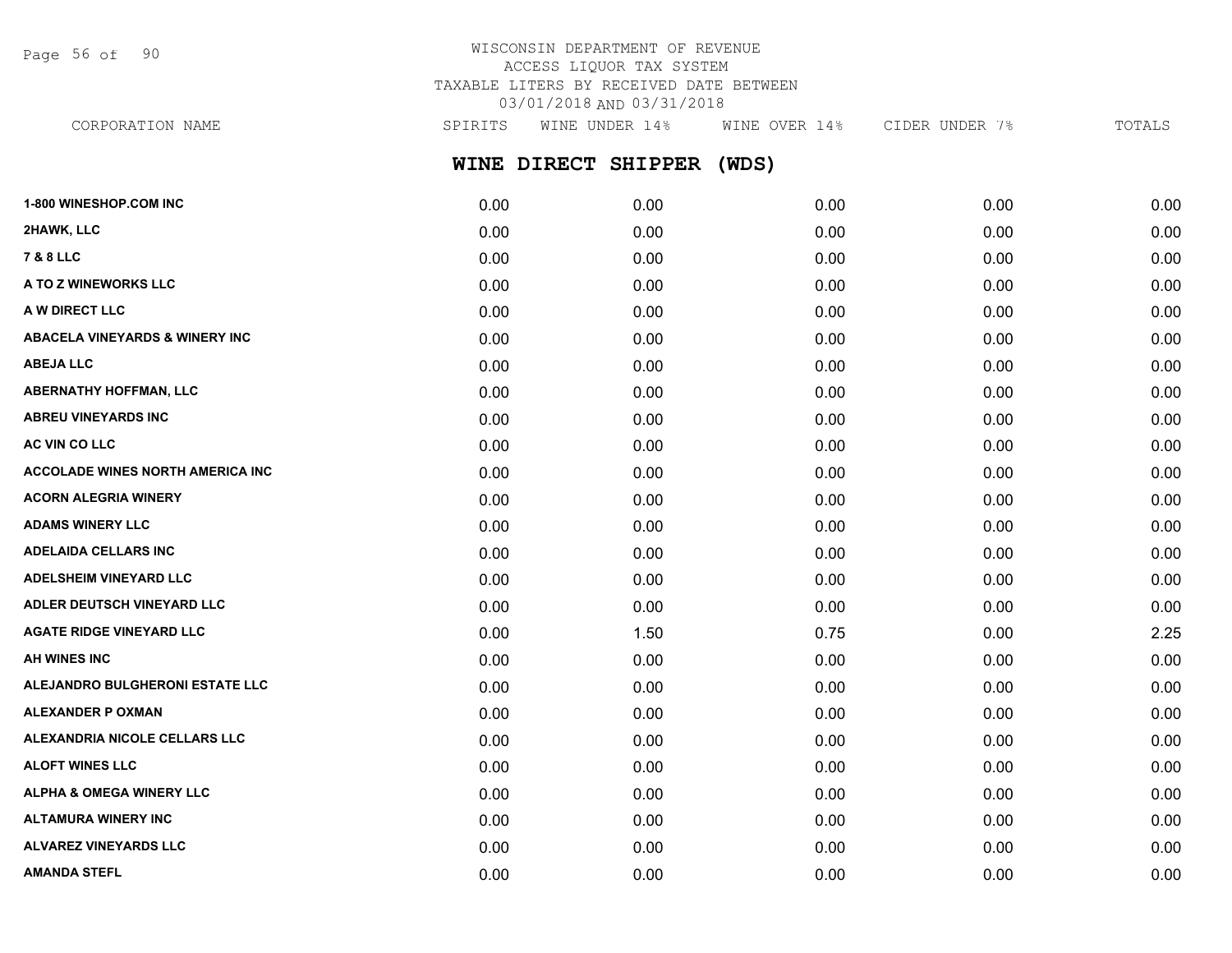Page 56 of 90

## WISCONSIN DEPARTMENT OF REVENUE ACCESS LIQUOR TAX SYSTEM TAXABLE LITERS BY RECEIVED DATE BETWEEN 03/01/2018 AND 03/31/2018

**WINE DIRECT SHIPPER (WDS) 1-800 WINESHOP.COM INC** 0.00 0.00 0.00 0.00 0.00 **2HAWK, LLC** 0.00 0.00 0.00 0.00 0.00 **7 & 8 LLC** 0.00 0.00 0.00 0.00 0.00 **A TO Z WINEWORKS LLC** 0.00 0.00 0.00 0.00 0.00 **A W DIRECT LLC** 0.00 0.00 0.00 0.00 0.00 **ABACELA VINEYARDS & WINERY INC** 0.00 0.00 0.00 0.00 0.00 **ABEJA LLC** 0.00 0.00 0.00 0.00 0.00 **ABERNATHY HOFFMAN, LLC** 0.00 0.00 0.00 0.00 0.00 **ABREU VINEYARDS INC** 0.00 0.00 0.00 0.00 0.00 **AC VIN CO LLC** 0.00 0.00 0.00 0.00 0.00 **ACCOLADE WINES NORTH AMERICA INC** 0.00 0.00 0.00 0.00 0.00 **ACORN ALEGRIA WINERY** 0.00 0.00 0.00 0.00 0.00 **ADAMS WINERY LLC** 0.00 0.00 0.00 0.00 0.00 **ADELAIDA CELLARS INC** 0.00 0.00 0.00 0.00 0.00 **ADELSHEIM VINEYARD LLC** 0.00 0.00 0.00 0.00 0.00 **ADLER DEUTSCH VINEYARD LLC** 0.00 0.00 0.00 0.00 0.00 **AGATE RIDGE VINEYARD LLC** 0.00 1.50 0.75 0.00 2.25 **AH WINES INC** 0.00 0.00 0.00 0.00 0.00 CORPORATION NAME SPIRITS WINE UNDER 14% WINE OVER 14% CIDER UNDER 7% TOTALS

**ALEJANDRO BULGHERONI ESTATE LLC** 0.00 0.00 0.00 0.00 0.00 **ALEXANDER P OXMAN** 0.00 0.00 0.00 0.00 0.00 **ALEXANDRIA NICOLE CELLARS LLC** 0.00 0.00 0.00 0.00 0.00 **ALOFT WINES LLC** 0.00 0.00 0.00 0.00 0.00 **ALPHA & OMEGA WINERY LLC** 0.00 0.00 0.00 0.00 0.00 **ALTAMURA WINERY INC** 0.00 0.00 0.00 0.00 0.00 **ALVAREZ VINEYARDS LLC** 0.00 0.00 0.00 0.00 0.00 **AMANDA STEFL** 0.00 0.00 0.00 0.00 0.00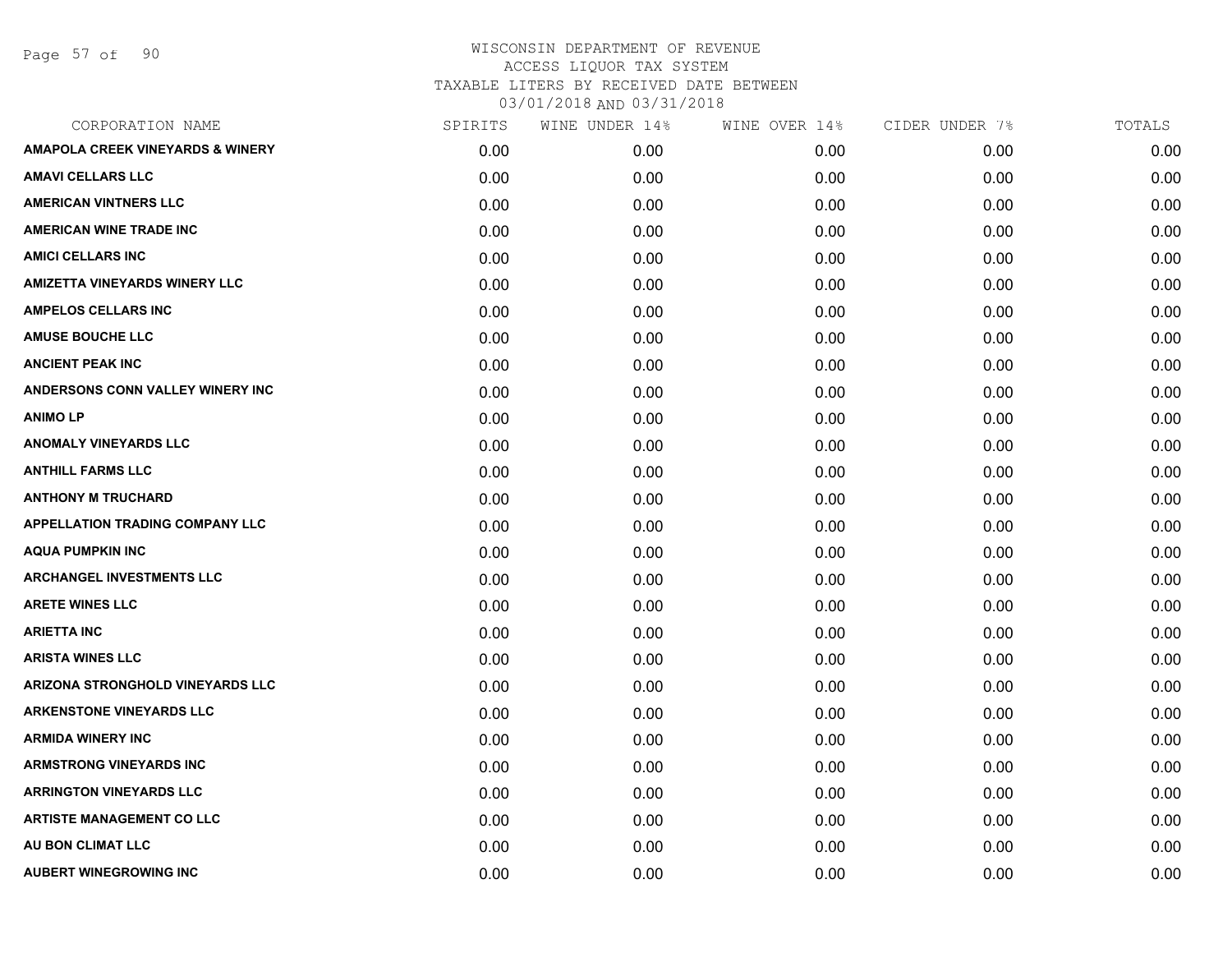Page 57 of 90

| CORPORATION NAME                            | SPIRITS | WINE UNDER 14% | WINE OVER 14% | CIDER UNDER 7% | TOTALS |
|---------------------------------------------|---------|----------------|---------------|----------------|--------|
| <b>AMAPOLA CREEK VINEYARDS &amp; WINERY</b> | 0.00    | 0.00           | 0.00          | 0.00           | 0.00   |
| <b>AMAVI CELLARS LLC</b>                    | 0.00    | 0.00           | 0.00          | 0.00           | 0.00   |
| <b>AMERICAN VINTNERS LLC</b>                | 0.00    | 0.00           | 0.00          | 0.00           | 0.00   |
| AMERICAN WINE TRADE INC                     | 0.00    | 0.00           | 0.00          | 0.00           | 0.00   |
| <b>AMICI CELLARS INC</b>                    | 0.00    | 0.00           | 0.00          | 0.00           | 0.00   |
| <b>AMIZETTA VINEYARDS WINERY LLC</b>        | 0.00    | 0.00           | 0.00          | 0.00           | 0.00   |
| <b>AMPELOS CELLARS INC</b>                  | 0.00    | 0.00           | 0.00          | 0.00           | 0.00   |
| <b>AMUSE BOUCHE LLC</b>                     | 0.00    | 0.00           | 0.00          | 0.00           | 0.00   |
| <b>ANCIENT PEAK INC</b>                     | 0.00    | 0.00           | 0.00          | 0.00           | 0.00   |
| ANDERSONS CONN VALLEY WINERY INC            | 0.00    | 0.00           | 0.00          | 0.00           | 0.00   |
| <b>ANIMOLP</b>                              | 0.00    | 0.00           | 0.00          | 0.00           | 0.00   |
| <b>ANOMALY VINEYARDS LLC</b>                | 0.00    | 0.00           | 0.00          | 0.00           | 0.00   |
| <b>ANTHILL FARMS LLC</b>                    | 0.00    | 0.00           | 0.00          | 0.00           | 0.00   |
| <b>ANTHONY M TRUCHARD</b>                   | 0.00    | 0.00           | 0.00          | 0.00           | 0.00   |
| <b>APPELLATION TRADING COMPANY LLC</b>      | 0.00    | 0.00           | 0.00          | 0.00           | 0.00   |
| <b>AQUA PUMPKIN INC</b>                     | 0.00    | 0.00           | 0.00          | 0.00           | 0.00   |
| <b>ARCHANGEL INVESTMENTS LLC</b>            | 0.00    | 0.00           | 0.00          | 0.00           | 0.00   |
| <b>ARETE WINES LLC</b>                      | 0.00    | 0.00           | 0.00          | 0.00           | 0.00   |
| <b>ARIETTA INC</b>                          | 0.00    | 0.00           | 0.00          | 0.00           | 0.00   |
| <b>ARISTA WINES LLC</b>                     | 0.00    | 0.00           | 0.00          | 0.00           | 0.00   |
| ARIZONA STRONGHOLD VINEYARDS LLC            | 0.00    | 0.00           | 0.00          | 0.00           | 0.00   |
| <b>ARKENSTONE VINEYARDS LLC</b>             | 0.00    | 0.00           | 0.00          | 0.00           | 0.00   |
| <b>ARMIDA WINERY INC</b>                    | 0.00    | 0.00           | 0.00          | 0.00           | 0.00   |
| <b>ARMSTRONG VINEYARDS INC</b>              | 0.00    | 0.00           | 0.00          | 0.00           | 0.00   |
| <b>ARRINGTON VINEYARDS LLC</b>              | 0.00    | 0.00           | 0.00          | 0.00           | 0.00   |
| <b>ARTISTE MANAGEMENT CO LLC</b>            | 0.00    | 0.00           | 0.00          | 0.00           | 0.00   |
| AU BON CLIMAT LLC                           | 0.00    | 0.00           | 0.00          | 0.00           | 0.00   |
| <b>AUBERT WINEGROWING INC</b>               | 0.00    | 0.00           | 0.00          | 0.00           | 0.00   |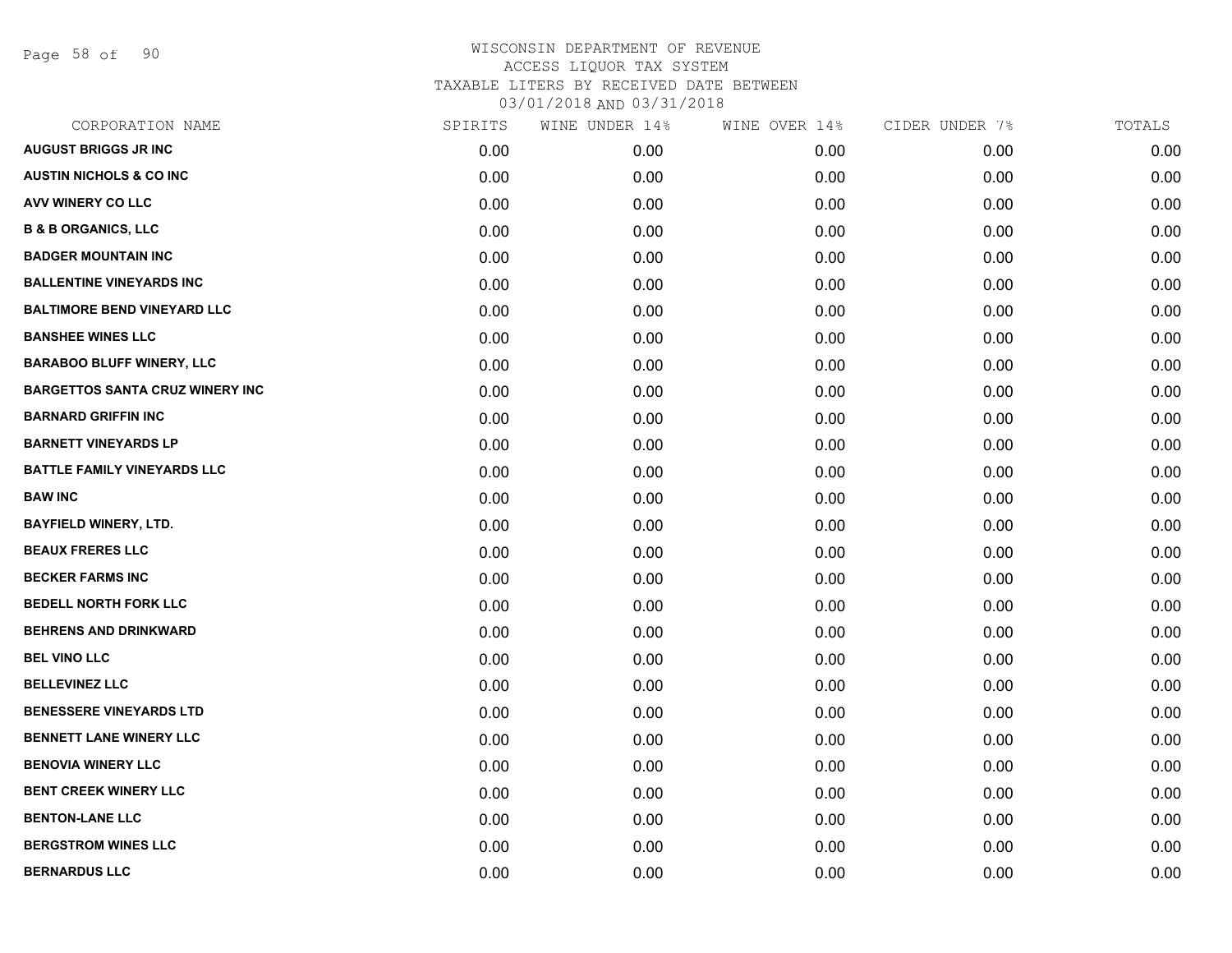Page 58 of 90

| CORPORATION NAME                       | SPIRITS | WINE UNDER 14% | WINE OVER 14% | CIDER UNDER 7% | TOTALS |
|----------------------------------------|---------|----------------|---------------|----------------|--------|
| <b>AUGUST BRIGGS JR INC</b>            | 0.00    | 0.00           | 0.00          | 0.00           | 0.00   |
| <b>AUSTIN NICHOLS &amp; CO INC</b>     | 0.00    | 0.00           | 0.00          | 0.00           | 0.00   |
| AVV WINERY CO LLC                      | 0.00    | 0.00           | 0.00          | 0.00           | 0.00   |
| <b>B &amp; B ORGANICS, LLC</b>         | 0.00    | 0.00           | 0.00          | 0.00           | 0.00   |
| <b>BADGER MOUNTAIN INC</b>             | 0.00    | 0.00           | 0.00          | 0.00           | 0.00   |
| <b>BALLENTINE VINEYARDS INC</b>        | 0.00    | 0.00           | 0.00          | 0.00           | 0.00   |
| <b>BALTIMORE BEND VINEYARD LLC</b>     | 0.00    | 0.00           | 0.00          | 0.00           | 0.00   |
| <b>BANSHEE WINES LLC</b>               | 0.00    | 0.00           | 0.00          | 0.00           | 0.00   |
| <b>BARABOO BLUFF WINERY, LLC</b>       | 0.00    | 0.00           | 0.00          | 0.00           | 0.00   |
| <b>BARGETTOS SANTA CRUZ WINERY INC</b> | 0.00    | 0.00           | 0.00          | 0.00           | 0.00   |
| <b>BARNARD GRIFFIN INC</b>             | 0.00    | 0.00           | 0.00          | 0.00           | 0.00   |
| <b>BARNETT VINEYARDS LP</b>            | 0.00    | 0.00           | 0.00          | 0.00           | 0.00   |
| <b>BATTLE FAMILY VINEYARDS LLC</b>     | 0.00    | 0.00           | 0.00          | 0.00           | 0.00   |
| <b>BAW INC</b>                         | 0.00    | 0.00           | 0.00          | 0.00           | 0.00   |
| <b>BAYFIELD WINERY, LTD.</b>           | 0.00    | 0.00           | 0.00          | 0.00           | 0.00   |
| <b>BEAUX FRERES LLC</b>                | 0.00    | 0.00           | 0.00          | 0.00           | 0.00   |
| <b>BECKER FARMS INC</b>                | 0.00    | 0.00           | 0.00          | 0.00           | 0.00   |
| <b>BEDELL NORTH FORK LLC</b>           | 0.00    | 0.00           | 0.00          | 0.00           | 0.00   |
| <b>BEHRENS AND DRINKWARD</b>           | 0.00    | 0.00           | 0.00          | 0.00           | 0.00   |
| <b>BEL VINO LLC</b>                    | 0.00    | 0.00           | 0.00          | 0.00           | 0.00   |
| <b>BELLEVINEZ LLC</b>                  | 0.00    | 0.00           | 0.00          | 0.00           | 0.00   |
| <b>BENESSERE VINEYARDS LTD</b>         | 0.00    | 0.00           | 0.00          | 0.00           | 0.00   |
| <b>BENNETT LANE WINERY LLC</b>         | 0.00    | 0.00           | 0.00          | 0.00           | 0.00   |
| <b>BENOVIA WINERY LLC</b>              | 0.00    | 0.00           | 0.00          | 0.00           | 0.00   |
| <b>BENT CREEK WINERY LLC</b>           | 0.00    | 0.00           | 0.00          | 0.00           | 0.00   |
| <b>BENTON-LANE LLC</b>                 | 0.00    | 0.00           | 0.00          | 0.00           | 0.00   |
| <b>BERGSTROM WINES LLC</b>             | 0.00    | 0.00           | 0.00          | 0.00           | 0.00   |
| <b>BERNARDUS LLC</b>                   | 0.00    | 0.00           | 0.00          | 0.00           | 0.00   |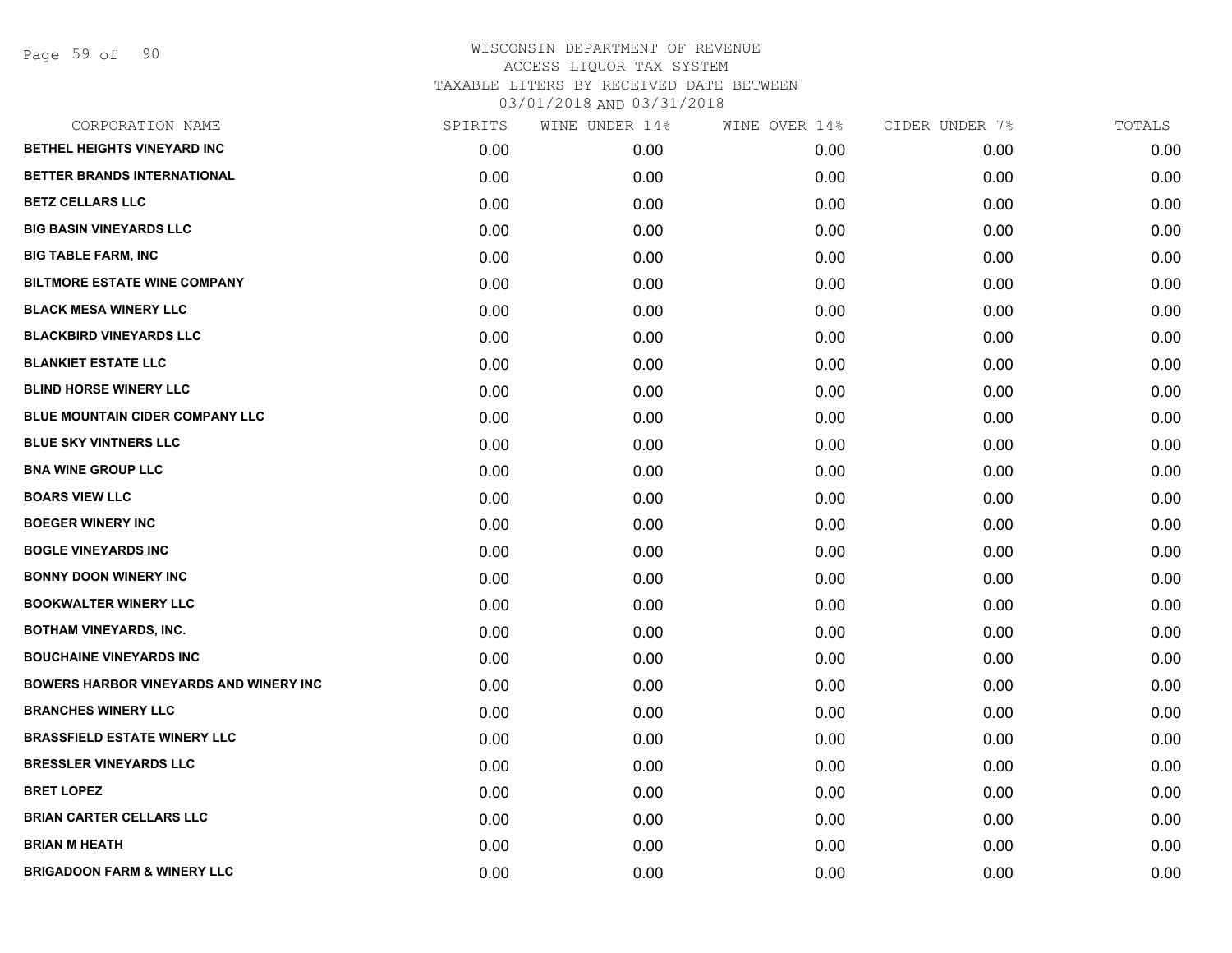| CORPORATION NAME                              | SPIRITS | WINE UNDER 14% | WINE OVER 14% | CIDER UNDER 7% | TOTALS |
|-----------------------------------------------|---------|----------------|---------------|----------------|--------|
| <b>BETHEL HEIGHTS VINEYARD INC</b>            | 0.00    | 0.00           | 0.00          | 0.00           | 0.00   |
| BETTER BRANDS INTERNATIONAL                   | 0.00    | 0.00           | 0.00          | 0.00           | 0.00   |
| <b>BETZ CELLARS LLC</b>                       | 0.00    | 0.00           | 0.00          | 0.00           | 0.00   |
| <b>BIG BASIN VINEYARDS LLC</b>                | 0.00    | 0.00           | 0.00          | 0.00           | 0.00   |
| <b>BIG TABLE FARM, INC</b>                    | 0.00    | 0.00           | 0.00          | 0.00           | 0.00   |
| <b>BILTMORE ESTATE WINE COMPANY</b>           | 0.00    | 0.00           | 0.00          | 0.00           | 0.00   |
| <b>BLACK MESA WINERY LLC</b>                  | 0.00    | 0.00           | 0.00          | 0.00           | 0.00   |
| <b>BLACKBIRD VINEYARDS LLC</b>                | 0.00    | 0.00           | 0.00          | 0.00           | 0.00   |
| <b>BLANKIET ESTATE LLC</b>                    | 0.00    | 0.00           | 0.00          | 0.00           | 0.00   |
| <b>BLIND HORSE WINERY LLC</b>                 | 0.00    | 0.00           | 0.00          | 0.00           | 0.00   |
| <b>BLUE MOUNTAIN CIDER COMPANY LLC</b>        | 0.00    | 0.00           | 0.00          | 0.00           | 0.00   |
| <b>BLUE SKY VINTNERS LLC</b>                  | 0.00    | 0.00           | 0.00          | 0.00           | 0.00   |
| <b>BNA WINE GROUP LLC</b>                     | 0.00    | 0.00           | 0.00          | 0.00           | 0.00   |
| <b>BOARS VIEW LLC</b>                         | 0.00    | 0.00           | 0.00          | 0.00           | 0.00   |
| <b>BOEGER WINERY INC</b>                      | 0.00    | 0.00           | 0.00          | 0.00           | 0.00   |
| <b>BOGLE VINEYARDS INC</b>                    | 0.00    | 0.00           | 0.00          | 0.00           | 0.00   |
| <b>BONNY DOON WINERY INC</b>                  | 0.00    | 0.00           | 0.00          | 0.00           | 0.00   |
| <b>BOOKWALTER WINERY LLC</b>                  | 0.00    | 0.00           | 0.00          | 0.00           | 0.00   |
| <b>BOTHAM VINEYARDS, INC.</b>                 | 0.00    | 0.00           | 0.00          | 0.00           | 0.00   |
| <b>BOUCHAINE VINEYARDS INC</b>                | 0.00    | 0.00           | 0.00          | 0.00           | 0.00   |
| <b>BOWERS HARBOR VINEYARDS AND WINERY INC</b> | 0.00    | 0.00           | 0.00          | 0.00           | 0.00   |
| <b>BRANCHES WINERY LLC</b>                    | 0.00    | 0.00           | 0.00          | 0.00           | 0.00   |
| <b>BRASSFIELD ESTATE WINERY LLC</b>           | 0.00    | 0.00           | 0.00          | 0.00           | 0.00   |
| <b>BRESSLER VINEYARDS LLC</b>                 | 0.00    | 0.00           | 0.00          | 0.00           | 0.00   |
| <b>BRET LOPEZ</b>                             | 0.00    | 0.00           | 0.00          | 0.00           | 0.00   |
| <b>BRIAN CARTER CELLARS LLC</b>               | 0.00    | 0.00           | 0.00          | 0.00           | 0.00   |
| <b>BRIAN M HEATH</b>                          | 0.00    | 0.00           | 0.00          | 0.00           | 0.00   |
| <b>BRIGADOON FARM &amp; WINERY LLC</b>        | 0.00    | 0.00           | 0.00          | 0.00           | 0.00   |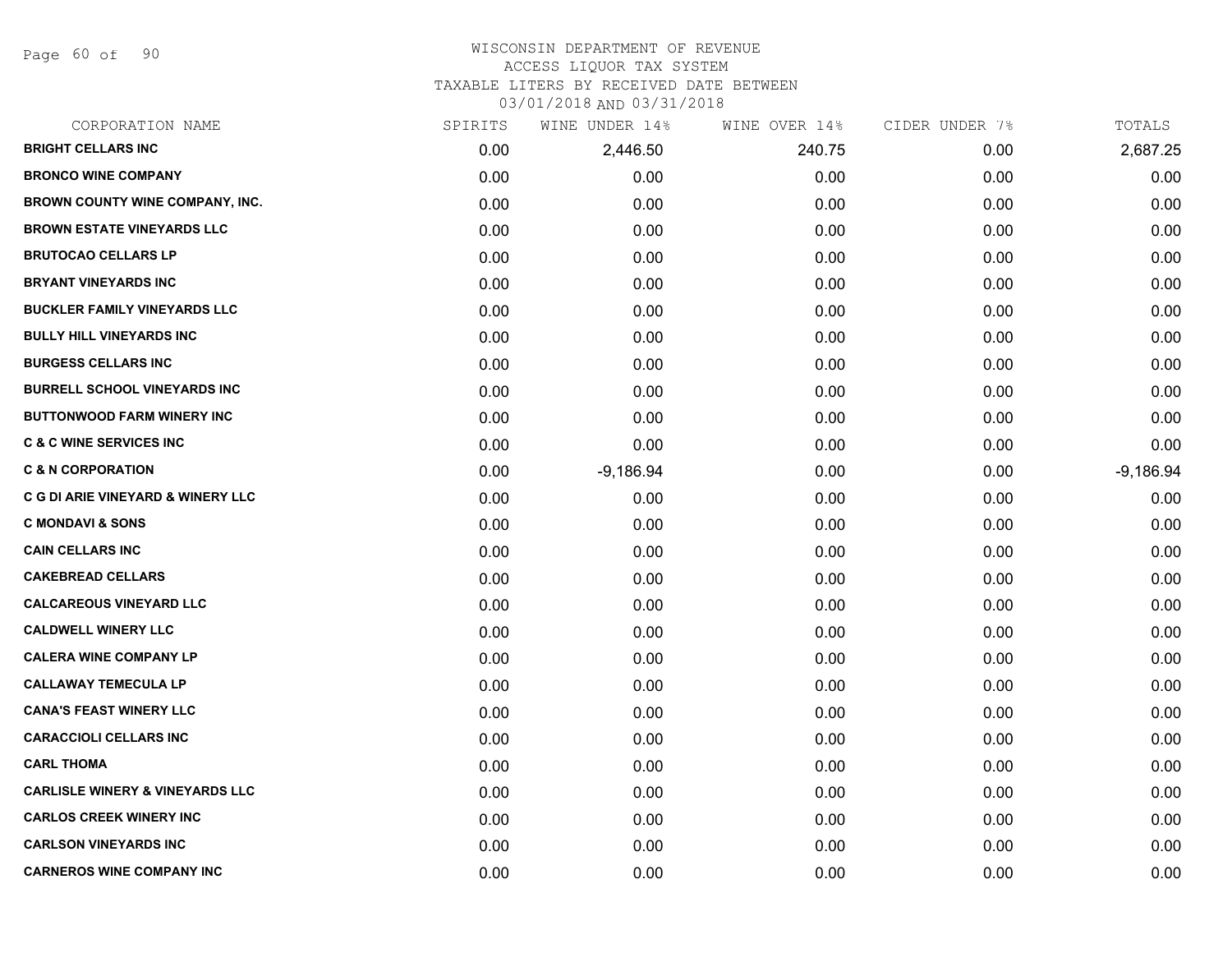Page 60 of 90

#### WISCONSIN DEPARTMENT OF REVENUE ACCESS LIQUOR TAX SYSTEM

TAXABLE LITERS BY RECEIVED DATE BETWEEN

| CORPORATION NAME                             | SPIRITS | WINE UNDER 14% | WINE OVER 14% | CIDER UNDER 7% | TOTALS      |
|----------------------------------------------|---------|----------------|---------------|----------------|-------------|
| <b>BRIGHT CELLARS INC</b>                    | 0.00    | 2,446.50       | 240.75        | 0.00           | 2,687.25    |
| <b>BRONCO WINE COMPANY</b>                   | 0.00    | 0.00           | 0.00          | 0.00           | 0.00        |
| BROWN COUNTY WINE COMPANY, INC.              | 0.00    | 0.00           | 0.00          | 0.00           | 0.00        |
| <b>BROWN ESTATE VINEYARDS LLC</b>            | 0.00    | 0.00           | 0.00          | 0.00           | 0.00        |
| <b>BRUTOCAO CELLARS LP</b>                   | 0.00    | 0.00           | 0.00          | 0.00           | 0.00        |
| <b>BRYANT VINEYARDS INC</b>                  | 0.00    | 0.00           | 0.00          | 0.00           | 0.00        |
| <b>BUCKLER FAMILY VINEYARDS LLC</b>          | 0.00    | 0.00           | 0.00          | 0.00           | 0.00        |
| <b>BULLY HILL VINEYARDS INC</b>              | 0.00    | 0.00           | 0.00          | 0.00           | 0.00        |
| <b>BURGESS CELLARS INC</b>                   | 0.00    | 0.00           | 0.00          | 0.00           | 0.00        |
| <b>BURRELL SCHOOL VINEYARDS INC</b>          | 0.00    | 0.00           | 0.00          | 0.00           | 0.00        |
| <b>BUTTONWOOD FARM WINERY INC</b>            | 0.00    | 0.00           | 0.00          | 0.00           | 0.00        |
| <b>C &amp; C WINE SERVICES INC</b>           | 0.00    | 0.00           | 0.00          | 0.00           | 0.00        |
| <b>C &amp; N CORPORATION</b>                 | 0.00    | $-9,186.94$    | 0.00          | 0.00           | $-9,186.94$ |
| <b>C G DI ARIE VINEYARD &amp; WINERY LLC</b> | 0.00    | 0.00           | 0.00          | 0.00           | 0.00        |
| <b>C MONDAVI &amp; SONS</b>                  | 0.00    | 0.00           | 0.00          | 0.00           | 0.00        |
| <b>CAIN CELLARS INC</b>                      | 0.00    | 0.00           | 0.00          | 0.00           | 0.00        |
| <b>CAKEBREAD CELLARS</b>                     | 0.00    | 0.00           | 0.00          | 0.00           | 0.00        |
| <b>CALCAREOUS VINEYARD LLC</b>               | 0.00    | 0.00           | 0.00          | 0.00           | 0.00        |
| <b>CALDWELL WINERY LLC</b>                   | 0.00    | 0.00           | 0.00          | 0.00           | 0.00        |
| <b>CALERA WINE COMPANY LP</b>                | 0.00    | 0.00           | 0.00          | 0.00           | 0.00        |
| <b>CALLAWAY TEMECULA LP</b>                  | 0.00    | 0.00           | 0.00          | 0.00           | 0.00        |
| <b>CANA'S FEAST WINERY LLC</b>               | 0.00    | 0.00           | 0.00          | 0.00           | 0.00        |
| <b>CARACCIOLI CELLARS INC</b>                | 0.00    | 0.00           | 0.00          | 0.00           | 0.00        |
| <b>CARL THOMA</b>                            | 0.00    | 0.00           | 0.00          | 0.00           | 0.00        |
| <b>CARLISLE WINERY &amp; VINEYARDS LLC</b>   | 0.00    | 0.00           | 0.00          | 0.00           | 0.00        |
| <b>CARLOS CREEK WINERY INC</b>               | 0.00    | 0.00           | 0.00          | 0.00           | 0.00        |
| <b>CARLSON VINEYARDS INC</b>                 | 0.00    | 0.00           | 0.00          | 0.00           | 0.00        |
| <b>CARNEROS WINE COMPANY INC</b>             | 0.00    | 0.00           | 0.00          | 0.00           | 0.00        |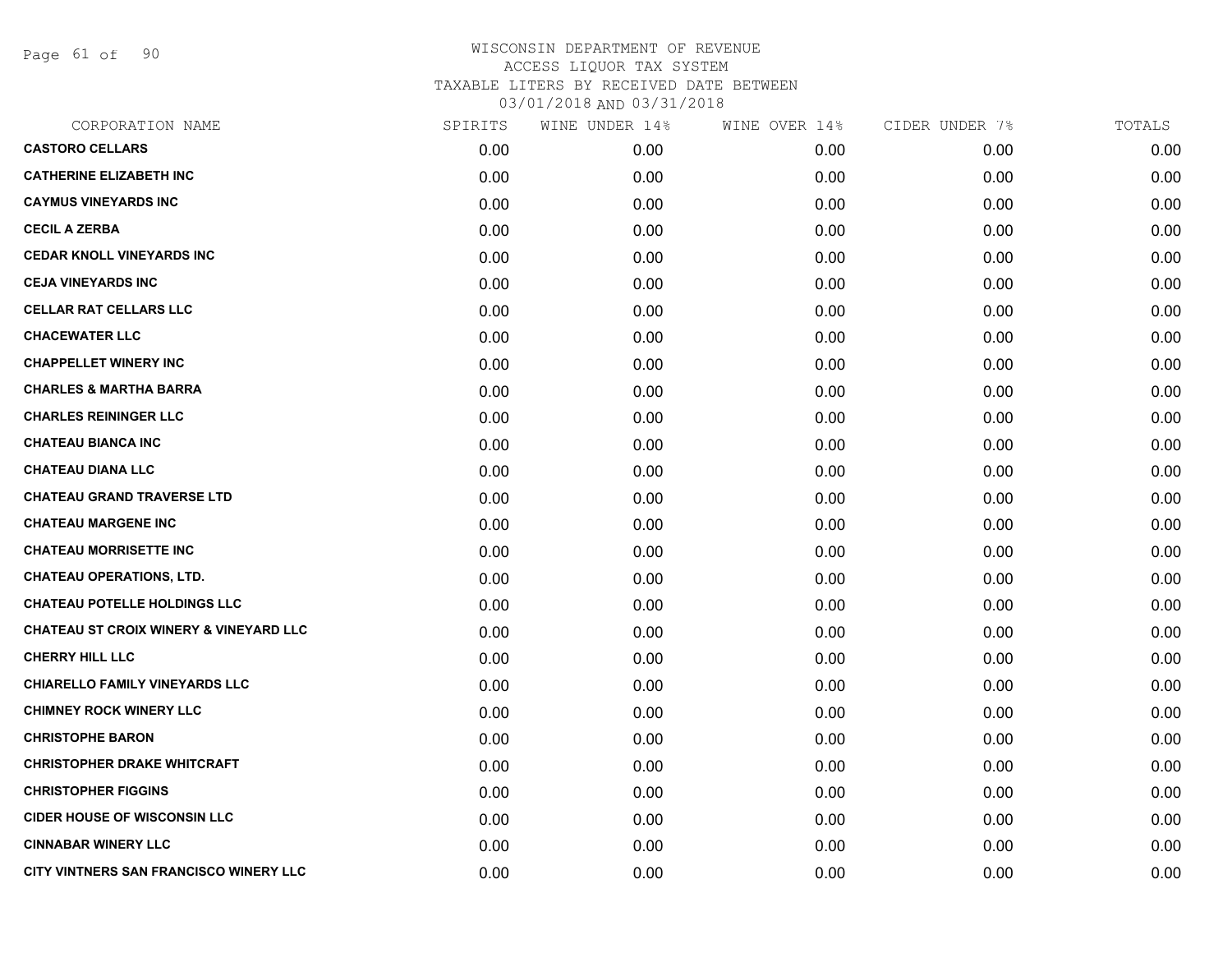Page 61 of 90

| CORPORATION NAME                                  | SPIRITS | WINE UNDER 14% | WINE OVER 14% | CIDER UNDER 7% | TOTALS |
|---------------------------------------------------|---------|----------------|---------------|----------------|--------|
| <b>CASTORO CELLARS</b>                            | 0.00    | 0.00           | 0.00          | 0.00           | 0.00   |
| <b>CATHERINE ELIZABETH INC</b>                    | 0.00    | 0.00           | 0.00          | 0.00           | 0.00   |
| <b>CAYMUS VINEYARDS INC</b>                       | 0.00    | 0.00           | 0.00          | 0.00           | 0.00   |
| <b>CECIL A ZERBA</b>                              | 0.00    | 0.00           | 0.00          | 0.00           | 0.00   |
| <b>CEDAR KNOLL VINEYARDS INC</b>                  | 0.00    | 0.00           | 0.00          | 0.00           | 0.00   |
| <b>CEJA VINEYARDS INC</b>                         | 0.00    | 0.00           | 0.00          | 0.00           | 0.00   |
| <b>CELLAR RAT CELLARS LLC</b>                     | 0.00    | 0.00           | 0.00          | 0.00           | 0.00   |
| <b>CHACEWATER LLC</b>                             | 0.00    | 0.00           | 0.00          | 0.00           | 0.00   |
| <b>CHAPPELLET WINERY INC</b>                      | 0.00    | 0.00           | 0.00          | 0.00           | 0.00   |
| <b>CHARLES &amp; MARTHA BARRA</b>                 | 0.00    | 0.00           | 0.00          | 0.00           | 0.00   |
| <b>CHARLES REININGER LLC</b>                      | 0.00    | 0.00           | 0.00          | 0.00           | 0.00   |
| <b>CHATEAU BIANCA INC</b>                         | 0.00    | 0.00           | 0.00          | 0.00           | 0.00   |
| <b>CHATEAU DIANA LLC</b>                          | 0.00    | 0.00           | 0.00          | 0.00           | 0.00   |
| <b>CHATEAU GRAND TRAVERSE LTD</b>                 | 0.00    | 0.00           | 0.00          | 0.00           | 0.00   |
| <b>CHATEAU MARGENE INC</b>                        | 0.00    | 0.00           | 0.00          | 0.00           | 0.00   |
| <b>CHATEAU MORRISETTE INC</b>                     | 0.00    | 0.00           | 0.00          | 0.00           | 0.00   |
| <b>CHATEAU OPERATIONS, LTD.</b>                   | 0.00    | 0.00           | 0.00          | 0.00           | 0.00   |
| <b>CHATEAU POTELLE HOLDINGS LLC</b>               | 0.00    | 0.00           | 0.00          | 0.00           | 0.00   |
| <b>CHATEAU ST CROIX WINERY &amp; VINEYARD LLC</b> | 0.00    | 0.00           | 0.00          | 0.00           | 0.00   |
| CHERRY HILL LLC                                   | 0.00    | 0.00           | 0.00          | 0.00           | 0.00   |
| <b>CHIARELLO FAMILY VINEYARDS LLC</b>             | 0.00    | 0.00           | 0.00          | 0.00           | 0.00   |
| <b>CHIMNEY ROCK WINERY LLC</b>                    | 0.00    | 0.00           | 0.00          | 0.00           | 0.00   |
| <b>CHRISTOPHE BARON</b>                           | 0.00    | 0.00           | 0.00          | 0.00           | 0.00   |
| <b>CHRISTOPHER DRAKE WHITCRAFT</b>                | 0.00    | 0.00           | 0.00          | 0.00           | 0.00   |
| <b>CHRISTOPHER FIGGINS</b>                        | 0.00    | 0.00           | 0.00          | 0.00           | 0.00   |
| <b>CIDER HOUSE OF WISCONSIN LLC</b>               | 0.00    | 0.00           | 0.00          | 0.00           | 0.00   |
| <b>CINNABAR WINERY LLC</b>                        | 0.00    | 0.00           | 0.00          | 0.00           | 0.00   |
| CITY VINTNERS SAN FRANCISCO WINERY LLC            | 0.00    | 0.00           | 0.00          | 0.00           | 0.00   |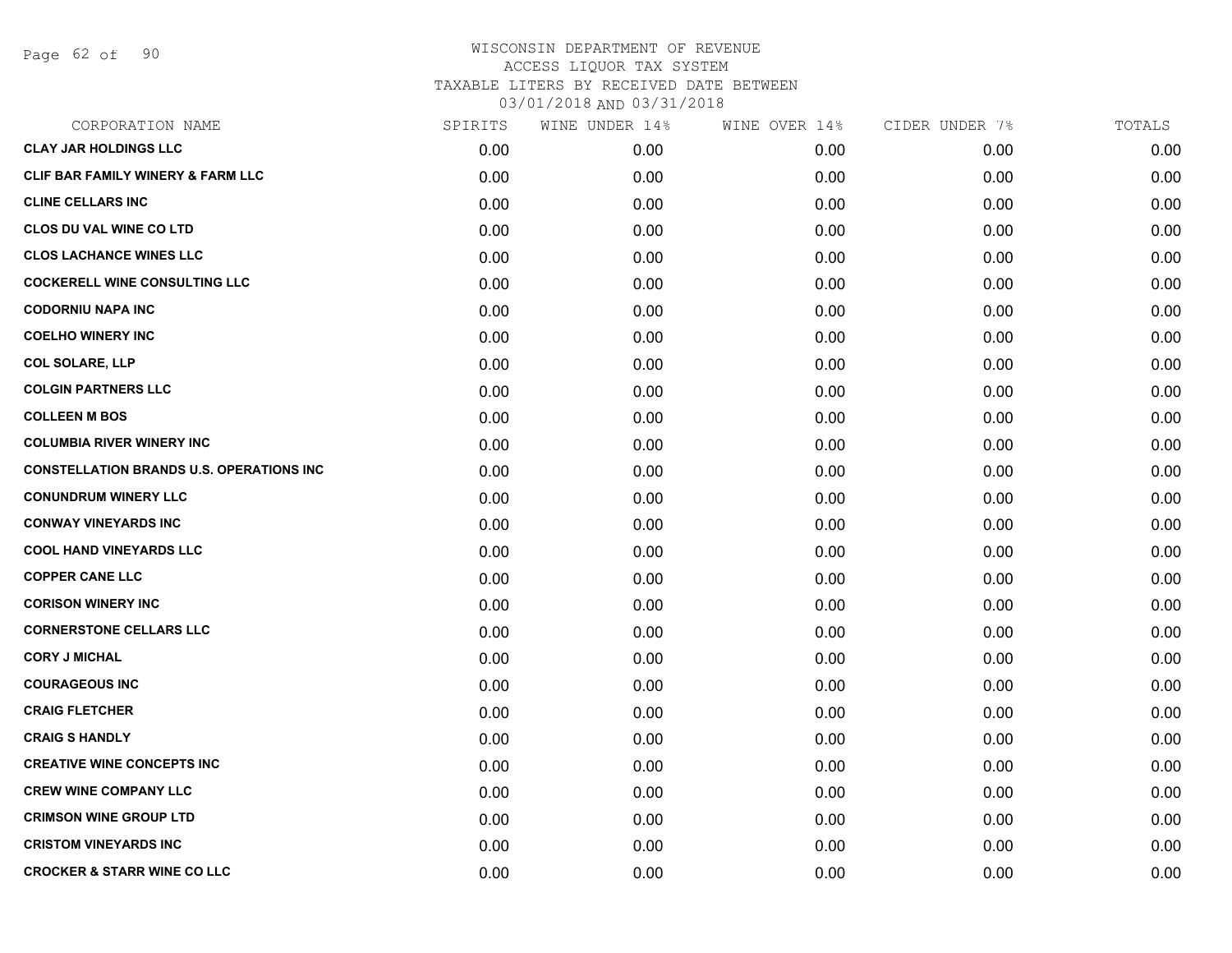Page 62 of 90

| CORPORATION NAME                                | SPIRITS | WINE UNDER 14% | WINE OVER 14% | CIDER UNDER 7% | TOTALS |
|-------------------------------------------------|---------|----------------|---------------|----------------|--------|
| <b>CLAY JAR HOLDINGS LLC</b>                    | 0.00    | 0.00           | 0.00          | 0.00           | 0.00   |
| CLIF BAR FAMILY WINERY & FARM LLC               | 0.00    | 0.00           | 0.00          | 0.00           | 0.00   |
| <b>CLINE CELLARS INC</b>                        | 0.00    | 0.00           | 0.00          | 0.00           | 0.00   |
| <b>CLOS DU VAL WINE CO LTD</b>                  | 0.00    | 0.00           | 0.00          | 0.00           | 0.00   |
| <b>CLOS LACHANCE WINES LLC</b>                  | 0.00    | 0.00           | 0.00          | 0.00           | 0.00   |
| <b>COCKERELL WINE CONSULTING LLC</b>            | 0.00    | 0.00           | 0.00          | 0.00           | 0.00   |
| <b>CODORNIU NAPA INC</b>                        | 0.00    | 0.00           | 0.00          | 0.00           | 0.00   |
| <b>COELHO WINERY INC</b>                        | 0.00    | 0.00           | 0.00          | 0.00           | 0.00   |
| <b>COL SOLARE, LLP</b>                          | 0.00    | 0.00           | 0.00          | 0.00           | 0.00   |
| <b>COLGIN PARTNERS LLC</b>                      | 0.00    | 0.00           | 0.00          | 0.00           | 0.00   |
| <b>COLLEEN M BOS</b>                            | 0.00    | 0.00           | 0.00          | 0.00           | 0.00   |
| <b>COLUMBIA RIVER WINERY INC</b>                | 0.00    | 0.00           | 0.00          | 0.00           | 0.00   |
| <b>CONSTELLATION BRANDS U.S. OPERATIONS INC</b> | 0.00    | 0.00           | 0.00          | 0.00           | 0.00   |
| <b>CONUNDRUM WINERY LLC</b>                     | 0.00    | 0.00           | 0.00          | 0.00           | 0.00   |
| <b>CONWAY VINEYARDS INC</b>                     | 0.00    | 0.00           | 0.00          | 0.00           | 0.00   |
| <b>COOL HAND VINEYARDS LLC</b>                  | 0.00    | 0.00           | 0.00          | 0.00           | 0.00   |
| <b>COPPER CANE LLC</b>                          | 0.00    | 0.00           | 0.00          | 0.00           | 0.00   |
| <b>CORISON WINERY INC</b>                       | 0.00    | 0.00           | 0.00          | 0.00           | 0.00   |
| <b>CORNERSTONE CELLARS LLC</b>                  | 0.00    | 0.00           | 0.00          | 0.00           | 0.00   |
| <b>CORY J MICHAL</b>                            | 0.00    | 0.00           | 0.00          | 0.00           | 0.00   |
| <b>COURAGEOUS INC</b>                           | 0.00    | 0.00           | 0.00          | 0.00           | 0.00   |
| <b>CRAIG FLETCHER</b>                           | 0.00    | 0.00           | 0.00          | 0.00           | 0.00   |
| <b>CRAIG S HANDLY</b>                           | 0.00    | 0.00           | 0.00          | 0.00           | 0.00   |
| <b>CREATIVE WINE CONCEPTS INC</b>               | 0.00    | 0.00           | 0.00          | 0.00           | 0.00   |
| <b>CREW WINE COMPANY LLC</b>                    | 0.00    | 0.00           | 0.00          | 0.00           | 0.00   |
| <b>CRIMSON WINE GROUP LTD</b>                   | 0.00    | 0.00           | 0.00          | 0.00           | 0.00   |
| <b>CRISTOM VINEYARDS INC</b>                    | 0.00    | 0.00           | 0.00          | 0.00           | 0.00   |
| <b>CROCKER &amp; STARR WINE CO LLC</b>          | 0.00    | 0.00           | 0.00          | 0.00           | 0.00   |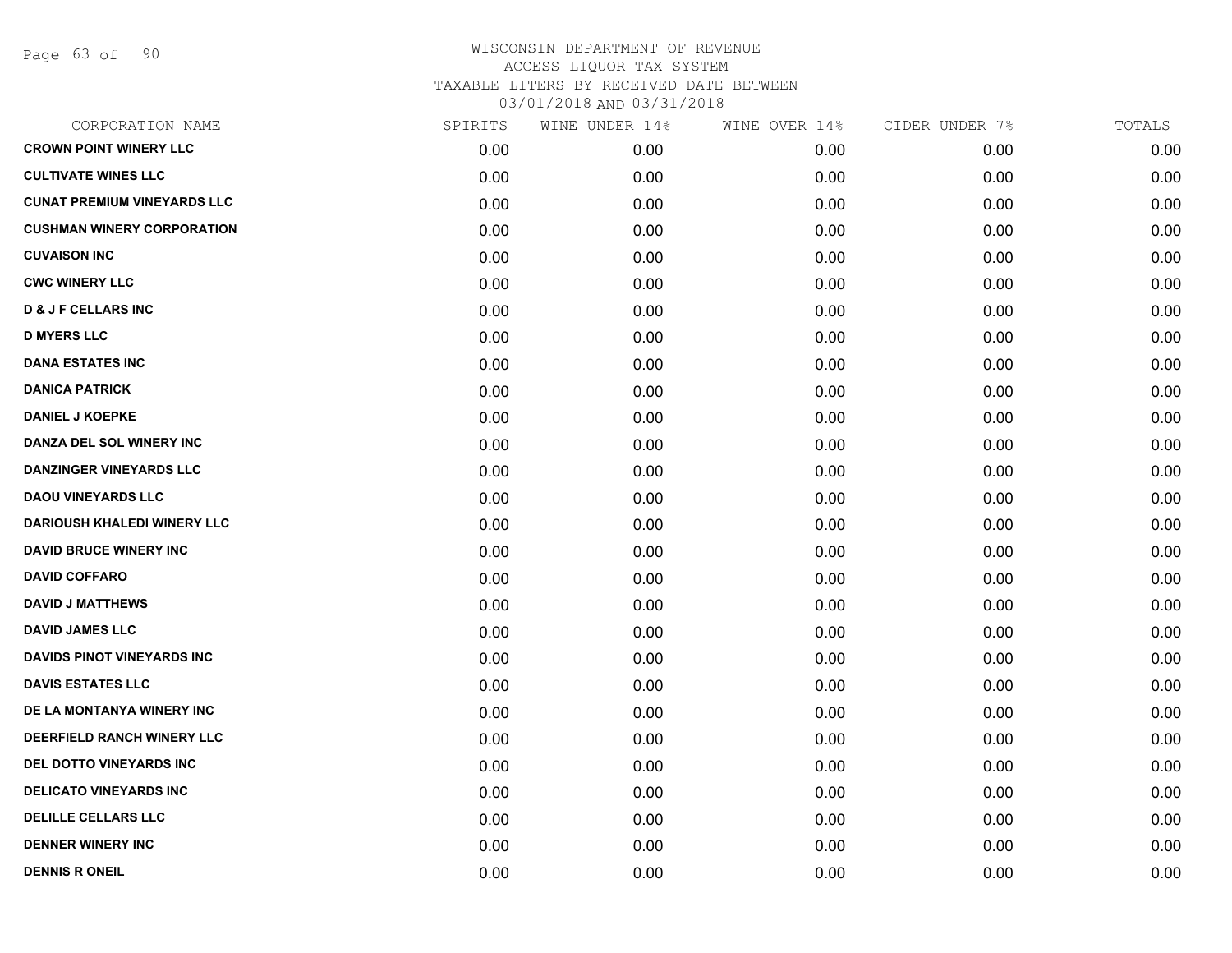Page 63 of 90

| CORPORATION NAME                   | SPIRITS | WINE UNDER 14% | WINE OVER 14% | CIDER UNDER 7% | TOTALS |
|------------------------------------|---------|----------------|---------------|----------------|--------|
| <b>CROWN POINT WINERY LLC</b>      | 0.00    | 0.00           | 0.00          | 0.00           | 0.00   |
| <b>CULTIVATE WINES LLC</b>         | 0.00    | 0.00           | 0.00          | 0.00           | 0.00   |
| <b>CUNAT PREMIUM VINEYARDS LLC</b> | 0.00    | 0.00           | 0.00          | 0.00           | 0.00   |
| <b>CUSHMAN WINERY CORPORATION</b>  | 0.00    | 0.00           | 0.00          | 0.00           | 0.00   |
| <b>CUVAISON INC</b>                | 0.00    | 0.00           | 0.00          | 0.00           | 0.00   |
| <b>CWC WINERY LLC</b>              | 0.00    | 0.00           | 0.00          | 0.00           | 0.00   |
| <b>D &amp; J F CELLARS INC</b>     | 0.00    | 0.00           | 0.00          | 0.00           | 0.00   |
| <b>D MYERS LLC</b>                 | 0.00    | 0.00           | 0.00          | 0.00           | 0.00   |
| <b>DANA ESTATES INC</b>            | 0.00    | 0.00           | 0.00          | 0.00           | 0.00   |
| <b>DANICA PATRICK</b>              | 0.00    | 0.00           | 0.00          | 0.00           | 0.00   |
| <b>DANIEL J KOEPKE</b>             | 0.00    | 0.00           | 0.00          | 0.00           | 0.00   |
| DANZA DEL SOL WINERY INC           | 0.00    | 0.00           | 0.00          | 0.00           | 0.00   |
| <b>DANZINGER VINEYARDS LLC</b>     | 0.00    | 0.00           | 0.00          | 0.00           | 0.00   |
| <b>DAOU VINEYARDS LLC</b>          | 0.00    | 0.00           | 0.00          | 0.00           | 0.00   |
| <b>DARIOUSH KHALEDI WINERY LLC</b> | 0.00    | 0.00           | 0.00          | 0.00           | 0.00   |
| <b>DAVID BRUCE WINERY INC</b>      | 0.00    | 0.00           | 0.00          | 0.00           | 0.00   |
| <b>DAVID COFFARO</b>               | 0.00    | 0.00           | 0.00          | 0.00           | 0.00   |
| <b>DAVID J MATTHEWS</b>            | 0.00    | 0.00           | 0.00          | 0.00           | 0.00   |
| <b>DAVID JAMES LLC</b>             | 0.00    | 0.00           | 0.00          | 0.00           | 0.00   |
| <b>DAVIDS PINOT VINEYARDS INC</b>  | 0.00    | 0.00           | 0.00          | 0.00           | 0.00   |
| <b>DAVIS ESTATES LLC</b>           | 0.00    | 0.00           | 0.00          | 0.00           | 0.00   |
| DE LA MONTANYA WINERY INC          | 0.00    | 0.00           | 0.00          | 0.00           | 0.00   |
| DEERFIELD RANCH WINERY LLC         | 0.00    | 0.00           | 0.00          | 0.00           | 0.00   |
| DEL DOTTO VINEYARDS INC            | 0.00    | 0.00           | 0.00          | 0.00           | 0.00   |
| <b>DELICATO VINEYARDS INC</b>      | 0.00    | 0.00           | 0.00          | 0.00           | 0.00   |
| <b>DELILLE CELLARS LLC</b>         | 0.00    | 0.00           | 0.00          | 0.00           | 0.00   |
| <b>DENNER WINERY INC</b>           | 0.00    | 0.00           | 0.00          | 0.00           | 0.00   |
| <b>DENNIS R ONEIL</b>              | 0.00    | 0.00           | 0.00          | 0.00           | 0.00   |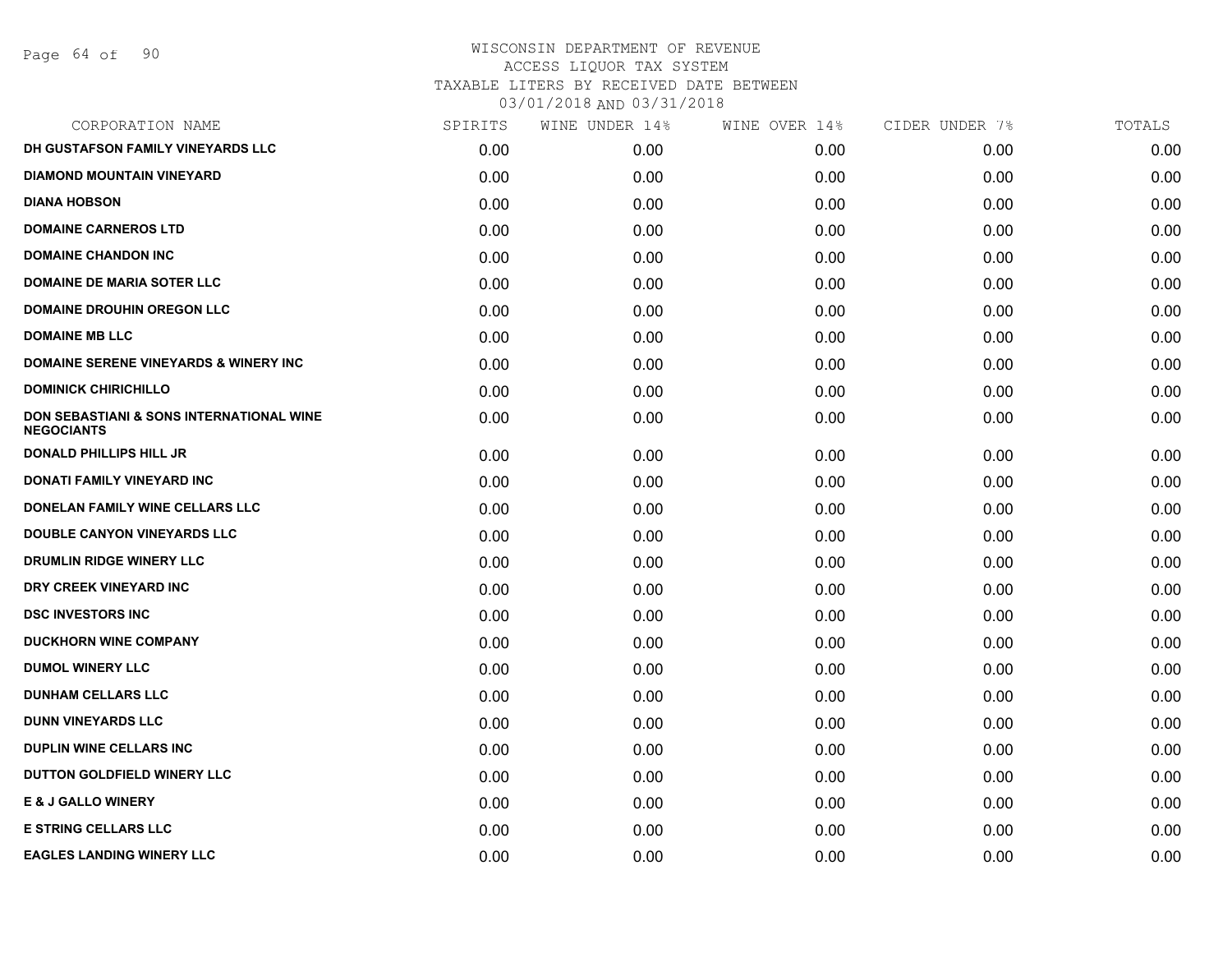Page 64 of 90

| CORPORATION NAME                                                         | SPIRITS | WINE UNDER 14% | WINE OVER 14% | CIDER UNDER 7% | TOTALS |
|--------------------------------------------------------------------------|---------|----------------|---------------|----------------|--------|
| DH GUSTAFSON FAMILY VINEYARDS LLC                                        | 0.00    | 0.00           | 0.00          | 0.00           | 0.00   |
| <b>DIAMOND MOUNTAIN VINEYARD</b>                                         | 0.00    | 0.00           | 0.00          | 0.00           | 0.00   |
| <b>DIANA HOBSON</b>                                                      | 0.00    | 0.00           | 0.00          | 0.00           | 0.00   |
| <b>DOMAINE CARNEROS LTD</b>                                              | 0.00    | 0.00           | 0.00          | 0.00           | 0.00   |
| <b>DOMAINE CHANDON INC</b>                                               | 0.00    | 0.00           | 0.00          | 0.00           | 0.00   |
| <b>DOMAINE DE MARIA SOTER LLC</b>                                        | 0.00    | 0.00           | 0.00          | 0.00           | 0.00   |
| <b>DOMAINE DROUHIN OREGON LLC</b>                                        | 0.00    | 0.00           | 0.00          | 0.00           | 0.00   |
| <b>DOMAINE MB LLC</b>                                                    | 0.00    | 0.00           | 0.00          | 0.00           | 0.00   |
| <b>DOMAINE SERENE VINEYARDS &amp; WINERY INC</b>                         | 0.00    | 0.00           | 0.00          | 0.00           | 0.00   |
| <b>DOMINICK CHIRICHILLO</b>                                              | 0.00    | 0.00           | 0.00          | 0.00           | 0.00   |
| <b>DON SEBASTIANI &amp; SONS INTERNATIONAL WINE</b><br><b>NEGOCIANTS</b> | 0.00    | 0.00           | 0.00          | 0.00           | 0.00   |
| <b>DONALD PHILLIPS HILL JR</b>                                           | 0.00    | 0.00           | 0.00          | 0.00           | 0.00   |
| DONATI FAMILY VINEYARD INC                                               | 0.00    | 0.00           | 0.00          | 0.00           | 0.00   |
| DONELAN FAMILY WINE CELLARS LLC                                          | 0.00    | 0.00           | 0.00          | 0.00           | 0.00   |
| <b>DOUBLE CANYON VINEYARDS LLC</b>                                       | 0.00    | 0.00           | 0.00          | 0.00           | 0.00   |
| DRUMLIN RIDGE WINERY LLC                                                 | 0.00    | 0.00           | 0.00          | 0.00           | 0.00   |
| DRY CREEK VINEYARD INC                                                   | 0.00    | 0.00           | 0.00          | 0.00           | 0.00   |
| <b>DSC INVESTORS INC</b>                                                 | 0.00    | 0.00           | 0.00          | 0.00           | 0.00   |
| <b>DUCKHORN WINE COMPANY</b>                                             | 0.00    | 0.00           | 0.00          | 0.00           | 0.00   |
| <b>DUMOL WINERY LLC</b>                                                  | 0.00    | 0.00           | 0.00          | 0.00           | 0.00   |
| <b>DUNHAM CELLARS LLC</b>                                                | 0.00    | 0.00           | 0.00          | 0.00           | 0.00   |
| <b>DUNN VINEYARDS LLC</b>                                                | 0.00    | 0.00           | 0.00          | 0.00           | 0.00   |
| <b>DUPLIN WINE CELLARS INC</b>                                           | 0.00    | 0.00           | 0.00          | 0.00           | 0.00   |
| DUTTON GOLDFIELD WINERY LLC                                              | 0.00    | 0.00           | 0.00          | 0.00           | 0.00   |
| <b>E &amp; J GALLO WINERY</b>                                            | 0.00    | 0.00           | 0.00          | 0.00           | 0.00   |
| <b>E STRING CELLARS LLC</b>                                              | 0.00    | 0.00           | 0.00          | 0.00           | 0.00   |
| <b>EAGLES LANDING WINERY LLC</b>                                         | 0.00    | 0.00           | 0.00          | 0.00           | 0.00   |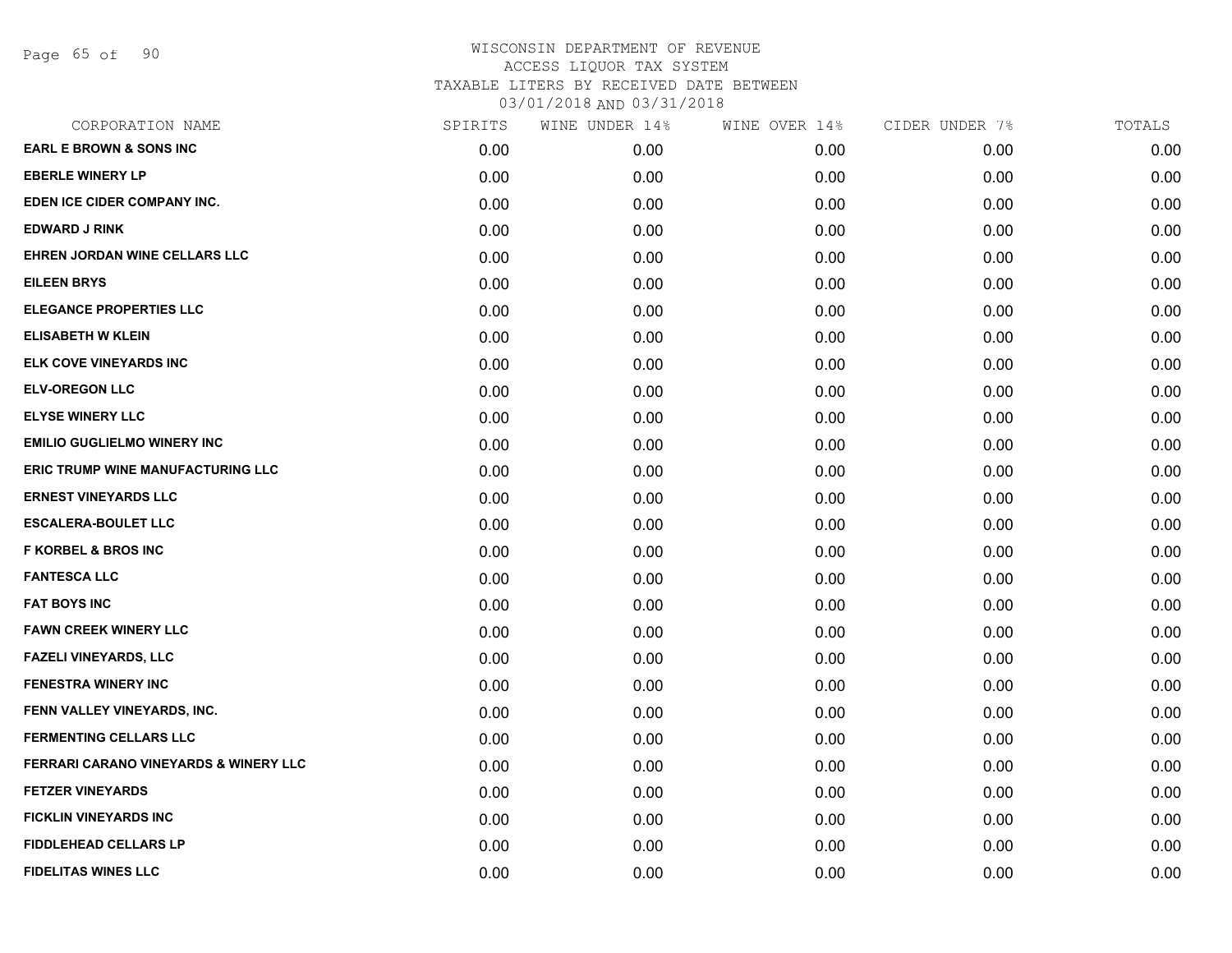Page 65 of 90

| CORPORATION NAME                                 | SPIRITS | WINE UNDER 14% | WINE OVER 14% | CIDER UNDER 7% | TOTALS |
|--------------------------------------------------|---------|----------------|---------------|----------------|--------|
| <b>EARL E BROWN &amp; SONS INC</b>               | 0.00    | 0.00           | 0.00          | 0.00           | 0.00   |
| <b>EBERLE WINERY LP</b>                          | 0.00    | 0.00           | 0.00          | 0.00           | 0.00   |
| EDEN ICE CIDER COMPANY INC.                      | 0.00    | 0.00           | 0.00          | 0.00           | 0.00   |
| <b>EDWARD J RINK</b>                             | 0.00    | 0.00           | 0.00          | 0.00           | 0.00   |
| EHREN JORDAN WINE CELLARS LLC                    | 0.00    | 0.00           | 0.00          | 0.00           | 0.00   |
| <b>EILEEN BRYS</b>                               | 0.00    | 0.00           | 0.00          | 0.00           | 0.00   |
| <b>ELEGANCE PROPERTIES LLC</b>                   | 0.00    | 0.00           | 0.00          | 0.00           | 0.00   |
| <b>ELISABETH W KLEIN</b>                         | 0.00    | 0.00           | 0.00          | 0.00           | 0.00   |
| ELK COVE VINEYARDS INC                           | 0.00    | 0.00           | 0.00          | 0.00           | 0.00   |
| <b>ELV-OREGON LLC</b>                            | 0.00    | 0.00           | 0.00          | 0.00           | 0.00   |
| <b>ELYSE WINERY LLC</b>                          | 0.00    | 0.00           | 0.00          | 0.00           | 0.00   |
| <b>EMILIO GUGLIELMO WINERY INC</b>               | 0.00    | 0.00           | 0.00          | 0.00           | 0.00   |
| ERIC TRUMP WINE MANUFACTURING LLC                | 0.00    | 0.00           | 0.00          | 0.00           | 0.00   |
| <b>ERNEST VINEYARDS LLC</b>                      | 0.00    | 0.00           | 0.00          | 0.00           | 0.00   |
| <b>ESCALERA-BOULET LLC</b>                       | 0.00    | 0.00           | 0.00          | 0.00           | 0.00   |
| <b>F KORBEL &amp; BROS INC</b>                   | 0.00    | 0.00           | 0.00          | 0.00           | 0.00   |
| <b>FANTESCA LLC</b>                              | 0.00    | 0.00           | 0.00          | 0.00           | 0.00   |
| <b>FAT BOYS INC</b>                              | 0.00    | 0.00           | 0.00          | 0.00           | 0.00   |
| <b>FAWN CREEK WINERY LLC</b>                     | 0.00    | 0.00           | 0.00          | 0.00           | 0.00   |
| <b>FAZELI VINEYARDS, LLC</b>                     | 0.00    | 0.00           | 0.00          | 0.00           | 0.00   |
| <b>FENESTRA WINERY INC</b>                       | 0.00    | 0.00           | 0.00          | 0.00           | 0.00   |
| FENN VALLEY VINEYARDS, INC.                      | 0.00    | 0.00           | 0.00          | 0.00           | 0.00   |
| <b>FERMENTING CELLARS LLC</b>                    | 0.00    | 0.00           | 0.00          | 0.00           | 0.00   |
| <b>FERRARI CARANO VINEYARDS &amp; WINERY LLC</b> | 0.00    | 0.00           | 0.00          | 0.00           | 0.00   |
| <b>FETZER VINEYARDS</b>                          | 0.00    | 0.00           | 0.00          | 0.00           | 0.00   |
| <b>FICKLIN VINEYARDS INC</b>                     | 0.00    | 0.00           | 0.00          | 0.00           | 0.00   |
| <b>FIDDLEHEAD CELLARS LP</b>                     | 0.00    | 0.00           | 0.00          | 0.00           | 0.00   |
| <b>FIDELITAS WINES LLC</b>                       | 0.00    | 0.00           | 0.00          | 0.00           | 0.00   |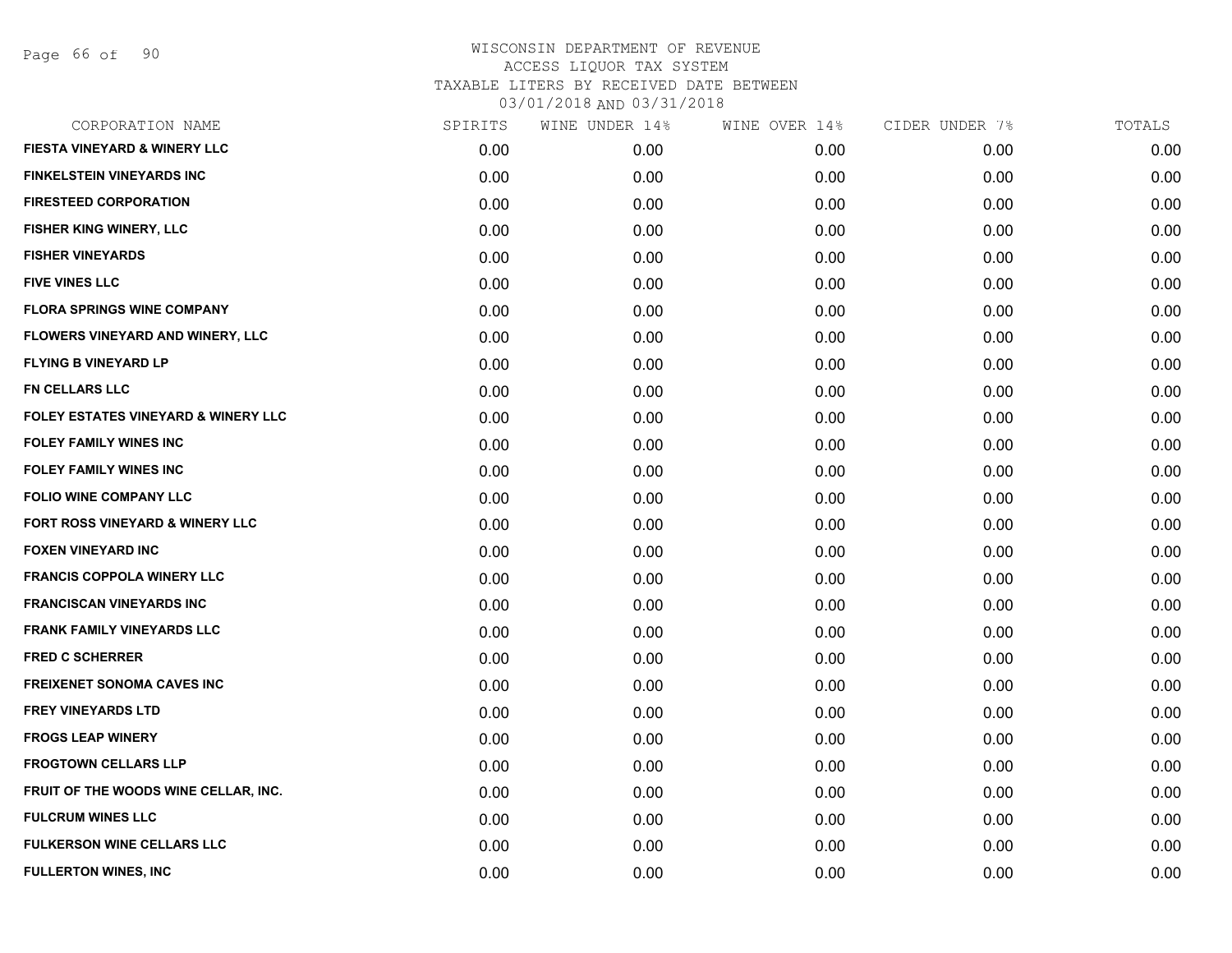Page 66 of 90

| SPIRITS | WINE UNDER 14% | WINE OVER 14% | CIDER UNDER 7% | TOTALS |
|---------|----------------|---------------|----------------|--------|
| 0.00    | 0.00           | 0.00          | 0.00           | 0.00   |
| 0.00    | 0.00           | 0.00          | 0.00           | 0.00   |
| 0.00    | 0.00           | 0.00          | 0.00           | 0.00   |
| 0.00    | 0.00           | 0.00          | 0.00           | 0.00   |
| 0.00    | 0.00           | 0.00          | 0.00           | 0.00   |
| 0.00    | 0.00           | 0.00          | 0.00           | 0.00   |
| 0.00    | 0.00           | 0.00          | 0.00           | 0.00   |
| 0.00    | 0.00           | 0.00          | 0.00           | 0.00   |
| 0.00    | 0.00           | 0.00          | 0.00           | 0.00   |
| 0.00    | 0.00           | 0.00          | 0.00           | 0.00   |
| 0.00    | 0.00           | 0.00          | 0.00           | 0.00   |
| 0.00    | 0.00           | 0.00          | 0.00           | 0.00   |
| 0.00    | 0.00           | 0.00          | 0.00           | 0.00   |
| 0.00    | 0.00           | 0.00          | 0.00           | 0.00   |
| 0.00    | 0.00           | 0.00          | 0.00           | 0.00   |
| 0.00    | 0.00           | 0.00          | 0.00           | 0.00   |
| 0.00    | 0.00           | 0.00          | 0.00           | 0.00   |
| 0.00    | 0.00           | 0.00          | 0.00           | 0.00   |
| 0.00    | 0.00           | 0.00          | 0.00           | 0.00   |
| 0.00    | 0.00           | 0.00          | 0.00           | 0.00   |
| 0.00    | 0.00           | 0.00          | 0.00           | 0.00   |
| 0.00    | 0.00           | 0.00          | 0.00           | 0.00   |
| 0.00    | 0.00           | 0.00          | 0.00           | 0.00   |
| 0.00    | 0.00           | 0.00          | 0.00           | 0.00   |
| 0.00    | 0.00           | 0.00          | 0.00           | 0.00   |
| 0.00    | 0.00           | 0.00          | 0.00           | 0.00   |
| 0.00    | 0.00           | 0.00          | 0.00           | 0.00   |
| 0.00    | 0.00           | 0.00          | 0.00           | 0.00   |
|         |                |               |                |        |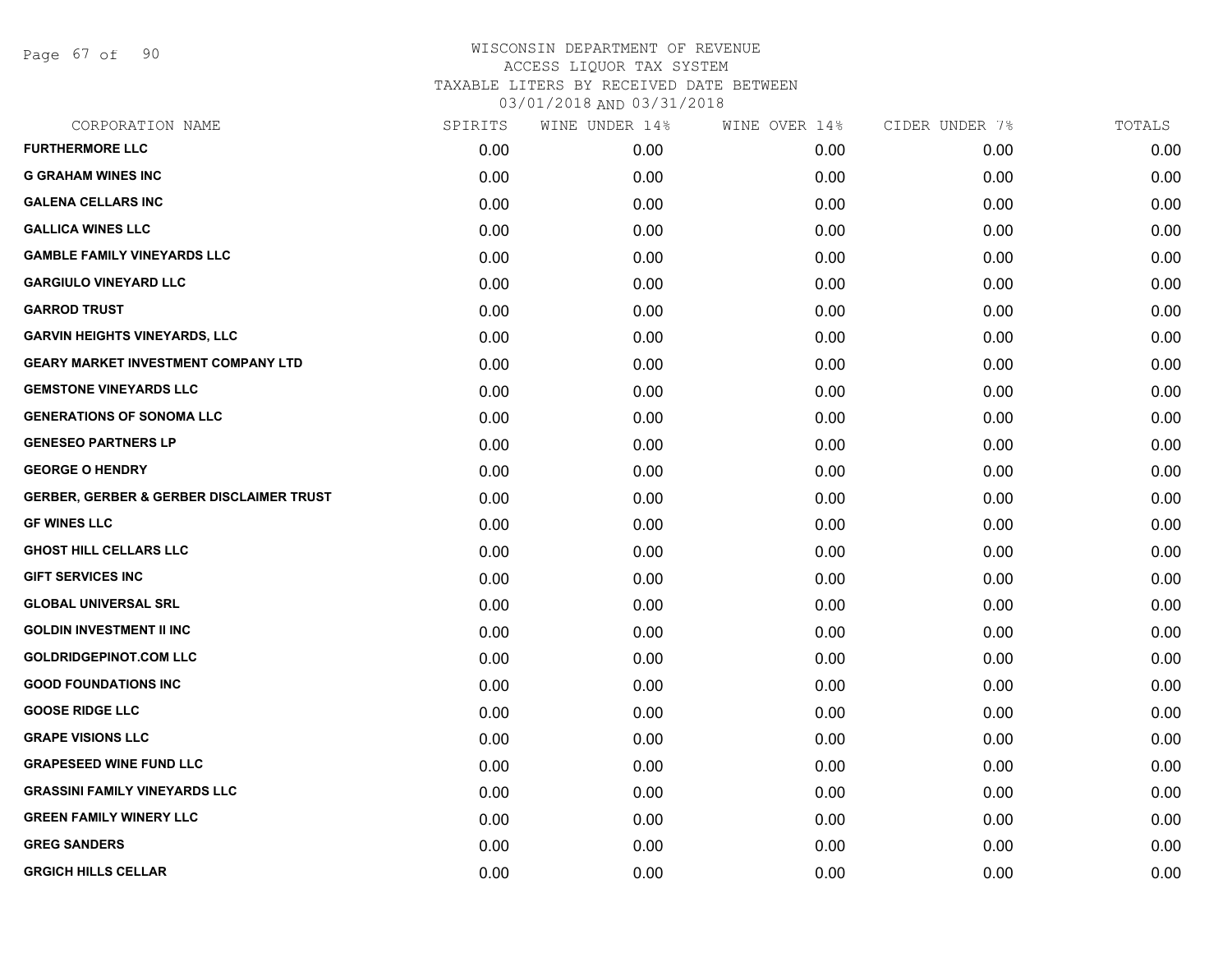Page 67 of 90

| CORPORATION NAME                                    | SPIRITS | WINE UNDER 14% | WINE OVER 14% | CIDER UNDER 7% | TOTALS |
|-----------------------------------------------------|---------|----------------|---------------|----------------|--------|
| <b>FURTHERMORE LLC</b>                              | 0.00    | 0.00           | 0.00          | 0.00           | 0.00   |
| <b>G GRAHAM WINES INC</b>                           | 0.00    | 0.00           | 0.00          | 0.00           | 0.00   |
| <b>GALENA CELLARS INC</b>                           | 0.00    | 0.00           | 0.00          | 0.00           | 0.00   |
| <b>GALLICA WINES LLC</b>                            | 0.00    | 0.00           | 0.00          | 0.00           | 0.00   |
| <b>GAMBLE FAMILY VINEYARDS LLC</b>                  | 0.00    | 0.00           | 0.00          | 0.00           | 0.00   |
| <b>GARGIULO VINEYARD LLC</b>                        | 0.00    | 0.00           | 0.00          | 0.00           | 0.00   |
| <b>GARROD TRUST</b>                                 | 0.00    | 0.00           | 0.00          | 0.00           | 0.00   |
| <b>GARVIN HEIGHTS VINEYARDS, LLC</b>                | 0.00    | 0.00           | 0.00          | 0.00           | 0.00   |
| <b>GEARY MARKET INVESTMENT COMPANY LTD</b>          | 0.00    | 0.00           | 0.00          | 0.00           | 0.00   |
| <b>GEMSTONE VINEYARDS LLC</b>                       | 0.00    | 0.00           | 0.00          | 0.00           | 0.00   |
| <b>GENERATIONS OF SONOMA LLC</b>                    | 0.00    | 0.00           | 0.00          | 0.00           | 0.00   |
| <b>GENESEO PARTNERS LP</b>                          | 0.00    | 0.00           | 0.00          | 0.00           | 0.00   |
| <b>GEORGE O HENDRY</b>                              | 0.00    | 0.00           | 0.00          | 0.00           | 0.00   |
| <b>GERBER, GERBER &amp; GERBER DISCLAIMER TRUST</b> | 0.00    | 0.00           | 0.00          | 0.00           | 0.00   |
| <b>GF WINES LLC</b>                                 | 0.00    | 0.00           | 0.00          | 0.00           | 0.00   |
| <b>GHOST HILL CELLARS LLC</b>                       | 0.00    | 0.00           | 0.00          | 0.00           | 0.00   |
| <b>GIFT SERVICES INC</b>                            | 0.00    | 0.00           | 0.00          | 0.00           | 0.00   |
| <b>GLOBAL UNIVERSAL SRL</b>                         | 0.00    | 0.00           | 0.00          | 0.00           | 0.00   |
| <b>GOLDIN INVESTMENT II INC</b>                     | 0.00    | 0.00           | 0.00          | 0.00           | 0.00   |
| <b>GOLDRIDGEPINOT.COM LLC</b>                       | 0.00    | 0.00           | 0.00          | 0.00           | 0.00   |
| <b>GOOD FOUNDATIONS INC</b>                         | 0.00    | 0.00           | 0.00          | 0.00           | 0.00   |
| <b>GOOSE RIDGE LLC</b>                              | 0.00    | 0.00           | 0.00          | 0.00           | 0.00   |
| <b>GRAPE VISIONS LLC</b>                            | 0.00    | 0.00           | 0.00          | 0.00           | 0.00   |
| <b>GRAPESEED WINE FUND LLC</b>                      | 0.00    | 0.00           | 0.00          | 0.00           | 0.00   |
| <b>GRASSINI FAMILY VINEYARDS LLC</b>                | 0.00    | 0.00           | 0.00          | 0.00           | 0.00   |
| <b>GREEN FAMILY WINERY LLC</b>                      | 0.00    | 0.00           | 0.00          | 0.00           | 0.00   |
| <b>GREG SANDERS</b>                                 | 0.00    | 0.00           | 0.00          | 0.00           | 0.00   |
| <b>GRGICH HILLS CELLAR</b>                          | 0.00    | 0.00           | 0.00          | 0.00           | 0.00   |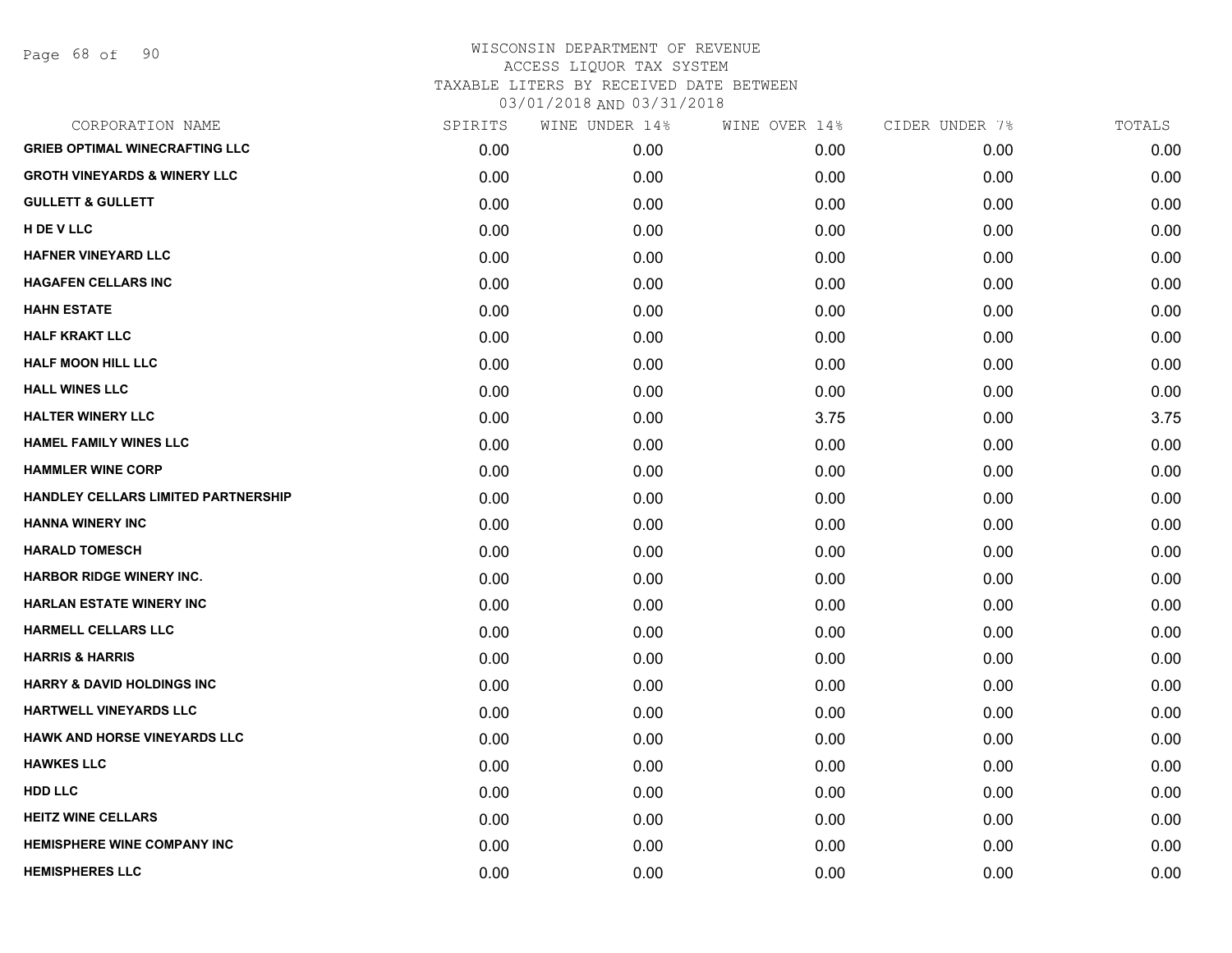Page 68 of 90

| CORPORATION NAME                           | SPIRITS | WINE UNDER 14% | WINE OVER 14% | CIDER UNDER 7% | TOTALS |
|--------------------------------------------|---------|----------------|---------------|----------------|--------|
| <b>GRIEB OPTIMAL WINECRAFTING LLC</b>      | 0.00    | 0.00           | 0.00          | 0.00           | 0.00   |
| <b>GROTH VINEYARDS &amp; WINERY LLC</b>    | 0.00    | 0.00           | 0.00          | 0.00           | 0.00   |
| <b>GULLETT &amp; GULLETT</b>               | 0.00    | 0.00           | 0.00          | 0.00           | 0.00   |
| H DE V LLC                                 | 0.00    | 0.00           | 0.00          | 0.00           | 0.00   |
| <b>HAFNER VINEYARD LLC</b>                 | 0.00    | 0.00           | 0.00          | 0.00           | 0.00   |
| <b>HAGAFEN CELLARS INC</b>                 | 0.00    | 0.00           | 0.00          | 0.00           | 0.00   |
| <b>HAHN ESTATE</b>                         | 0.00    | 0.00           | 0.00          | 0.00           | 0.00   |
| <b>HALF KRAKT LLC</b>                      | 0.00    | 0.00           | 0.00          | 0.00           | 0.00   |
| <b>HALF MOON HILL LLC</b>                  | 0.00    | 0.00           | 0.00          | 0.00           | 0.00   |
| <b>HALL WINES LLC</b>                      | 0.00    | 0.00           | 0.00          | 0.00           | 0.00   |
| <b>HALTER WINERY LLC</b>                   | 0.00    | 0.00           | 3.75          | 0.00           | 3.75   |
| <b>HAMEL FAMILY WINES LLC</b>              | 0.00    | 0.00           | 0.00          | 0.00           | 0.00   |
| <b>HAMMLER WINE CORP</b>                   | 0.00    | 0.00           | 0.00          | 0.00           | 0.00   |
| <b>HANDLEY CELLARS LIMITED PARTNERSHIP</b> | 0.00    | 0.00           | 0.00          | 0.00           | 0.00   |
| <b>HANNA WINERY INC</b>                    | 0.00    | 0.00           | 0.00          | 0.00           | 0.00   |
| <b>HARALD TOMESCH</b>                      | 0.00    | 0.00           | 0.00          | 0.00           | 0.00   |
| <b>HARBOR RIDGE WINERY INC.</b>            | 0.00    | 0.00           | 0.00          | 0.00           | 0.00   |
| <b>HARLAN ESTATE WINERY INC</b>            | 0.00    | 0.00           | 0.00          | 0.00           | 0.00   |
| HARMELL CELLARS LLC                        | 0.00    | 0.00           | 0.00          | 0.00           | 0.00   |
| <b>HARRIS &amp; HARRIS</b>                 | 0.00    | 0.00           | 0.00          | 0.00           | 0.00   |
| <b>HARRY &amp; DAVID HOLDINGS INC</b>      | 0.00    | 0.00           | 0.00          | 0.00           | 0.00   |
| HARTWELL VINEYARDS LLC                     | 0.00    | 0.00           | 0.00          | 0.00           | 0.00   |
| <b>HAWK AND HORSE VINEYARDS LLC</b>        | 0.00    | 0.00           | 0.00          | 0.00           | 0.00   |
| <b>HAWKES LLC</b>                          | 0.00    | 0.00           | 0.00          | 0.00           | 0.00   |
| <b>HDD LLC</b>                             | 0.00    | 0.00           | 0.00          | 0.00           | 0.00   |
| <b>HEITZ WINE CELLARS</b>                  | 0.00    | 0.00           | 0.00          | 0.00           | 0.00   |
| <b>HEMISPHERE WINE COMPANY INC</b>         | 0.00    | 0.00           | 0.00          | 0.00           | 0.00   |
| <b>HEMISPHERES LLC</b>                     | 0.00    | 0.00           | 0.00          | 0.00           | 0.00   |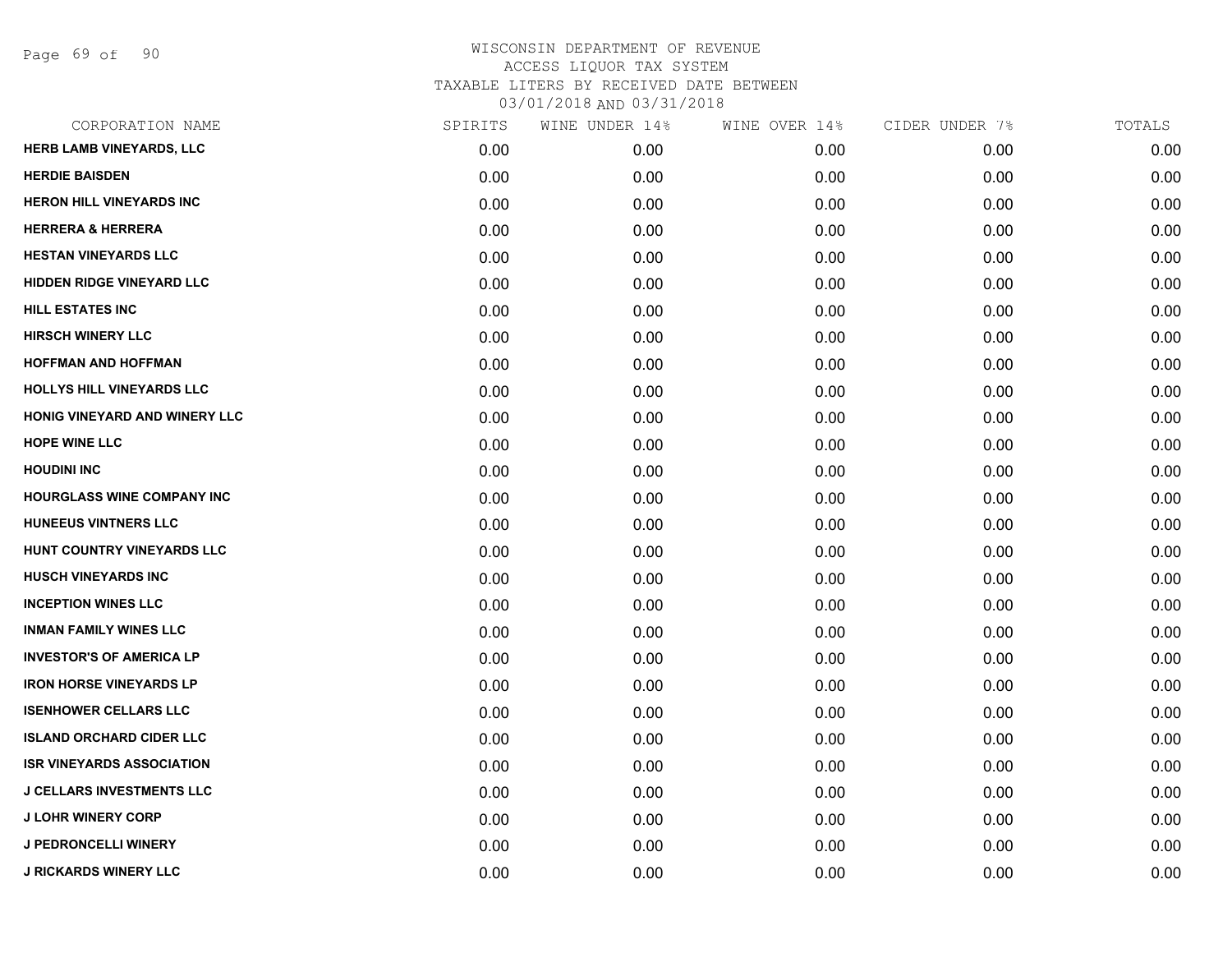Page 69 of 90

| CORPORATION NAME                  | SPIRITS | WINE UNDER 14% | WINE OVER 14% | CIDER UNDER 7% | TOTALS |
|-----------------------------------|---------|----------------|---------------|----------------|--------|
| HERB LAMB VINEYARDS, LLC          | 0.00    | 0.00           | 0.00          | 0.00           | 0.00   |
| <b>HERDIE BAISDEN</b>             | 0.00    | 0.00           | 0.00          | 0.00           | 0.00   |
| <b>HERON HILL VINEYARDS INC</b>   | 0.00    | 0.00           | 0.00          | 0.00           | 0.00   |
| <b>HERRERA &amp; HERRERA</b>      | 0.00    | 0.00           | 0.00          | 0.00           | 0.00   |
| <b>HESTAN VINEYARDS LLC</b>       | 0.00    | 0.00           | 0.00          | 0.00           | 0.00   |
| <b>HIDDEN RIDGE VINEYARD LLC</b>  | 0.00    | 0.00           | 0.00          | 0.00           | 0.00   |
| <b>HILL ESTATES INC</b>           | 0.00    | 0.00           | 0.00          | 0.00           | 0.00   |
| <b>HIRSCH WINERY LLC</b>          | 0.00    | 0.00           | 0.00          | 0.00           | 0.00   |
| <b>HOFFMAN AND HOFFMAN</b>        | 0.00    | 0.00           | 0.00          | 0.00           | 0.00   |
| HOLLYS HILL VINEYARDS LLC         | 0.00    | 0.00           | 0.00          | 0.00           | 0.00   |
| HONIG VINEYARD AND WINERY LLC     | 0.00    | 0.00           | 0.00          | 0.00           | 0.00   |
| <b>HOPE WINE LLC</b>              | 0.00    | 0.00           | 0.00          | 0.00           | 0.00   |
| <b>HOUDINI INC</b>                | 0.00    | 0.00           | 0.00          | 0.00           | 0.00   |
| <b>HOURGLASS WINE COMPANY INC</b> | 0.00    | 0.00           | 0.00          | 0.00           | 0.00   |
| <b>HUNEEUS VINTNERS LLC</b>       | 0.00    | 0.00           | 0.00          | 0.00           | 0.00   |
| HUNT COUNTRY VINEYARDS LLC        | 0.00    | 0.00           | 0.00          | 0.00           | 0.00   |
| <b>HUSCH VINEYARDS INC</b>        | 0.00    | 0.00           | 0.00          | 0.00           | 0.00   |
| <b>INCEPTION WINES LLC</b>        | 0.00    | 0.00           | 0.00          | 0.00           | 0.00   |
| <b>INMAN FAMILY WINES LLC</b>     | 0.00    | 0.00           | 0.00          | 0.00           | 0.00   |
| <b>INVESTOR'S OF AMERICA LP</b>   | 0.00    | 0.00           | 0.00          | 0.00           | 0.00   |
| <b>IRON HORSE VINEYARDS LP</b>    | 0.00    | 0.00           | 0.00          | 0.00           | 0.00   |
| <b>ISENHOWER CELLARS LLC</b>      | 0.00    | 0.00           | 0.00          | 0.00           | 0.00   |
| <b>ISLAND ORCHARD CIDER LLC</b>   | 0.00    | 0.00           | 0.00          | 0.00           | 0.00   |
| <b>ISR VINEYARDS ASSOCIATION</b>  | 0.00    | 0.00           | 0.00          | 0.00           | 0.00   |
| <b>J CELLARS INVESTMENTS LLC</b>  | 0.00    | 0.00           | 0.00          | 0.00           | 0.00   |
| <b>J LOHR WINERY CORP</b>         | 0.00    | 0.00           | 0.00          | 0.00           | 0.00   |
| <b>J PEDRONCELLI WINERY</b>       | 0.00    | 0.00           | 0.00          | 0.00           | 0.00   |
| <b>J RICKARDS WINERY LLC</b>      | 0.00    | 0.00           | 0.00          | 0.00           | 0.00   |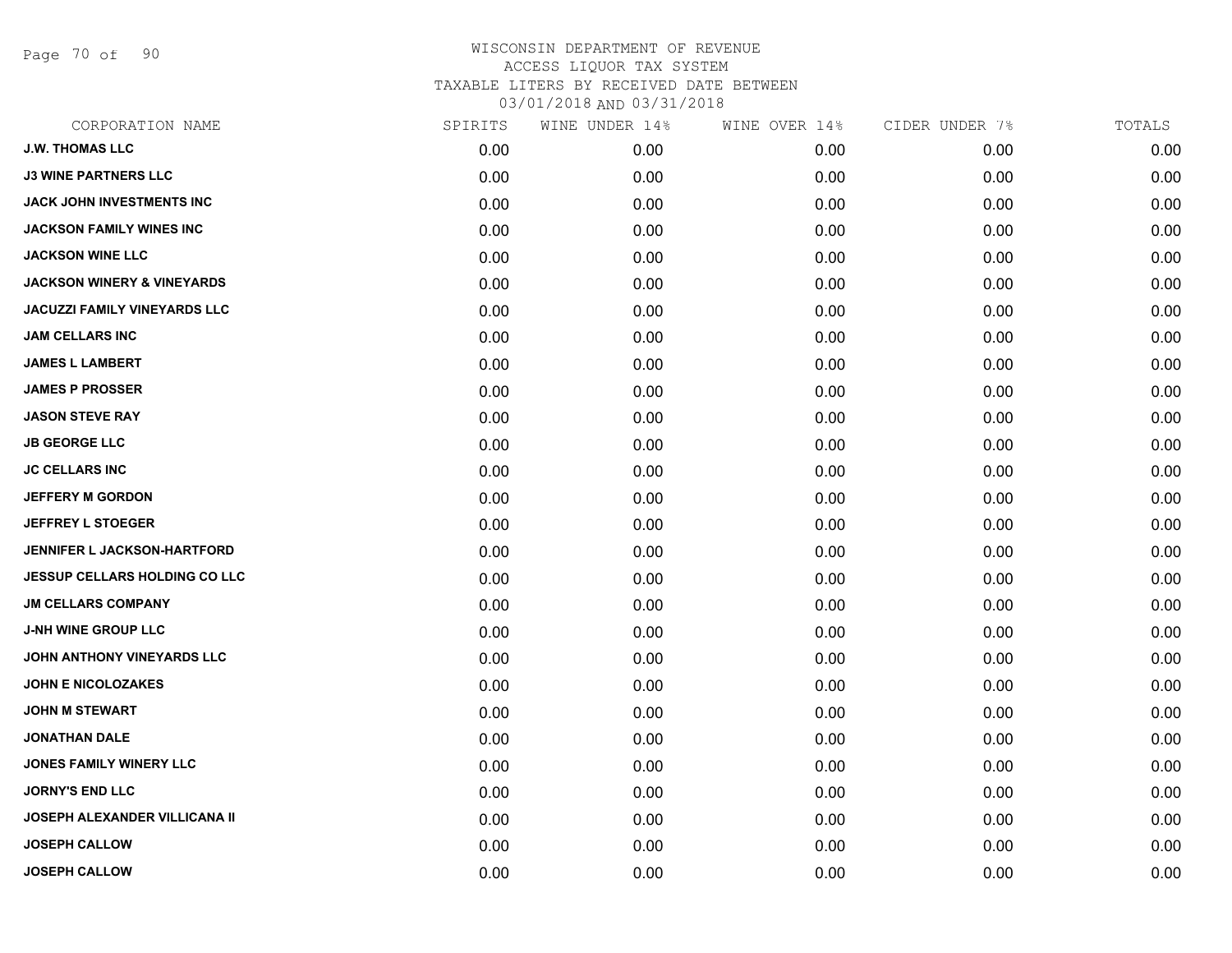Page 70 of 90

| CORPORATION NAME                      | SPIRITS | WINE UNDER 14% | WINE OVER 14% | CIDER UNDER 7% | TOTALS |
|---------------------------------------|---------|----------------|---------------|----------------|--------|
| <b>J.W. THOMAS LLC</b>                | 0.00    | 0.00           | 0.00          | 0.00           | 0.00   |
| <b>J3 WINE PARTNERS LLC</b>           | 0.00    | 0.00           | 0.00          | 0.00           | 0.00   |
| JACK JOHN INVESTMENTS INC             | 0.00    | 0.00           | 0.00          | 0.00           | 0.00   |
| <b>JACKSON FAMILY WINES INC</b>       | 0.00    | 0.00           | 0.00          | 0.00           | 0.00   |
| <b>JACKSON WINE LLC</b>               | 0.00    | 0.00           | 0.00          | 0.00           | 0.00   |
| <b>JACKSON WINERY &amp; VINEYARDS</b> | 0.00    | 0.00           | 0.00          | 0.00           | 0.00   |
| <b>JACUZZI FAMILY VINEYARDS LLC</b>   | 0.00    | 0.00           | 0.00          | 0.00           | 0.00   |
| <b>JAM CELLARS INC</b>                | 0.00    | 0.00           | 0.00          | 0.00           | 0.00   |
| <b>JAMES L LAMBERT</b>                | 0.00    | 0.00           | 0.00          | 0.00           | 0.00   |
| <b>JAMES P PROSSER</b>                | 0.00    | 0.00           | 0.00          | 0.00           | 0.00   |
| <b>JASON STEVE RAY</b>                | 0.00    | 0.00           | 0.00          | 0.00           | 0.00   |
| <b>JB GEORGE LLC</b>                  | 0.00    | 0.00           | 0.00          | 0.00           | 0.00   |
| <b>JC CELLARS INC</b>                 | 0.00    | 0.00           | 0.00          | 0.00           | 0.00   |
| <b>JEFFERY M GORDON</b>               | 0.00    | 0.00           | 0.00          | 0.00           | 0.00   |
| <b>JEFFREY L STOEGER</b>              | 0.00    | 0.00           | 0.00          | 0.00           | 0.00   |
| JENNIFER L JACKSON-HARTFORD           | 0.00    | 0.00           | 0.00          | 0.00           | 0.00   |
| <b>JESSUP CELLARS HOLDING CO LLC</b>  | 0.00    | 0.00           | 0.00          | 0.00           | 0.00   |
| <b>JM CELLARS COMPANY</b>             | 0.00    | 0.00           | 0.00          | 0.00           | 0.00   |
| <b>J-NH WINE GROUP LLC</b>            | 0.00    | 0.00           | 0.00          | 0.00           | 0.00   |
| JOHN ANTHONY VINEYARDS LLC            | 0.00    | 0.00           | 0.00          | 0.00           | 0.00   |
| <b>JOHN E NICOLOZAKES</b>             | 0.00    | 0.00           | 0.00          | 0.00           | 0.00   |
| <b>JOHN M STEWART</b>                 | 0.00    | 0.00           | 0.00          | 0.00           | 0.00   |
| <b>JONATHAN DALE</b>                  | 0.00    | 0.00           | 0.00          | 0.00           | 0.00   |
| <b>JONES FAMILY WINERY LLC</b>        | 0.00    | 0.00           | 0.00          | 0.00           | 0.00   |
| <b>JORNY'S END LLC</b>                | 0.00    | 0.00           | 0.00          | 0.00           | 0.00   |
| <b>JOSEPH ALEXANDER VILLICANA II</b>  | 0.00    | 0.00           | 0.00          | 0.00           | 0.00   |
| <b>JOSEPH CALLOW</b>                  | 0.00    | 0.00           | 0.00          | 0.00           | 0.00   |
| <b>JOSEPH CALLOW</b>                  | 0.00    | 0.00           | 0.00          | 0.00           | 0.00   |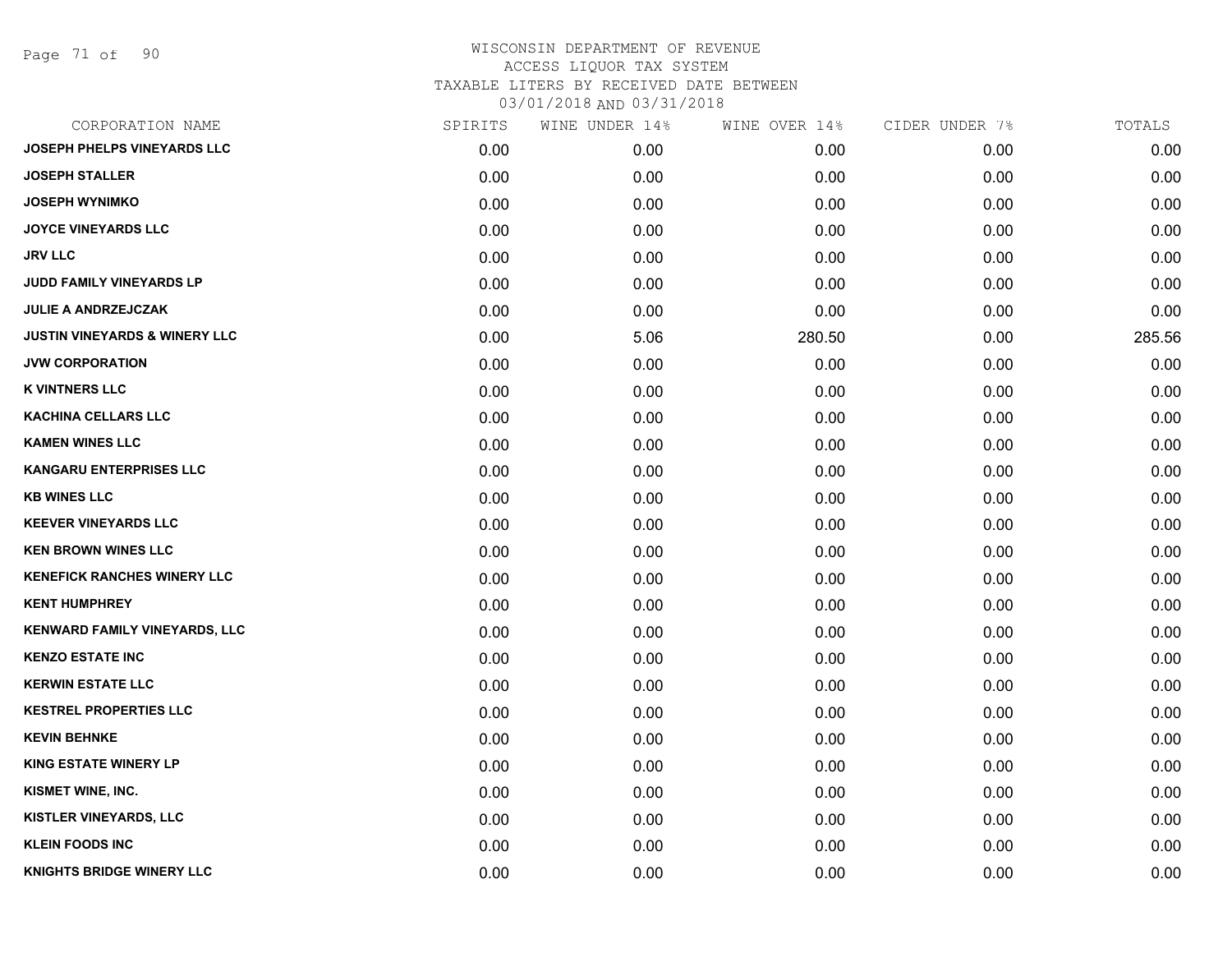Page 71 of 90

| CORPORATION NAME                         | SPIRITS | WINE UNDER 14% | WINE OVER 14% | CIDER UNDER 7% | TOTALS |
|------------------------------------------|---------|----------------|---------------|----------------|--------|
| <b>JOSEPH PHELPS VINEYARDS LLC</b>       | 0.00    | 0.00           | 0.00          | 0.00           | 0.00   |
| <b>JOSEPH STALLER</b>                    | 0.00    | 0.00           | 0.00          | 0.00           | 0.00   |
| <b>JOSEPH WYNIMKO</b>                    | 0.00    | 0.00           | 0.00          | 0.00           | 0.00   |
| <b>JOYCE VINEYARDS LLC</b>               | 0.00    | 0.00           | 0.00          | 0.00           | 0.00   |
| <b>JRV LLC</b>                           | 0.00    | 0.00           | 0.00          | 0.00           | 0.00   |
| JUDD FAMILY VINEYARDS LP                 | 0.00    | 0.00           | 0.00          | 0.00           | 0.00   |
| <b>JULIE A ANDRZEJCZAK</b>               | 0.00    | 0.00           | 0.00          | 0.00           | 0.00   |
| <b>JUSTIN VINEYARDS &amp; WINERY LLC</b> | 0.00    | 5.06           | 280.50        | 0.00           | 285.56 |
| <b>JVW CORPORATION</b>                   | 0.00    | 0.00           | 0.00          | 0.00           | 0.00   |
| <b>K VINTNERS LLC</b>                    | 0.00    | 0.00           | 0.00          | 0.00           | 0.00   |
| <b>KACHINA CELLARS LLC</b>               | 0.00    | 0.00           | 0.00          | 0.00           | 0.00   |
| <b>KAMEN WINES LLC</b>                   | 0.00    | 0.00           | 0.00          | 0.00           | 0.00   |
| <b>KANGARU ENTERPRISES LLC</b>           | 0.00    | 0.00           | 0.00          | 0.00           | 0.00   |
| <b>KB WINES LLC</b>                      | 0.00    | 0.00           | 0.00          | 0.00           | 0.00   |
| <b>KEEVER VINEYARDS LLC</b>              | 0.00    | 0.00           | 0.00          | 0.00           | 0.00   |
| <b>KEN BROWN WINES LLC</b>               | 0.00    | 0.00           | 0.00          | 0.00           | 0.00   |
| <b>KENEFICK RANCHES WINERY LLC</b>       | 0.00    | 0.00           | 0.00          | 0.00           | 0.00   |
| <b>KENT HUMPHREY</b>                     | 0.00    | 0.00           | 0.00          | 0.00           | 0.00   |
| KENWARD FAMILY VINEYARDS, LLC            | 0.00    | 0.00           | 0.00          | 0.00           | 0.00   |
| <b>KENZO ESTATE INC</b>                  | 0.00    | 0.00           | 0.00          | 0.00           | 0.00   |
| <b>KERWIN ESTATE LLC</b>                 | 0.00    | 0.00           | 0.00          | 0.00           | 0.00   |
| <b>KESTREL PROPERTIES LLC</b>            | 0.00    | 0.00           | 0.00          | 0.00           | 0.00   |
| <b>KEVIN BEHNKE</b>                      | 0.00    | 0.00           | 0.00          | 0.00           | 0.00   |
| <b>KING ESTATE WINERY LP</b>             | 0.00    | 0.00           | 0.00          | 0.00           | 0.00   |
| <b>KISMET WINE, INC.</b>                 | 0.00    | 0.00           | 0.00          | 0.00           | 0.00   |
| KISTLER VINEYARDS, LLC                   | 0.00    | 0.00           | 0.00          | 0.00           | 0.00   |
| <b>KLEIN FOODS INC</b>                   | 0.00    | 0.00           | 0.00          | 0.00           | 0.00   |
| <b>KNIGHTS BRIDGE WINERY LLC</b>         | 0.00    | 0.00           | 0.00          | 0.00           | 0.00   |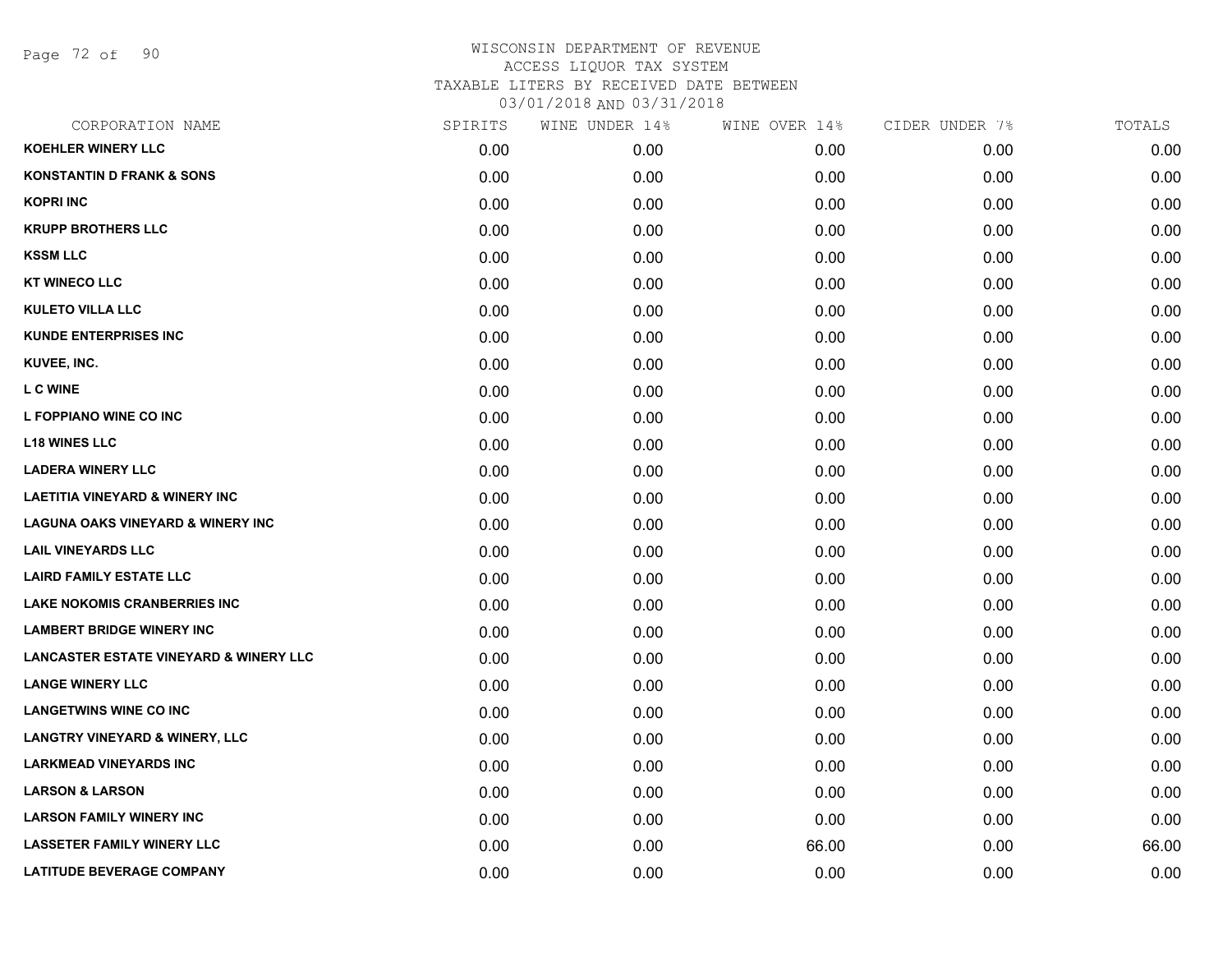Page 72 of 90

| CORPORATION NAME                                  | SPIRITS | WINE UNDER 14% | WINE OVER 14% | CIDER UNDER 7% | TOTALS |
|---------------------------------------------------|---------|----------------|---------------|----------------|--------|
| <b>KOEHLER WINERY LLC</b>                         | 0.00    | 0.00           | 0.00          | 0.00           | 0.00   |
| <b>KONSTANTIN D FRANK &amp; SONS</b>              | 0.00    | 0.00           | 0.00          | 0.00           | 0.00   |
| <b>KOPRI INC</b>                                  | 0.00    | 0.00           | 0.00          | 0.00           | 0.00   |
| <b>KRUPP BROTHERS LLC</b>                         | 0.00    | 0.00           | 0.00          | 0.00           | 0.00   |
| <b>KSSM LLC</b>                                   | 0.00    | 0.00           | 0.00          | 0.00           | 0.00   |
| <b>KT WINECO LLC</b>                              | 0.00    | 0.00           | 0.00          | 0.00           | 0.00   |
| <b>KULETO VILLA LLC</b>                           | 0.00    | 0.00           | 0.00          | 0.00           | 0.00   |
| <b>KUNDE ENTERPRISES INC</b>                      | 0.00    | 0.00           | 0.00          | 0.00           | 0.00   |
| KUVEE, INC.                                       | 0.00    | 0.00           | 0.00          | 0.00           | 0.00   |
| <b>L C WINE</b>                                   | 0.00    | 0.00           | 0.00          | 0.00           | 0.00   |
| L FOPPIANO WINE CO INC                            | 0.00    | 0.00           | 0.00          | 0.00           | 0.00   |
| <b>L18 WINES LLC</b>                              | 0.00    | 0.00           | 0.00          | 0.00           | 0.00   |
| <b>LADERA WINERY LLC</b>                          | 0.00    | 0.00           | 0.00          | 0.00           | 0.00   |
| <b>LAETITIA VINEYARD &amp; WINERY INC</b>         | 0.00    | 0.00           | 0.00          | 0.00           | 0.00   |
| <b>LAGUNA OAKS VINEYARD &amp; WINERY INC</b>      | 0.00    | 0.00           | 0.00          | 0.00           | 0.00   |
| <b>LAIL VINEYARDS LLC</b>                         | 0.00    | 0.00           | 0.00          | 0.00           | 0.00   |
| <b>LAIRD FAMILY ESTATE LLC</b>                    | 0.00    | 0.00           | 0.00          | 0.00           | 0.00   |
| <b>LAKE NOKOMIS CRANBERRIES INC</b>               | 0.00    | 0.00           | 0.00          | 0.00           | 0.00   |
| <b>LAMBERT BRIDGE WINERY INC</b>                  | 0.00    | 0.00           | 0.00          | 0.00           | 0.00   |
| <b>LANCASTER ESTATE VINEYARD &amp; WINERY LLC</b> | 0.00    | 0.00           | 0.00          | 0.00           | 0.00   |
| <b>LANGE WINERY LLC</b>                           | 0.00    | 0.00           | 0.00          | 0.00           | 0.00   |
| <b>LANGETWINS WINE CO INC</b>                     | 0.00    | 0.00           | 0.00          | 0.00           | 0.00   |
| <b>LANGTRY VINEYARD &amp; WINERY, LLC</b>         | 0.00    | 0.00           | 0.00          | 0.00           | 0.00   |
| <b>LARKMEAD VINEYARDS INC</b>                     | 0.00    | 0.00           | 0.00          | 0.00           | 0.00   |
| <b>LARSON &amp; LARSON</b>                        | 0.00    | 0.00           | 0.00          | 0.00           | 0.00   |
| <b>LARSON FAMILY WINERY INC</b>                   | 0.00    | 0.00           | 0.00          | 0.00           | 0.00   |
| <b>LASSETER FAMILY WINERY LLC</b>                 | 0.00    | 0.00           | 66.00         | 0.00           | 66.00  |
| <b>LATITUDE BEVERAGE COMPANY</b>                  | 0.00    | 0.00           | 0.00          | 0.00           | 0.00   |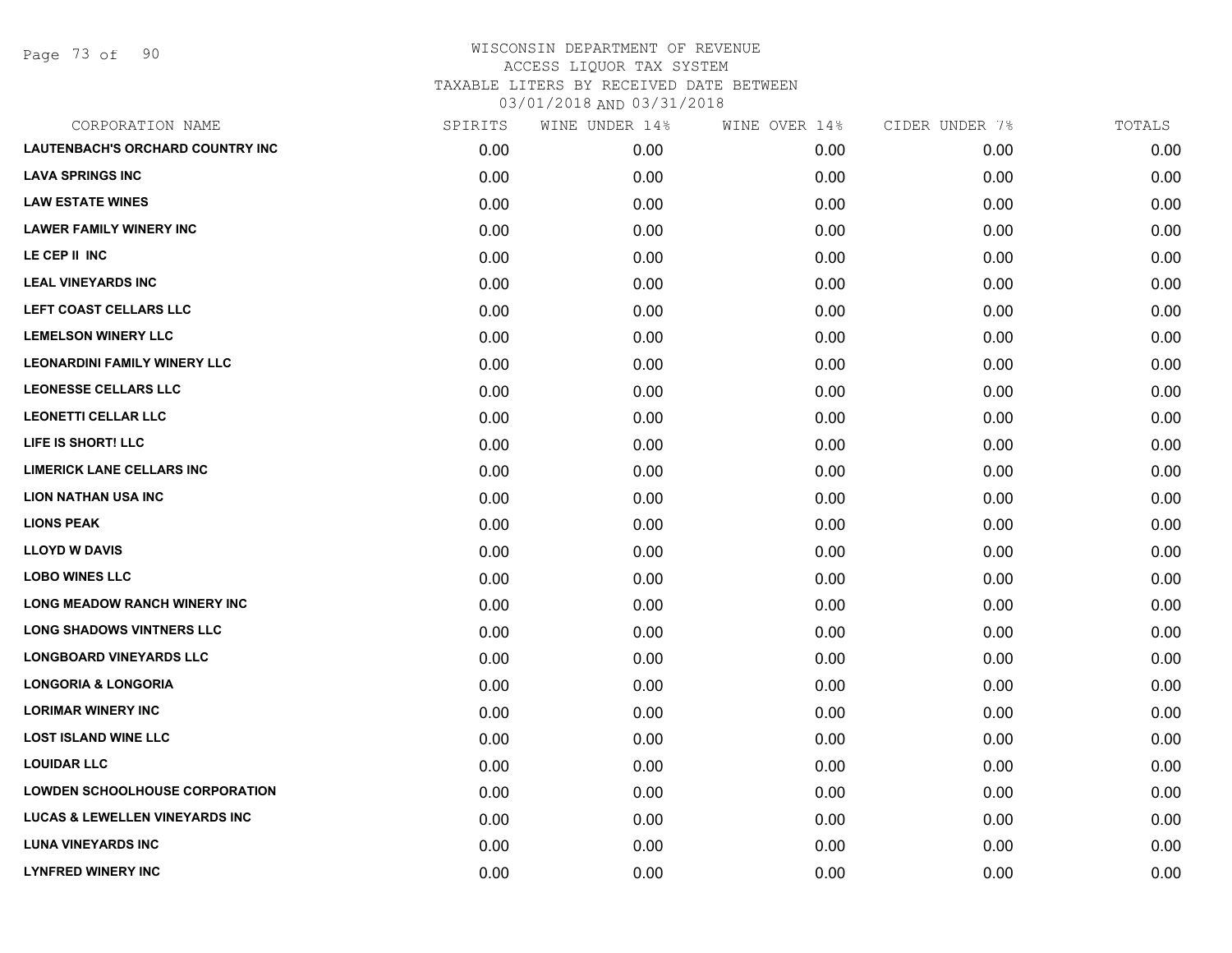Page 73 of 90

| CORPORATION NAME                          | SPIRITS | WINE UNDER 14% | WINE OVER 14% | CIDER UNDER 7% | TOTALS |
|-------------------------------------------|---------|----------------|---------------|----------------|--------|
| LAUTENBACH'S ORCHARD COUNTRY INC          | 0.00    | 0.00           | 0.00          | 0.00           | 0.00   |
| <b>LAVA SPRINGS INC</b>                   | 0.00    | 0.00           | 0.00          | 0.00           | 0.00   |
| <b>LAW ESTATE WINES</b>                   | 0.00    | 0.00           | 0.00          | 0.00           | 0.00   |
| <b>LAWER FAMILY WINERY INC</b>            | 0.00    | 0.00           | 0.00          | 0.00           | 0.00   |
| LE CEP II INC                             | 0.00    | 0.00           | 0.00          | 0.00           | 0.00   |
| <b>LEAL VINEYARDS INC</b>                 | 0.00    | 0.00           | 0.00          | 0.00           | 0.00   |
| LEFT COAST CELLARS LLC                    | 0.00    | 0.00           | 0.00          | 0.00           | 0.00   |
| <b>LEMELSON WINERY LLC</b>                | 0.00    | 0.00           | 0.00          | 0.00           | 0.00   |
| <b>LEONARDINI FAMILY WINERY LLC</b>       | 0.00    | 0.00           | 0.00          | 0.00           | 0.00   |
| <b>LEONESSE CELLARS LLC</b>               | 0.00    | 0.00           | 0.00          | 0.00           | 0.00   |
| <b>LEONETTI CELLAR LLC</b>                | 0.00    | 0.00           | 0.00          | 0.00           | 0.00   |
| LIFE IS SHORT! LLC                        | 0.00    | 0.00           | 0.00          | 0.00           | 0.00   |
| <b>LIMERICK LANE CELLARS INC</b>          | 0.00    | 0.00           | 0.00          | 0.00           | 0.00   |
| <b>LION NATHAN USA INC</b>                | 0.00    | 0.00           | 0.00          | 0.00           | 0.00   |
| <b>LIONS PEAK</b>                         | 0.00    | 0.00           | 0.00          | 0.00           | 0.00   |
| <b>LLOYD W DAVIS</b>                      | 0.00    | 0.00           | 0.00          | 0.00           | 0.00   |
| <b>LOBO WINES LLC</b>                     | 0.00    | 0.00           | 0.00          | 0.00           | 0.00   |
| <b>LONG MEADOW RANCH WINERY INC</b>       | 0.00    | 0.00           | 0.00          | 0.00           | 0.00   |
| <b>LONG SHADOWS VINTNERS LLC</b>          | 0.00    | 0.00           | 0.00          | 0.00           | 0.00   |
| <b>LONGBOARD VINEYARDS LLC</b>            | 0.00    | 0.00           | 0.00          | 0.00           | 0.00   |
| <b>LONGORIA &amp; LONGORIA</b>            | 0.00    | 0.00           | 0.00          | 0.00           | 0.00   |
| <b>LORIMAR WINERY INC</b>                 | 0.00    | 0.00           | 0.00          | 0.00           | 0.00   |
| <b>LOST ISLAND WINE LLC</b>               | 0.00    | 0.00           | 0.00          | 0.00           | 0.00   |
| <b>LOUIDAR LLC</b>                        | 0.00    | 0.00           | 0.00          | 0.00           | 0.00   |
| <b>LOWDEN SCHOOLHOUSE CORPORATION</b>     | 0.00    | 0.00           | 0.00          | 0.00           | 0.00   |
| <b>LUCAS &amp; LEWELLEN VINEYARDS INC</b> | 0.00    | 0.00           | 0.00          | 0.00           | 0.00   |
| <b>LUNA VINEYARDS INC</b>                 | 0.00    | 0.00           | 0.00          | 0.00           | 0.00   |
| <b>LYNFRED WINERY INC</b>                 | 0.00    | 0.00           | 0.00          | 0.00           | 0.00   |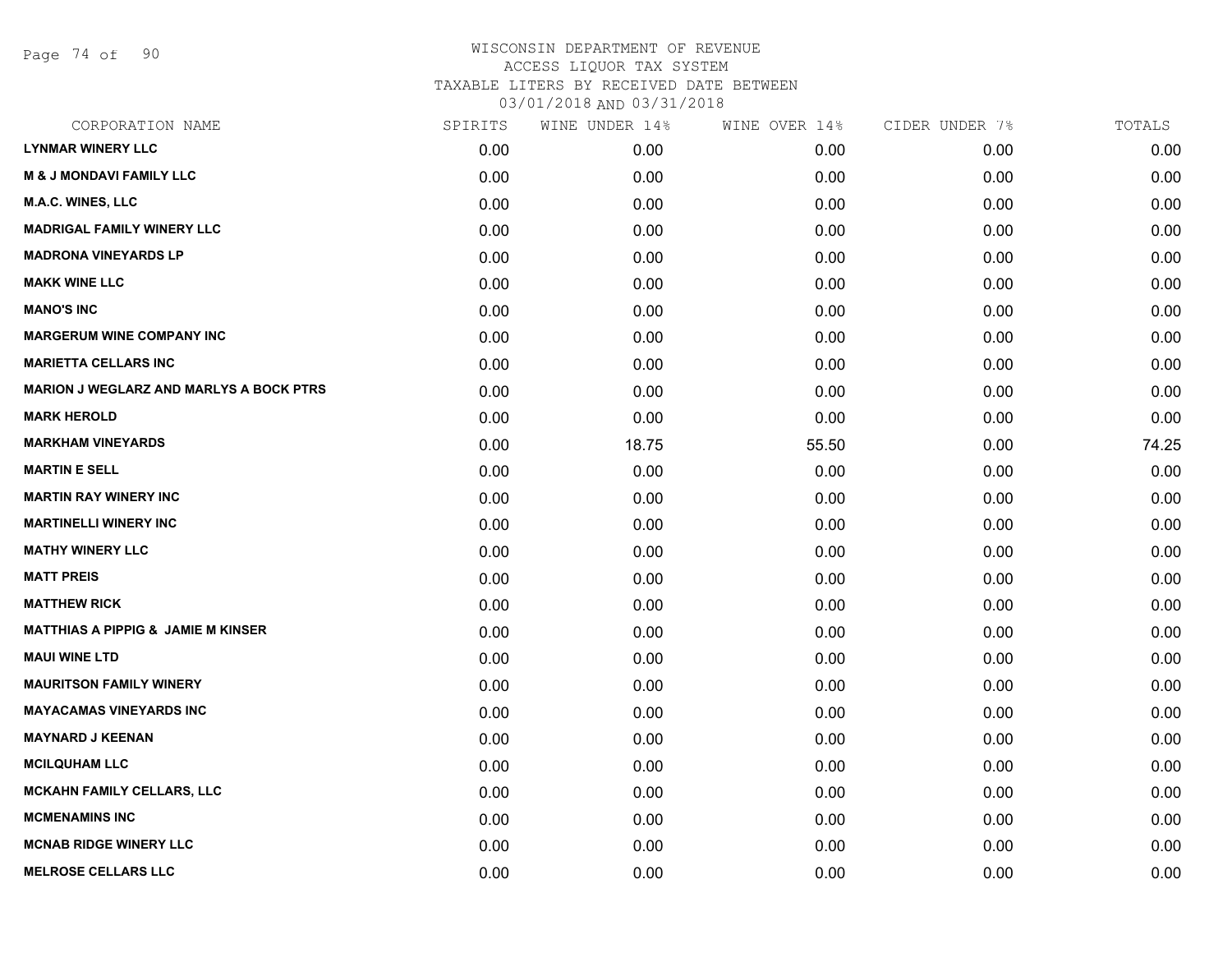Page 74 of 90

| CORPORATION NAME                               | SPIRITS | WINE UNDER 14% | WINE OVER 14% | CIDER UNDER 7% | TOTALS |
|------------------------------------------------|---------|----------------|---------------|----------------|--------|
| <b>LYNMAR WINERY LLC</b>                       | 0.00    | 0.00           | 0.00          | 0.00           | 0.00   |
| <b>M &amp; J MONDAVI FAMILY LLC</b>            | 0.00    | 0.00           | 0.00          | 0.00           | 0.00   |
| <b>M.A.C. WINES, LLC</b>                       | 0.00    | 0.00           | 0.00          | 0.00           | 0.00   |
| <b>MADRIGAL FAMILY WINERY LLC</b>              | 0.00    | 0.00           | 0.00          | 0.00           | 0.00   |
| <b>MADRONA VINEYARDS LP</b>                    | 0.00    | 0.00           | 0.00          | 0.00           | 0.00   |
| <b>MAKK WINE LLC</b>                           | 0.00    | 0.00           | 0.00          | 0.00           | 0.00   |
| <b>MANO'S INC</b>                              | 0.00    | 0.00           | 0.00          | 0.00           | 0.00   |
| <b>MARGERUM WINE COMPANY INC</b>               | 0.00    | 0.00           | 0.00          | 0.00           | 0.00   |
| <b>MARIETTA CELLARS INC</b>                    | 0.00    | 0.00           | 0.00          | 0.00           | 0.00   |
| <b>MARION J WEGLARZ AND MARLYS A BOCK PTRS</b> | 0.00    | 0.00           | 0.00          | 0.00           | 0.00   |
| <b>MARK HEROLD</b>                             | 0.00    | 0.00           | 0.00          | 0.00           | 0.00   |
| <b>MARKHAM VINEYARDS</b>                       | 0.00    | 18.75          | 55.50         | 0.00           | 74.25  |
| <b>MARTIN E SELL</b>                           | 0.00    | 0.00           | 0.00          | 0.00           | 0.00   |
| <b>MARTIN RAY WINERY INC</b>                   | 0.00    | 0.00           | 0.00          | 0.00           | 0.00   |
| <b>MARTINELLI WINERY INC</b>                   | 0.00    | 0.00           | 0.00          | 0.00           | 0.00   |
| <b>MATHY WINERY LLC</b>                        | 0.00    | 0.00           | 0.00          | 0.00           | 0.00   |
| <b>MATT PREIS</b>                              | 0.00    | 0.00           | 0.00          | 0.00           | 0.00   |
| <b>MATTHEW RICK</b>                            | 0.00    | 0.00           | 0.00          | 0.00           | 0.00   |
| <b>MATTHIAS A PIPPIG &amp; JAMIE M KINSER</b>  | 0.00    | 0.00           | 0.00          | 0.00           | 0.00   |
| <b>MAUI WINE LTD</b>                           | 0.00    | 0.00           | 0.00          | 0.00           | 0.00   |
| <b>MAURITSON FAMILY WINERY</b>                 | 0.00    | 0.00           | 0.00          | 0.00           | 0.00   |
| <b>MAYACAMAS VINEYARDS INC</b>                 | 0.00    | 0.00           | 0.00          | 0.00           | 0.00   |
| <b>MAYNARD J KEENAN</b>                        | 0.00    | 0.00           | 0.00          | 0.00           | 0.00   |
| <b>MCILQUHAM LLC</b>                           | 0.00    | 0.00           | 0.00          | 0.00           | 0.00   |
| MCKAHN FAMILY CELLARS, LLC                     | 0.00    | 0.00           | 0.00          | 0.00           | 0.00   |
| <b>MCMENAMINS INC</b>                          | 0.00    | 0.00           | 0.00          | 0.00           | 0.00   |
| <b>MCNAB RIDGE WINERY LLC</b>                  | 0.00    | 0.00           | 0.00          | 0.00           | 0.00   |
| <b>MELROSE CELLARS LLC</b>                     | 0.00    | 0.00           | 0.00          | 0.00           | 0.00   |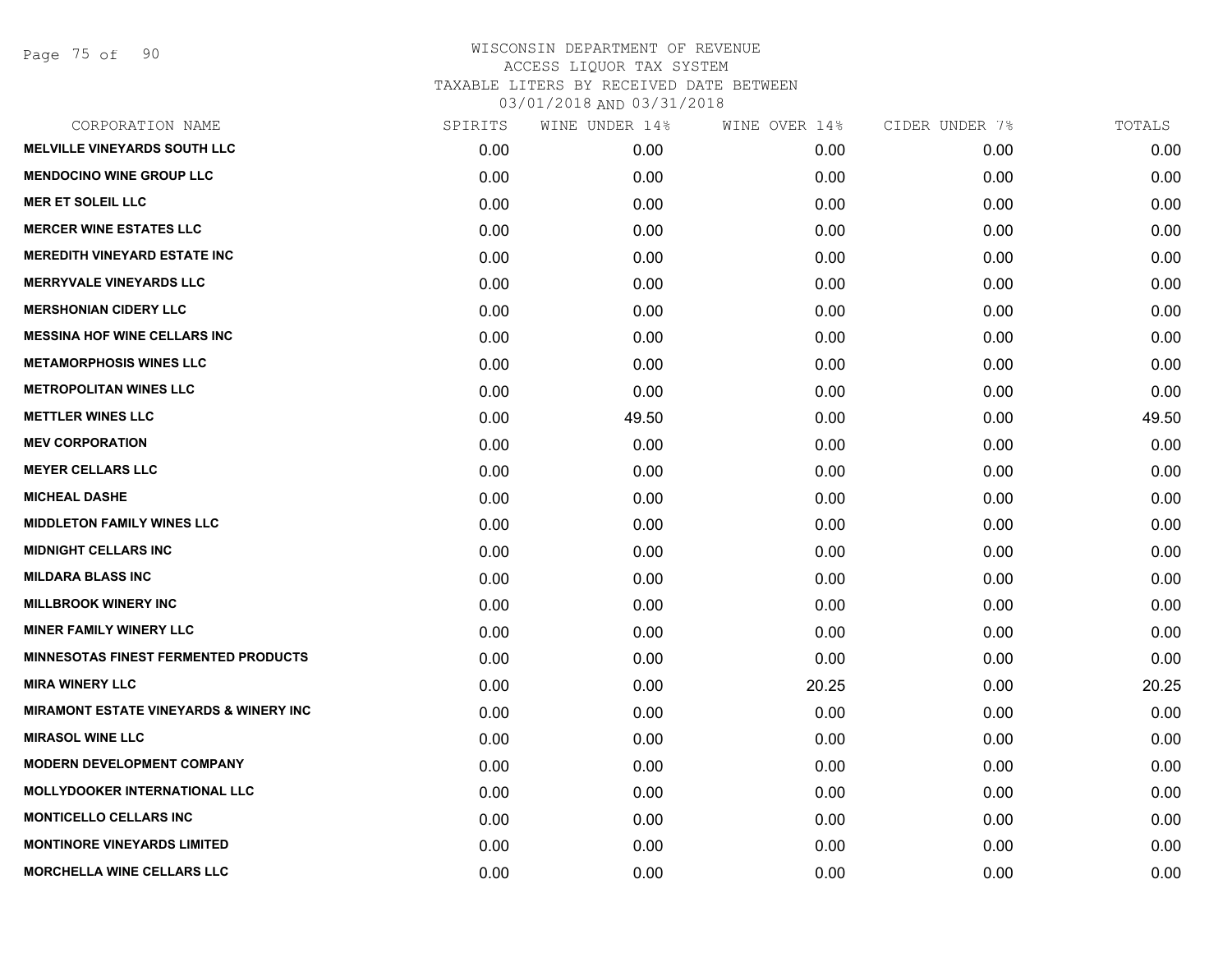Page 75 of 90

| CORPORATION NAME                                  | SPIRITS | WINE UNDER 14% | WINE OVER 14% | CIDER UNDER 7% | TOTALS |
|---------------------------------------------------|---------|----------------|---------------|----------------|--------|
| <b>MELVILLE VINEYARDS SOUTH LLC</b>               | 0.00    | 0.00           | 0.00          | 0.00           | 0.00   |
| <b>MENDOCINO WINE GROUP LLC</b>                   | 0.00    | 0.00           | 0.00          | 0.00           | 0.00   |
| <b>MER ET SOLEIL LLC</b>                          | 0.00    | 0.00           | 0.00          | 0.00           | 0.00   |
| <b>MERCER WINE ESTATES LLC</b>                    | 0.00    | 0.00           | 0.00          | 0.00           | 0.00   |
| <b>MEREDITH VINEYARD ESTATE INC</b>               | 0.00    | 0.00           | 0.00          | 0.00           | 0.00   |
| <b>MERRYVALE VINEYARDS LLC</b>                    | 0.00    | 0.00           | 0.00          | 0.00           | 0.00   |
| <b>MERSHONIAN CIDERY LLC</b>                      | 0.00    | 0.00           | 0.00          | 0.00           | 0.00   |
| <b>MESSINA HOF WINE CELLARS INC</b>               | 0.00    | 0.00           | 0.00          | 0.00           | 0.00   |
| <b>METAMORPHOSIS WINES LLC</b>                    | 0.00    | 0.00           | 0.00          | 0.00           | 0.00   |
| <b>METROPOLITAN WINES LLC</b>                     | 0.00    | 0.00           | 0.00          | 0.00           | 0.00   |
| <b>METTLER WINES LLC</b>                          | 0.00    | 49.50          | 0.00          | 0.00           | 49.50  |
| <b>MEV CORPORATION</b>                            | 0.00    | 0.00           | 0.00          | 0.00           | 0.00   |
| <b>MEYER CELLARS LLC</b>                          | 0.00    | 0.00           | 0.00          | 0.00           | 0.00   |
| <b>MICHEAL DASHE</b>                              | 0.00    | 0.00           | 0.00          | 0.00           | 0.00   |
| <b>MIDDLETON FAMILY WINES LLC</b>                 | 0.00    | 0.00           | 0.00          | 0.00           | 0.00   |
| <b>MIDNIGHT CELLARS INC</b>                       | 0.00    | 0.00           | 0.00          | 0.00           | 0.00   |
| <b>MILDARA BLASS INC</b>                          | 0.00    | 0.00           | 0.00          | 0.00           | 0.00   |
| <b>MILLBROOK WINERY INC</b>                       | 0.00    | 0.00           | 0.00          | 0.00           | 0.00   |
| <b>MINER FAMILY WINERY LLC</b>                    | 0.00    | 0.00           | 0.00          | 0.00           | 0.00   |
| <b>MINNESOTAS FINEST FERMENTED PRODUCTS</b>       | 0.00    | 0.00           | 0.00          | 0.00           | 0.00   |
| <b>MIRA WINERY LLC</b>                            | 0.00    | 0.00           | 20.25         | 0.00           | 20.25  |
| <b>MIRAMONT ESTATE VINEYARDS &amp; WINERY INC</b> | 0.00    | 0.00           | 0.00          | 0.00           | 0.00   |
| <b>MIRASOL WINE LLC</b>                           | 0.00    | 0.00           | 0.00          | 0.00           | 0.00   |
| <b>MODERN DEVELOPMENT COMPANY</b>                 | 0.00    | 0.00           | 0.00          | 0.00           | 0.00   |
| <b>MOLLYDOOKER INTERNATIONAL LLC</b>              | 0.00    | 0.00           | 0.00          | 0.00           | 0.00   |
| <b>MONTICELLO CELLARS INC</b>                     | 0.00    | 0.00           | 0.00          | 0.00           | 0.00   |
| <b>MONTINORE VINEYARDS LIMITED</b>                | 0.00    | 0.00           | 0.00          | 0.00           | 0.00   |
| <b>MORCHELLA WINE CELLARS LLC</b>                 | 0.00    | 0.00           | 0.00          | 0.00           | 0.00   |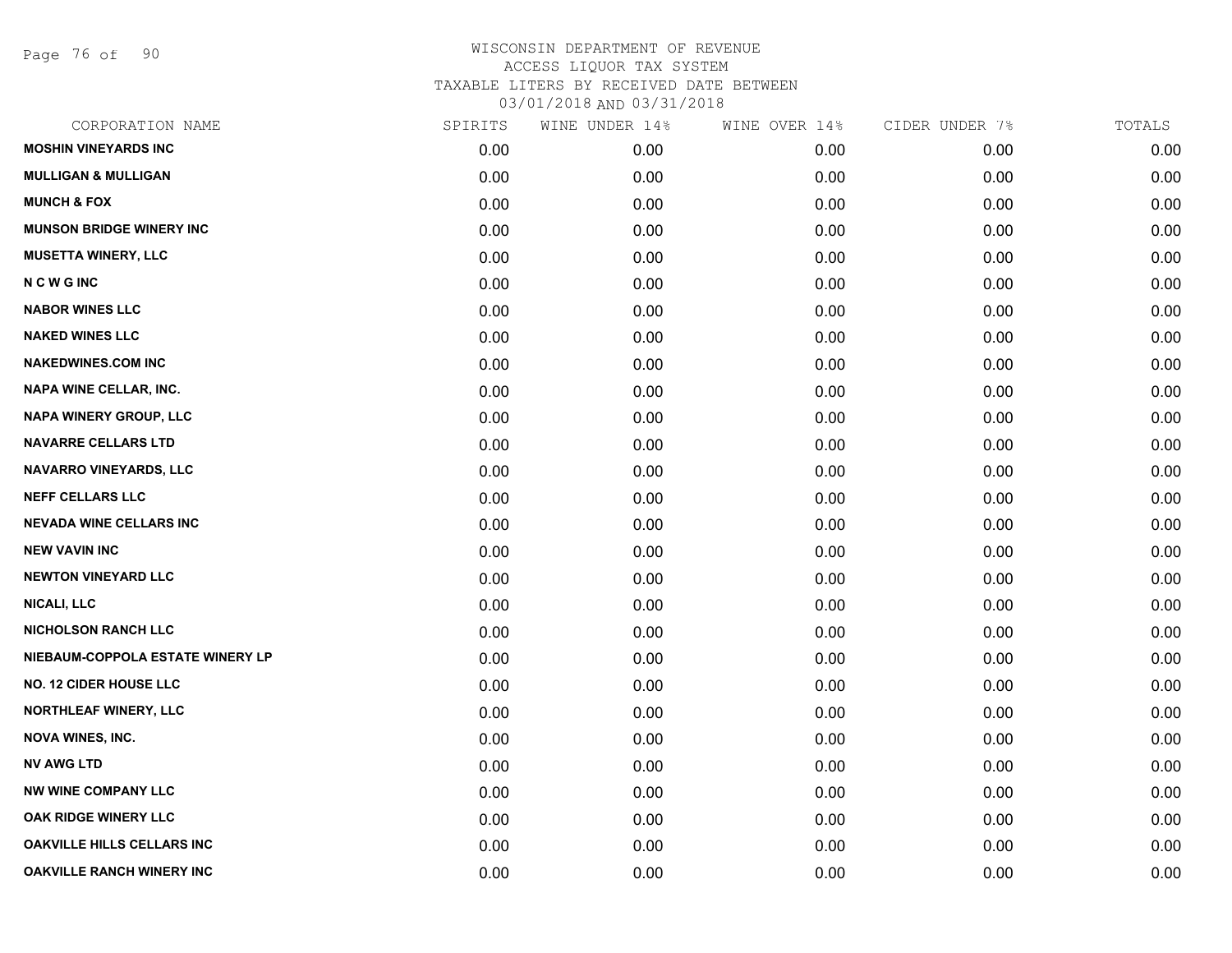Page 76 of 90

| CORPORATION NAME                  | SPIRITS | WINE UNDER 14% | WINE OVER 14% | CIDER UNDER 7% | TOTALS |
|-----------------------------------|---------|----------------|---------------|----------------|--------|
| <b>MOSHIN VINEYARDS INC</b>       | 0.00    | 0.00           | 0.00          | 0.00           | 0.00   |
| <b>MULLIGAN &amp; MULLIGAN</b>    | 0.00    | 0.00           | 0.00          | 0.00           | 0.00   |
| <b>MUNCH &amp; FOX</b>            | 0.00    | 0.00           | 0.00          | 0.00           | 0.00   |
| <b>MUNSON BRIDGE WINERY INC</b>   | 0.00    | 0.00           | 0.00          | 0.00           | 0.00   |
| <b>MUSETTA WINERY, LLC</b>        | 0.00    | 0.00           | 0.00          | 0.00           | 0.00   |
| <b>NCWGINC</b>                    | 0.00    | 0.00           | 0.00          | 0.00           | 0.00   |
| <b>NABOR WINES LLC</b>            | 0.00    | 0.00           | 0.00          | 0.00           | 0.00   |
| <b>NAKED WINES LLC</b>            | 0.00    | 0.00           | 0.00          | 0.00           | 0.00   |
| <b>NAKEDWINES.COM INC</b>         | 0.00    | 0.00           | 0.00          | 0.00           | 0.00   |
| NAPA WINE CELLAR, INC.            | 0.00    | 0.00           | 0.00          | 0.00           | 0.00   |
| NAPA WINERY GROUP, LLC            | 0.00    | 0.00           | 0.00          | 0.00           | 0.00   |
| <b>NAVARRE CELLARS LTD</b>        | 0.00    | 0.00           | 0.00          | 0.00           | 0.00   |
| NAVARRO VINEYARDS, LLC            | 0.00    | 0.00           | 0.00          | 0.00           | 0.00   |
| <b>NEFF CELLARS LLC</b>           | 0.00    | 0.00           | 0.00          | 0.00           | 0.00   |
| <b>NEVADA WINE CELLARS INC</b>    | 0.00    | 0.00           | 0.00          | 0.00           | 0.00   |
| <b>NEW VAVIN INC</b>              | 0.00    | 0.00           | 0.00          | 0.00           | 0.00   |
| <b>NEWTON VINEYARD LLC</b>        | 0.00    | 0.00           | 0.00          | 0.00           | 0.00   |
| <b>NICALI, LLC</b>                | 0.00    | 0.00           | 0.00          | 0.00           | 0.00   |
| <b>NICHOLSON RANCH LLC</b>        | 0.00    | 0.00           | 0.00          | 0.00           | 0.00   |
| NIEBAUM-COPPOLA ESTATE WINERY LP  | 0.00    | 0.00           | 0.00          | 0.00           | 0.00   |
| <b>NO. 12 CIDER HOUSE LLC</b>     | 0.00    | 0.00           | 0.00          | 0.00           | 0.00   |
| <b>NORTHLEAF WINERY, LLC</b>      | 0.00    | 0.00           | 0.00          | 0.00           | 0.00   |
| <b>NOVA WINES, INC.</b>           | 0.00    | 0.00           | 0.00          | 0.00           | 0.00   |
| <b>NV AWG LTD</b>                 | 0.00    | 0.00           | 0.00          | 0.00           | 0.00   |
| <b>NW WINE COMPANY LLC</b>        | 0.00    | 0.00           | 0.00          | 0.00           | 0.00   |
| OAK RIDGE WINERY LLC              | 0.00    | 0.00           | 0.00          | 0.00           | 0.00   |
| <b>OAKVILLE HILLS CELLARS INC</b> | 0.00    | 0.00           | 0.00          | 0.00           | 0.00   |
| <b>OAKVILLE RANCH WINERY INC</b>  | 0.00    | 0.00           | 0.00          | 0.00           | 0.00   |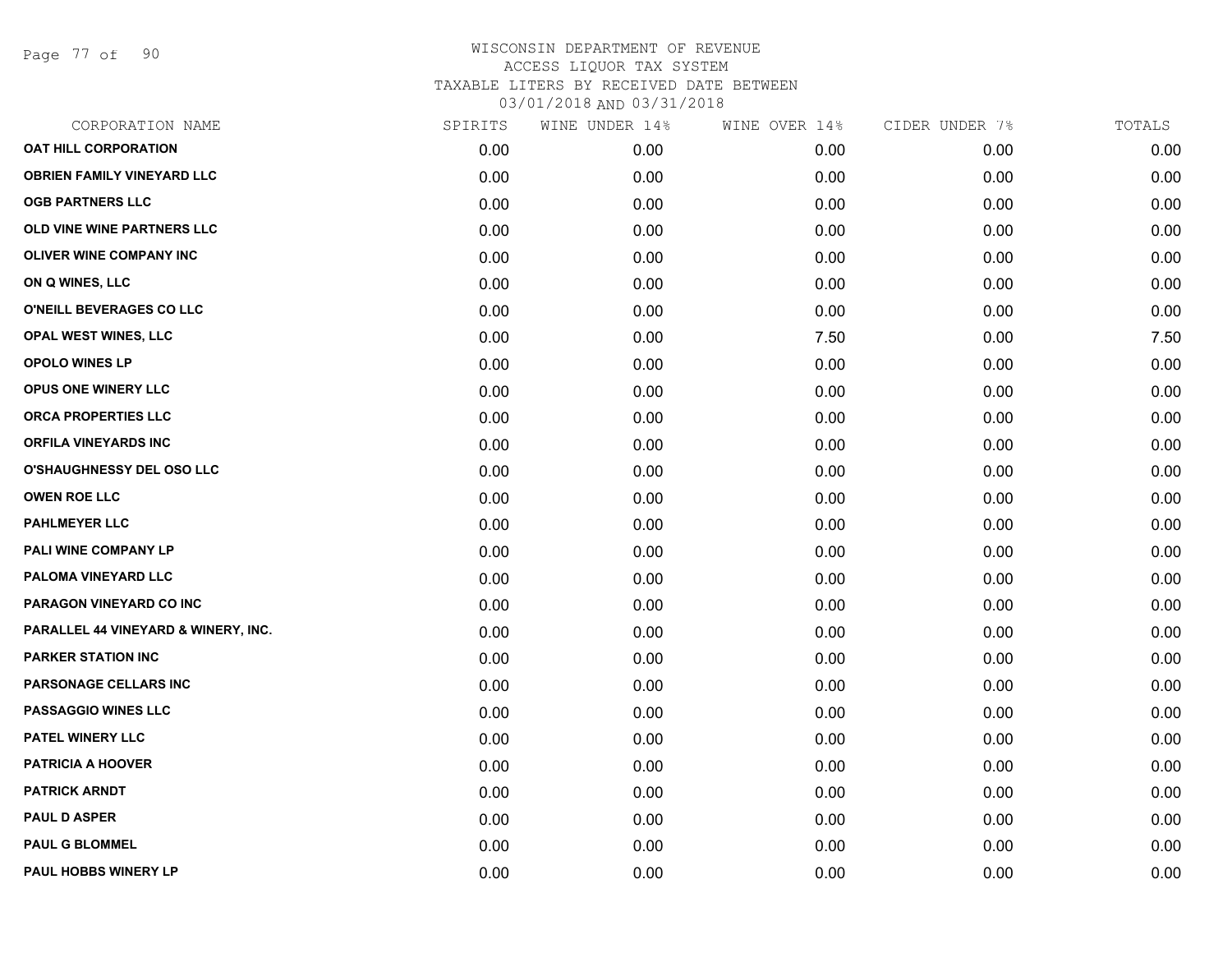Page 77 of 90

| CORPORATION NAME                    | SPIRITS | WINE UNDER 14% | WINE OVER 14% | CIDER UNDER 7% | TOTALS |
|-------------------------------------|---------|----------------|---------------|----------------|--------|
| <b>OAT HILL CORPORATION</b>         | 0.00    | 0.00           | 0.00          | 0.00           | 0.00   |
| <b>OBRIEN FAMILY VINEYARD LLC</b>   | 0.00    | 0.00           | 0.00          | 0.00           | 0.00   |
| <b>OGB PARTNERS LLC</b>             | 0.00    | 0.00           | 0.00          | 0.00           | 0.00   |
| OLD VINE WINE PARTNERS LLC          | 0.00    | 0.00           | 0.00          | 0.00           | 0.00   |
| <b>OLIVER WINE COMPANY INC</b>      | 0.00    | 0.00           | 0.00          | 0.00           | 0.00   |
| ON Q WINES, LLC                     | 0.00    | 0.00           | 0.00          | 0.00           | 0.00   |
| O'NEILL BEVERAGES CO LLC            | 0.00    | 0.00           | 0.00          | 0.00           | 0.00   |
| OPAL WEST WINES, LLC                | 0.00    | 0.00           | 7.50          | 0.00           | 7.50   |
| <b>OPOLO WINES LP</b>               | 0.00    | 0.00           | 0.00          | 0.00           | 0.00   |
| OPUS ONE WINERY LLC                 | 0.00    | 0.00           | 0.00          | 0.00           | 0.00   |
| ORCA PROPERTIES LLC                 | 0.00    | 0.00           | 0.00          | 0.00           | 0.00   |
| <b>ORFILA VINEYARDS INC</b>         | 0.00    | 0.00           | 0.00          | 0.00           | 0.00   |
| <b>O'SHAUGHNESSY DEL OSO LLC</b>    | 0.00    | 0.00           | 0.00          | 0.00           | 0.00   |
| <b>OWEN ROE LLC</b>                 | 0.00    | 0.00           | 0.00          | 0.00           | 0.00   |
| <b>PAHLMEYER LLC</b>                | 0.00    | 0.00           | 0.00          | 0.00           | 0.00   |
| PALI WINE COMPANY LP                | 0.00    | 0.00           | 0.00          | 0.00           | 0.00   |
| PALOMA VINEYARD LLC                 | 0.00    | 0.00           | 0.00          | 0.00           | 0.00   |
| PARAGON VINEYARD CO INC             | 0.00    | 0.00           | 0.00          | 0.00           | 0.00   |
| PARALLEL 44 VINEYARD & WINERY, INC. | 0.00    | 0.00           | 0.00          | 0.00           | 0.00   |
| <b>PARKER STATION INC</b>           | 0.00    | 0.00           | 0.00          | 0.00           | 0.00   |
| PARSONAGE CELLARS INC               | 0.00    | 0.00           | 0.00          | 0.00           | 0.00   |
| PASSAGGIO WINES LLC                 | 0.00    | 0.00           | 0.00          | 0.00           | 0.00   |
| PATEL WINERY LLC                    | 0.00    | 0.00           | 0.00          | 0.00           | 0.00   |
| <b>PATRICIA A HOOVER</b>            | 0.00    | 0.00           | 0.00          | 0.00           | 0.00   |
| <b>PATRICK ARNDT</b>                | 0.00    | 0.00           | 0.00          | 0.00           | 0.00   |
| <b>PAUL D ASPER</b>                 | 0.00    | 0.00           | 0.00          | 0.00           | 0.00   |
| <b>PAUL G BLOMMEL</b>               | 0.00    | 0.00           | 0.00          | 0.00           | 0.00   |
| PAUL HOBBS WINERY LP                | 0.00    | 0.00           | 0.00          | 0.00           | 0.00   |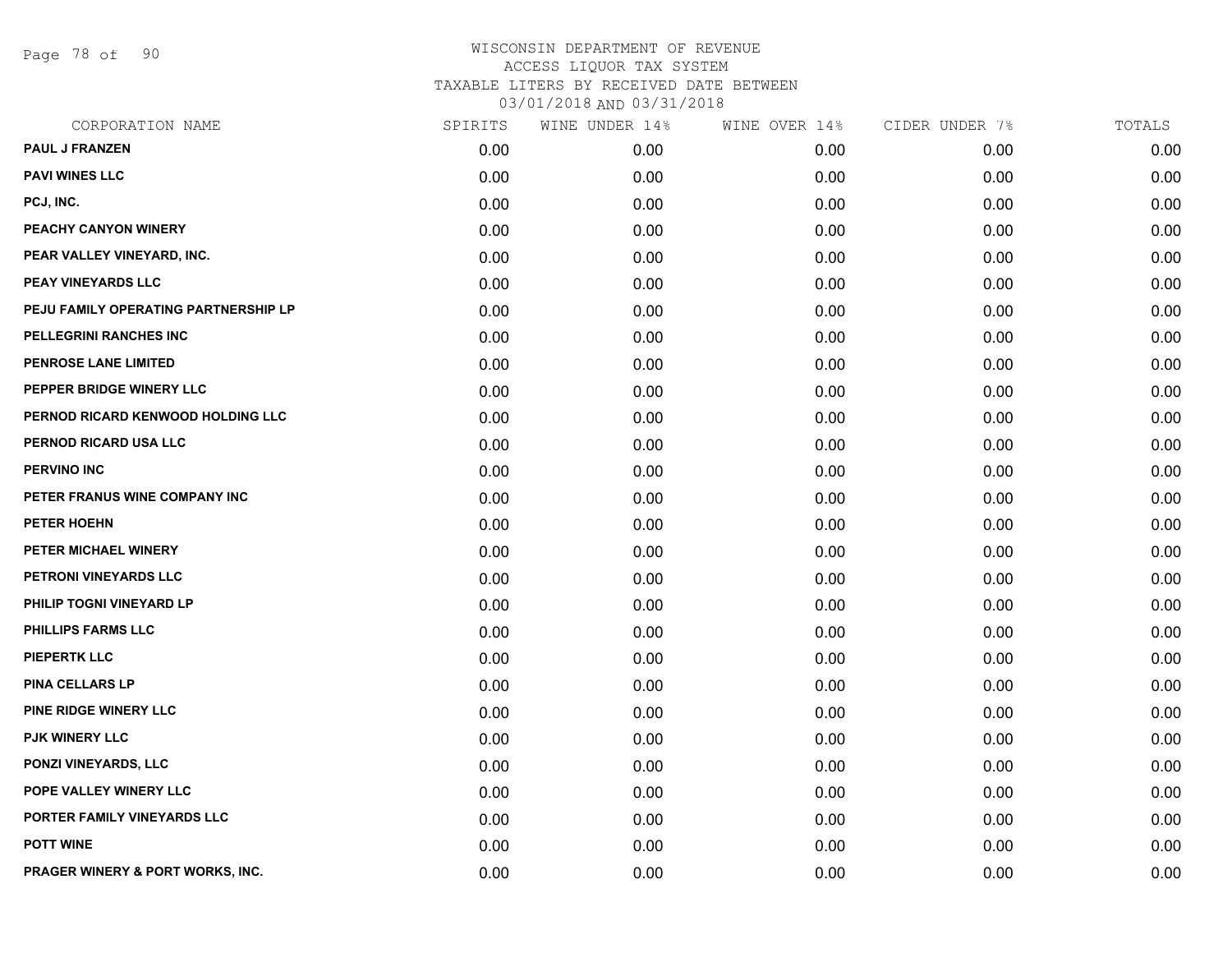Page 78 of 90

| CORPORATION NAME                     | SPIRITS | WINE UNDER 14% | WINE OVER 14% | CIDER UNDER 7% | TOTALS |
|--------------------------------------|---------|----------------|---------------|----------------|--------|
| <b>PAUL J FRANZEN</b>                | 0.00    | 0.00           | 0.00          | 0.00           | 0.00   |
| <b>PAVI WINES LLC</b>                | 0.00    | 0.00           | 0.00          | 0.00           | 0.00   |
| PCJ, INC.                            | 0.00    | 0.00           | 0.00          | 0.00           | 0.00   |
| PEACHY CANYON WINERY                 | 0.00    | 0.00           | 0.00          | 0.00           | 0.00   |
| PEAR VALLEY VINEYARD, INC.           | 0.00    | 0.00           | 0.00          | 0.00           | 0.00   |
| PEAY VINEYARDS LLC                   | 0.00    | 0.00           | 0.00          | 0.00           | 0.00   |
| PEJU FAMILY OPERATING PARTNERSHIP LP | 0.00    | 0.00           | 0.00          | 0.00           | 0.00   |
| PELLEGRINI RANCHES INC               | 0.00    | 0.00           | 0.00          | 0.00           | 0.00   |
| PENROSE LANE LIMITED                 | 0.00    | 0.00           | 0.00          | 0.00           | 0.00   |
| PEPPER BRIDGE WINERY LLC             | 0.00    | 0.00           | 0.00          | 0.00           | 0.00   |
| PERNOD RICARD KENWOOD HOLDING LLC    | 0.00    | 0.00           | 0.00          | 0.00           | 0.00   |
| PERNOD RICARD USA LLC                | 0.00    | 0.00           | 0.00          | 0.00           | 0.00   |
| <b>PERVINO INC</b>                   | 0.00    | 0.00           | 0.00          | 0.00           | 0.00   |
| PETER FRANUS WINE COMPANY INC        | 0.00    | 0.00           | 0.00          | 0.00           | 0.00   |
| PETER HOEHN                          | 0.00    | 0.00           | 0.00          | 0.00           | 0.00   |
| PETER MICHAEL WINERY                 | 0.00    | 0.00           | 0.00          | 0.00           | 0.00   |
| PETRONI VINEYARDS LLC                | 0.00    | 0.00           | 0.00          | 0.00           | 0.00   |
| PHILIP TOGNI VINEYARD LP             | 0.00    | 0.00           | 0.00          | 0.00           | 0.00   |
| PHILLIPS FARMS LLC                   | 0.00    | 0.00           | 0.00          | 0.00           | 0.00   |
| <b>PIEPERTK LLC</b>                  | 0.00    | 0.00           | 0.00          | 0.00           | 0.00   |
| PINA CELLARS LP                      | 0.00    | 0.00           | 0.00          | 0.00           | 0.00   |
| PINE RIDGE WINERY LLC                | 0.00    | 0.00           | 0.00          | 0.00           | 0.00   |
| PJK WINERY LLC                       | 0.00    | 0.00           | 0.00          | 0.00           | 0.00   |
| PONZI VINEYARDS, LLC                 | 0.00    | 0.00           | 0.00          | 0.00           | 0.00   |
| POPE VALLEY WINERY LLC               | 0.00    | 0.00           | 0.00          | 0.00           | 0.00   |
| PORTER FAMILY VINEYARDS LLC          | 0.00    | 0.00           | 0.00          | 0.00           | 0.00   |
| <b>POTT WINE</b>                     | 0.00    | 0.00           | 0.00          | 0.00           | 0.00   |
| PRAGER WINERY & PORT WORKS, INC.     | 0.00    | 0.00           | 0.00          | 0.00           | 0.00   |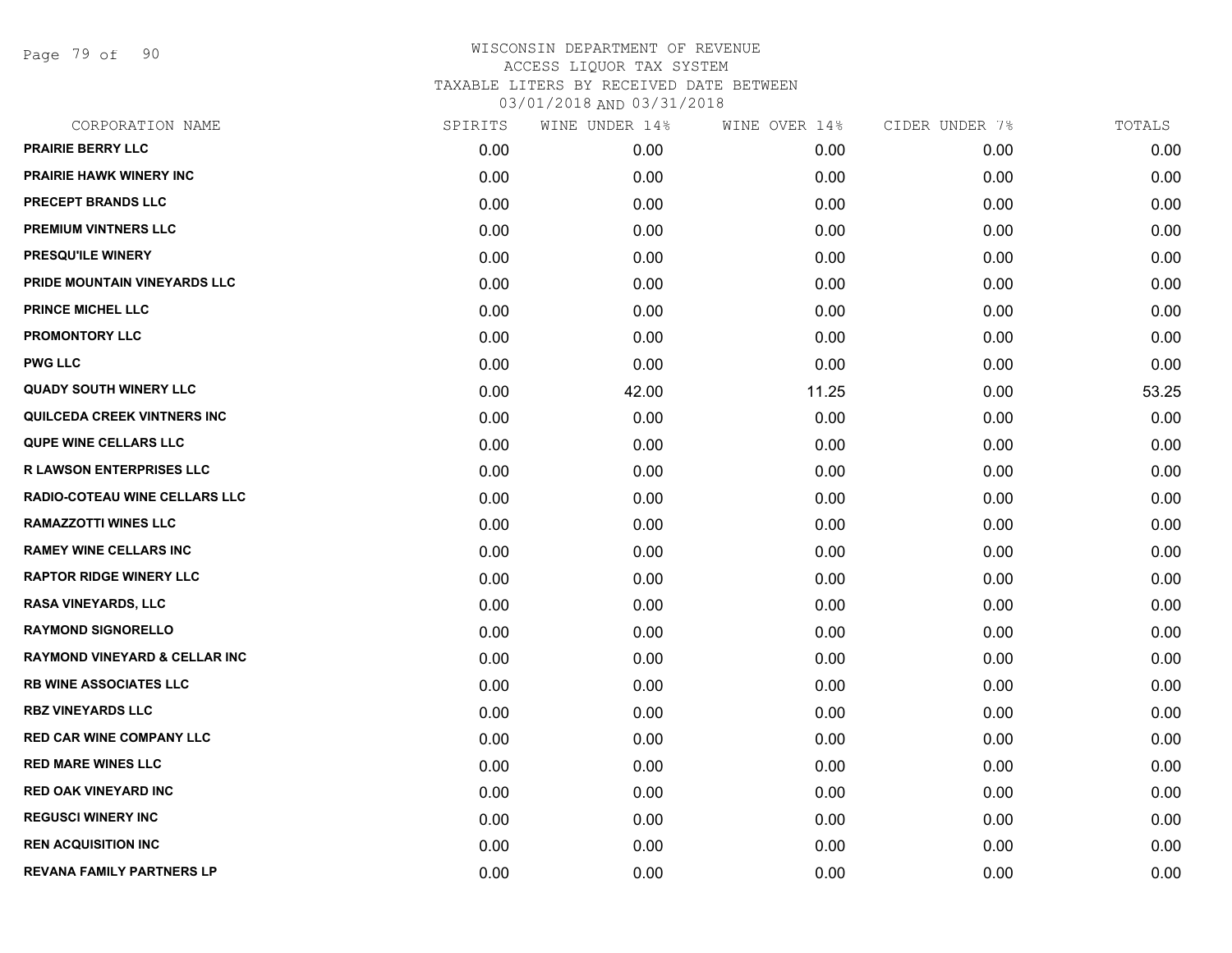Page 79 of 90

| CORPORATION NAME                         | SPIRITS | WINE UNDER 14% | WINE OVER 14% | CIDER UNDER 7% | TOTALS |
|------------------------------------------|---------|----------------|---------------|----------------|--------|
| <b>PRAIRIE BERRY LLC</b>                 | 0.00    | 0.00           | 0.00          | 0.00           | 0.00   |
| <b>PRAIRIE HAWK WINERY INC</b>           | 0.00    | 0.00           | 0.00          | 0.00           | 0.00   |
| PRECEPT BRANDS LLC                       | 0.00    | 0.00           | 0.00          | 0.00           | 0.00   |
| PREMIUM VINTNERS LLC                     | 0.00    | 0.00           | 0.00          | 0.00           | 0.00   |
| PRESQU'ILE WINERY                        | 0.00    | 0.00           | 0.00          | 0.00           | 0.00   |
| PRIDE MOUNTAIN VINEYARDS LLC             | 0.00    | 0.00           | 0.00          | 0.00           | 0.00   |
| <b>PRINCE MICHEL LLC</b>                 | 0.00    | 0.00           | 0.00          | 0.00           | 0.00   |
| <b>PROMONTORY LLC</b>                    | 0.00    | 0.00           | 0.00          | 0.00           | 0.00   |
| <b>PWG LLC</b>                           | 0.00    | 0.00           | 0.00          | 0.00           | 0.00   |
| <b>QUADY SOUTH WINERY LLC</b>            | 0.00    | 42.00          | 11.25         | 0.00           | 53.25  |
| QUILCEDA CREEK VINTNERS INC              | 0.00    | 0.00           | 0.00          | 0.00           | 0.00   |
| <b>QUPE WINE CELLARS LLC</b>             | 0.00    | 0.00           | 0.00          | 0.00           | 0.00   |
| <b>R LAWSON ENTERPRISES LLC</b>          | 0.00    | 0.00           | 0.00          | 0.00           | 0.00   |
| RADIO-COTEAU WINE CELLARS LLC            | 0.00    | 0.00           | 0.00          | 0.00           | 0.00   |
| <b>RAMAZZOTTI WINES LLC</b>              | 0.00    | 0.00           | 0.00          | 0.00           | 0.00   |
| <b>RAMEY WINE CELLARS INC</b>            | 0.00    | 0.00           | 0.00          | 0.00           | 0.00   |
| <b>RAPTOR RIDGE WINERY LLC</b>           | 0.00    | 0.00           | 0.00          | 0.00           | 0.00   |
| <b>RASA VINEYARDS, LLC</b>               | 0.00    | 0.00           | 0.00          | 0.00           | 0.00   |
| <b>RAYMOND SIGNORELLO</b>                | 0.00    | 0.00           | 0.00          | 0.00           | 0.00   |
| <b>RAYMOND VINEYARD &amp; CELLAR INC</b> | 0.00    | 0.00           | 0.00          | 0.00           | 0.00   |
| <b>RB WINE ASSOCIATES LLC</b>            | 0.00    | 0.00           | 0.00          | 0.00           | 0.00   |
| <b>RBZ VINEYARDS LLC</b>                 | 0.00    | 0.00           | 0.00          | 0.00           | 0.00   |
| <b>RED CAR WINE COMPANY LLC</b>          | 0.00    | 0.00           | 0.00          | 0.00           | 0.00   |
| <b>RED MARE WINES LLC</b>                | 0.00    | 0.00           | 0.00          | 0.00           | 0.00   |
| <b>RED OAK VINEYARD INC</b>              | 0.00    | 0.00           | 0.00          | 0.00           | 0.00   |
| <b>REGUSCI WINERY INC</b>                | 0.00    | 0.00           | 0.00          | 0.00           | 0.00   |
| <b>REN ACQUISITION INC</b>               | 0.00    | 0.00           | 0.00          | 0.00           | 0.00   |
| <b>REVANA FAMILY PARTNERS LP</b>         | 0.00    | 0.00           | 0.00          | 0.00           | 0.00   |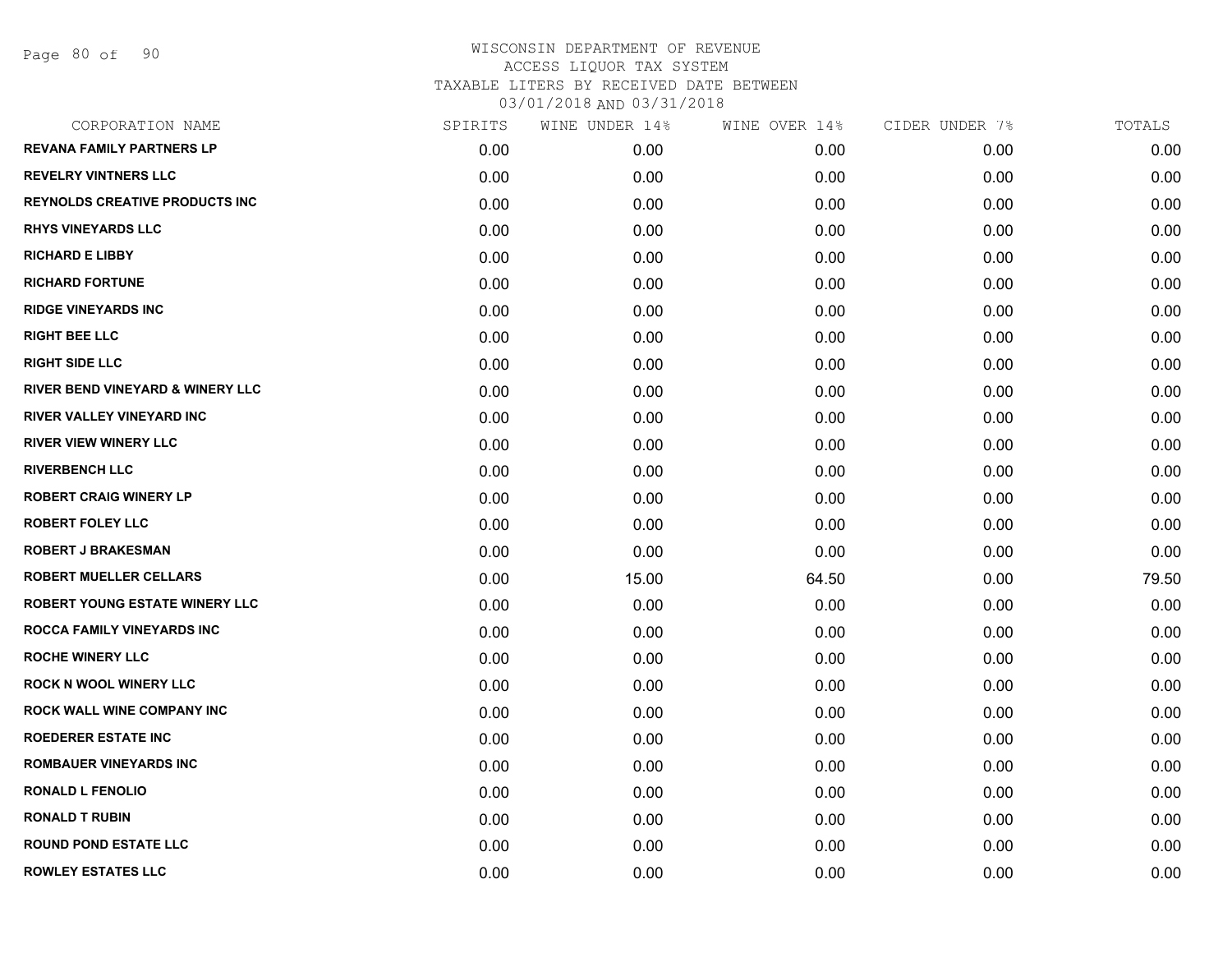| CORPORATION NAME                            | SPIRITS | WINE UNDER 14% | WINE OVER 14% | CIDER UNDER 7% | TOTALS |
|---------------------------------------------|---------|----------------|---------------|----------------|--------|
| <b>REVANA FAMILY PARTNERS LP</b>            | 0.00    | 0.00           | 0.00          | 0.00           | 0.00   |
| <b>REVELRY VINTNERS LLC</b>                 | 0.00    | 0.00           | 0.00          | 0.00           | 0.00   |
| <b>REYNOLDS CREATIVE PRODUCTS INC</b>       | 0.00    | 0.00           | 0.00          | 0.00           | 0.00   |
| <b>RHYS VINEYARDS LLC</b>                   | 0.00    | 0.00           | 0.00          | 0.00           | 0.00   |
| <b>RICHARD E LIBBY</b>                      | 0.00    | 0.00           | 0.00          | 0.00           | 0.00   |
| <b>RICHARD FORTUNE</b>                      | 0.00    | 0.00           | 0.00          | 0.00           | 0.00   |
| <b>RIDGE VINEYARDS INC</b>                  | 0.00    | 0.00           | 0.00          | 0.00           | 0.00   |
| <b>RIGHT BEE LLC</b>                        | 0.00    | 0.00           | 0.00          | 0.00           | 0.00   |
| <b>RIGHT SIDE LLC</b>                       | 0.00    | 0.00           | 0.00          | 0.00           | 0.00   |
| <b>RIVER BEND VINEYARD &amp; WINERY LLC</b> | 0.00    | 0.00           | 0.00          | 0.00           | 0.00   |
| <b>RIVER VALLEY VINEYARD INC</b>            | 0.00    | 0.00           | 0.00          | 0.00           | 0.00   |
| <b>RIVER VIEW WINERY LLC</b>                | 0.00    | 0.00           | 0.00          | 0.00           | 0.00   |
| <b>RIVERBENCH LLC</b>                       | 0.00    | 0.00           | 0.00          | 0.00           | 0.00   |
| <b>ROBERT CRAIG WINERY LP</b>               | 0.00    | 0.00           | 0.00          | 0.00           | 0.00   |
| <b>ROBERT FOLEY LLC</b>                     | 0.00    | 0.00           | 0.00          | 0.00           | 0.00   |
| <b>ROBERT J BRAKESMAN</b>                   | 0.00    | 0.00           | 0.00          | 0.00           | 0.00   |
| <b>ROBERT MUELLER CELLARS</b>               | 0.00    | 15.00          | 64.50         | 0.00           | 79.50  |
| <b>ROBERT YOUNG ESTATE WINERY LLC</b>       | 0.00    | 0.00           | 0.00          | 0.00           | 0.00   |
| <b>ROCCA FAMILY VINEYARDS INC</b>           | 0.00    | 0.00           | 0.00          | 0.00           | 0.00   |
| <b>ROCHE WINERY LLC</b>                     | 0.00    | 0.00           | 0.00          | 0.00           | 0.00   |
| <b>ROCK N WOOL WINERY LLC</b>               | 0.00    | 0.00           | 0.00          | 0.00           | 0.00   |
| <b>ROCK WALL WINE COMPANY INC</b>           | 0.00    | 0.00           | 0.00          | 0.00           | 0.00   |
| <b>ROEDERER ESTATE INC</b>                  | 0.00    | 0.00           | 0.00          | 0.00           | 0.00   |
| <b>ROMBAUER VINEYARDS INC</b>               | 0.00    | 0.00           | 0.00          | 0.00           | 0.00   |
| <b>RONALD L FENOLIO</b>                     | 0.00    | 0.00           | 0.00          | 0.00           | 0.00   |
| <b>RONALD T RUBIN</b>                       | 0.00    | 0.00           | 0.00          | 0.00           | 0.00   |
| <b>ROUND POND ESTATE LLC</b>                | 0.00    | 0.00           | 0.00          | 0.00           | 0.00   |
| <b>ROWLEY ESTATES LLC</b>                   | 0.00    | 0.00           | 0.00          | 0.00           | 0.00   |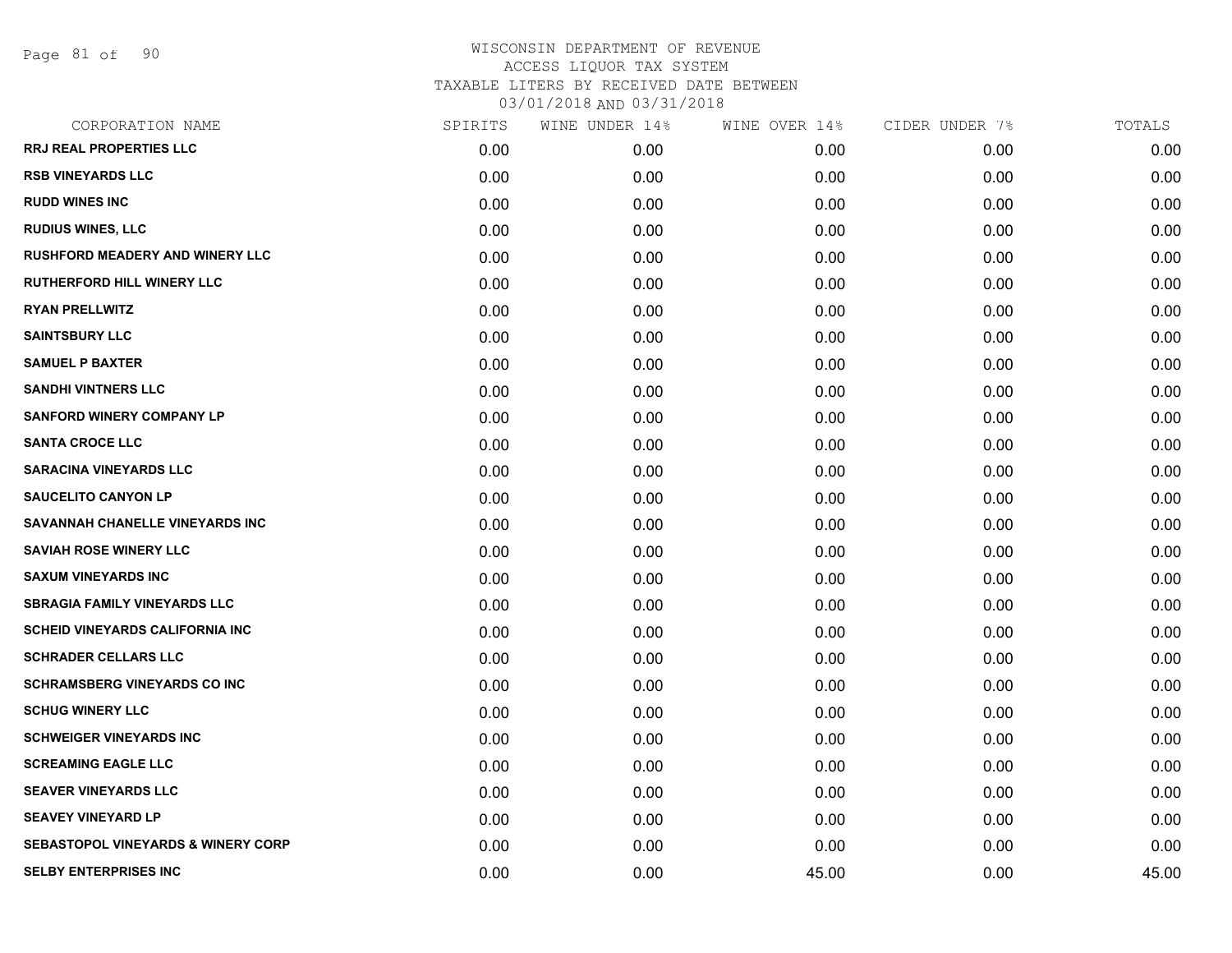| CORPORATION NAME                              | SPIRITS | WINE UNDER 14% | WINE OVER 14% | CIDER UNDER 7% | TOTALS |
|-----------------------------------------------|---------|----------------|---------------|----------------|--------|
| <b>RRJ REAL PROPERTIES LLC</b>                | 0.00    | 0.00           | 0.00          | 0.00           | 0.00   |
| <b>RSB VINEYARDS LLC</b>                      | 0.00    | 0.00           | 0.00          | 0.00           | 0.00   |
| <b>RUDD WINES INC</b>                         | 0.00    | 0.00           | 0.00          | 0.00           | 0.00   |
| <b>RUDIUS WINES, LLC</b>                      | 0.00    | 0.00           | 0.00          | 0.00           | 0.00   |
| <b>RUSHFORD MEADERY AND WINERY LLC</b>        | 0.00    | 0.00           | 0.00          | 0.00           | 0.00   |
| <b>RUTHERFORD HILL WINERY LLC</b>             | 0.00    | 0.00           | 0.00          | 0.00           | 0.00   |
| <b>RYAN PRELLWITZ</b>                         | 0.00    | 0.00           | 0.00          | 0.00           | 0.00   |
| <b>SAINTSBURY LLC</b>                         | 0.00    | 0.00           | 0.00          | 0.00           | 0.00   |
| <b>SAMUEL P BAXTER</b>                        | 0.00    | 0.00           | 0.00          | 0.00           | 0.00   |
| <b>SANDHI VINTNERS LLC</b>                    | 0.00    | 0.00           | 0.00          | 0.00           | 0.00   |
| <b>SANFORD WINERY COMPANY LP</b>              | 0.00    | 0.00           | 0.00          | 0.00           | 0.00   |
| <b>SANTA CROCE LLC</b>                        | 0.00    | 0.00           | 0.00          | 0.00           | 0.00   |
| <b>SARACINA VINEYARDS LLC</b>                 | 0.00    | 0.00           | 0.00          | 0.00           | 0.00   |
| <b>SAUCELITO CANYON LP</b>                    | 0.00    | 0.00           | 0.00          | 0.00           | 0.00   |
| SAVANNAH CHANELLE VINEYARDS INC               | 0.00    | 0.00           | 0.00          | 0.00           | 0.00   |
| <b>SAVIAH ROSE WINERY LLC</b>                 | 0.00    | 0.00           | 0.00          | 0.00           | 0.00   |
| <b>SAXUM VINEYARDS INC</b>                    | 0.00    | 0.00           | 0.00          | 0.00           | 0.00   |
| <b>SBRAGIA FAMILY VINEYARDS LLC</b>           | 0.00    | 0.00           | 0.00          | 0.00           | 0.00   |
| <b>SCHEID VINEYARDS CALIFORNIA INC</b>        | 0.00    | 0.00           | 0.00          | 0.00           | 0.00   |
| <b>SCHRADER CELLARS LLC</b>                   | 0.00    | 0.00           | 0.00          | 0.00           | 0.00   |
| <b>SCHRAMSBERG VINEYARDS CO INC</b>           | 0.00    | 0.00           | 0.00          | 0.00           | 0.00   |
| <b>SCHUG WINERY LLC</b>                       | 0.00    | 0.00           | 0.00          | 0.00           | 0.00   |
| <b>SCHWEIGER VINEYARDS INC</b>                | 0.00    | 0.00           | 0.00          | 0.00           | 0.00   |
| <b>SCREAMING EAGLE LLC</b>                    | 0.00    | 0.00           | 0.00          | 0.00           | 0.00   |
| <b>SEAVER VINEYARDS LLC</b>                   | 0.00    | 0.00           | 0.00          | 0.00           | 0.00   |
| <b>SEAVEY VINEYARD LP</b>                     | 0.00    | 0.00           | 0.00          | 0.00           | 0.00   |
| <b>SEBASTOPOL VINEYARDS &amp; WINERY CORP</b> | 0.00    | 0.00           | 0.00          | 0.00           | 0.00   |
| <b>SELBY ENTERPRISES INC</b>                  | 0.00    | 0.00           | 45.00         | 0.00           | 45.00  |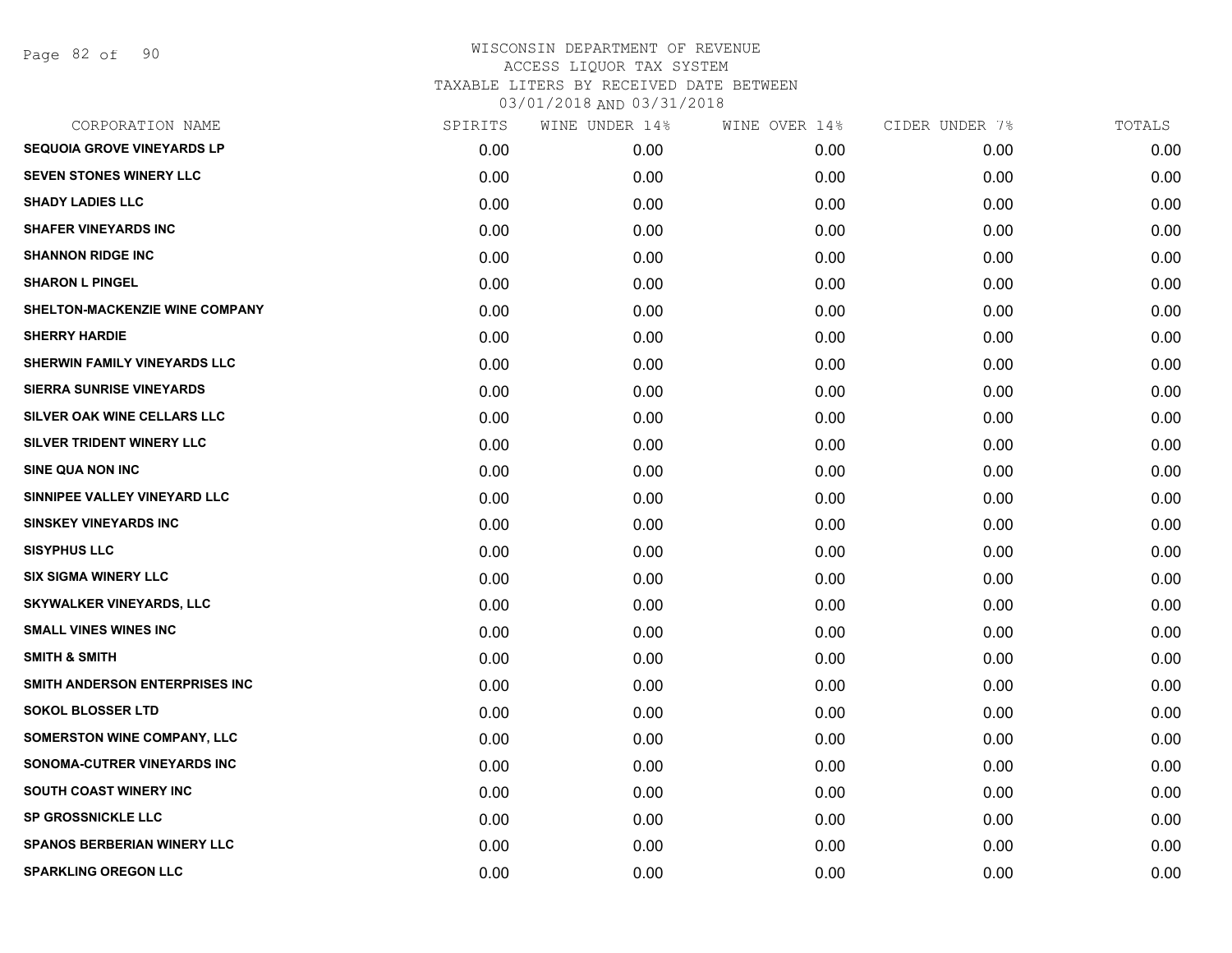Page 82 of 90

| CORPORATION NAME                   | SPIRITS | WINE UNDER 14% | WINE OVER 14% | CIDER UNDER 7% | TOTALS |
|------------------------------------|---------|----------------|---------------|----------------|--------|
| <b>SEQUOIA GROVE VINEYARDS LP</b>  | 0.00    | 0.00           | 0.00          | 0.00           | 0.00   |
| <b>SEVEN STONES WINERY LLC</b>     | 0.00    | 0.00           | 0.00          | 0.00           | 0.00   |
| <b>SHADY LADIES LLC</b>            | 0.00    | 0.00           | 0.00          | 0.00           | 0.00   |
| <b>SHAFER VINEYARDS INC</b>        | 0.00    | 0.00           | 0.00          | 0.00           | 0.00   |
| <b>SHANNON RIDGE INC</b>           | 0.00    | 0.00           | 0.00          | 0.00           | 0.00   |
| <b>SHARON L PINGEL</b>             | 0.00    | 0.00           | 0.00          | 0.00           | 0.00   |
| SHELTON-MACKENZIE WINE COMPANY     | 0.00    | 0.00           | 0.00          | 0.00           | 0.00   |
| <b>SHERRY HARDIE</b>               | 0.00    | 0.00           | 0.00          | 0.00           | 0.00   |
| SHERWIN FAMILY VINEYARDS LLC       | 0.00    | 0.00           | 0.00          | 0.00           | 0.00   |
| <b>SIERRA SUNRISE VINEYARDS</b>    | 0.00    | 0.00           | 0.00          | 0.00           | 0.00   |
| SILVER OAK WINE CELLARS LLC        | 0.00    | 0.00           | 0.00          | 0.00           | 0.00   |
| SILVER TRIDENT WINERY LLC          | 0.00    | 0.00           | 0.00          | 0.00           | 0.00   |
| <b>SINE QUA NON INC</b>            | 0.00    | 0.00           | 0.00          | 0.00           | 0.00   |
| SINNIPEE VALLEY VINEYARD LLC       | 0.00    | 0.00           | 0.00          | 0.00           | 0.00   |
| <b>SINSKEY VINEYARDS INC</b>       | 0.00    | 0.00           | 0.00          | 0.00           | 0.00   |
| <b>SISYPHUS LLC</b>                | 0.00    | 0.00           | 0.00          | 0.00           | 0.00   |
| <b>SIX SIGMA WINERY LLC</b>        | 0.00    | 0.00           | 0.00          | 0.00           | 0.00   |
| <b>SKYWALKER VINEYARDS, LLC</b>    | 0.00    | 0.00           | 0.00          | 0.00           | 0.00   |
| <b>SMALL VINES WINES INC</b>       | 0.00    | 0.00           | 0.00          | 0.00           | 0.00   |
| <b>SMITH &amp; SMITH</b>           | 0.00    | 0.00           | 0.00          | 0.00           | 0.00   |
| SMITH ANDERSON ENTERPRISES INC     | 0.00    | 0.00           | 0.00          | 0.00           | 0.00   |
| <b>SOKOL BLOSSER LTD</b>           | 0.00    | 0.00           | 0.00          | 0.00           | 0.00   |
| <b>SOMERSTON WINE COMPANY, LLC</b> | 0.00    | 0.00           | 0.00          | 0.00           | 0.00   |
| SONOMA-CUTRER VINEYARDS INC        | 0.00    | 0.00           | 0.00          | 0.00           | 0.00   |
| <b>SOUTH COAST WINERY INC</b>      | 0.00    | 0.00           | 0.00          | 0.00           | 0.00   |
| <b>SP GROSSNICKLE LLC</b>          | 0.00    | 0.00           | 0.00          | 0.00           | 0.00   |
| <b>SPANOS BERBERIAN WINERY LLC</b> | 0.00    | 0.00           | 0.00          | 0.00           | 0.00   |
| <b>SPARKLING OREGON LLC</b>        | 0.00    | 0.00           | 0.00          | 0.00           | 0.00   |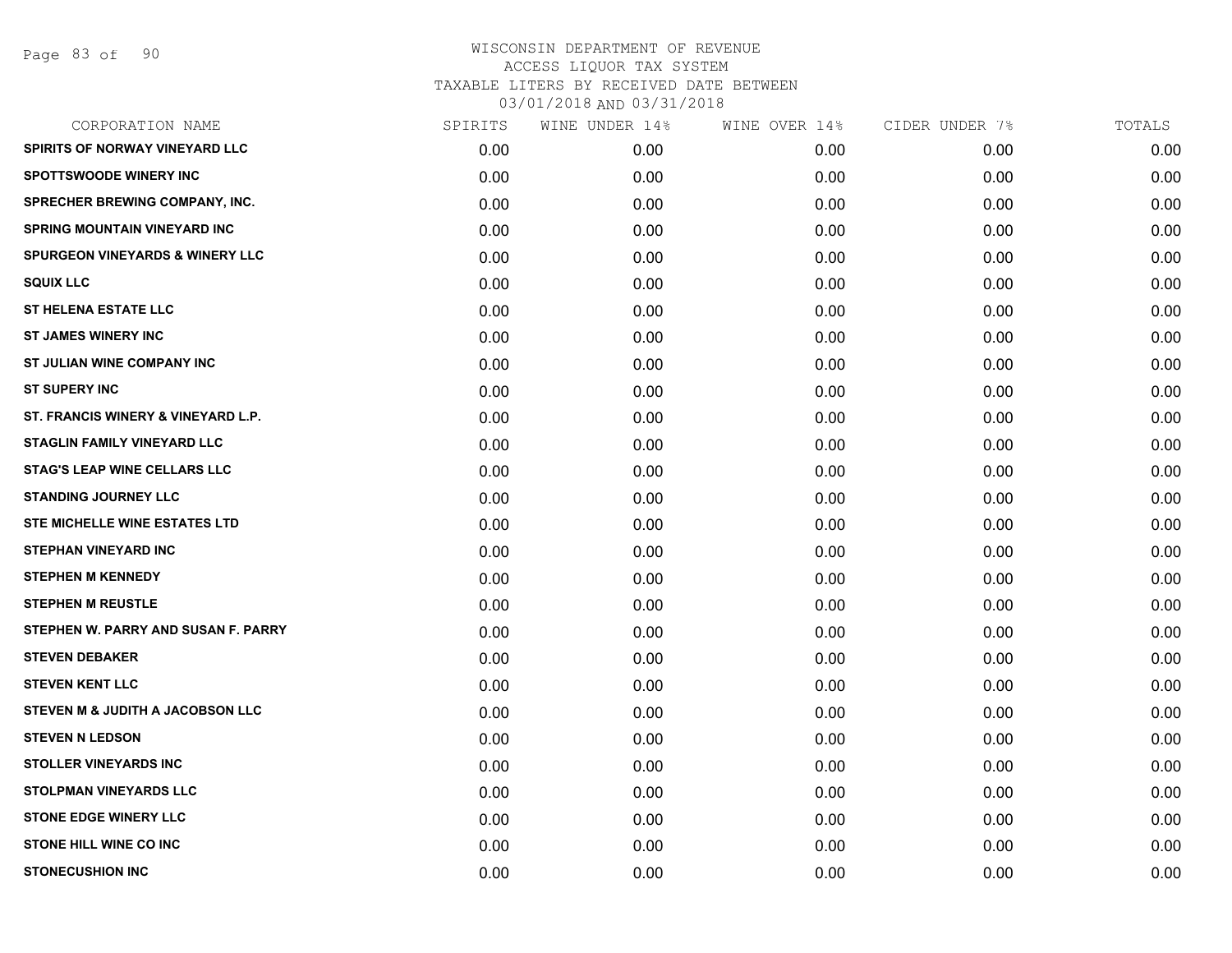| SPIRITS | WINE UNDER 14% | WINE OVER 14% | CIDER UNDER 7% | TOTALS |
|---------|----------------|---------------|----------------|--------|
| 0.00    | 0.00           | 0.00          | 0.00           | 0.00   |
| 0.00    | 0.00           | 0.00          | 0.00           | 0.00   |
| 0.00    | 0.00           | 0.00          | 0.00           | 0.00   |
| 0.00    | 0.00           | 0.00          | 0.00           | 0.00   |
| 0.00    | 0.00           | 0.00          | 0.00           | 0.00   |
| 0.00    | 0.00           | 0.00          | 0.00           | 0.00   |
| 0.00    | 0.00           | 0.00          | 0.00           | 0.00   |
| 0.00    | 0.00           | 0.00          | 0.00           | 0.00   |
| 0.00    | 0.00           | 0.00          | 0.00           | 0.00   |
| 0.00    | 0.00           | 0.00          | 0.00           | 0.00   |
| 0.00    | 0.00           | 0.00          | 0.00           | 0.00   |
| 0.00    | 0.00           | 0.00          | 0.00           | 0.00   |
| 0.00    | 0.00           | 0.00          | 0.00           | 0.00   |
| 0.00    | 0.00           | 0.00          | 0.00           | 0.00   |
| 0.00    | 0.00           | 0.00          | 0.00           | 0.00   |
| 0.00    | 0.00           | 0.00          | 0.00           | 0.00   |
| 0.00    | 0.00           | 0.00          | 0.00           | 0.00   |
| 0.00    | 0.00           | 0.00          | 0.00           | 0.00   |
| 0.00    | 0.00           | 0.00          | 0.00           | 0.00   |
| 0.00    | 0.00           | 0.00          | 0.00           | 0.00   |
| 0.00    | 0.00           | 0.00          | 0.00           | 0.00   |
| 0.00    | 0.00           | 0.00          | 0.00           | 0.00   |
| 0.00    | 0.00           | 0.00          | 0.00           | 0.00   |
| 0.00    | 0.00           | 0.00          | 0.00           | 0.00   |
| 0.00    | 0.00           | 0.00          | 0.00           | 0.00   |
| 0.00    | 0.00           | 0.00          | 0.00           | 0.00   |
| 0.00    | 0.00           | 0.00          | 0.00           | 0.00   |
| 0.00    | 0.00           | 0.00          | 0.00           | 0.00   |
|         |                |               |                |        |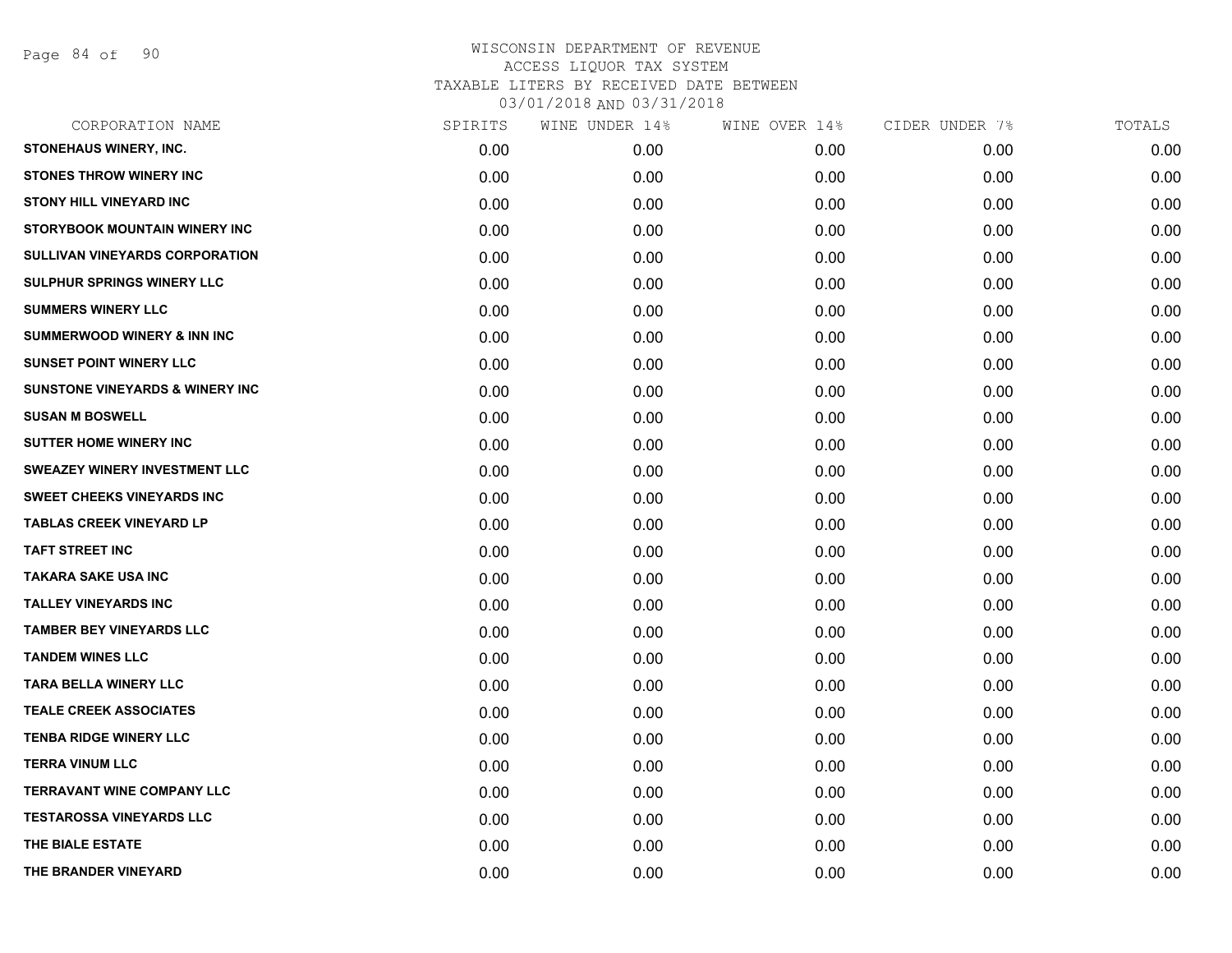Page 84 of 90

|      | WINE UNDER 14% | WINE OVER 14% | CIDER UNDER 7% | TOTALS |
|------|----------------|---------------|----------------|--------|
| 0.00 | 0.00           | 0.00          | 0.00           | 0.00   |
| 0.00 | 0.00           | 0.00          | 0.00           | 0.00   |
| 0.00 | 0.00           | 0.00          | 0.00           | 0.00   |
| 0.00 | 0.00           | 0.00          | 0.00           | 0.00   |
| 0.00 | 0.00           | 0.00          | 0.00           | 0.00   |
| 0.00 | 0.00           | 0.00          | 0.00           | 0.00   |
| 0.00 | 0.00           | 0.00          | 0.00           | 0.00   |
| 0.00 | 0.00           | 0.00          | 0.00           | 0.00   |
| 0.00 | 0.00           | 0.00          | 0.00           | 0.00   |
| 0.00 | 0.00           | 0.00          | 0.00           | 0.00   |
| 0.00 | 0.00           | 0.00          | 0.00           | 0.00   |
| 0.00 | 0.00           | 0.00          | 0.00           | 0.00   |
| 0.00 | 0.00           | 0.00          | 0.00           | 0.00   |
| 0.00 | 0.00           | 0.00          | 0.00           | 0.00   |
| 0.00 | 0.00           | 0.00          | 0.00           | 0.00   |
| 0.00 | 0.00           | 0.00          | 0.00           | 0.00   |
| 0.00 | 0.00           | 0.00          | 0.00           | 0.00   |
| 0.00 | 0.00           | 0.00          | 0.00           | 0.00   |
| 0.00 | 0.00           | 0.00          | 0.00           | 0.00   |
| 0.00 | 0.00           | 0.00          | 0.00           | 0.00   |
| 0.00 | 0.00           | 0.00          | 0.00           | 0.00   |
| 0.00 | 0.00           | 0.00          | 0.00           | 0.00   |
| 0.00 | 0.00           | 0.00          | 0.00           | 0.00   |
| 0.00 | 0.00           | 0.00          | 0.00           | 0.00   |
| 0.00 | 0.00           | 0.00          | 0.00           | 0.00   |
| 0.00 | 0.00           | 0.00          | 0.00           | 0.00   |
| 0.00 | 0.00           | 0.00          | 0.00           | 0.00   |
| 0.00 | 0.00           | 0.00          | 0.00           | 0.00   |
|      | SPIRITS        |               |                |        |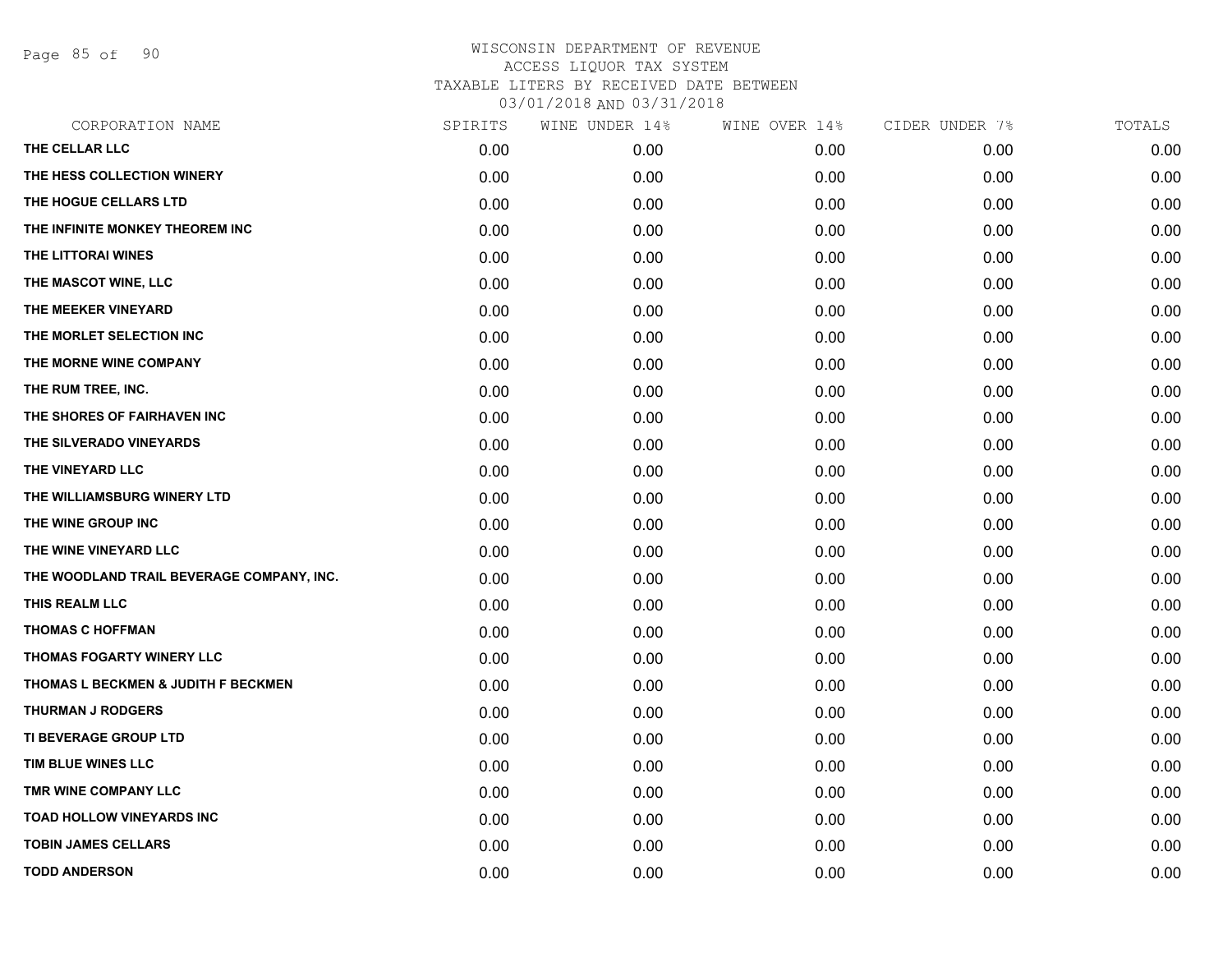Page 85 of 90

| CORPORATION NAME                          | SPIRITS | WINE UNDER 14% | WINE OVER 14% | CIDER UNDER 7% | TOTALS |
|-------------------------------------------|---------|----------------|---------------|----------------|--------|
| THE CELLAR LLC                            | 0.00    | 0.00           | 0.00          | 0.00           | 0.00   |
| THE HESS COLLECTION WINERY                | 0.00    | 0.00           | 0.00          | 0.00           | 0.00   |
| THE HOGUE CELLARS LTD                     | 0.00    | 0.00           | 0.00          | 0.00           | 0.00   |
| THE INFINITE MONKEY THEOREM INC           | 0.00    | 0.00           | 0.00          | 0.00           | 0.00   |
| THE LITTORAI WINES                        | 0.00    | 0.00           | 0.00          | 0.00           | 0.00   |
| THE MASCOT WINE, LLC                      | 0.00    | 0.00           | 0.00          | 0.00           | 0.00   |
| THE MEEKER VINEYARD                       | 0.00    | 0.00           | 0.00          | 0.00           | 0.00   |
| THE MORLET SELECTION INC                  | 0.00    | 0.00           | 0.00          | 0.00           | 0.00   |
| THE MORNE WINE COMPANY                    | 0.00    | 0.00           | 0.00          | 0.00           | 0.00   |
| THE RUM TREE, INC.                        | 0.00    | 0.00           | 0.00          | 0.00           | 0.00   |
| THE SHORES OF FAIRHAVEN INC               | 0.00    | 0.00           | 0.00          | 0.00           | 0.00   |
| THE SILVERADO VINEYARDS                   | 0.00    | 0.00           | 0.00          | 0.00           | 0.00   |
| THE VINEYARD LLC                          | 0.00    | 0.00           | 0.00          | 0.00           | 0.00   |
| THE WILLIAMSBURG WINERY LTD               | 0.00    | 0.00           | 0.00          | 0.00           | 0.00   |
| THE WINE GROUP INC                        | 0.00    | 0.00           | 0.00          | 0.00           | 0.00   |
| THE WINE VINEYARD LLC                     | 0.00    | 0.00           | 0.00          | 0.00           | 0.00   |
| THE WOODLAND TRAIL BEVERAGE COMPANY, INC. | 0.00    | 0.00           | 0.00          | 0.00           | 0.00   |
| THIS REALM LLC                            | 0.00    | 0.00           | 0.00          | 0.00           | 0.00   |
| <b>THOMAS C HOFFMAN</b>                   | 0.00    | 0.00           | 0.00          | 0.00           | 0.00   |
| THOMAS FOGARTY WINERY LLC                 | 0.00    | 0.00           | 0.00          | 0.00           | 0.00   |
| THOMAS L BECKMEN & JUDITH F BECKMEN       | 0.00    | 0.00           | 0.00          | 0.00           | 0.00   |
| THURMAN J RODGERS                         | 0.00    | 0.00           | 0.00          | 0.00           | 0.00   |
| TI BEVERAGE GROUP LTD                     | 0.00    | 0.00           | 0.00          | 0.00           | 0.00   |
| TIM BLUE WINES LLC                        | 0.00    | 0.00           | 0.00          | 0.00           | 0.00   |
| TMR WINE COMPANY LLC                      | 0.00    | 0.00           | 0.00          | 0.00           | 0.00   |
| TOAD HOLLOW VINEYARDS INC                 | 0.00    | 0.00           | 0.00          | 0.00           | 0.00   |
| <b>TOBIN JAMES CELLARS</b>                | 0.00    | 0.00           | 0.00          | 0.00           | 0.00   |
| <b>TODD ANDERSON</b>                      | 0.00    | 0.00           | 0.00          | 0.00           | 0.00   |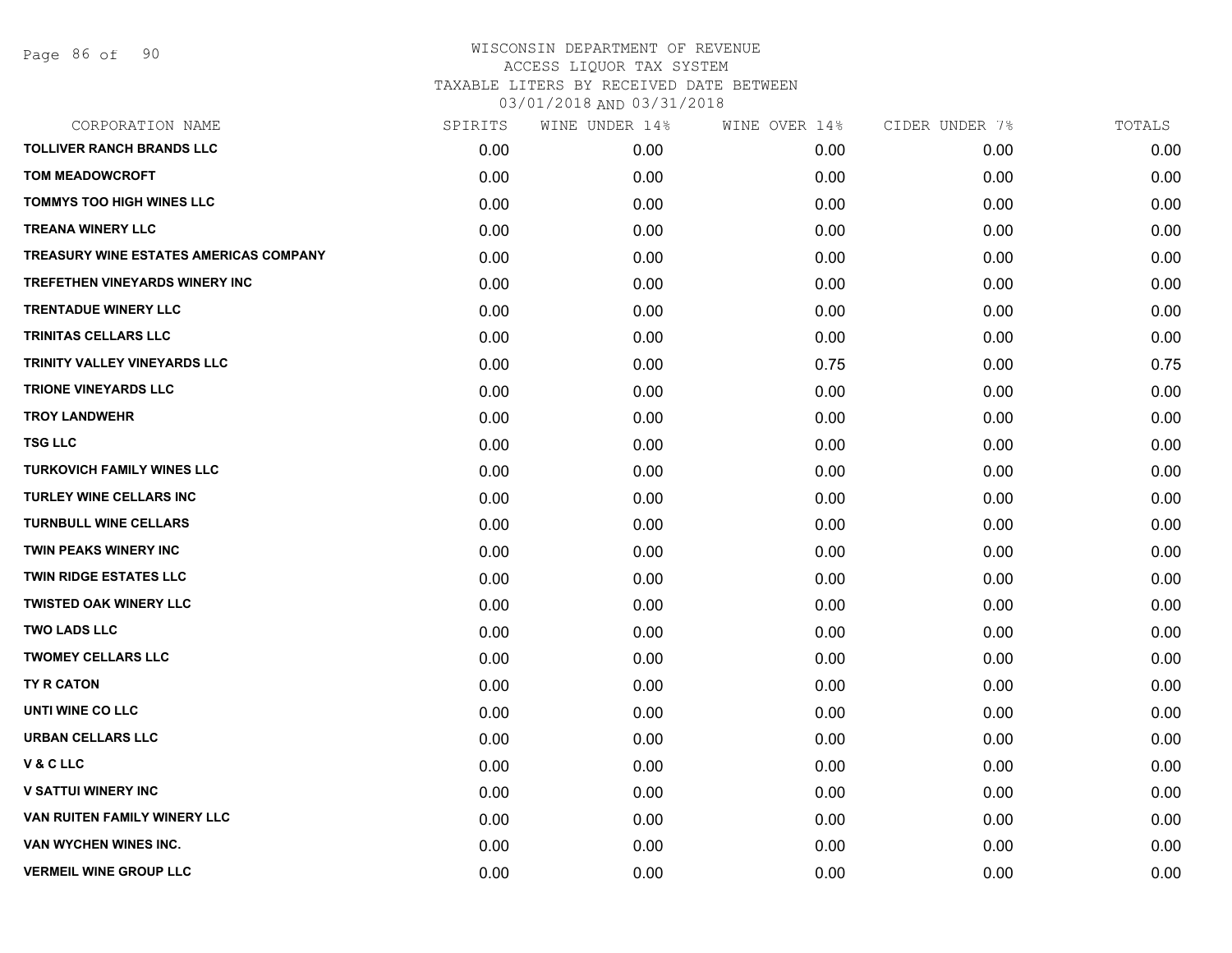| CORPORATION NAME                              | SPIRITS | WINE UNDER 14% | WINE OVER 14% | CIDER UNDER 7% | TOTALS |
|-----------------------------------------------|---------|----------------|---------------|----------------|--------|
| <b>TOLLIVER RANCH BRANDS LLC</b>              | 0.00    | 0.00           | 0.00          | 0.00           | 0.00   |
| <b>TOM MEADOWCROFT</b>                        | 0.00    | 0.00           | 0.00          | 0.00           | 0.00   |
| <b>TOMMYS TOO HIGH WINES LLC</b>              | 0.00    | 0.00           | 0.00          | 0.00           | 0.00   |
| <b>TREANA WINERY LLC</b>                      | 0.00    | 0.00           | 0.00          | 0.00           | 0.00   |
| <b>TREASURY WINE ESTATES AMERICAS COMPANY</b> | 0.00    | 0.00           | 0.00          | 0.00           | 0.00   |
| TREFETHEN VINEYARDS WINERY INC                | 0.00    | 0.00           | 0.00          | 0.00           | 0.00   |
| <b>TRENTADUE WINERY LLC</b>                   | 0.00    | 0.00           | 0.00          | 0.00           | 0.00   |
| <b>TRINITAS CELLARS LLC</b>                   | 0.00    | 0.00           | 0.00          | 0.00           | 0.00   |
| TRINITY VALLEY VINEYARDS LLC                  | 0.00    | 0.00           | 0.75          | 0.00           | 0.75   |
| <b>TRIONE VINEYARDS LLC</b>                   | 0.00    | 0.00           | 0.00          | 0.00           | 0.00   |
| <b>TROY LANDWEHR</b>                          | 0.00    | 0.00           | 0.00          | 0.00           | 0.00   |
| <b>TSG LLC</b>                                | 0.00    | 0.00           | 0.00          | 0.00           | 0.00   |
| <b>TURKOVICH FAMILY WINES LLC</b>             | 0.00    | 0.00           | 0.00          | 0.00           | 0.00   |
| <b>TURLEY WINE CELLARS INC</b>                | 0.00    | 0.00           | 0.00          | 0.00           | 0.00   |
| <b>TURNBULL WINE CELLARS</b>                  | 0.00    | 0.00           | 0.00          | 0.00           | 0.00   |
| <b>TWIN PEAKS WINERY INC</b>                  | 0.00    | 0.00           | 0.00          | 0.00           | 0.00   |
| <b>TWIN RIDGE ESTATES LLC</b>                 | 0.00    | 0.00           | 0.00          | 0.00           | 0.00   |
| <b>TWISTED OAK WINERY LLC</b>                 | 0.00    | 0.00           | 0.00          | 0.00           | 0.00   |
| <b>TWO LADS LLC</b>                           | 0.00    | 0.00           | 0.00          | 0.00           | 0.00   |
| <b>TWOMEY CELLARS LLC</b>                     | 0.00    | 0.00           | 0.00          | 0.00           | 0.00   |
| TY R CATON                                    | 0.00    | 0.00           | 0.00          | 0.00           | 0.00   |
| UNTI WINE CO LLC                              | 0.00    | 0.00           | 0.00          | 0.00           | 0.00   |
| <b>URBAN CELLARS LLC</b>                      | 0.00    | 0.00           | 0.00          | 0.00           | 0.00   |
| V & C LLC                                     | 0.00    | 0.00           | 0.00          | 0.00           | 0.00   |
| <b>V SATTUI WINERY INC</b>                    | 0.00    | 0.00           | 0.00          | 0.00           | 0.00   |
| VAN RUITEN FAMILY WINERY LLC                  | 0.00    | 0.00           | 0.00          | 0.00           | 0.00   |
| VAN WYCHEN WINES INC.                         | 0.00    | 0.00           | 0.00          | 0.00           | 0.00   |
| <b>VERMEIL WINE GROUP LLC</b>                 | 0.00    | 0.00           | 0.00          | 0.00           | 0.00   |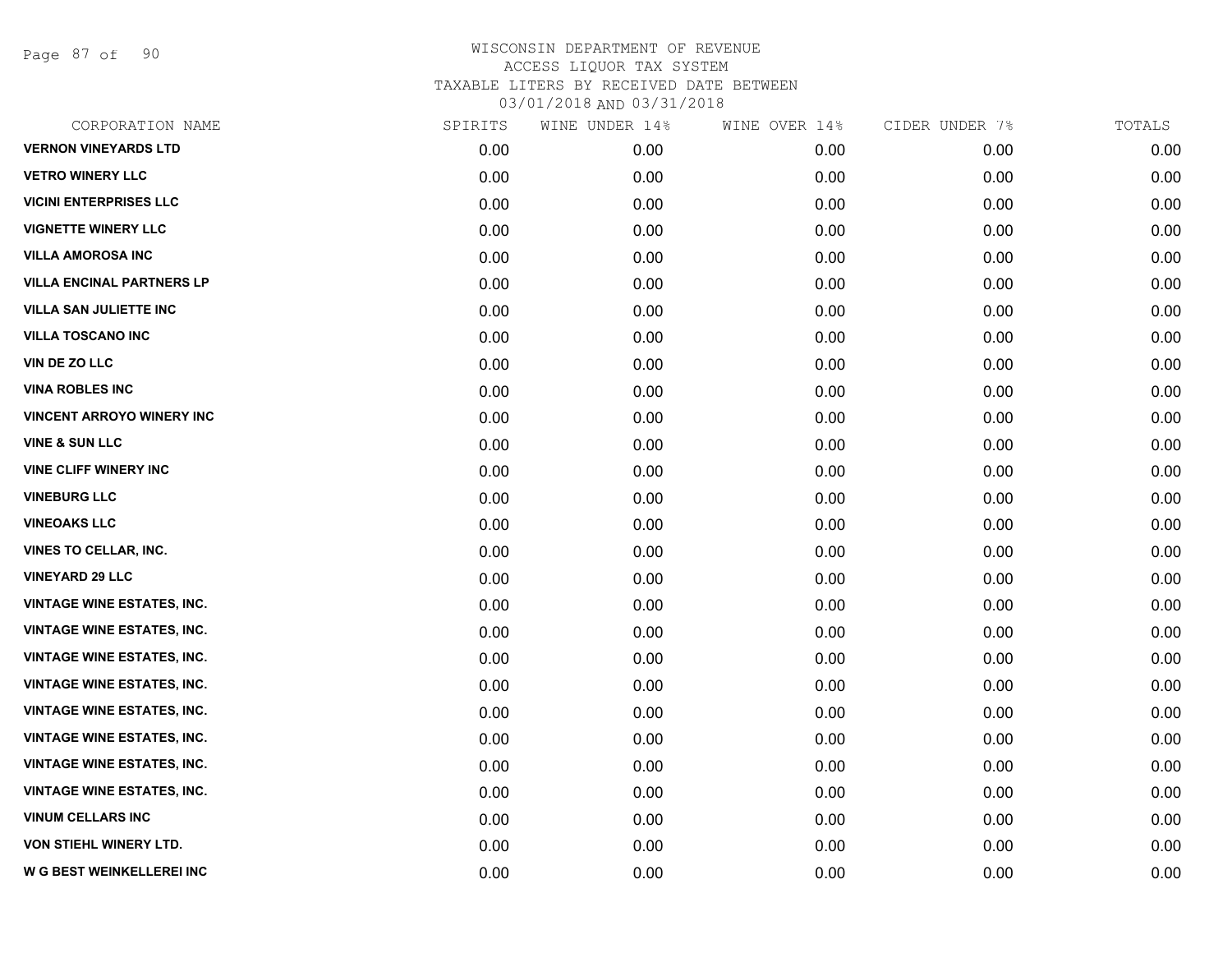Page 87 of 90

| CORPORATION NAME                  | SPIRITS | WINE UNDER 14% | WINE OVER 14% | CIDER UNDER 7% | TOTALS |
|-----------------------------------|---------|----------------|---------------|----------------|--------|
| <b>VERNON VINEYARDS LTD</b>       | 0.00    | 0.00           | 0.00          | 0.00           | 0.00   |
| <b>VETRO WINERY LLC</b>           | 0.00    | 0.00           | 0.00          | 0.00           | 0.00   |
| <b>VICINI ENTERPRISES LLC</b>     | 0.00    | 0.00           | 0.00          | 0.00           | 0.00   |
| <b>VIGNETTE WINERY LLC</b>        | 0.00    | 0.00           | 0.00          | 0.00           | 0.00   |
| <b>VILLA AMOROSA INC</b>          | 0.00    | 0.00           | 0.00          | 0.00           | 0.00   |
| <b>VILLA ENCINAL PARTNERS LP</b>  | 0.00    | 0.00           | 0.00          | 0.00           | 0.00   |
| <b>VILLA SAN JULIETTE INC</b>     | 0.00    | 0.00           | 0.00          | 0.00           | 0.00   |
| <b>VILLA TOSCANO INC</b>          | 0.00    | 0.00           | 0.00          | 0.00           | 0.00   |
| <b>VIN DE ZO LLC</b>              | 0.00    | 0.00           | 0.00          | 0.00           | 0.00   |
| <b>VINA ROBLES INC</b>            | 0.00    | 0.00           | 0.00          | 0.00           | 0.00   |
| <b>VINCENT ARROYO WINERY INC</b>  | 0.00    | 0.00           | 0.00          | 0.00           | 0.00   |
| <b>VINE &amp; SUN LLC</b>         | 0.00    | 0.00           | 0.00          | 0.00           | 0.00   |
| <b>VINE CLIFF WINERY INC</b>      | 0.00    | 0.00           | 0.00          | 0.00           | 0.00   |
| <b>VINEBURG LLC</b>               | 0.00    | 0.00           | 0.00          | 0.00           | 0.00   |
| <b>VINEOAKS LLC</b>               | 0.00    | 0.00           | 0.00          | 0.00           | 0.00   |
| <b>VINES TO CELLAR, INC.</b>      | 0.00    | 0.00           | 0.00          | 0.00           | 0.00   |
| <b>VINEYARD 29 LLC</b>            | 0.00    | 0.00           | 0.00          | 0.00           | 0.00   |
| <b>VINTAGE WINE ESTATES, INC.</b> | 0.00    | 0.00           | 0.00          | 0.00           | 0.00   |
| <b>VINTAGE WINE ESTATES, INC.</b> | 0.00    | 0.00           | 0.00          | 0.00           | 0.00   |
| <b>VINTAGE WINE ESTATES, INC.</b> | 0.00    | 0.00           | 0.00          | 0.00           | 0.00   |
| <b>VINTAGE WINE ESTATES, INC.</b> | 0.00    | 0.00           | 0.00          | 0.00           | 0.00   |
| <b>VINTAGE WINE ESTATES, INC.</b> | 0.00    | 0.00           | 0.00          | 0.00           | 0.00   |
| <b>VINTAGE WINE ESTATES, INC.</b> | 0.00    | 0.00           | 0.00          | 0.00           | 0.00   |
| <b>VINTAGE WINE ESTATES, INC.</b> | 0.00    | 0.00           | 0.00          | 0.00           | 0.00   |
| <b>VINTAGE WINE ESTATES, INC.</b> | 0.00    | 0.00           | 0.00          | 0.00           | 0.00   |
| <b>VINUM CELLARS INC</b>          | 0.00    | 0.00           | 0.00          | 0.00           | 0.00   |
| <b>VON STIEHL WINERY LTD.</b>     | 0.00    | 0.00           | 0.00          | 0.00           | 0.00   |
| W G BEST WEINKELLEREI INC         | 0.00    | 0.00           | 0.00          | 0.00           | 0.00   |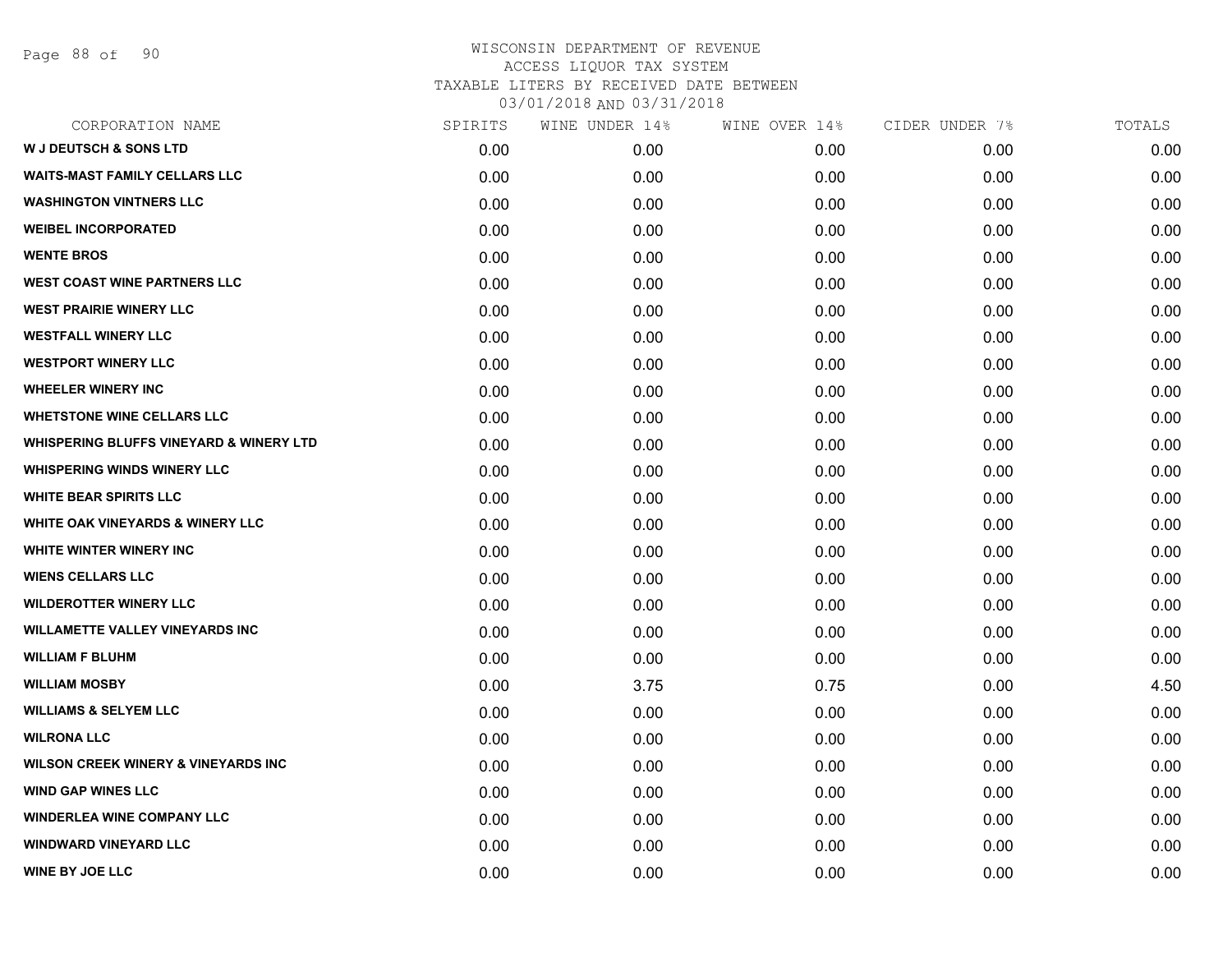Page 88 of 90

| CORPORATION NAME                                   | SPIRITS | WINE UNDER 14%    | WINE OVER 14% | CIDER UNDER 7% | TOTALS |
|----------------------------------------------------|---------|-------------------|---------------|----------------|--------|
| <b>W J DEUTSCH &amp; SONS LTD</b>                  | 0.00    | 0.00 <sub>1</sub> | 0.00          | 0.00           | 0.00   |
| <b>WAITS-MAST FAMILY CELLARS LLC</b>               | 0.00    | 0.00              | 0.00          | 0.00           | 0.00   |
| <b>WASHINGTON VINTNERS LLC</b>                     | 0.00    | 0.00              | 0.00          | 0.00           | 0.00   |
| <b>WEIBEL INCORPORATED</b>                         | 0.00    | 0.00              | 0.00          | 0.00           | 0.00   |
| <b>WENTE BROS</b>                                  | 0.00    | 0.00              | 0.00          | 0.00           | 0.00   |
| <b>WEST COAST WINE PARTNERS LLC</b>                | 0.00    | 0.00              | 0.00          | 0.00           | 0.00   |
| <b>WEST PRAIRIE WINERY LLC</b>                     | 0.00    | 0.00              | 0.00          | 0.00           | 0.00   |
| <b>WESTFALL WINERY LLC</b>                         | 0.00    | 0.00              | 0.00          | 0.00           | 0.00   |
| <b>WESTPORT WINERY LLC</b>                         | 0.00    | 0.00              | 0.00          | 0.00           | 0.00   |
| <b>WHEELER WINERY INC</b>                          | 0.00    | 0.00              | 0.00          | 0.00           | 0.00   |
| <b>WHETSTONE WINE CELLARS LLC</b>                  | 0.00    | 0.00              | 0.00          | 0.00           | 0.00   |
| <b>WHISPERING BLUFFS VINEYARD &amp; WINERY LTD</b> | 0.00    | 0.00              | 0.00          | 0.00           | 0.00   |
| <b>WHISPERING WINDS WINERY LLC</b>                 | 0.00    | 0.00              | 0.00          | 0.00           | 0.00   |
| <b>WHITE BEAR SPIRITS LLC</b>                      | 0.00    | 0.00              | 0.00          | 0.00           | 0.00   |
| <b>WHITE OAK VINEYARDS &amp; WINERY LLC</b>        | 0.00    | 0.00              | 0.00          | 0.00           | 0.00   |
| WHITE WINTER WINERY INC                            | 0.00    | 0.00              | 0.00          | 0.00           | 0.00   |
| <b>WIENS CELLARS LLC</b>                           | 0.00    | 0.00              | 0.00          | 0.00           | 0.00   |
| <b>WILDEROTTER WINERY LLC</b>                      | 0.00    | 0.00              | 0.00          | 0.00           | 0.00   |
| <b>WILLAMETTE VALLEY VINEYARDS INC</b>             | 0.00    | 0.00              | 0.00          | 0.00           | 0.00   |
| <b>WILLIAM F BLUHM</b>                             | 0.00    | 0.00              | 0.00          | 0.00           | 0.00   |
| <b>WILLIAM MOSBY</b>                               | 0.00    | 3.75              | 0.75          | 0.00           | 4.50   |
| <b>WILLIAMS &amp; SELYEM LLC</b>                   | 0.00    | 0.00              | 0.00          | 0.00           | 0.00   |
| <b>WILRONA LLC</b>                                 | 0.00    | 0.00              | 0.00          | 0.00           | 0.00   |
| <b>WILSON CREEK WINERY &amp; VINEYARDS INC</b>     | 0.00    | 0.00              | 0.00          | 0.00           | 0.00   |
| <b>WIND GAP WINES LLC</b>                          | 0.00    | 0.00              | 0.00          | 0.00           | 0.00   |
| <b>WINDERLEA WINE COMPANY LLC</b>                  | 0.00    | 0.00              | 0.00          | 0.00           | 0.00   |
| <b>WINDWARD VINEYARD LLC</b>                       | 0.00    | 0.00              | 0.00          | 0.00           | 0.00   |
| <b>WINE BY JOE LLC</b>                             | 0.00    | 0.00              | 0.00          | 0.00           | 0.00   |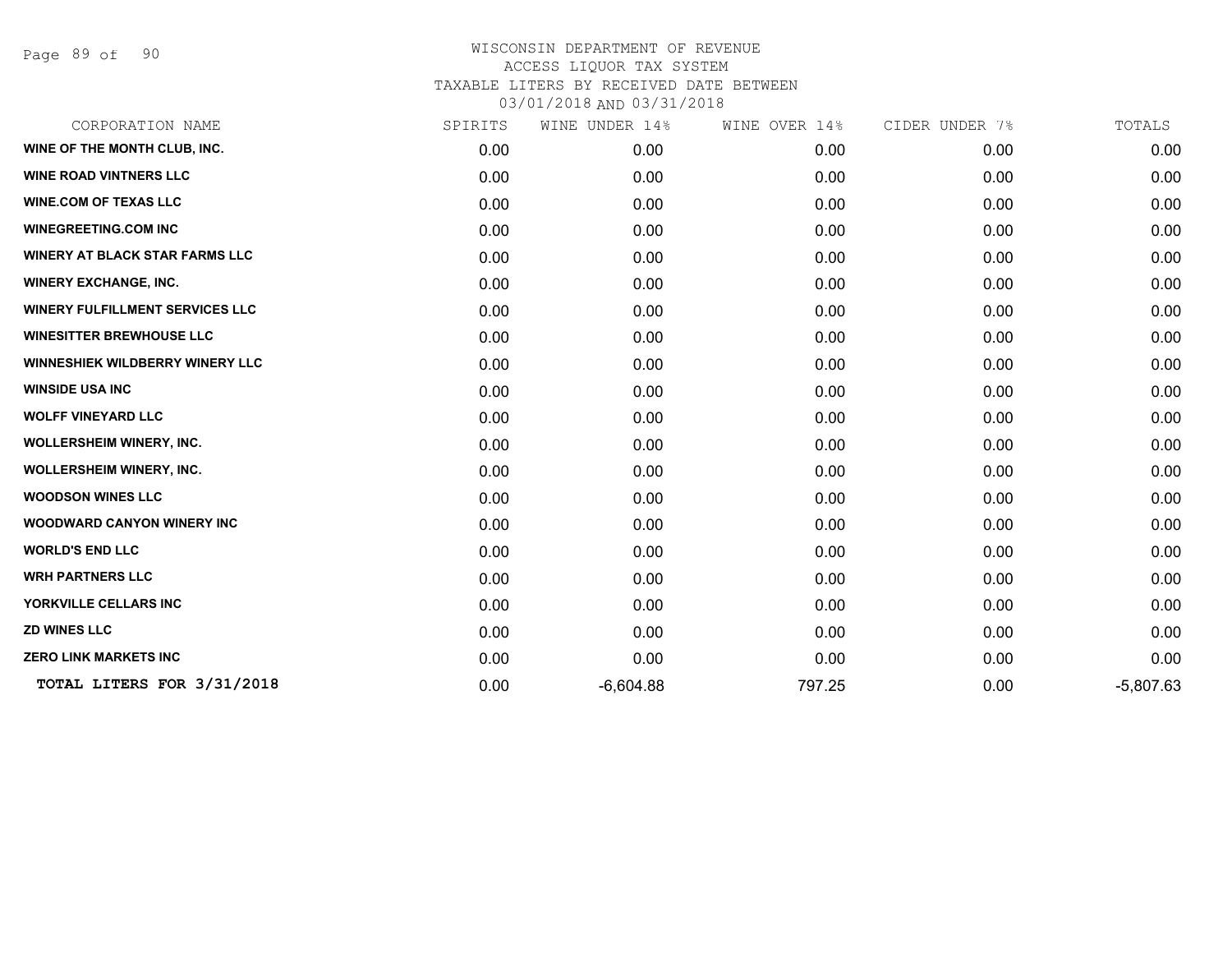Page 89 of 90

| CORPORATION NAME                       | SPIRITS | WINE UNDER 14% | WINE OVER 14% | CIDER UNDER 7% | TOTALS      |
|----------------------------------------|---------|----------------|---------------|----------------|-------------|
| WINE OF THE MONTH CLUB, INC.           | 0.00    | 0.00           | 0.00          | 0.00           | 0.00        |
| <b>WINE ROAD VINTNERS LLC</b>          | 0.00    | 0.00           | 0.00          | 0.00           | 0.00        |
| <b>WINE.COM OF TEXAS LLC</b>           | 0.00    | 0.00           | 0.00          | 0.00           | 0.00        |
| <b>WINEGREETING.COM INC</b>            | 0.00    | 0.00           | 0.00          | 0.00           | 0.00        |
| <b>WINERY AT BLACK STAR FARMS LLC</b>  | 0.00    | 0.00           | 0.00          | 0.00           | 0.00        |
| <b>WINERY EXCHANGE, INC.</b>           | 0.00    | 0.00           | 0.00          | 0.00           | 0.00        |
| <b>WINERY FULFILLMENT SERVICES LLC</b> | 0.00    | 0.00           | 0.00          | 0.00           | 0.00        |
| <b>WINESITTER BREWHOUSE LLC</b>        | 0.00    | 0.00           | 0.00          | 0.00           | 0.00        |
| WINNESHIEK WILDBERRY WINERY LLC        | 0.00    | 0.00           | 0.00          | 0.00           | 0.00        |
| <b>WINSIDE USA INC</b>                 | 0.00    | 0.00           | 0.00          | 0.00           | 0.00        |
| <b>WOLFF VINEYARD LLC</b>              | 0.00    | 0.00           | 0.00          | 0.00           | 0.00        |
| <b>WOLLERSHEIM WINERY, INC.</b>        | 0.00    | 0.00           | 0.00          | 0.00           | 0.00        |
| <b>WOLLERSHEIM WINERY, INC.</b>        | 0.00    | 0.00           | 0.00          | 0.00           | 0.00        |
| <b>WOODSON WINES LLC</b>               | 0.00    | 0.00           | 0.00          | 0.00           | 0.00        |
| <b>WOODWARD CANYON WINERY INC</b>      | 0.00    | 0.00           | 0.00          | 0.00           | 0.00        |
| <b>WORLD'S END LLC</b>                 | 0.00    | 0.00           | 0.00          | 0.00           | 0.00        |
| <b>WRH PARTNERS LLC</b>                | 0.00    | 0.00           | 0.00          | 0.00           | 0.00        |
| YORKVILLE CELLARS INC                  | 0.00    | 0.00           | 0.00          | 0.00           | 0.00        |
| <b>ZD WINES LLC</b>                    | 0.00    | 0.00           | 0.00          | 0.00           | 0.00        |
| <b>ZERO LINK MARKETS INC</b>           | 0.00    | 0.00           | 0.00          | 0.00           | 0.00        |
| TOTAL LITERS FOR 3/31/2018             | 0.00    | $-6,604.88$    | 797.25        | 0.00           | $-5,807.63$ |